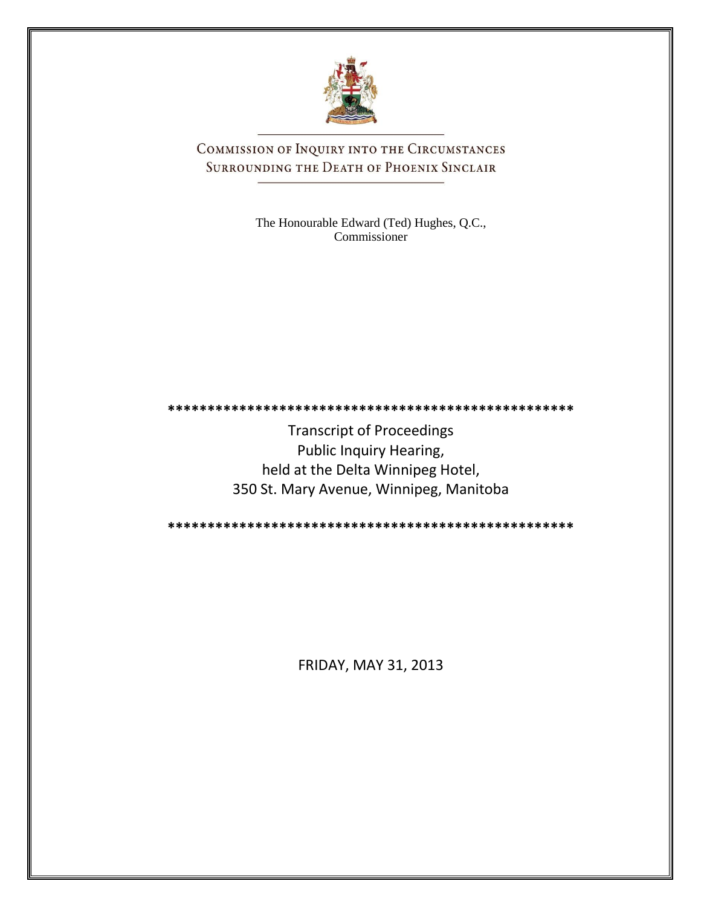

COMMISSION OF INQUIRY INTO THE CIRCUMSTANCES SURROUNDING THE DEATH OF PHOENIX SINCLAIR

> The Honourable Edward (Ted) Hughes, Q.C., Commissioner

**\*\*\*\*\*\*\*\*\*\*\*\*\*\*\*\*\*\*\*\*\*\*\*\*\*\*\*\*\*\*\*\*\*\*\*\*\*\*\*\*\*\*\*\*\*\*\*\*\*\*\***

Transcript of Proceedings Public Inquiry Hearing, held at the Delta Winnipeg Hotel, 350 St. Mary Avenue, Winnipeg, Manitoba

**\*\*\*\*\*\*\*\*\*\*\*\*\*\*\*\*\*\*\*\*\*\*\*\*\*\*\*\*\*\*\*\*\*\*\*\*\*\*\*\*\*\*\*\*\*\*\*\*\*\*\***

FRIDAY, MAY 31, 2013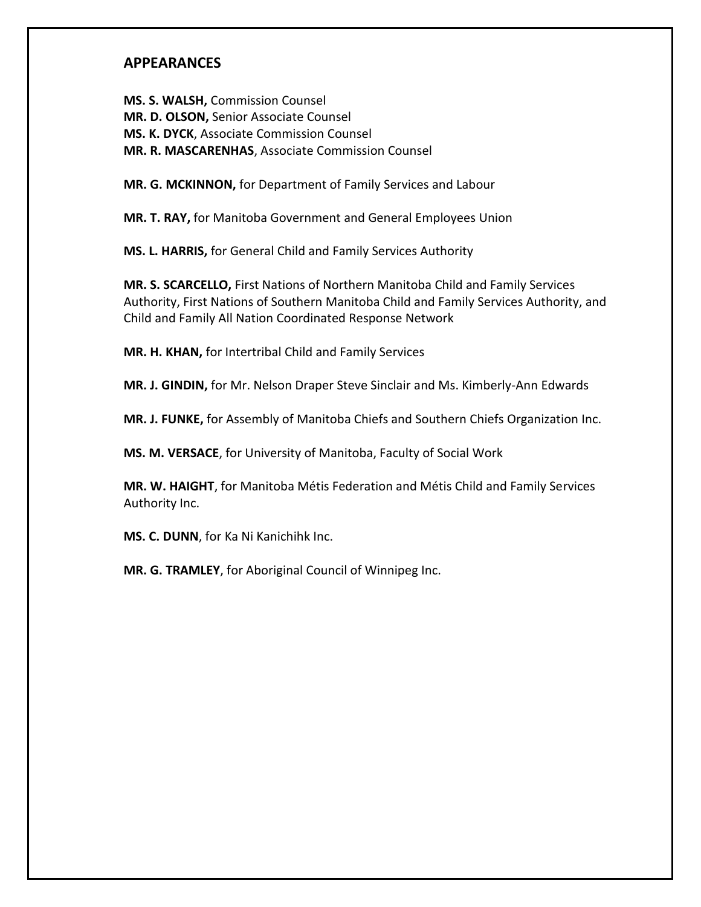# **APPEARANCES**

**MS. S. WALSH,** Commission Counsel **MR. D. OLSON,** Senior Associate Counsel **MS. K. DYCK**, Associate Commission Counsel **MR. R. MASCARENHAS**, Associate Commission Counsel

**MR. G. MCKINNON,** for Department of Family Services and Labour

**MR. T. RAY,** for Manitoba Government and General Employees Union

**MS. L. HARRIS,** for General Child and Family Services Authority

**MR. S. SCARCELLO,** First Nations of Northern Manitoba Child and Family Services Authority, First Nations of Southern Manitoba Child and Family Services Authority, and Child and Family All Nation Coordinated Response Network

**MR. H. KHAN,** for Intertribal Child and Family Services

**MR. J. GINDIN,** for Mr. Nelson Draper Steve Sinclair and Ms. Kimberly-Ann Edwards

**MR. J. FUNKE,** for Assembly of Manitoba Chiefs and Southern Chiefs Organization Inc.

**MS. M. VERSACE**, for University of Manitoba, Faculty of Social Work

**MR. W. HAIGHT**, for Manitoba Métis Federation and Métis Child and Family Services Authority Inc.

**MS. C. DUNN**, for Ka Ni Kanichihk Inc.

**MR. G. TRAMLEY**, for Aboriginal Council of Winnipeg Inc.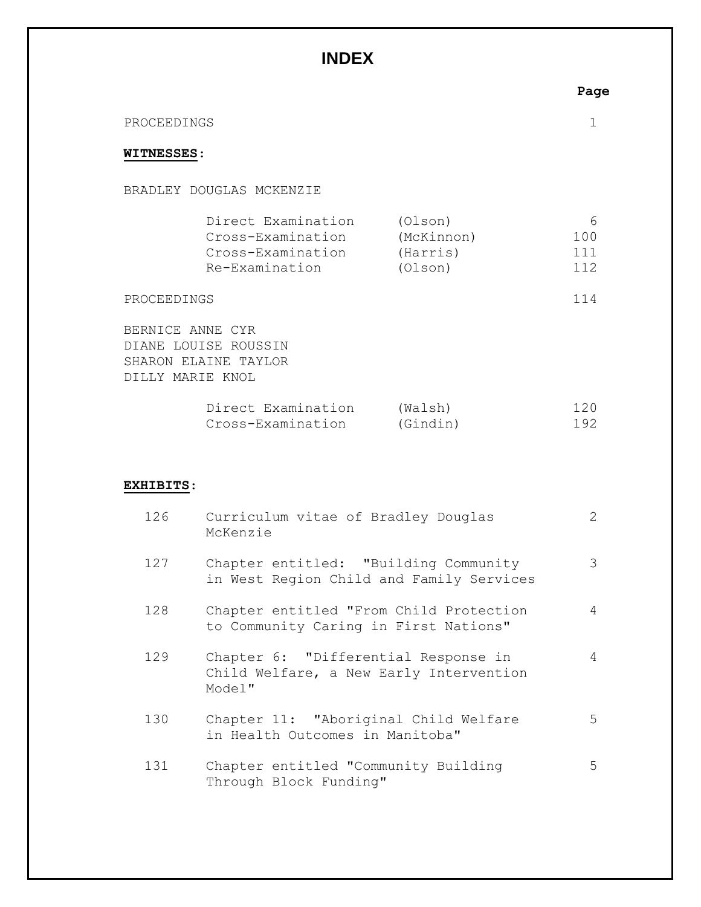# **INDEX**

|                   |                                                                                      |                                              | Page                   |
|-------------------|--------------------------------------------------------------------------------------|----------------------------------------------|------------------------|
| PROCEEDINGS       |                                                                                      |                                              |                        |
| <b>WITNESSES:</b> |                                                                                      |                                              |                        |
|                   | BRADLEY DOUGLAS MCKENZIE                                                             |                                              |                        |
|                   | Direct Examination<br>Cross-Examination<br>Cross-Examination<br>Re-Examination       | (Olson)<br>(McKinnon)<br>(Harris)<br>(Olson) | 6<br>100<br>111<br>112 |
| PROCEEDINGS       |                                                                                      |                                              | 114                    |
|                   | BERNICE ANNE CYR<br>DIANE LOUISE ROUSSIN<br>SHARON ELAINE TAYLOR<br>DILLY MARIE KNOL |                                              |                        |
|                   | Direct Examination<br>Cross-Examination                                              | (Walsh)<br>(Gindin)                          | 120<br>192             |

## **EXHIBITS**:

| 126 | Curriculum vitae of Bradley Douglas<br>McKenzie                                           | $\mathbf{2}$ |
|-----|-------------------------------------------------------------------------------------------|--------------|
| 127 | Chapter entitled: "Building Community<br>in West Region Child and Family Services         | 3            |
| 128 | Chapter entitled "From Child Protection<br>to Community Caring in First Nations"          | 4            |
| 129 | Chapter 6: "Differential Response in<br>Child Welfare, a New Early Intervention<br>Model" | 4            |
| 130 | Chapter 11: "Aboriginal Child Welfare<br>in Health Outcomes in Manitoba"                  | 5            |
| 131 | Chapter entitled "Community Building<br>Through Block Funding"                            | 5            |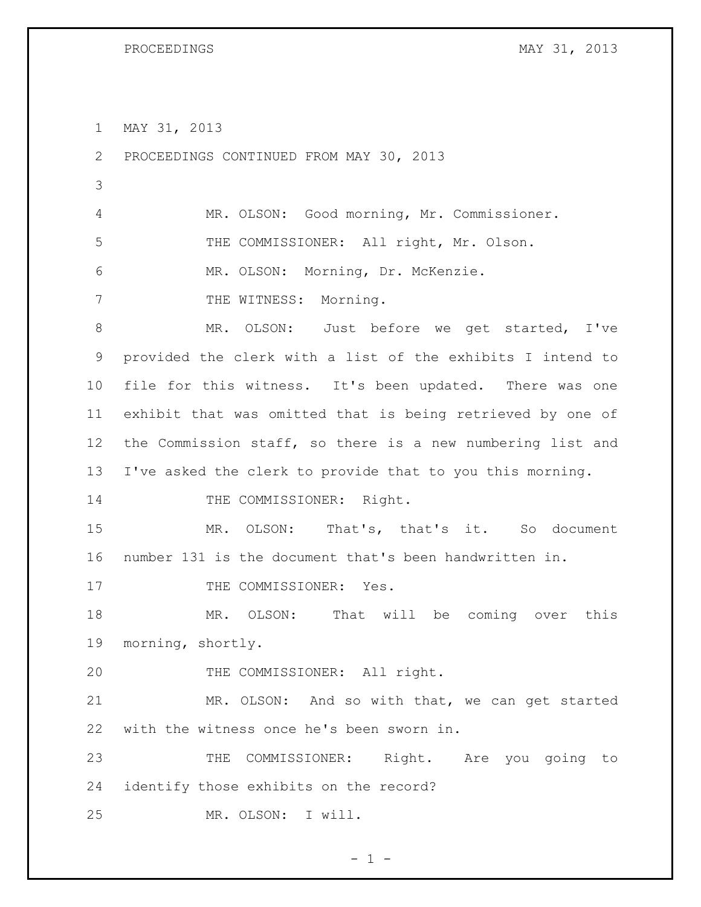MAY 31, 2013

 PROCEEDINGS CONTINUED FROM MAY 30, 2013 MR. OLSON: Good morning, Mr. Commissioner. THE COMMISSIONER: All right, Mr. Olson. MR. OLSON: Morning, Dr. McKenzie. 7 THE WITNESS: Morning. MR. OLSON: Just before we get started, I've provided the clerk with a list of the exhibits I intend to file for this witness. It's been updated. There was one exhibit that was omitted that is being retrieved by one of the Commission staff, so there is a new numbering list and I've asked the clerk to provide that to you this morning. 14 THE COMMISSIONER: Right. MR. OLSON: That's, that's it. So document number 131 is the document that's been handwritten in. 17 THE COMMISSIONER: Yes. MR. OLSON: That will be coming over this morning, shortly. 20 THE COMMISSIONER: All right. MR. OLSON: And so with that, we can get started with the witness once he's been sworn in. THE COMMISSIONER: Right. Are you going to identify those exhibits on the record? MR. OLSON: I will.

 $- 1 -$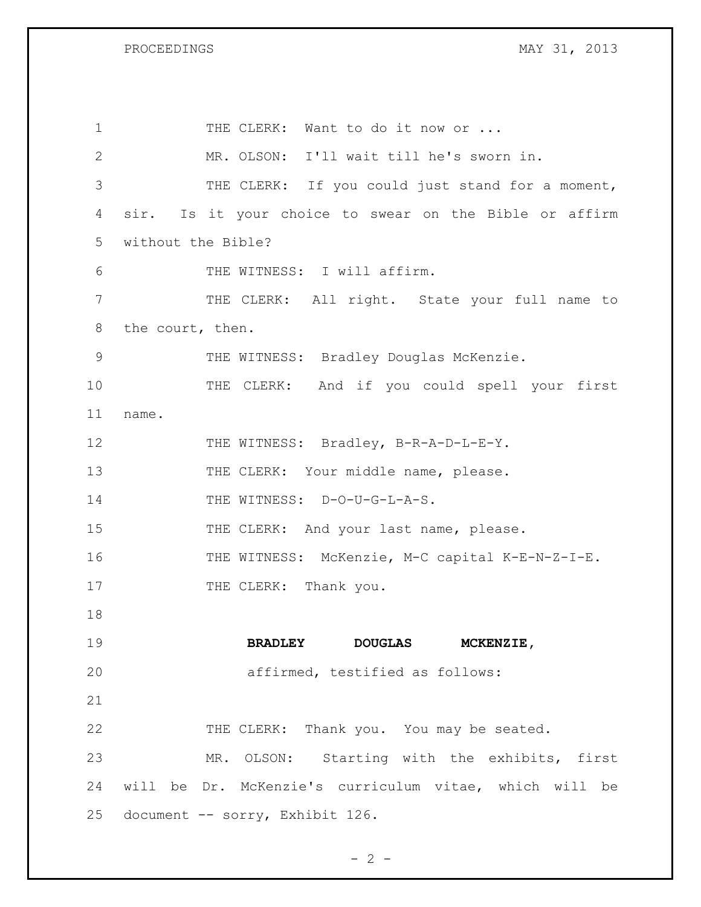| $\mathbf 1$  | THE CLERK: Want to do it now or                        |
|--------------|--------------------------------------------------------|
| $\mathbf{2}$ | MR. OLSON: I'll wait till he's sworn in.               |
| 3            | THE CLERK: If you could just stand for a moment,       |
| 4            | sir. Is it your choice to swear on the Bible or affirm |
| 5            | without the Bible?                                     |
| 6            | THE WITNESS: I will affirm.                            |
| 7            | THE CLERK: All right. State your full name to          |
| 8            | the court, then.                                       |
| 9            | THE WITNESS: Bradley Douglas McKenzie.                 |
| 10           | THE CLERK: And if you could spell your first           |
| 11           | name.                                                  |
| 12           | THE WITNESS: Bradley, B-R-A-D-L-E-Y.                   |
| 13           | THE CLERK: Your middle name, please.                   |
| 14           | THE WITNESS: D-O-U-G-L-A-S.                            |
| 15           | THE CLERK: And your last name, please.                 |
| 16           | THE WITNESS: McKenzie, M-C capital K-E-N-Z-I-E.        |
| 17           | THE CLERK: Thank you.                                  |
| 18           |                                                        |
| 19           | <b>DOUGLAS</b><br><b>BRADLEY</b><br><b>MCKENZIE,</b>   |
| 20           | affirmed, testified as follows:                        |
| 21           |                                                        |
| 22           | THE CLERK: Thank you. You may be seated.               |
| 23           | MR. OLSON: Starting with the exhibits, first           |
| 24           | will be Dr. McKenzie's curriculum vitae, which will be |
| 25           | document -- sorry, Exhibit 126.                        |

 $- 2 -$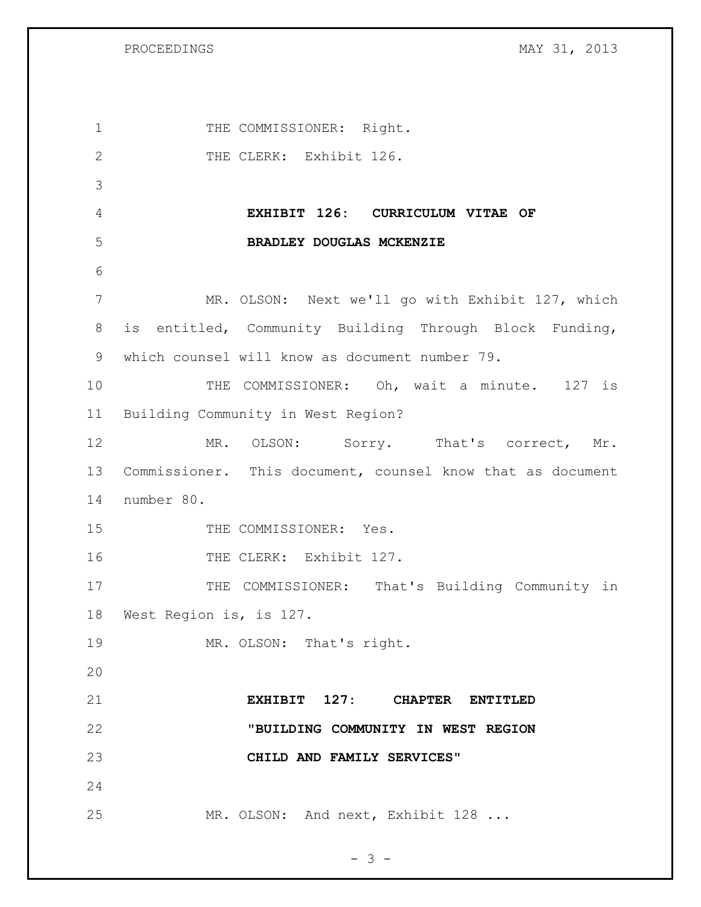| $\mathbf 1$  | THE COMMISSIONER: Right.                                   |
|--------------|------------------------------------------------------------|
| $\mathbf{2}$ | THE CLERK: Exhibit 126.                                    |
| 3            |                                                            |
| 4            | EXHIBIT 126: CURRICULUM VITAE OF                           |
| 5            | BRADLEY DOUGLAS MCKENZIE                                   |
| 6            |                                                            |
| 7            | MR. OLSON: Next we'll go with Exhibit 127, which           |
| 8            | is entitled, Community Building Through Block Funding,     |
| 9            | which counsel will know as document number 79.             |
| 10           | THE COMMISSIONER: Oh, wait a minute. 127 is                |
| 11           | Building Community in West Region?                         |
| 12           | MR. OLSON: Sorry. That's correct, Mr.                      |
| 13           | Commissioner. This document, counsel know that as document |
| 14           | number 80.                                                 |
| 15           | THE COMMISSIONER: Yes.                                     |
| 16           | THE CLERK: Exhibit 127.                                    |
| 17           | THE COMMISSIONER: That's Building Community in             |
| 18           | West Region is, is 127.                                    |
| 19           | MR. OLSON: That's right.                                   |
| 20           |                                                            |
| 21           | EXHIBIT 127: CHAPTER ENTITLED                              |
| 22           | "BUILDING COMMUNITY IN WEST REGION                         |
| 23           | CHILD AND FAMILY SERVICES"                                 |
| 24           |                                                            |
| 25           | MR. OLSON: And next, Exhibit 128                           |

- 3 -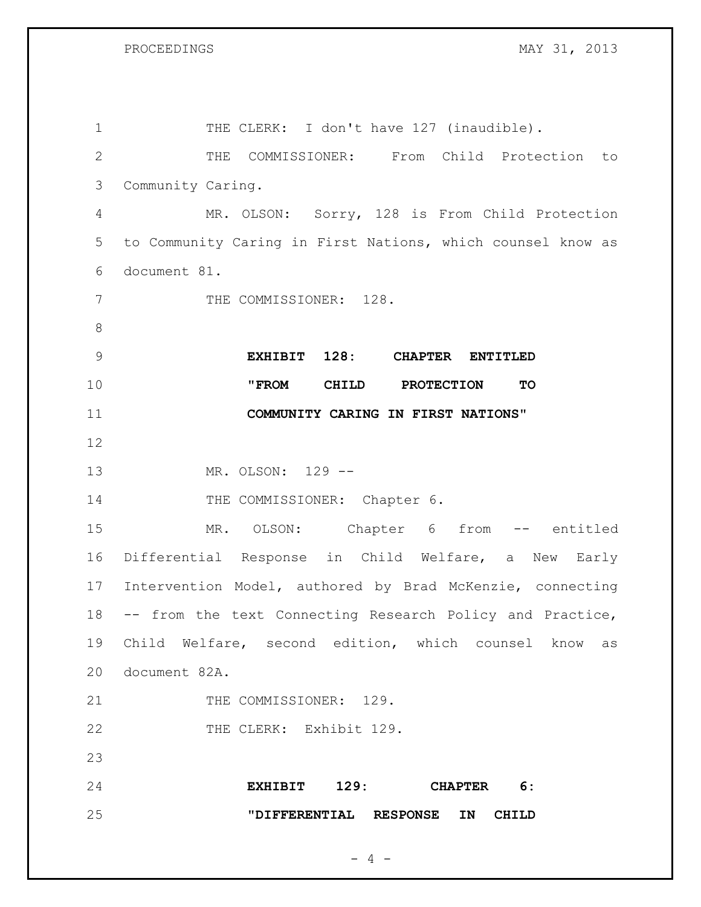| $\mathbf 1$     | THE CLERK: I don't have 127 (inaudible).                    |
|-----------------|-------------------------------------------------------------|
| $\overline{2}$  | COMMISSIONER: From Child Protection to<br>THE               |
| 3               | Community Caring.                                           |
| 4               | MR. OLSON: Sorry, 128 is From Child Protection              |
| 5               | to Community Caring in First Nations, which counsel know as |
| 6               | document 81.                                                |
| 7               | THE COMMISSIONER: 128.                                      |
| 8               |                                                             |
| $\overline{9}$  | EXHIBIT 128: CHAPTER<br><b>ENTITLED</b>                     |
| 10              | "FROM<br>CHILD PROTECTION<br>TO                             |
| 11              | COMMUNITY CARING IN FIRST NATIONS"                          |
| 12              |                                                             |
| 13              | MR. OLSON: 129 --                                           |
| 14              | THE COMMISSIONER: Chapter 6.                                |
| 15              | MR. OLSON: Chapter 6 from -- entitled                       |
| 16              | Differential Response in Child Welfare, a<br>New Early      |
| 17 <sub>2</sub> | Intervention Model, authored by Brad McKenzie, connecting   |
| 18              | -- from the text Connecting Research Policy and Practice,   |
|                 | 19 Child Welfare, second edition, which counsel know as     |
| 20              | document 82A.                                               |
| 21              | THE COMMISSIONER: 129.                                      |
| 22              | THE CLERK: Exhibit 129.                                     |
| 23              |                                                             |
| 24              | EXHIBIT 129: CHAPTER 6:                                     |
| 25              | "DIFFERENTIAL RESPONSE IN CHILD                             |
|                 |                                                             |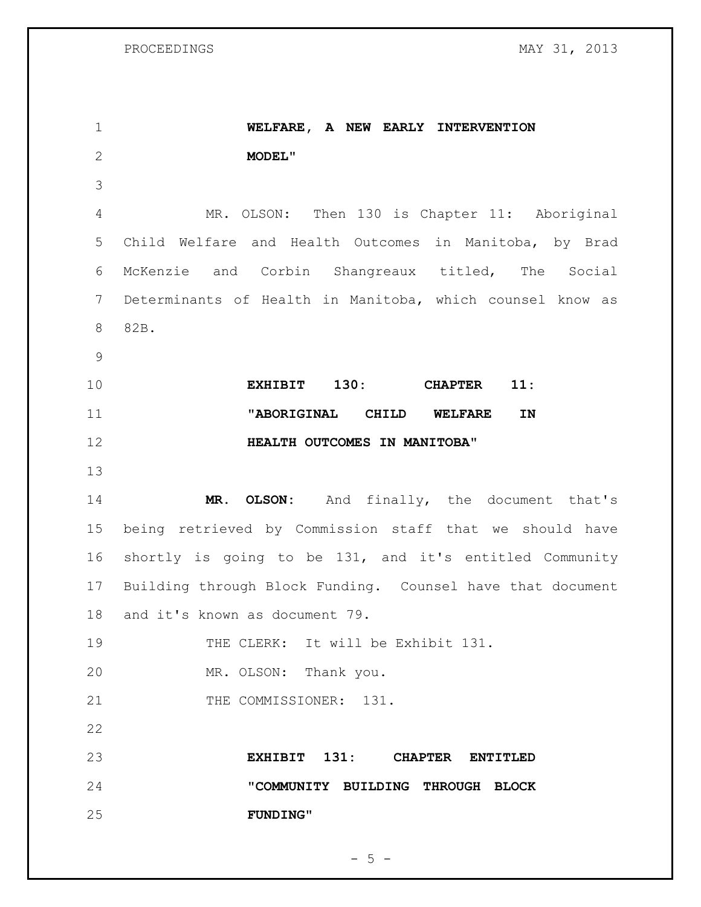**WELFARE, A NEW EARLY INTERVENTION MODEL"** MR. OLSON: Then 130 is Chapter 11: Aboriginal Child Welfare and Health Outcomes in Manitoba, by Brad McKenzie and Corbin Shangreaux titled, The Social Determinants of Health in Manitoba, which counsel know as 82B. **EXHIBIT 130: CHAPTER 11: "ABORIGINAL CHILD WELFARE IN HEALTH OUTCOMES IN MANITOBA" MR. OLSON:** And finally, the document that's being retrieved by Commission staff that we should have shortly is going to be 131, and it's entitled Community Building through Block Funding. Counsel have that document and it's known as document 79. 19 THE CLERK: It will be Exhibit 131. MR. OLSON: Thank you. 21 THE COMMISSIONER: 131. **EXHIBIT 131: CHAPTER ENTITLED "COMMUNITY BUILDING THROUGH BLOCK FUNDING"**

 $- 5 -$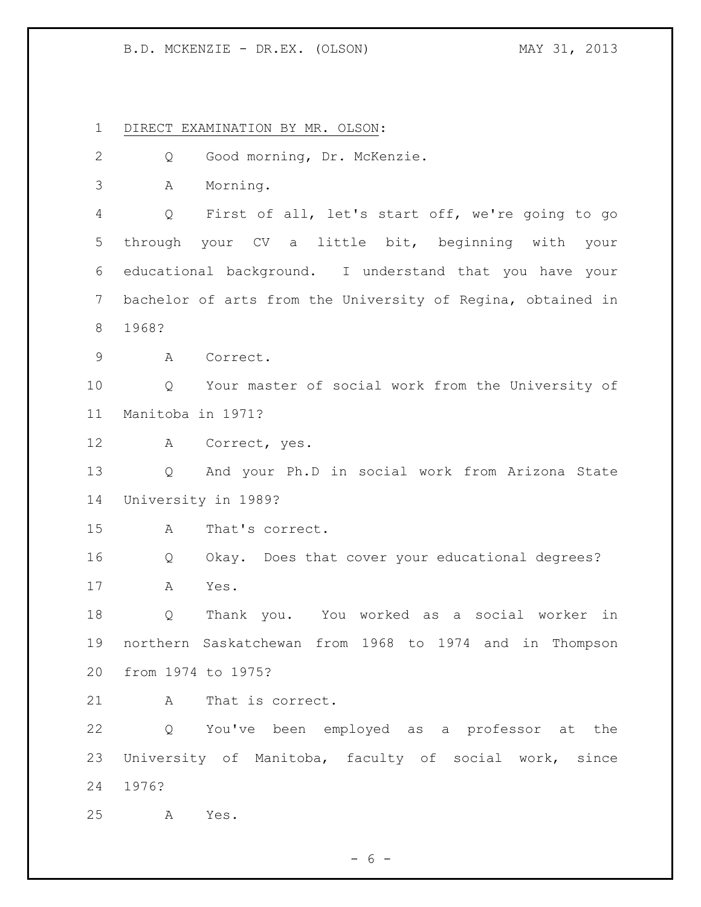DIRECT EXAMINATION BY MR. OLSON: Q Good morning, Dr. McKenzie. A Morning. Q First of all, let's start off, we're going to go through your CV a little bit, beginning with your educational background. I understand that you have your bachelor of arts from the University of Regina, obtained in 1968? A Correct. Q Your master of social work from the University of Manitoba in 1971? A Correct, yes. Q And your Ph.D in social work from Arizona State University in 1989? A That's correct. Q Okay. Does that cover your educational degrees? A Yes. Q Thank you. You worked as a social worker in northern Saskatchewan from 1968 to 1974 and in Thompson from 1974 to 1975? 21 A That is correct. Q You've been employed as a professor at the University of Manitoba, faculty of social work, since 1976? A Yes.

 $- 6 -$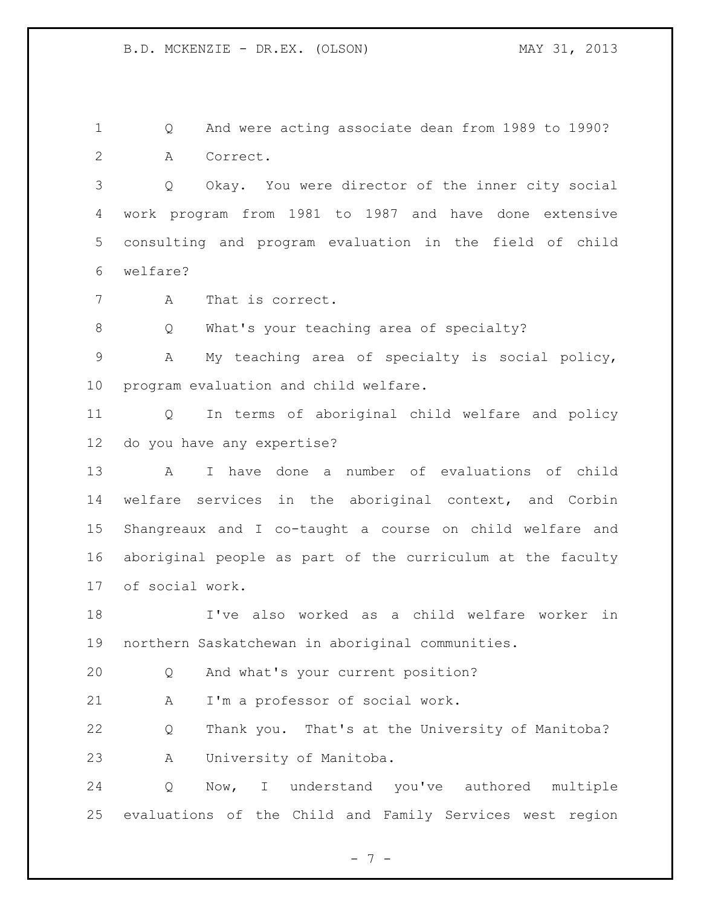Q And were acting associate dean from 1989 to 1990? A Correct.

 Q Okay. You were director of the inner city social work program from 1981 to 1987 and have done extensive consulting and program evaluation in the field of child welfare?

A That is correct.

Q What's your teaching area of specialty?

 A My teaching area of specialty is social policy, program evaluation and child welfare.

 Q In terms of aboriginal child welfare and policy do you have any expertise?

 A I have done a number of evaluations of child welfare services in the aboriginal context, and Corbin Shangreaux and I co-taught a course on child welfare and aboriginal people as part of the curriculum at the faculty of social work.

 I've also worked as a child welfare worker in northern Saskatchewan in aboriginal communities.

Q And what's your current position?

A I'm a professor of social work.

 Q Thank you. That's at the University of Manitoba? A University of Manitoba.

 Q Now, I understand you've authored multiple evaluations of the Child and Family Services west region

- 7 -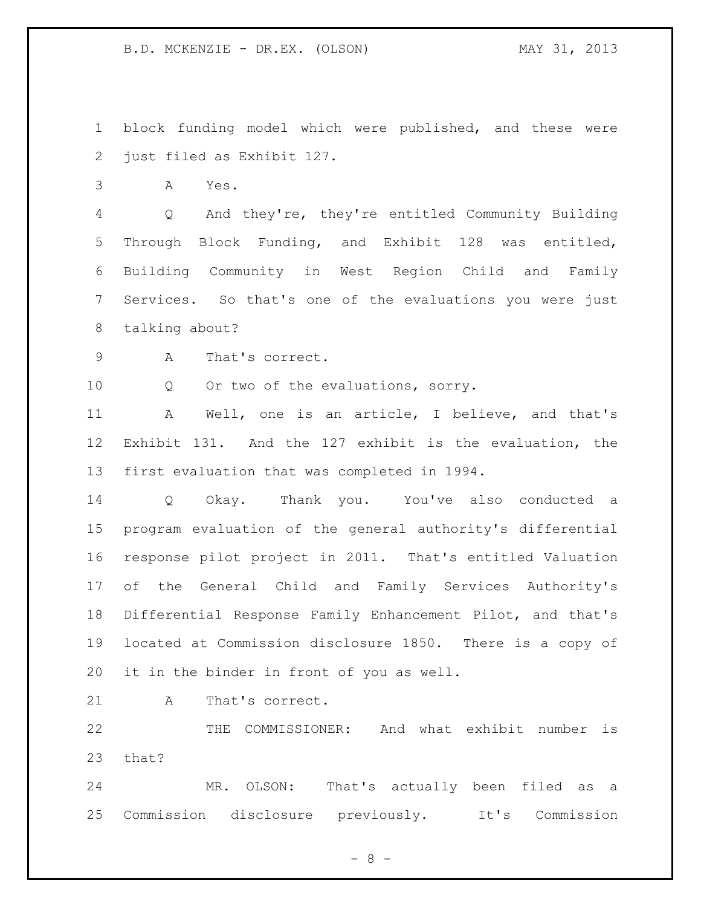block funding model which were published, and these were just filed as Exhibit 127.

A Yes.

 Q And they're, they're entitled Community Building Through Block Funding, and Exhibit 128 was entitled, Building Community in West Region Child and Family Services. So that's one of the evaluations you were just talking about?

A That's correct.

Q Or two of the evaluations, sorry.

 A Well, one is an article, I believe, and that's Exhibit 131. And the 127 exhibit is the evaluation, the first evaluation that was completed in 1994.

 Q Okay. Thank you. You've also conducted a program evaluation of the general authority's differential response pilot project in 2011. That's entitled Valuation of the General Child and Family Services Authority's Differential Response Family Enhancement Pilot, and that's located at Commission disclosure 1850. There is a copy of it in the binder in front of you as well.

21 A That's correct.

 THE COMMISSIONER: And what exhibit number is that?

 MR. OLSON: That's actually been filed as a Commission disclosure previously. It's Commission

 $- 8 -$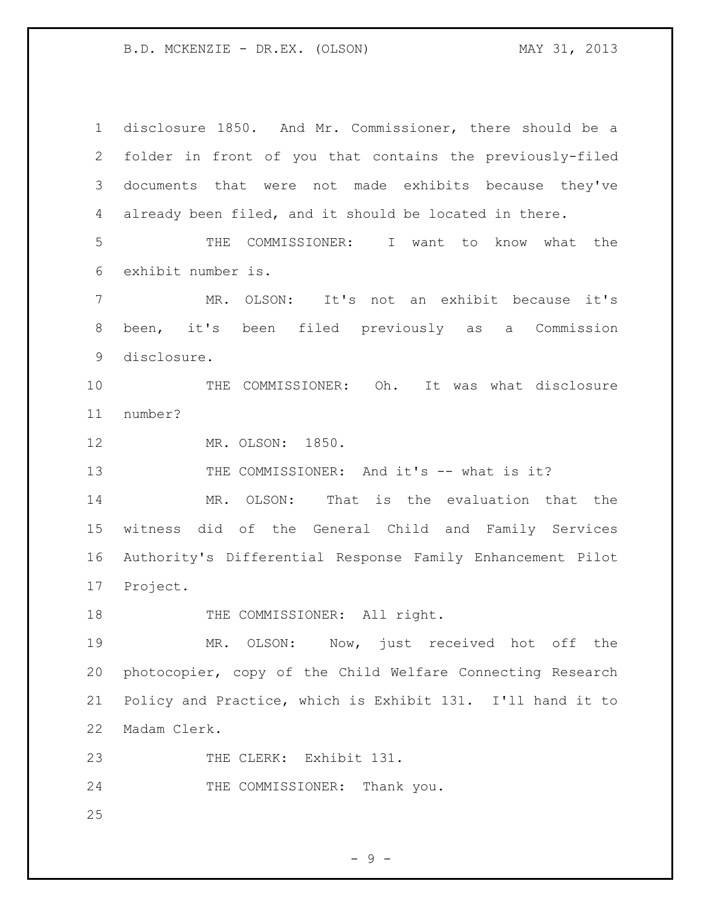disclosure 1850. And Mr. Commissioner, there should be a folder in front of you that contains the previously-filed documents that were not made exhibits because they've already been filed, and it should be located in there. THE COMMISSIONER: I want to know what the exhibit number is. MR. OLSON: It's not an exhibit because it's been, it's been filed previously as a Commission disclosure. THE COMMISSIONER: Oh. It was what disclosure number? MR. OLSON: 1850. 13 THE COMMISSIONER: And it's -- what is it? MR. OLSON: That is the evaluation that the witness did of the General Child and Family Services Authority's Differential Response Family Enhancement Pilot Project. 18 THE COMMISSIONER: All right. MR. OLSON: Now, just received hot off the photocopier, copy of the Child Welfare Connecting Research Policy and Practice, which is Exhibit 131. I'll hand it to Madam Clerk. 23 THE CLERK: Exhibit 131. 24 THE COMMISSIONER: Thank you. 

- 9 -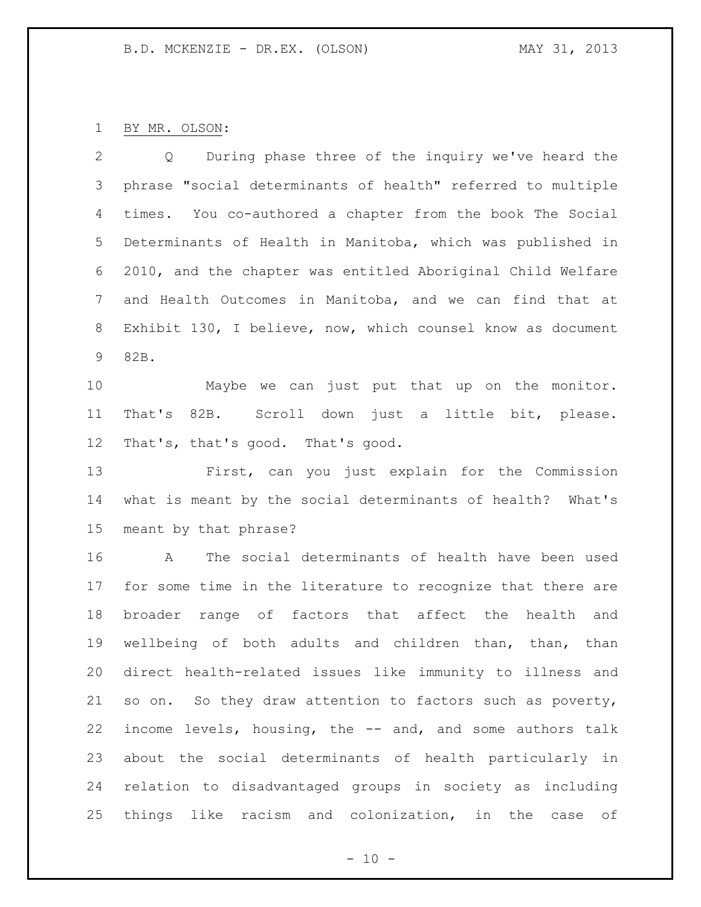BY MR. OLSON:

 Q During phase three of the inquiry we've heard the phrase "social determinants of health" referred to multiple times. You co-authored a chapter from the book The Social Determinants of Health in Manitoba, which was published in 2010, and the chapter was entitled Aboriginal Child Welfare and Health Outcomes in Manitoba, and we can find that at Exhibit 130, I believe, now, which counsel know as document 82B.

 Maybe we can just put that up on the monitor. That's 82B. Scroll down just a little bit, please. That's, that's good. That's good.

 First, can you just explain for the Commission what is meant by the social determinants of health? What's meant by that phrase?

 A The social determinants of health have been used for some time in the literature to recognize that there are broader range of factors that affect the health and wellbeing of both adults and children than, than, than direct health-related issues like immunity to illness and so on. So they draw attention to factors such as poverty, income levels, housing, the -- and, and some authors talk about the social determinants of health particularly in relation to disadvantaged groups in society as including things like racism and colonization, in the case of

 $- 10 -$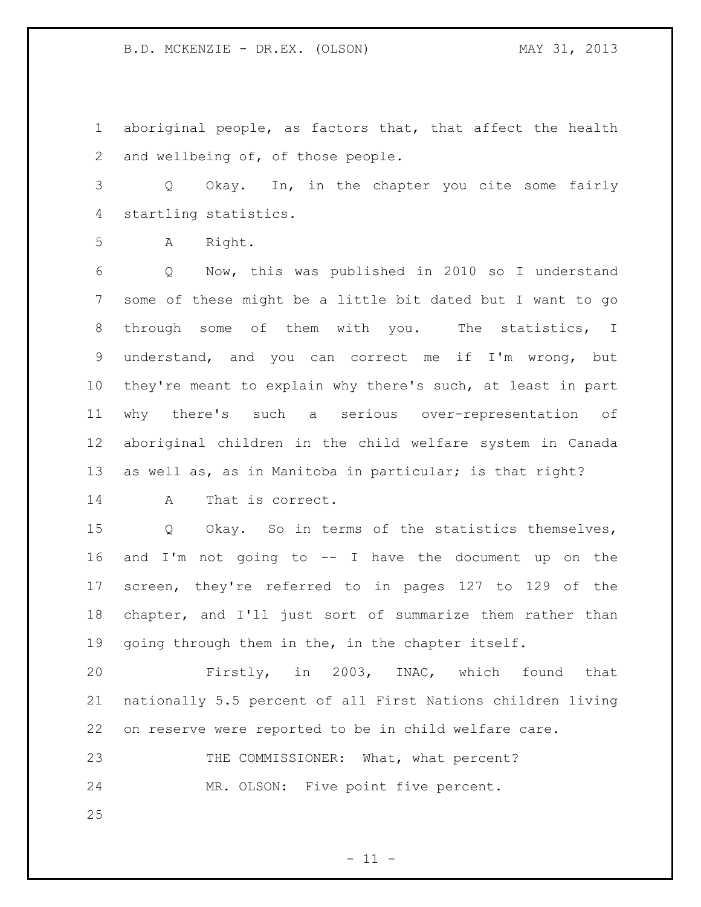aboriginal people, as factors that, that affect the health and wellbeing of, of those people.

 Q Okay. In, in the chapter you cite some fairly startling statistics.

A Right.

 Q Now, this was published in 2010 so I understand some of these might be a little bit dated but I want to go through some of them with you. The statistics, I understand, and you can correct me if I'm wrong, but they're meant to explain why there's such, at least in part why there's such a serious over-representation of aboriginal children in the child welfare system in Canada as well as, as in Manitoba in particular; is that right?

A That is correct.

 Q Okay. So in terms of the statistics themselves, and I'm not going to -- I have the document up on the screen, they're referred to in pages 127 to 129 of the chapter, and I'll just sort of summarize them rather than going through them in the, in the chapter itself.

 Firstly, in 2003, INAC, which found that nationally 5.5 percent of all First Nations children living on reserve were reported to be in child welfare care.

23 THE COMMISSIONER: What, what percent? MR. OLSON: Five point five percent.

 $- 11 -$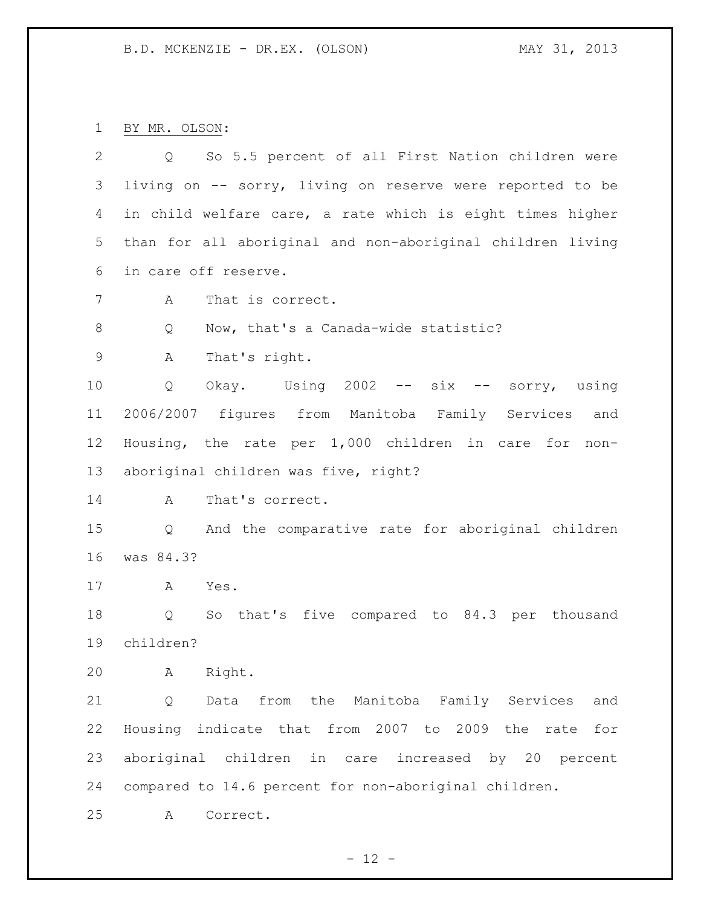BY MR. OLSON:

| 2           | So 5.5 percent of all First Nation children were<br>$Q \qquad \qquad$ |
|-------------|-----------------------------------------------------------------------|
| 3           | living on -- sorry, living on reserve were reported to be             |
| 4           | in child welfare care, a rate which is eight times higher             |
| 5           | than for all aboriginal and non-aboriginal children living            |
| 6           | in care off reserve.                                                  |
| 7           | That is correct.<br>A                                                 |
| 8           | Now, that's a Canada-wide statistic?<br>Q                             |
| $\mathsf 9$ | Α<br>That's right.                                                    |
| 10          | Okay. Using 2002 -- six -- sorry, using<br>Q                          |
| 11          | 2006/2007 figures from Manitoba Family Services<br>and                |
| 12          | Housing, the rate per 1,000 children in care<br>for non-              |
| 13          | aboriginal children was five, right?                                  |
| 14          | That's correct.<br>A                                                  |
| 15          | And the comparative rate for aboriginal children<br>$Q \qquad \qquad$ |
| 16          | was 84.3?                                                             |
| 17          | A<br>Yes.                                                             |
| 18          | So that's five compared to 84.3 per thousand<br>Q                     |
| 19          | children?                                                             |
| 20          | Right.<br>A                                                           |
| 21          | Data from the Manitoba Family Services<br>Q<br>and                    |
| 22          | Housing indicate that from 2007 to 2009 the<br>rate<br>for            |
| 23          | aboriginal children in care increased by 20 percent                   |
| 24          | compared to 14.6 percent for non-aboriginal children.                 |
| 25          | Correct.<br>Α                                                         |

- 12 -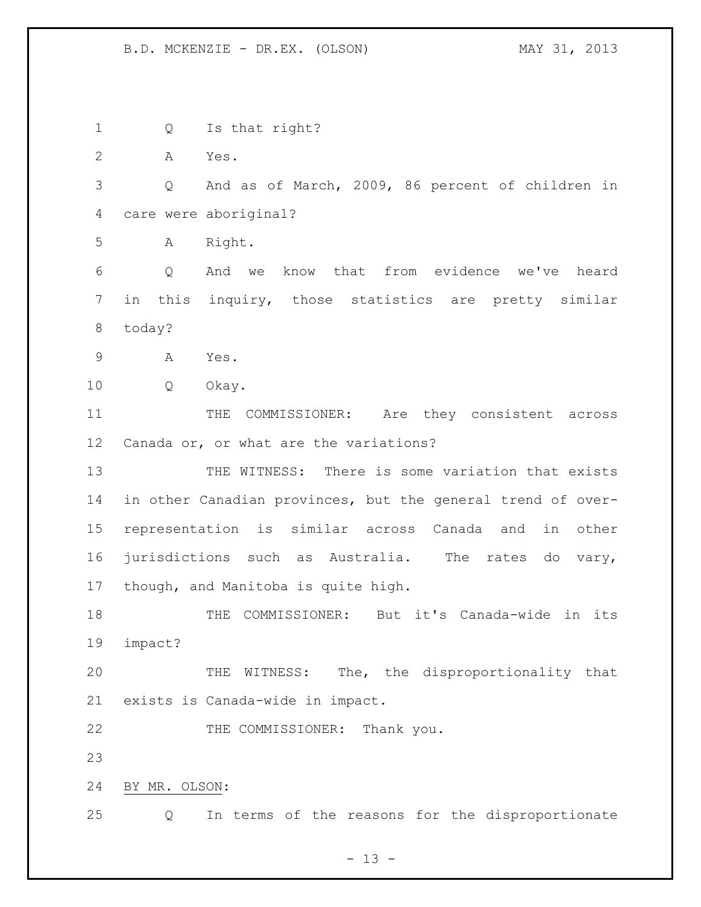Q Is that right? A Yes. Q And as of March, 2009, 86 percent of children in care were aboriginal? A Right. Q And we know that from evidence we've heard in this inquiry, those statistics are pretty similar today? A Yes. Q Okay. 11 THE COMMISSIONER: Are they consistent across Canada or, or what are the variations? 13 THE WITNESS: There is some variation that exists in other Canadian provinces, but the general trend of over- representation is similar across Canada and in other jurisdictions such as Australia. The rates do vary, though, and Manitoba is quite high. THE COMMISSIONER: But it's Canada-wide in its impact? THE WITNESS: The, the disproportionality that exists is Canada-wide in impact. 22 THE COMMISSIONER: Thank you. BY MR. OLSON: Q In terms of the reasons for the disproportionate

 $- 13 -$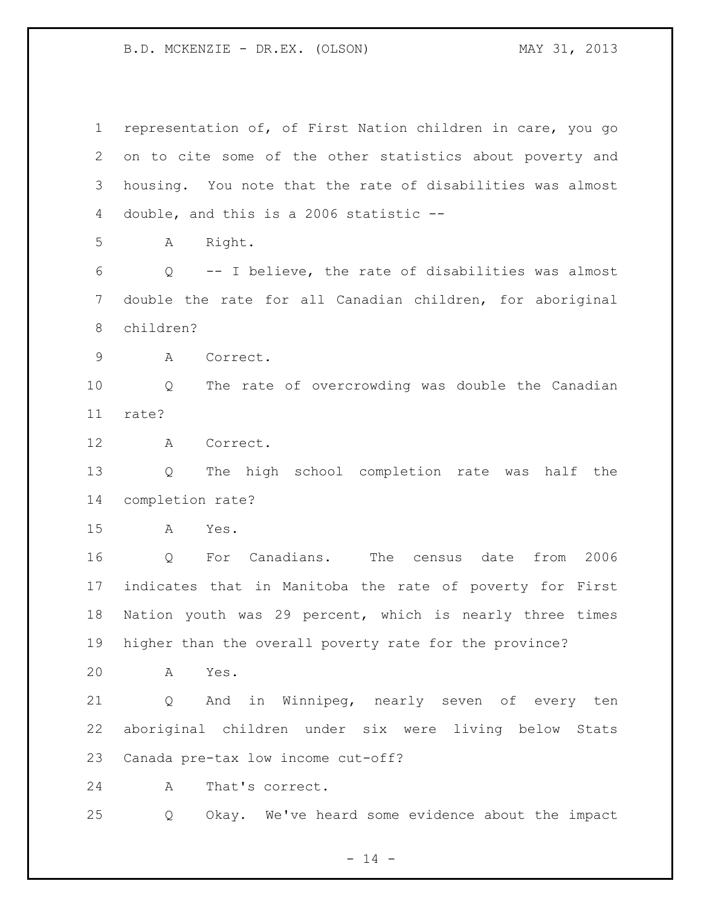representation of, of First Nation children in care, you go on to cite some of the other statistics about poverty and housing. You note that the rate of disabilities was almost double, and this is a 2006 statistic -- A Right. Q -- I believe, the rate of disabilities was almost double the rate for all Canadian children, for aboriginal children? A Correct. Q The rate of overcrowding was double the Canadian rate? A Correct. Q The high school completion rate was half the completion rate? A Yes. Q For Canadians. The census date from 2006 indicates that in Manitoba the rate of poverty for First Nation youth was 29 percent, which is nearly three times higher than the overall poverty rate for the province? A Yes. Q And in Winnipeg, nearly seven of every ten aboriginal children under six were living below Stats Canada pre-tax low income cut-off? A That's correct. Q Okay. We've heard some evidence about the impact

 $- 14 -$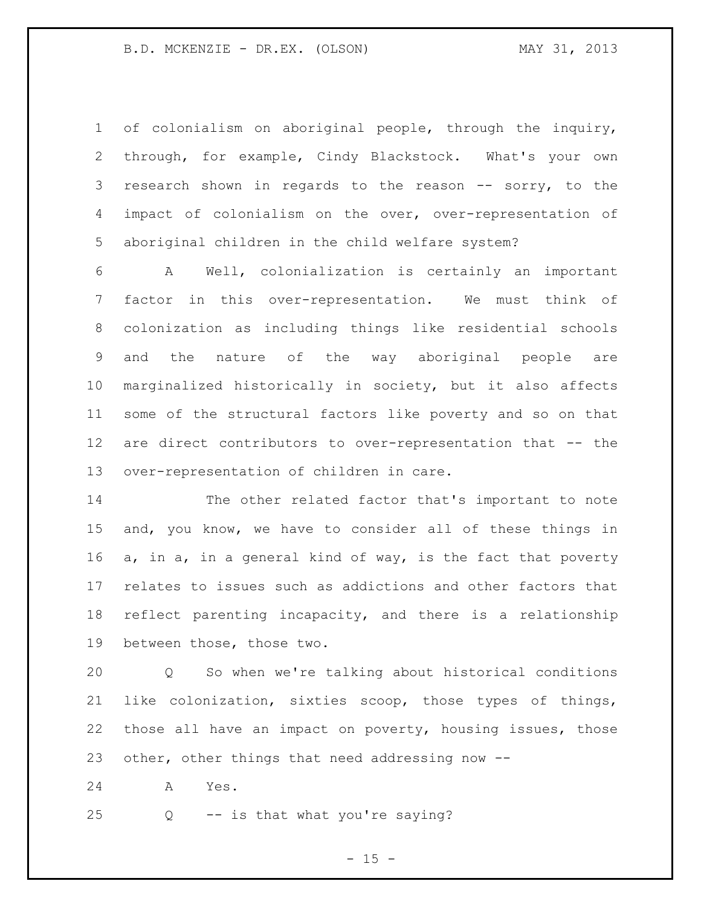of colonialism on aboriginal people, through the inquiry, through, for example, Cindy Blackstock. What's your own 3 research shown in regards to the reason -- sorry, to the impact of colonialism on the over, over-representation of aboriginal children in the child welfare system?

 A Well, colonialization is certainly an important factor in this over-representation. We must think of colonization as including things like residential schools and the nature of the way aboriginal people are marginalized historically in society, but it also affects some of the structural factors like poverty and so on that are direct contributors to over-representation that -- the over-representation of children in care.

 The other related factor that's important to note and, you know, we have to consider all of these things in a, in a, in a general kind of way, is the fact that poverty relates to issues such as addictions and other factors that reflect parenting incapacity, and there is a relationship between those, those two.

 Q So when we're talking about historical conditions like colonization, sixties scoop, those types of things, those all have an impact on poverty, housing issues, those other, other things that need addressing now --

A Yes.

Q -- is that what you're saying?

 $- 15 -$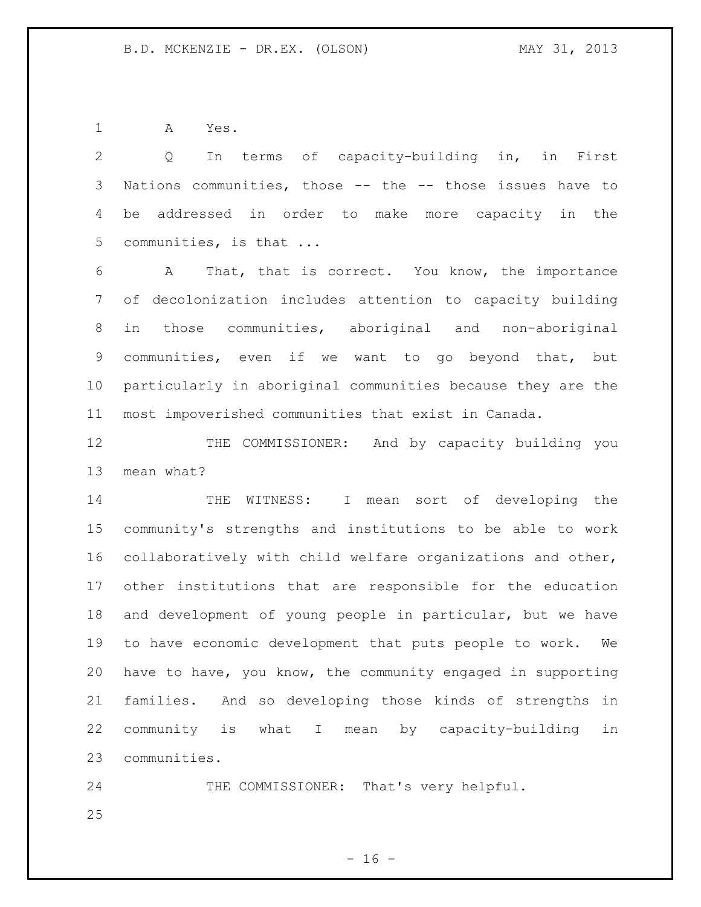A Yes.

 Q In terms of capacity-building in, in First Nations communities, those -- the -- those issues have to be addressed in order to make more capacity in the communities, is that ... A That, that is correct. You know, the importance of decolonization includes attention to capacity building in those communities, aboriginal and non-aboriginal communities, even if we want to go beyond that, but particularly in aboriginal communities because they are the most impoverished communities that exist in Canada. 12 THE COMMISSIONER: And by capacity building you mean what? 14 THE WITNESS: I mean sort of developing the community's strengths and institutions to be able to work collaboratively with child welfare organizations and other, other institutions that are responsible for the education and development of young people in particular, but we have to have economic development that puts people to work. We have to have, you know, the community engaged in supporting families. And so developing those kinds of strengths in community is what I mean by capacity-building in communities.

 THE COMMISSIONER: That's very helpful.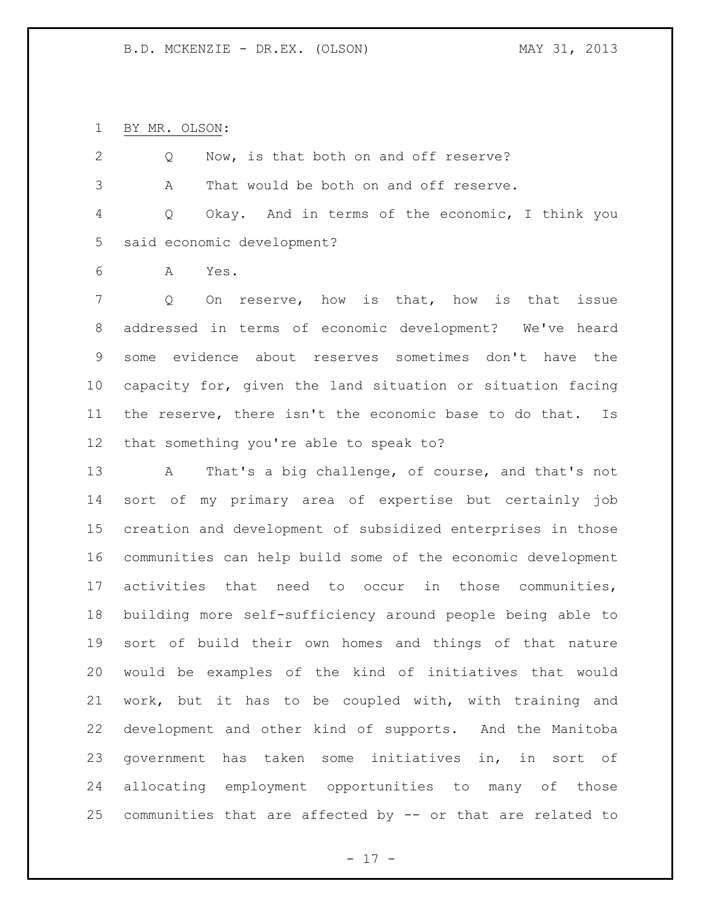BY MR. OLSON:

| 2          |   | Now, is that both on and off reserve?           |
|------------|---|-------------------------------------------------|
| 3          | A | That would be both on and off reserve.          |
| $4\degree$ | Q | Okay. And in terms of the economic, I think you |
|            |   | 5 said economic development?                    |
| 6          | A | Yes.                                            |
|            |   |                                                 |

 Q On reserve, how is that, how is that issue addressed in terms of economic development? We've heard some evidence about reserves sometimes don't have the capacity for, given the land situation or situation facing the reserve, there isn't the economic base to do that. Is that something you're able to speak to?

 A That's a big challenge, of course, and that's not sort of my primary area of expertise but certainly job creation and development of subsidized enterprises in those communities can help build some of the economic development activities that need to occur in those communities, building more self-sufficiency around people being able to sort of build their own homes and things of that nature would be examples of the kind of initiatives that would work, but it has to be coupled with, with training and development and other kind of supports. And the Manitoba government has taken some initiatives in, in sort of allocating employment opportunities to many of those communities that are affected by -- or that are related to

- 17 -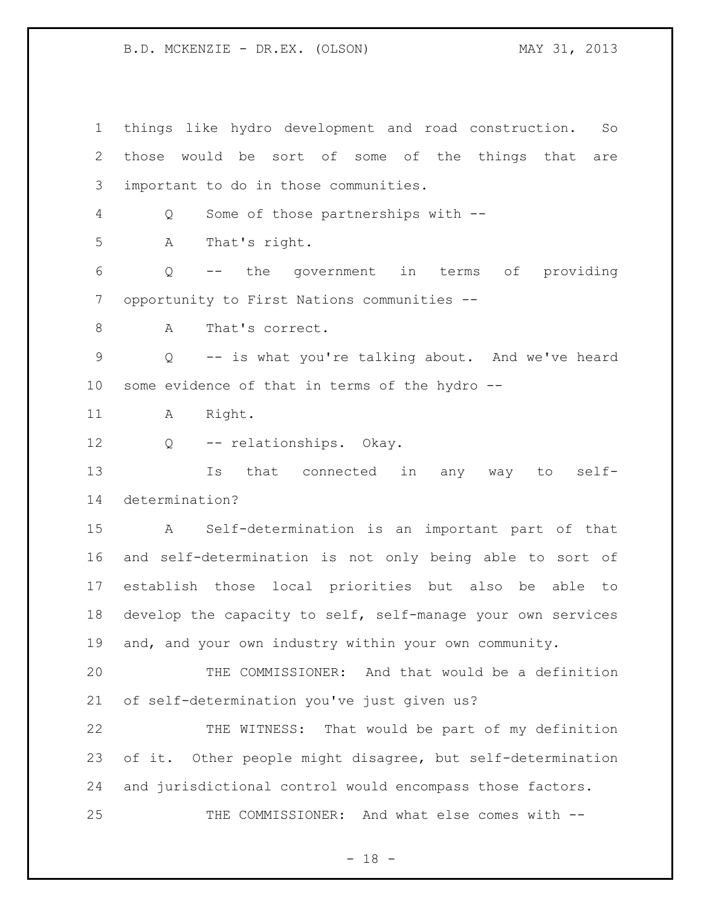things like hydro development and road construction. So those would be sort of some of the things that are important to do in those communities. Q Some of those partnerships with -- A That's right. Q -- the government in terms of providing opportunity to First Nations communities -- 8 A That's correct. Q -- is what you're talking about. And we've heard some evidence of that in terms of the hydro -- 11 A Right. Q -- relationships. Okay. Is that connected in any way to self- determination? A Self-determination is an important part of that and self-determination is not only being able to sort of establish those local priorities but also be able to 18 develop the capacity to self, self-manage your own services and, and your own industry within your own community. THE COMMISSIONER: And that would be a definition of self-determination you've just given us? THE WITNESS: That would be part of my definition of it. Other people might disagree, but self-determination and jurisdictional control would encompass those factors. THE COMMISSIONER: And what else comes with --

 $- 18 -$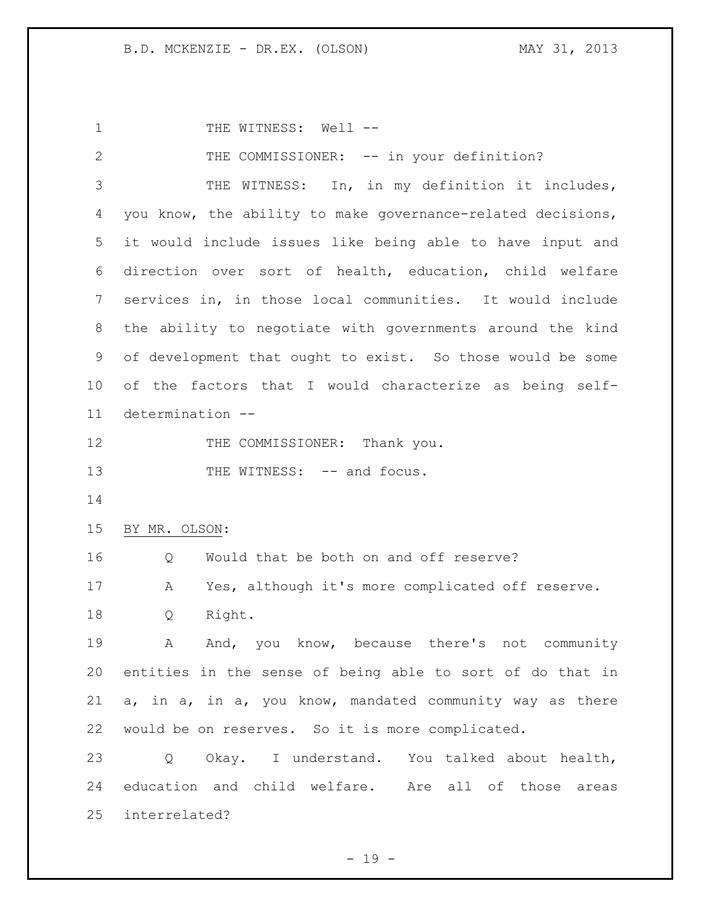1 THE WITNESS: Well -- THE COMMISSIONER: -- in your definition? THE WITNESS: In, in my definition it includes, you know, the ability to make governance-related decisions, it would include issues like being able to have input and direction over sort of health, education, child welfare services in, in those local communities. It would include the ability to negotiate with governments around the kind of development that ought to exist. So those would be some of the factors that I would characterize as being self- determination -- 12 THE COMMISSIONER: Thank you. 13 THE WITNESS: -- and focus. BY MR. OLSON: 16 Q Would that be both on and off reserve? A Yes, although it's more complicated off reserve. Q Right. A And, you know, because there's not community entities in the sense of being able to sort of do that in a, in a, in a, you know, mandated community way as there would be on reserves. So it is more complicated. Q Okay. I understand. You talked about health, education and child welfare. Are all of those areas interrelated?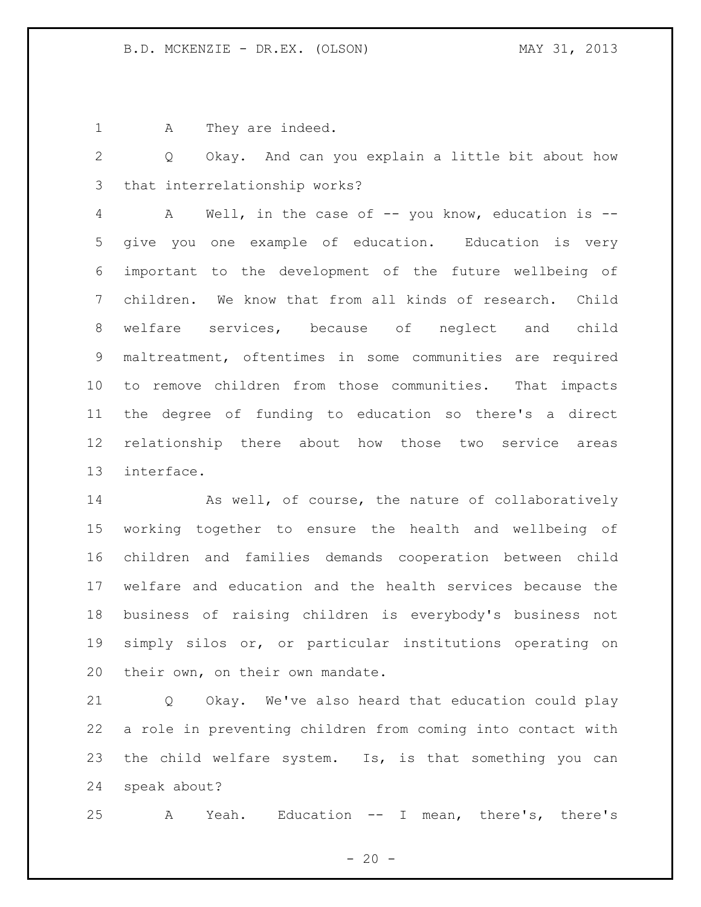1 A They are indeed.

 Q Okay. And can you explain a little bit about how that interrelationship works?

 A Well, in the case of -- you know, education is -- give you one example of education. Education is very important to the development of the future wellbeing of children. We know that from all kinds of research. Child welfare services, because of neglect and child maltreatment, oftentimes in some communities are required to remove children from those communities. That impacts the degree of funding to education so there's a direct relationship there about how those two service areas interface.

14 As well, of course, the nature of collaboratively working together to ensure the health and wellbeing of children and families demands cooperation between child welfare and education and the health services because the business of raising children is everybody's business not simply silos or, or particular institutions operating on their own, on their own mandate.

 Q Okay. We've also heard that education could play a role in preventing children from coming into contact with the child welfare system. Is, is that something you can speak about?

A Yeah. Education -- I mean, there's, there's

 $- 20 -$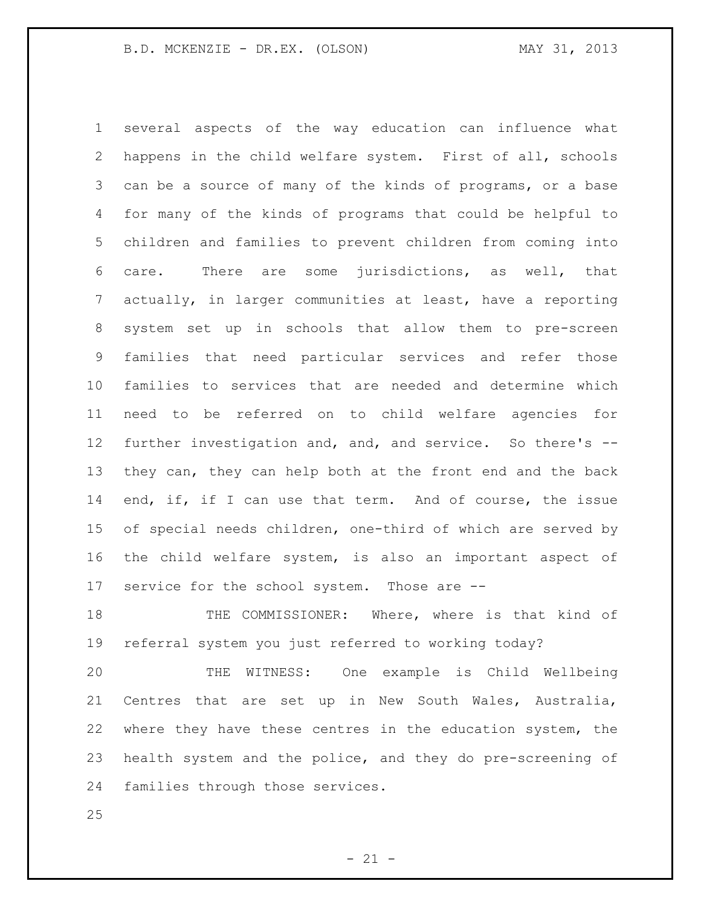several aspects of the way education can influence what happens in the child welfare system. First of all, schools can be a source of many of the kinds of programs, or a base for many of the kinds of programs that could be helpful to children and families to prevent children from coming into care. There are some jurisdictions, as well, that actually, in larger communities at least, have a reporting system set up in schools that allow them to pre-screen families that need particular services and refer those families to services that are needed and determine which need to be referred on to child welfare agencies for further investigation and, and, and service. So there's -- they can, they can help both at the front end and the back 14 end, if, if I can use that term. And of course, the issue of special needs children, one-third of which are served by the child welfare system, is also an important aspect of service for the school system. Those are --

 THE COMMISSIONER: Where, where is that kind of referral system you just referred to working today?

 THE WITNESS: One example is Child Wellbeing Centres that are set up in New South Wales, Australia, where they have these centres in the education system, the health system and the police, and they do pre-screening of families through those services.

 $- 21 -$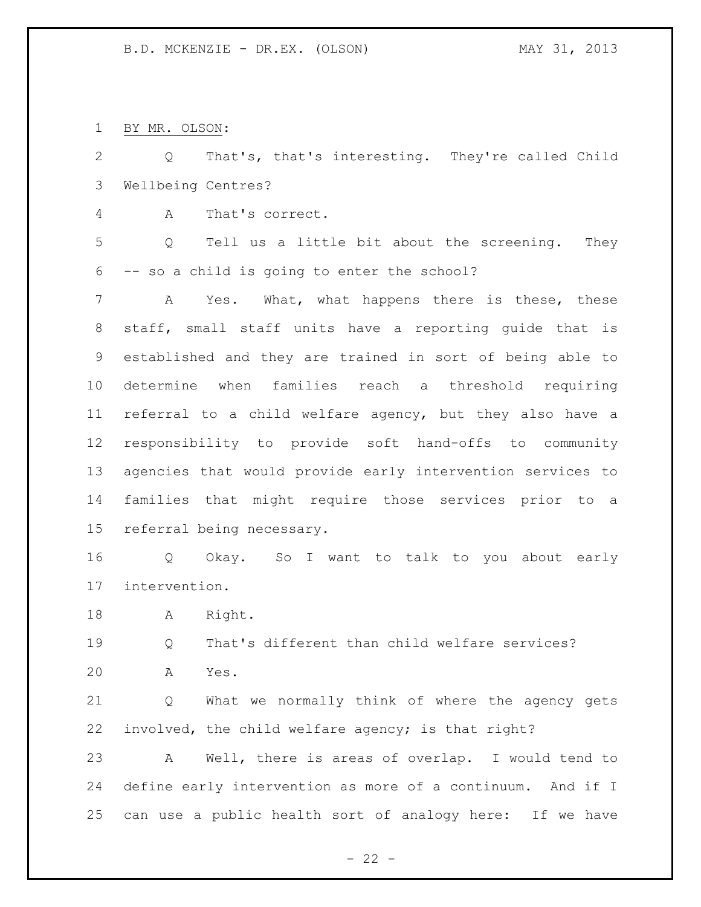BY MR. OLSON:

 Q That's, that's interesting. They're called Child Wellbeing Centres?

A That's correct.

 Q Tell us a little bit about the screening. They -- so a child is going to enter the school?

 A Yes. What, what happens there is these, these staff, small staff units have a reporting guide that is established and they are trained in sort of being able to determine when families reach a threshold requiring referral to a child welfare agency, but they also have a responsibility to provide soft hand-offs to community agencies that would provide early intervention services to families that might require those services prior to a referral being necessary.

 Q Okay. So I want to talk to you about early intervention.

18 A Right.

 Q That's different than child welfare services? A Yes.

 Q What we normally think of where the agency gets involved, the child welfare agency; is that right?

 A Well, there is areas of overlap. I would tend to define early intervention as more of a continuum. And if I can use a public health sort of analogy here: If we have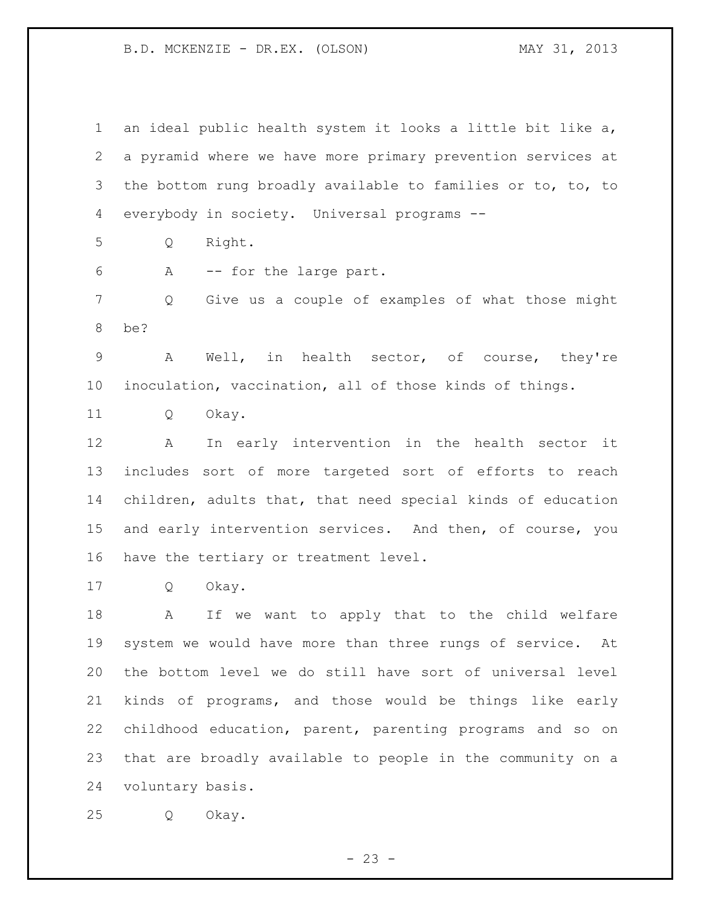an ideal public health system it looks a little bit like a, a pyramid where we have more primary prevention services at the bottom rung broadly available to families or to, to, to everybody in society. Universal programs -- Q Right. A -- for the large part. Q Give us a couple of examples of what those might be? A Well, in health sector, of course, they're inoculation, vaccination, all of those kinds of things. Q Okay. A In early intervention in the health sector it includes sort of more targeted sort of efforts to reach children, adults that, that need special kinds of education and early intervention services. And then, of course, you have the tertiary or treatment level. Q Okay. A If we want to apply that to the child welfare system we would have more than three rungs of service. At the bottom level we do still have sort of universal level kinds of programs, and those would be things like early childhood education, parent, parenting programs and so on that are broadly available to people in the community on a voluntary basis.

Q Okay.

 $- 23 -$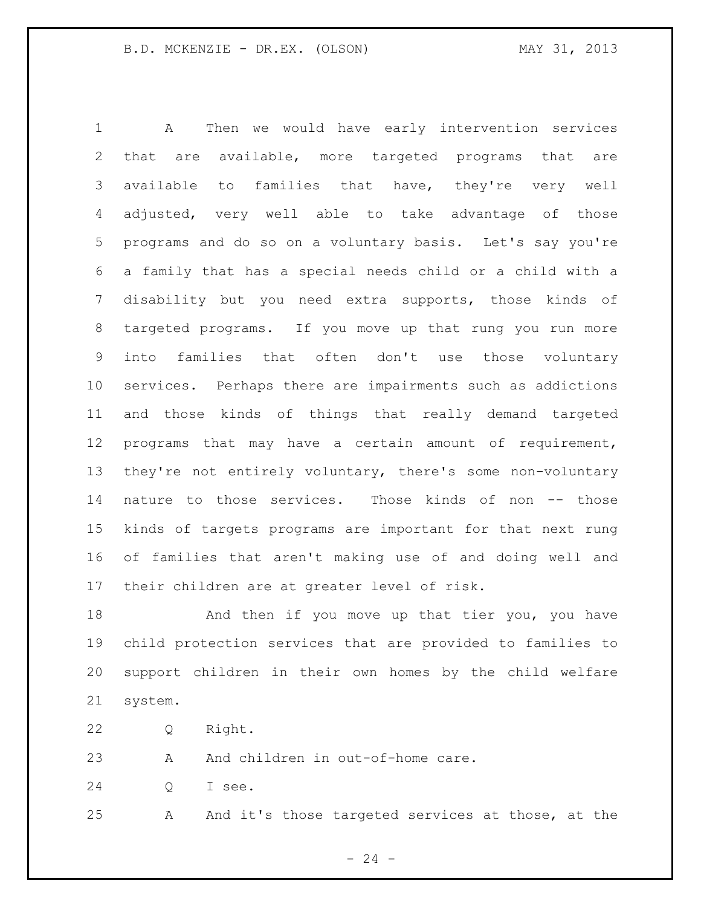A Then we would have early intervention services that are available, more targeted programs that are available to families that have, they're very well adjusted, very well able to take advantage of those programs and do so on a voluntary basis. Let's say you're a family that has a special needs child or a child with a disability but you need extra supports, those kinds of targeted programs. If you move up that rung you run more into families that often don't use those voluntary services. Perhaps there are impairments such as addictions and those kinds of things that really demand targeted programs that may have a certain amount of requirement, they're not entirely voluntary, there's some non-voluntary nature to those services. Those kinds of non -- those kinds of targets programs are important for that next rung of families that aren't making use of and doing well and their children are at greater level of risk.

18 And then if you move up that tier you, you have child protection services that are provided to families to support children in their own homes by the child welfare system.

Q Right.

23 A And children in out-of-home care.

Q I see.

A And it's those targeted services at those, at the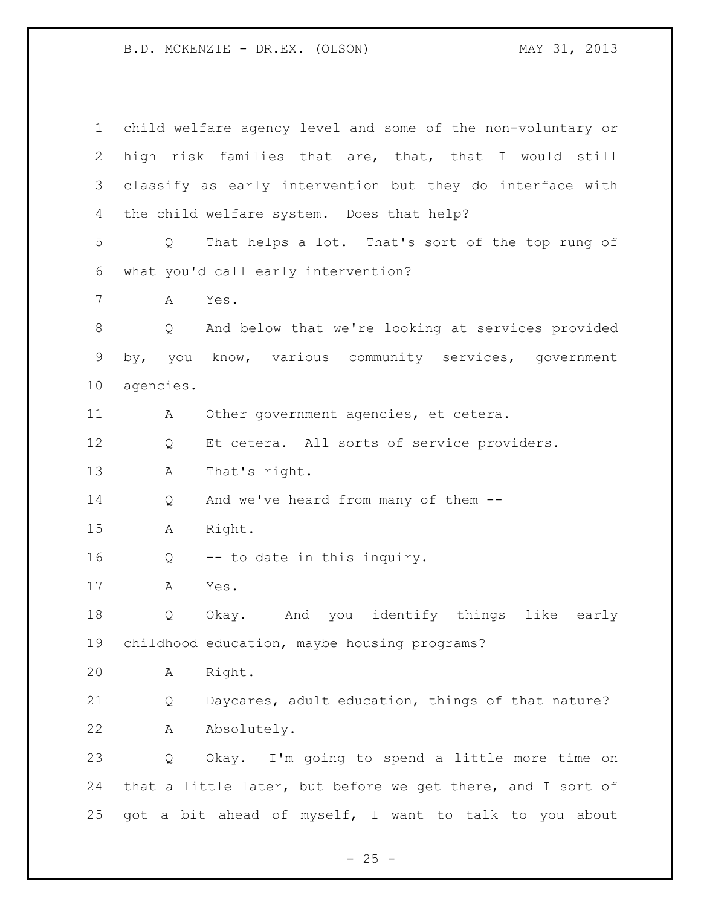child welfare agency level and some of the non-voluntary or high risk families that are, that, that I would still classify as early intervention but they do interface with the child welfare system. Does that help? Q That helps a lot. That's sort of the top rung of what you'd call early intervention? A Yes. Q And below that we're looking at services provided by, you know, various community services, government agencies. A Other government agencies, et cetera. Q Et cetera. All sorts of service providers. A That's right. Q And we've heard from many of them -- A Right. Q -- to date in this inquiry. A Yes. Q Okay. And you identify things like early childhood education, maybe housing programs? A Right. Q Daycares, adult education, things of that nature? A Absolutely. Q Okay. I'm going to spend a little more time on that a little later, but before we get there, and I sort of got a bit ahead of myself, I want to talk to you about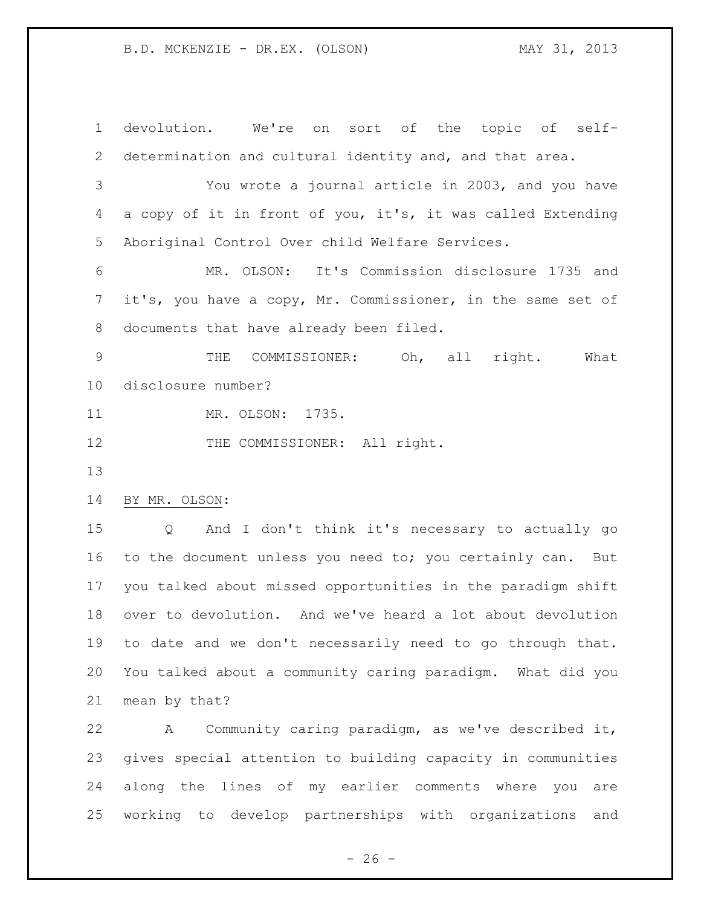devolution. We're on sort of the topic of self- determination and cultural identity and, and that area. You wrote a journal article in 2003, and you have a copy of it in front of you, it's, it was called Extending Aboriginal Control Over child Welfare Services. MR. OLSON: It's Commission disclosure 1735 and it's, you have a copy, Mr. Commissioner, in the same set of documents that have already been filed. THE COMMISSIONER: Oh, all right. What disclosure number? 11 MR. OLSON: 1735. 12 THE COMMISSIONER: All right. BY MR. OLSON: Q And I don't think it's necessary to actually go to the document unless you need to; you certainly can. But you talked about missed opportunities in the paradigm shift over to devolution. And we've heard a lot about devolution to date and we don't necessarily need to go through that. You talked about a community caring paradigm. What did you mean by that?

 A Community caring paradigm, as we've described it, gives special attention to building capacity in communities along the lines of my earlier comments where you are working to develop partnerships with organizations and

 $- 26 -$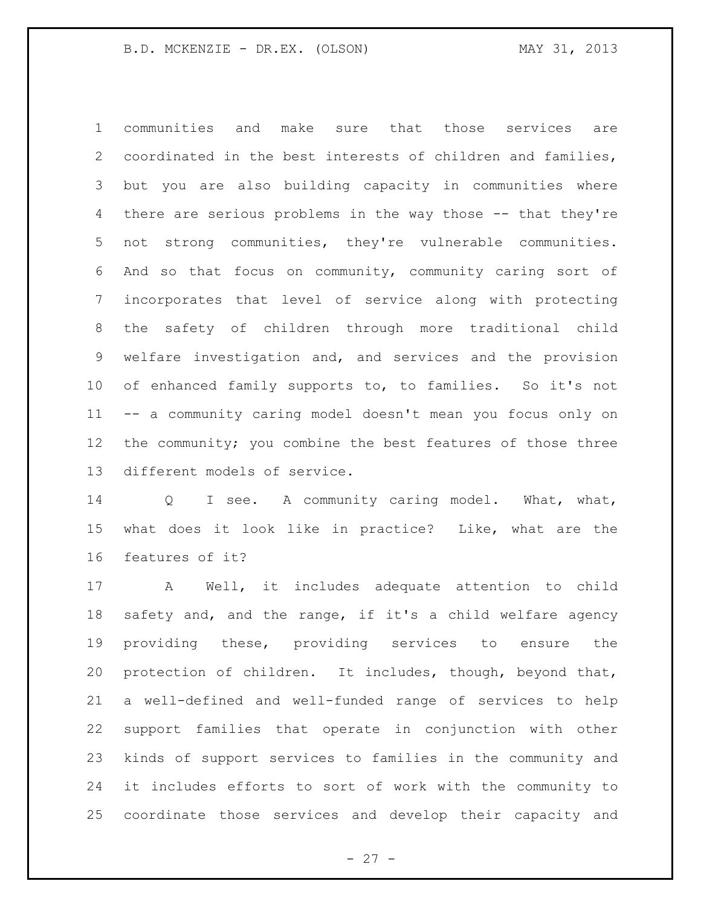communities and make sure that those services are coordinated in the best interests of children and families, but you are also building capacity in communities where there are serious problems in the way those -- that they're not strong communities, they're vulnerable communities. And so that focus on community, community caring sort of incorporates that level of service along with protecting the safety of children through more traditional child welfare investigation and, and services and the provision of enhanced family supports to, to families. So it's not -- a community caring model doesn't mean you focus only on the community; you combine the best features of those three different models of service.

14 Q I see. A community caring model. What, what, what does it look like in practice? Like, what are the features of it?

 A Well, it includes adequate attention to child safety and, and the range, if it's a child welfare agency providing these, providing services to ensure the protection of children. It includes, though, beyond that, a well-defined and well-funded range of services to help support families that operate in conjunction with other kinds of support services to families in the community and it includes efforts to sort of work with the community to coordinate those services and develop their capacity and

 $- 27 -$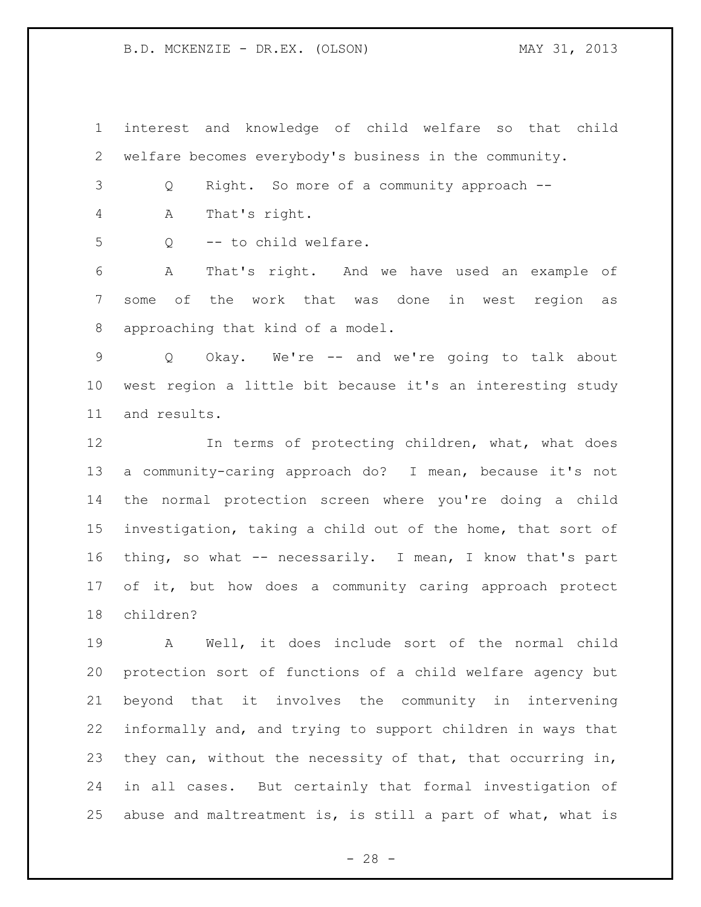interest and knowledge of child welfare so that child welfare becomes everybody's business in the community.

Q Right. So more of a community approach --

A That's right.

Q -- to child welfare.

 A That's right. And we have used an example of some of the work that was done in west region as approaching that kind of a model.

 Q Okay. We're -- and we're going to talk about west region a little bit because it's an interesting study and results.

12 In terms of protecting children, what, what does a community-caring approach do? I mean, because it's not the normal protection screen where you're doing a child investigation, taking a child out of the home, that sort of thing, so what -- necessarily. I mean, I know that's part of it, but how does a community caring approach protect children?

 A Well, it does include sort of the normal child protection sort of functions of a child welfare agency but beyond that it involves the community in intervening informally and, and trying to support children in ways that they can, without the necessity of that, that occurring in, in all cases. But certainly that formal investigation of abuse and maltreatment is, is still a part of what, what is

 $- 28 -$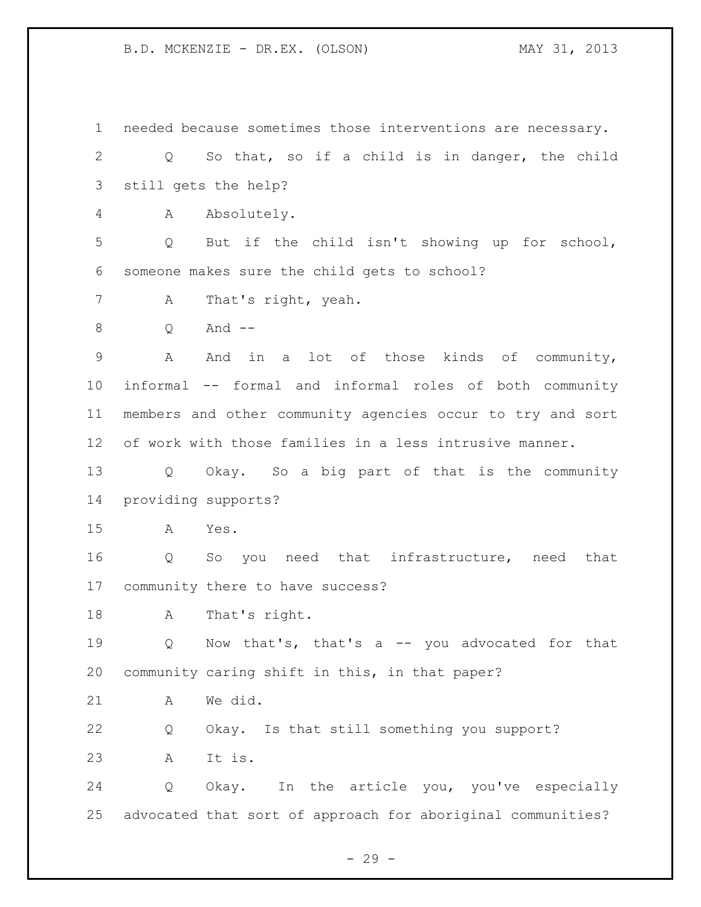needed because sometimes those interventions are necessary. Q So that, so if a child is in danger, the child still gets the help? A Absolutely. Q But if the child isn't showing up for school, someone makes sure the child gets to school? A That's right, yeah. Q And -- A And in a lot of those kinds of community, informal -- formal and informal roles of both community members and other community agencies occur to try and sort of work with those families in a less intrusive manner. Q Okay. So a big part of that is the community providing supports? A Yes. Q So you need that infrastructure, need that community there to have success? A That's right. Q Now that's, that's a -- you advocated for that community caring shift in this, in that paper? A We did. Q Okay. Is that still something you support? A It is. Q Okay. In the article you, you've especially advocated that sort of approach for aboriginal communities?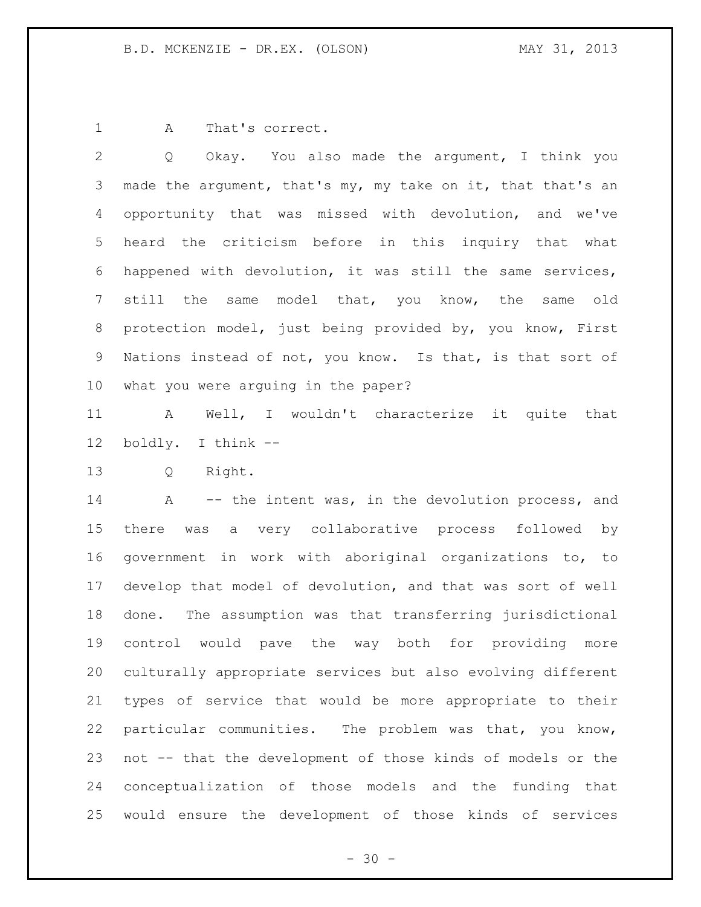1 A That's correct.

 Q Okay. You also made the argument, I think you 3 made the argument, that's my, my take on it, that that's an opportunity that was missed with devolution, and we've heard the criticism before in this inquiry that what happened with devolution, it was still the same services, still the same model that, you know, the same old protection model, just being provided by, you know, First Nations instead of not, you know. Is that, is that sort of what you were arguing in the paper?

 A Well, I wouldn't characterize it quite that boldly. I think --

Q Right.

14 A -- the intent was, in the devolution process, and there was a very collaborative process followed by government in work with aboriginal organizations to, to develop that model of devolution, and that was sort of well done. The assumption was that transferring jurisdictional control would pave the way both for providing more culturally appropriate services but also evolving different types of service that would be more appropriate to their particular communities. The problem was that, you know, not -- that the development of those kinds of models or the conceptualization of those models and the funding that would ensure the development of those kinds of services

 $- 30 -$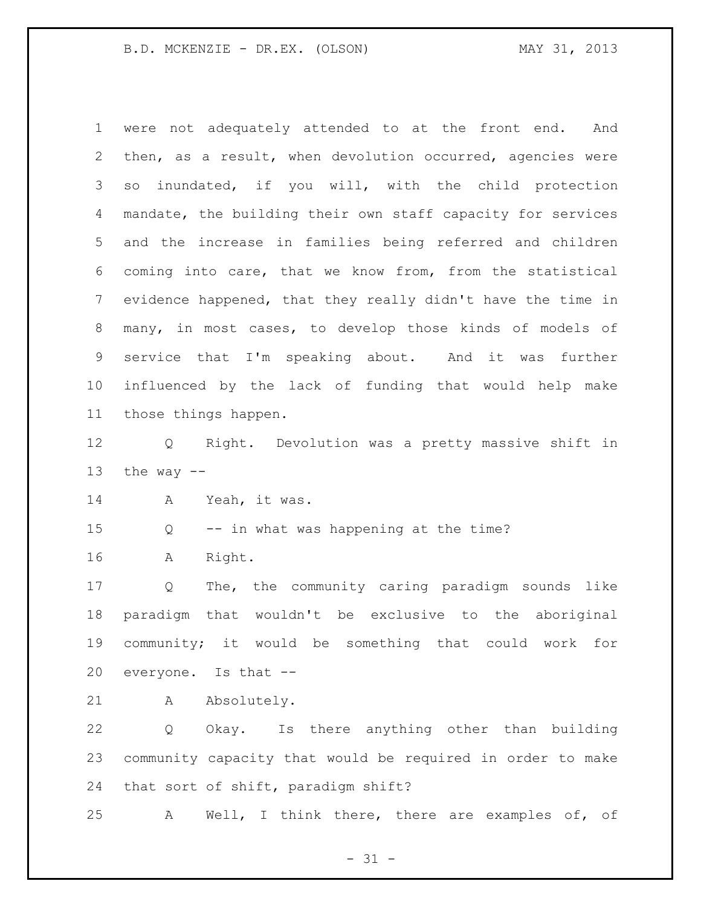were not adequately attended to at the front end. And then, as a result, when devolution occurred, agencies were so inundated, if you will, with the child protection mandate, the building their own staff capacity for services and the increase in families being referred and children coming into care, that we know from, from the statistical evidence happened, that they really didn't have the time in many, in most cases, to develop those kinds of models of service that I'm speaking about. And it was further influenced by the lack of funding that would help make those things happen. Q Right. Devolution was a pretty massive shift in 13 the way  $-$  A Yeah, it was. Q -- in what was happening at the time?

A Right.

 Q The, the community caring paradigm sounds like paradigm that wouldn't be exclusive to the aboriginal community; it would be something that could work for everyone. Is that --

21 A Absolutely.

 Q Okay. Is there anything other than building community capacity that would be required in order to make that sort of shift, paradigm shift?

A Well, I think there, there are examples of, of

 $- 31 -$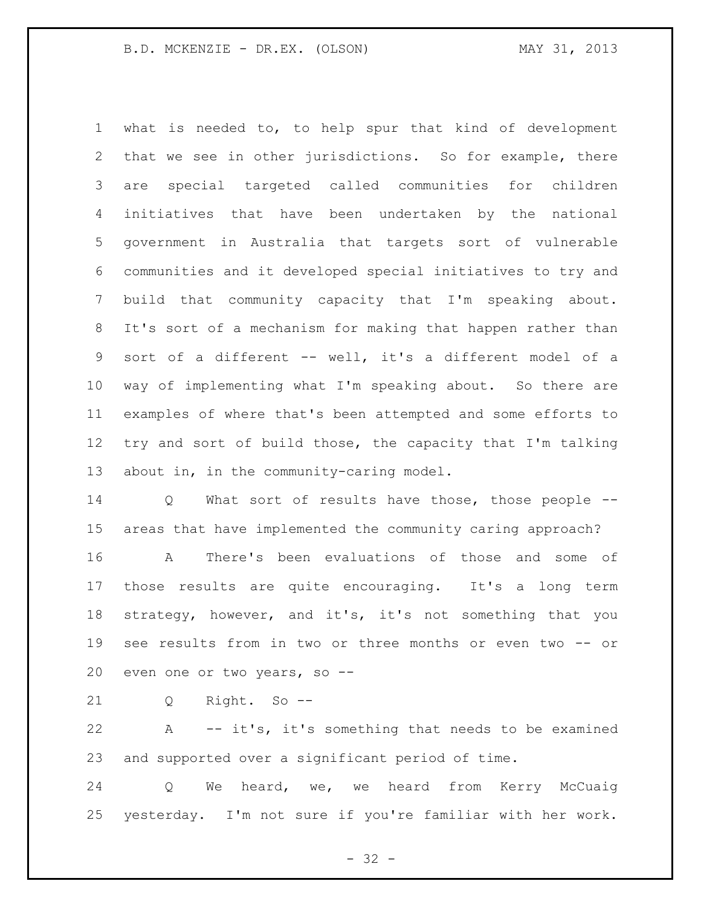what is needed to, to help spur that kind of development that we see in other jurisdictions. So for example, there are special targeted called communities for children initiatives that have been undertaken by the national government in Australia that targets sort of vulnerable communities and it developed special initiatives to try and build that community capacity that I'm speaking about. It's sort of a mechanism for making that happen rather than sort of a different -- well, it's a different model of a way of implementing what I'm speaking about. So there are examples of where that's been attempted and some efforts to try and sort of build those, the capacity that I'm talking about in, in the community-caring model.

 Q What sort of results have those, those people -- areas that have implemented the community caring approach?

 A There's been evaluations of those and some of those results are quite encouraging. It's a long term strategy, however, and it's, it's not something that you see results from in two or three months or even two -- or even one or two years, so --

Q Right. So --

 A -- it's, it's something that needs to be examined and supported over a significant period of time.

 Q We heard, we, we heard from Kerry McCuaig yesterday. I'm not sure if you're familiar with her work.

 $- 32 -$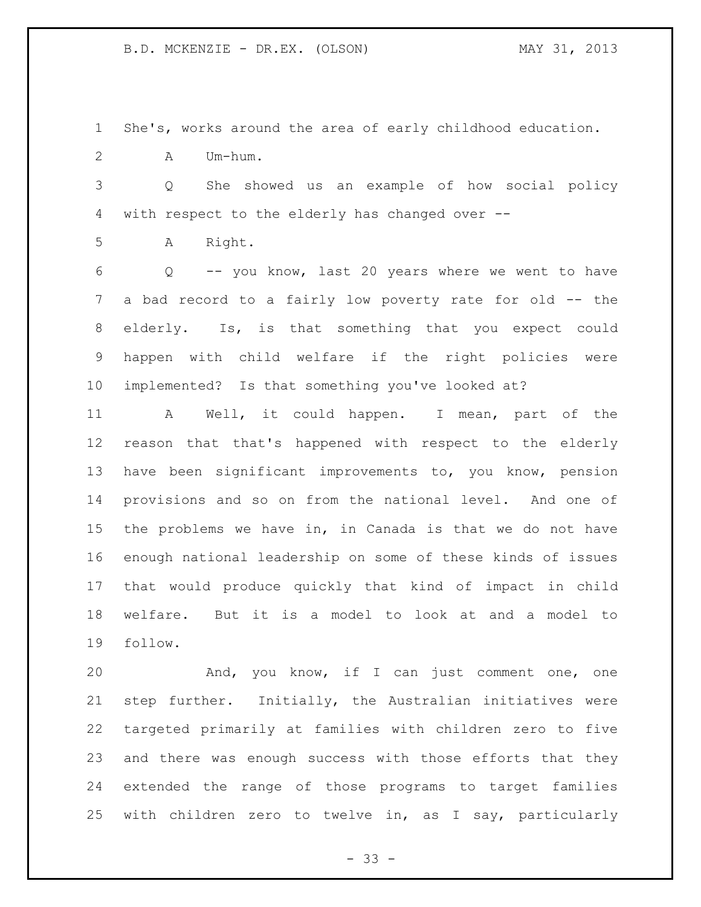She's, works around the area of early childhood education.

A Um-hum.

 Q She showed us an example of how social policy with respect to the elderly has changed over --

A Right.

 Q -- you know, last 20 years where we went to have a bad record to a fairly low poverty rate for old -- the elderly. Is, is that something that you expect could happen with child welfare if the right policies were implemented? Is that something you've looked at?

 A Well, it could happen. I mean, part of the reason that that's happened with respect to the elderly have been significant improvements to, you know, pension provisions and so on from the national level. And one of the problems we have in, in Canada is that we do not have enough national leadership on some of these kinds of issues that would produce quickly that kind of impact in child welfare. But it is a model to look at and a model to follow.

 And, you know, if I can just comment one, one step further. Initially, the Australian initiatives were targeted primarily at families with children zero to five and there was enough success with those efforts that they extended the range of those programs to target families with children zero to twelve in, as I say, particularly

 $- 33 -$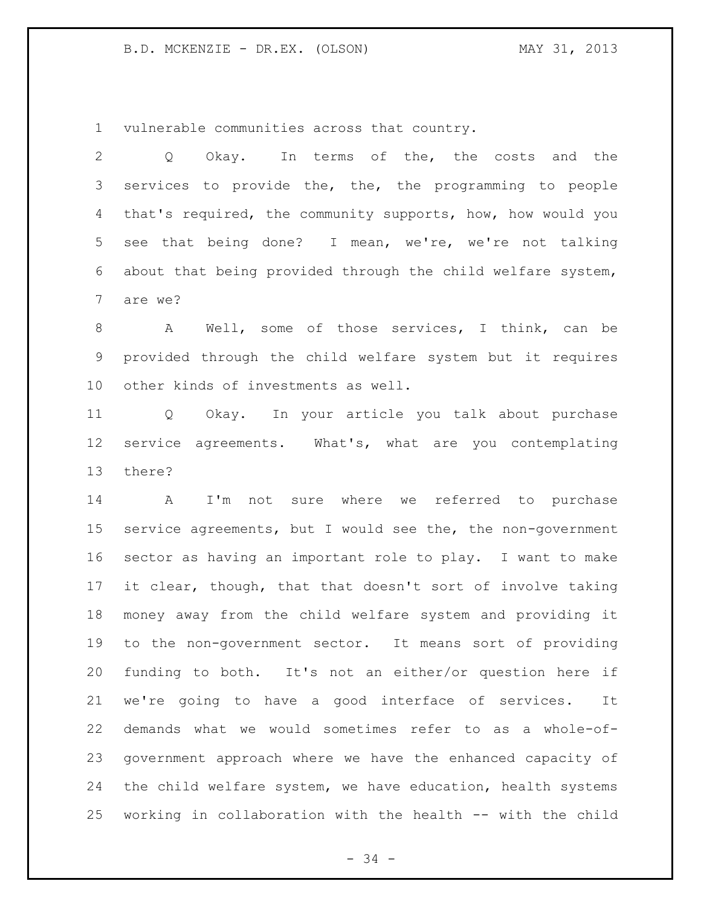vulnerable communities across that country.

 Q Okay. In terms of the, the costs and the services to provide the, the, the programming to people that's required, the community supports, how, how would you see that being done? I mean, we're, we're not talking about that being provided through the child welfare system, are we?

 A Well, some of those services, I think, can be provided through the child welfare system but it requires other kinds of investments as well.

 Q Okay. In your article you talk about purchase service agreements. What's, what are you contemplating there?

 A I'm not sure where we referred to purchase service agreements, but I would see the, the non-government sector as having an important role to play. I want to make it clear, though, that that doesn't sort of involve taking money away from the child welfare system and providing it to the non-government sector. It means sort of providing funding to both. It's not an either/or question here if we're going to have a good interface of services. It demands what we would sometimes refer to as a whole-of- government approach where we have the enhanced capacity of the child welfare system, we have education, health systems working in collaboration with the health -- with the child

- 34 -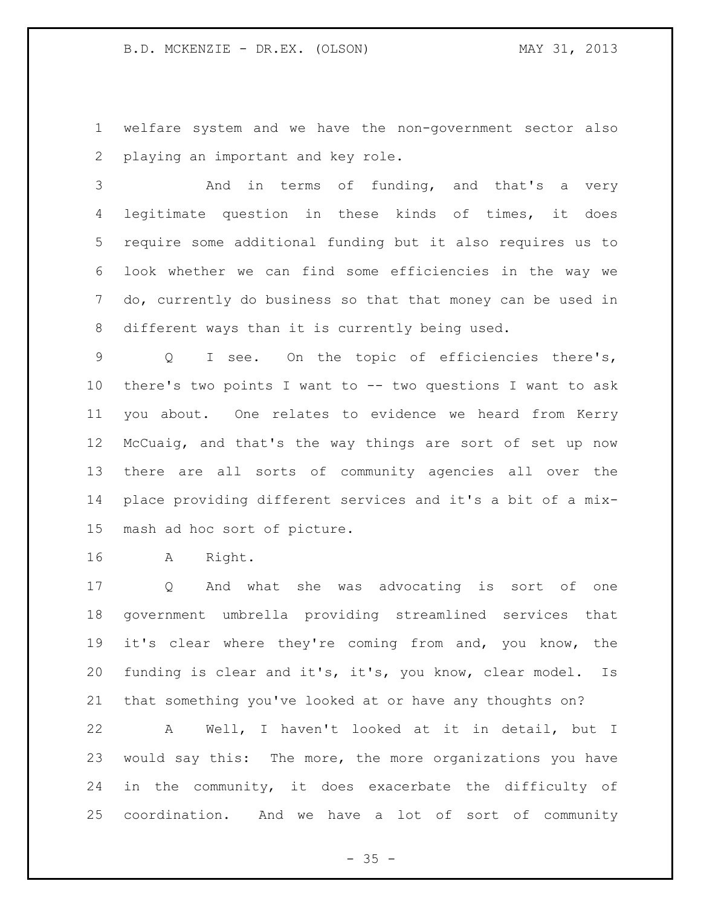welfare system and we have the non-government sector also playing an important and key role.

3 And in terms of funding, and that's a very legitimate question in these kinds of times, it does require some additional funding but it also requires us to look whether we can find some efficiencies in the way we do, currently do business so that that money can be used in different ways than it is currently being used.

 Q I see. On the topic of efficiencies there's, there's two points I want to -- two questions I want to ask you about. One relates to evidence we heard from Kerry McCuaig, and that's the way things are sort of set up now there are all sorts of community agencies all over the place providing different services and it's a bit of a mix-mash ad hoc sort of picture.

A Right.

 Q And what she was advocating is sort of one government umbrella providing streamlined services that it's clear where they're coming from and, you know, the funding is clear and it's, it's, you know, clear model. Is that something you've looked at or have any thoughts on?

 A Well, I haven't looked at it in detail, but I would say this: The more, the more organizations you have in the community, it does exacerbate the difficulty of coordination. And we have a lot of sort of community

 $- 35 -$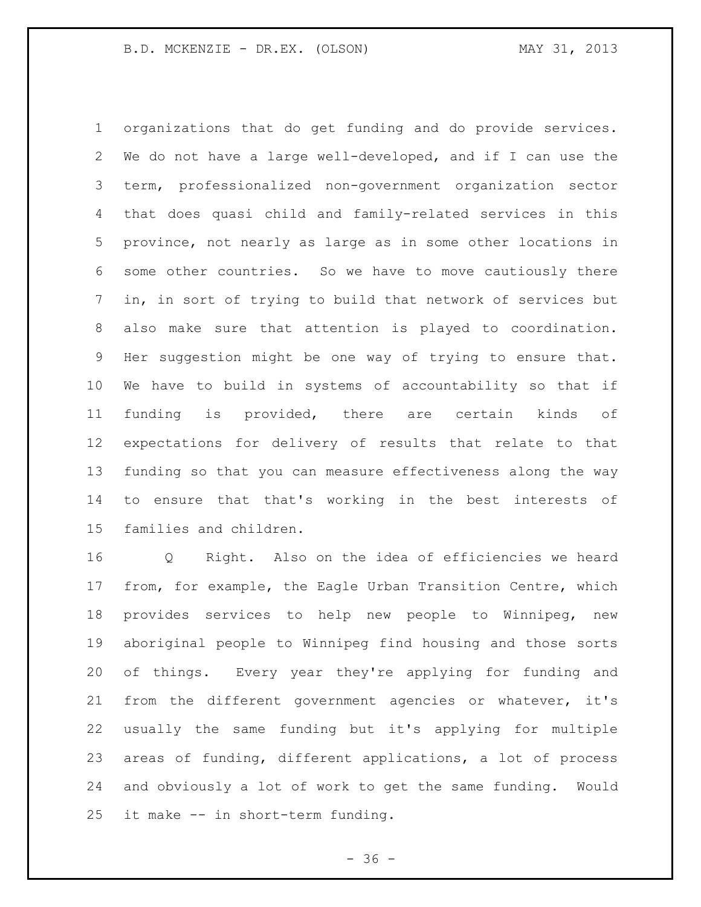organizations that do get funding and do provide services. We do not have a large well-developed, and if I can use the term, professionalized non-government organization sector that does quasi child and family-related services in this province, not nearly as large as in some other locations in some other countries. So we have to move cautiously there in, in sort of trying to build that network of services but also make sure that attention is played to coordination. Her suggestion might be one way of trying to ensure that. We have to build in systems of accountability so that if funding is provided, there are certain kinds of expectations for delivery of results that relate to that funding so that you can measure effectiveness along the way to ensure that that's working in the best interests of families and children.

 Q Right. Also on the idea of efficiencies we heard from, for example, the Eagle Urban Transition Centre, which provides services to help new people to Winnipeg, new aboriginal people to Winnipeg find housing and those sorts of things. Every year they're applying for funding and from the different government agencies or whatever, it's usually the same funding but it's applying for multiple areas of funding, different applications, a lot of process and obviously a lot of work to get the same funding. Would it make -- in short-term funding.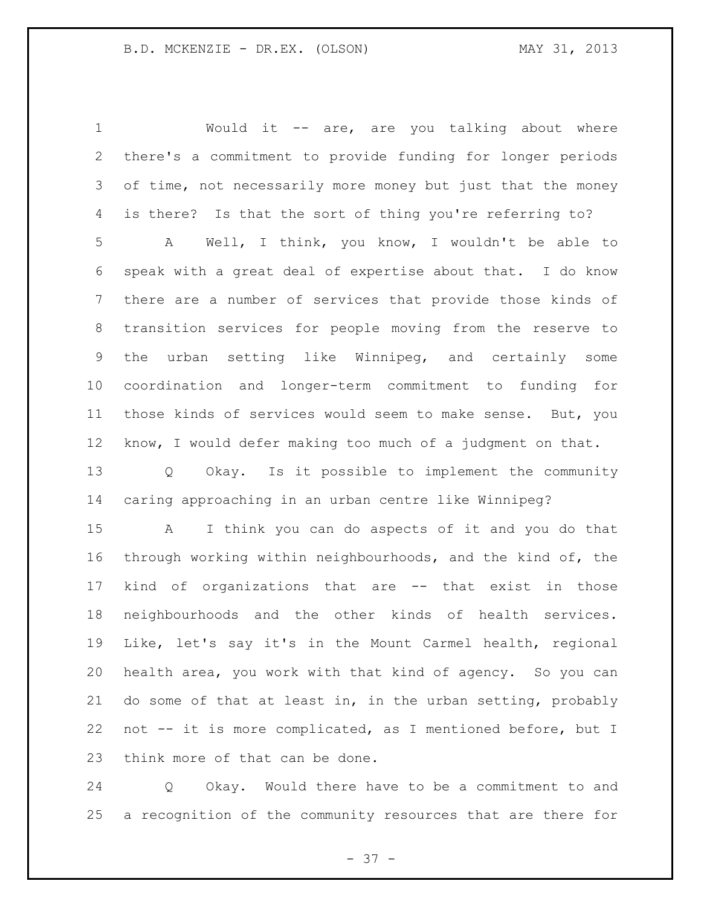Would it -- are, are you talking about where there's a commitment to provide funding for longer periods of time, not necessarily more money but just that the money is there? Is that the sort of thing you're referring to? A Well, I think, you know, I wouldn't be able to speak with a great deal of expertise about that. I do know there are a number of services that provide those kinds of transition services for people moving from the reserve to the urban setting like Winnipeg, and certainly some coordination and longer-term commitment to funding for those kinds of services would seem to make sense. But, you know, I would defer making too much of a judgment on that. Q Okay. Is it possible to implement the community caring approaching in an urban centre like Winnipeg? A I think you can do aspects of it and you do that through working within neighbourhoods, and the kind of, the kind of organizations that are -- that exist in those neighbourhoods and the other kinds of health services. Like, let's say it's in the Mount Carmel health, regional health area, you work with that kind of agency. So you can do some of that at least in, in the urban setting, probably not -- it is more complicated, as I mentioned before, but I think more of that can be done.

 Q Okay. Would there have to be a commitment to and a recognition of the community resources that are there for

 $- 37 -$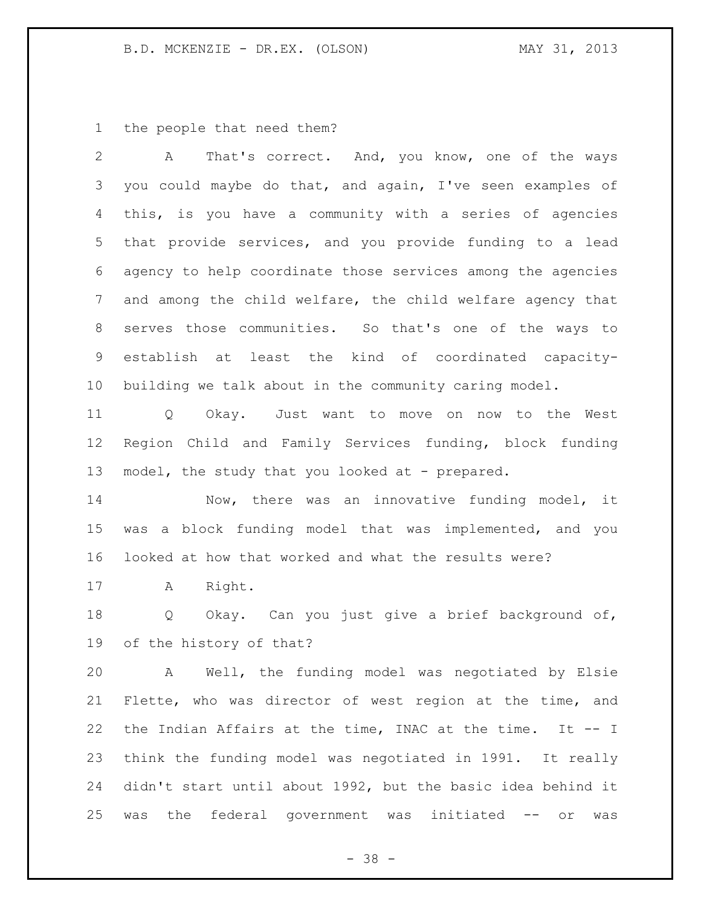the people that need them?

 A That's correct. And, you know, one of the ways you could maybe do that, and again, I've seen examples of this, is you have a community with a series of agencies that provide services, and you provide funding to a lead agency to help coordinate those services among the agencies and among the child welfare, the child welfare agency that serves those communities. So that's one of the ways to establish at least the kind of coordinated capacity-building we talk about in the community caring model.

 Q Okay. Just want to move on now to the West Region Child and Family Services funding, block funding 13 model, the study that you looked at - prepared.

 Now, there was an innovative funding model, it was a block funding model that was implemented, and you looked at how that worked and what the results were?

A Right.

 Q Okay. Can you just give a brief background of, of the history of that?

 A Well, the funding model was negotiated by Elsie Flette, who was director of west region at the time, and the Indian Affairs at the time, INAC at the time. It -- I think the funding model was negotiated in 1991. It really didn't start until about 1992, but the basic idea behind it was the federal government was initiated -- or was

- 38 -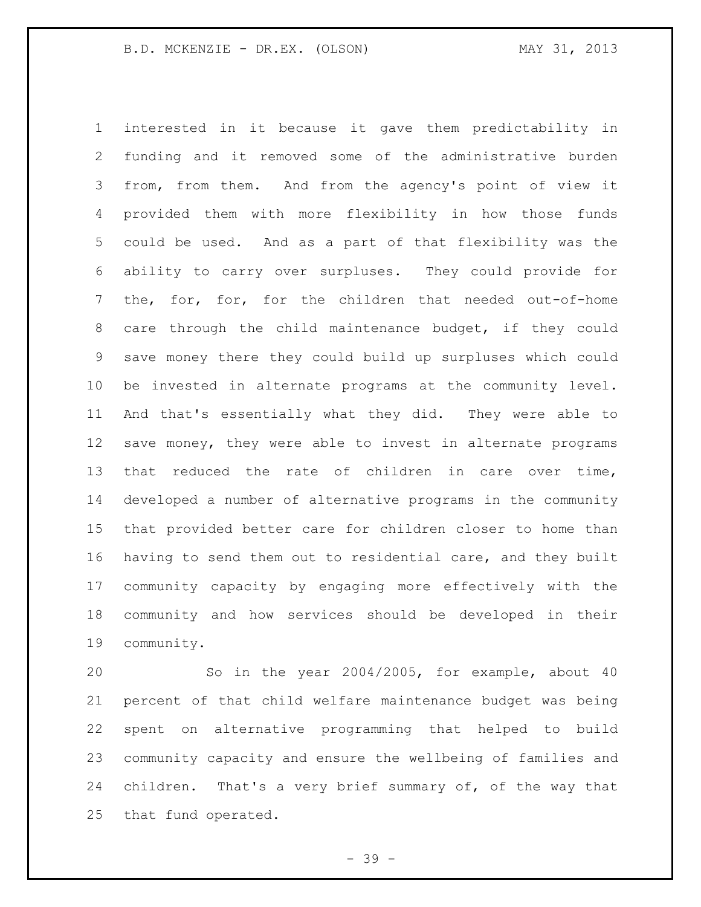interested in it because it gave them predictability in funding and it removed some of the administrative burden from, from them. And from the agency's point of view it provided them with more flexibility in how those funds could be used. And as a part of that flexibility was the ability to carry over surpluses. They could provide for the, for, for, for the children that needed out-of-home care through the child maintenance budget, if they could save money there they could build up surpluses which could be invested in alternate programs at the community level. And that's essentially what they did. They were able to save money, they were able to invest in alternate programs that reduced the rate of children in care over time, developed a number of alternative programs in the community that provided better care for children closer to home than having to send them out to residential care, and they built community capacity by engaging more effectively with the community and how services should be developed in their community.

 So in the year 2004/2005, for example, about 40 percent of that child welfare maintenance budget was being spent on alternative programming that helped to build community capacity and ensure the wellbeing of families and children. That's a very brief summary of, of the way that that fund operated.

- 39 -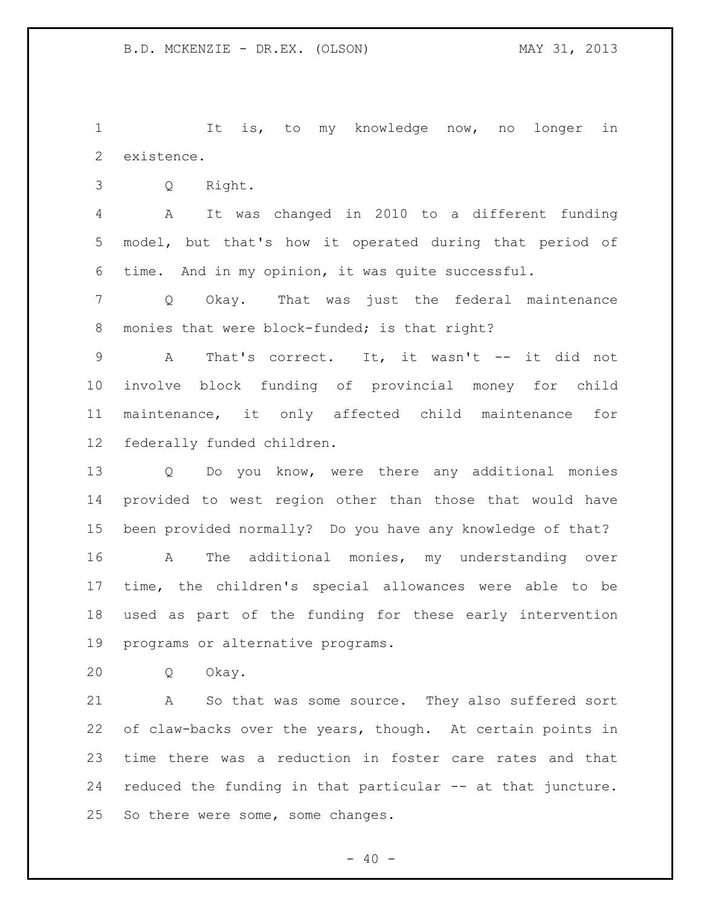1 It is, to my knowledge now, no longer in existence.

Q Right.

 A It was changed in 2010 to a different funding model, but that's how it operated during that period of time. And in my opinion, it was quite successful.

 Q Okay. That was just the federal maintenance 8 monies that were block-funded; is that right?

 A That's correct. It, it wasn't -- it did not involve block funding of provincial money for child maintenance, it only affected child maintenance for federally funded children.

 Q Do you know, were there any additional monies provided to west region other than those that would have been provided normally? Do you have any knowledge of that? A The additional monies, my understanding over time, the children's special allowances were able to be used as part of the funding for these early intervention programs or alternative programs.

Q Okay.

 A So that was some source. They also suffered sort of claw-backs over the years, though. At certain points in time there was a reduction in foster care rates and that reduced the funding in that particular -- at that juncture. So there were some, some changes.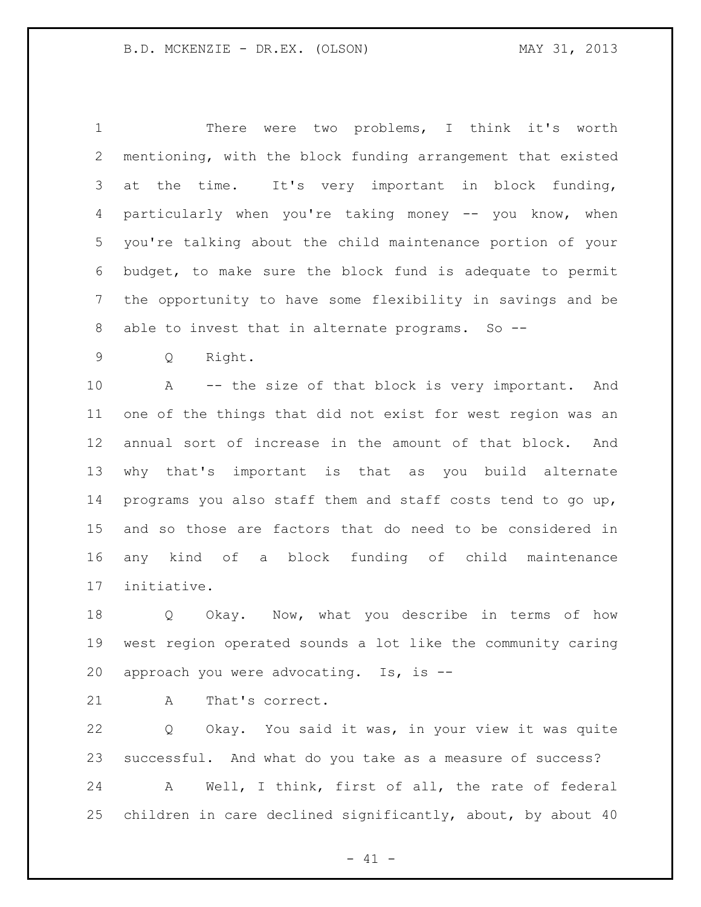There were two problems, I think it's worth mentioning, with the block funding arrangement that existed at the time. It's very important in block funding, particularly when you're taking money -- you know, when you're talking about the child maintenance portion of your budget, to make sure the block fund is adequate to permit the opportunity to have some flexibility in savings and be able to invest that in alternate programs. So --

Q Right.

 A -- the size of that block is very important. And one of the things that did not exist for west region was an annual sort of increase in the amount of that block. And why that's important is that as you build alternate programs you also staff them and staff costs tend to go up, and so those are factors that do need to be considered in any kind of a block funding of child maintenance initiative.

 Q Okay. Now, what you describe in terms of how west region operated sounds a lot like the community caring approach you were advocating. Is, is --

21 A That's correct.

 Q Okay. You said it was, in your view it was quite successful. And what do you take as a measure of success?

 A Well, I think, first of all, the rate of federal children in care declined significantly, about, by about 40

 $- 41 -$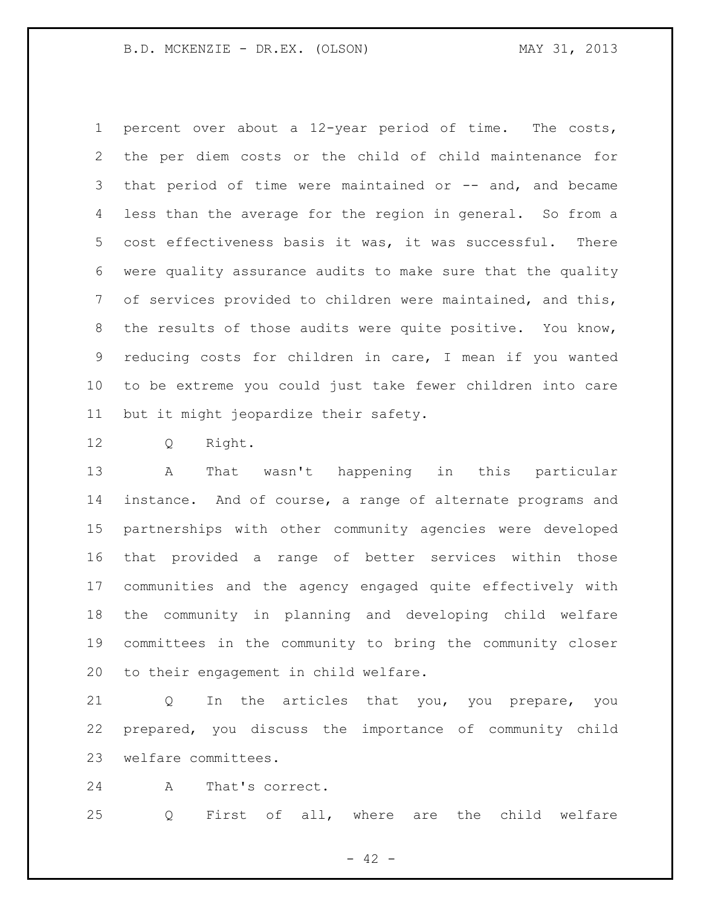percent over about a 12-year period of time. The costs, the per diem costs or the child of child maintenance for 3 that period of time were maintained or -- and, and became less than the average for the region in general. So from a cost effectiveness basis it was, it was successful. There were quality assurance audits to make sure that the quality of services provided to children were maintained, and this, the results of those audits were quite positive. You know, reducing costs for children in care, I mean if you wanted to be extreme you could just take fewer children into care but it might jeopardize their safety.

Q Right.

 A That wasn't happening in this particular instance. And of course, a range of alternate programs and partnerships with other community agencies were developed that provided a range of better services within those communities and the agency engaged quite effectively with the community in planning and developing child welfare committees in the community to bring the community closer to their engagement in child welfare.

 Q In the articles that you, you prepare, you prepared, you discuss the importance of community child welfare committees.

24 A That's correct.

Q First of all, where are the child welfare

 $- 42 -$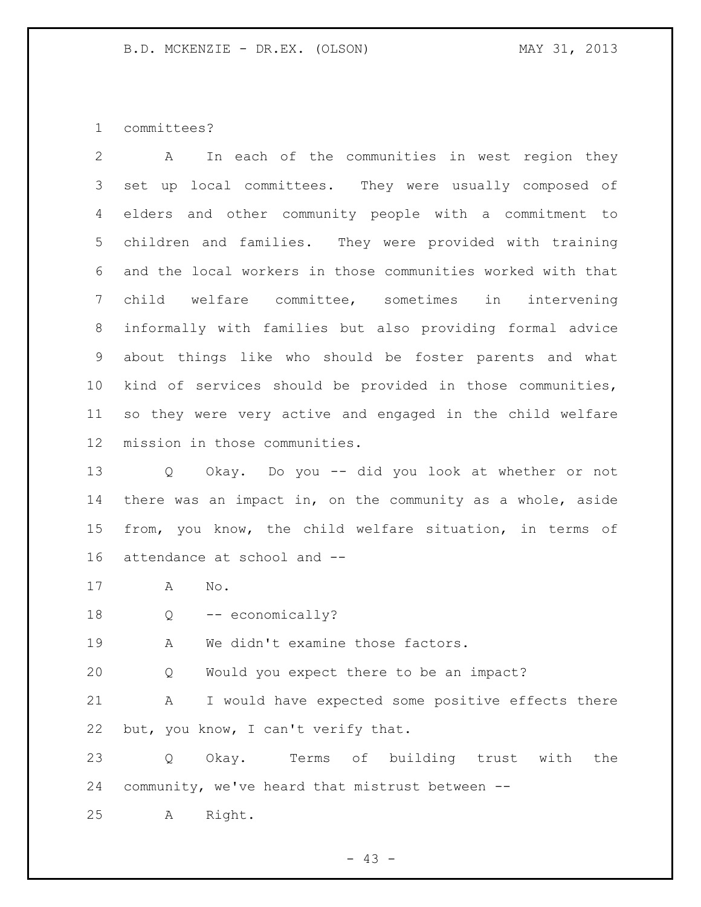committees?

 A In each of the communities in west region they set up local committees. They were usually composed of elders and other community people with a commitment to children and families. They were provided with training and the local workers in those communities worked with that child welfare committee, sometimes in intervening informally with families but also providing formal advice about things like who should be foster parents and what kind of services should be provided in those communities, so they were very active and engaged in the child welfare mission in those communities.

 Q Okay. Do you -- did you look at whether or not there was an impact in, on the community as a whole, aside from, you know, the child welfare situation, in terms of attendance at school and --

- A No.
- 18 Q -- economically?

19 A We didn't examine those factors.

Q Would you expect there to be an impact?

 A I would have expected some positive effects there but, you know, I can't verify that.

 Q Okay. Terms of building trust with the community, we've heard that mistrust between --

A Right.

 $- 43 -$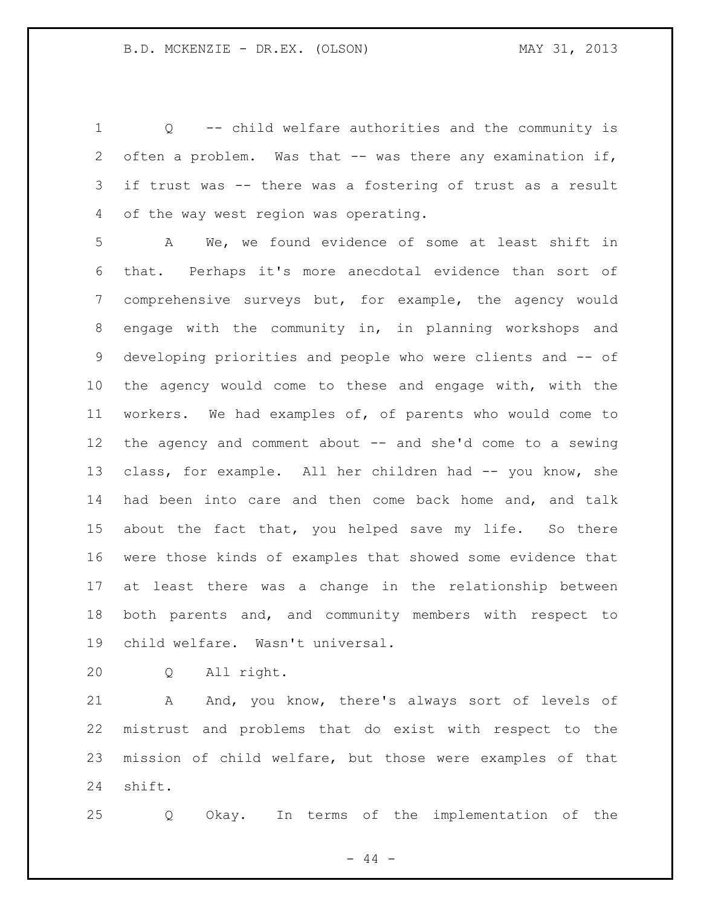Q -- child welfare authorities and the community is often a problem. Was that -- was there any examination if, if trust was -- there was a fostering of trust as a result of the way west region was operating.

 A We, we found evidence of some at least shift in that. Perhaps it's more anecdotal evidence than sort of comprehensive surveys but, for example, the agency would engage with the community in, in planning workshops and developing priorities and people who were clients and -- of the agency would come to these and engage with, with the workers. We had examples of, of parents who would come to the agency and comment about -- and she'd come to a sewing 13 class, for example. All her children had -- you know, she had been into care and then come back home and, and talk about the fact that, you helped save my life. So there were those kinds of examples that showed some evidence that at least there was a change in the relationship between both parents and, and community members with respect to child welfare. Wasn't universal.

Q All right.

21 A And, you know, there's always sort of levels of mistrust and problems that do exist with respect to the mission of child welfare, but those were examples of that shift.

Q Okay. In terms of the implementation of the

 $-44 -$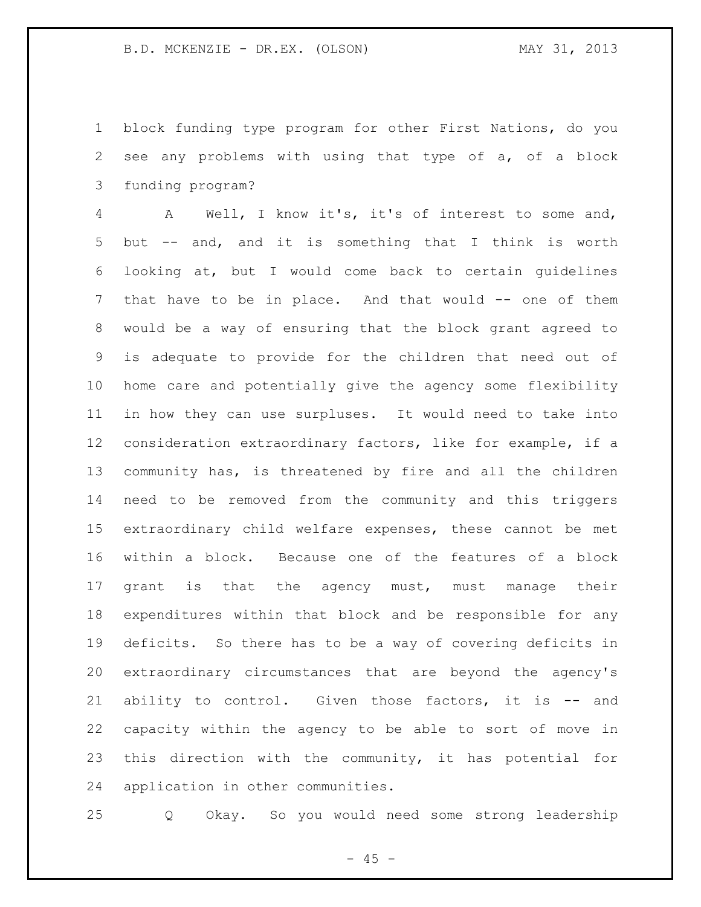block funding type program for other First Nations, do you see any problems with using that type of a, of a block funding program?

 A Well, I know it's, it's of interest to some and, but -- and, and it is something that I think is worth looking at, but I would come back to certain guidelines that have to be in place. And that would -- one of them would be a way of ensuring that the block grant agreed to is adequate to provide for the children that need out of home care and potentially give the agency some flexibility in how they can use surpluses. It would need to take into consideration extraordinary factors, like for example, if a community has, is threatened by fire and all the children need to be removed from the community and this triggers extraordinary child welfare expenses, these cannot be met within a block. Because one of the features of a block grant is that the agency must, must manage their expenditures within that block and be responsible for any deficits. So there has to be a way of covering deficits in extraordinary circumstances that are beyond the agency's ability to control. Given those factors, it is -- and capacity within the agency to be able to sort of move in this direction with the community, it has potential for application in other communities.

Q Okay. So you would need some strong leadership

 $- 45 -$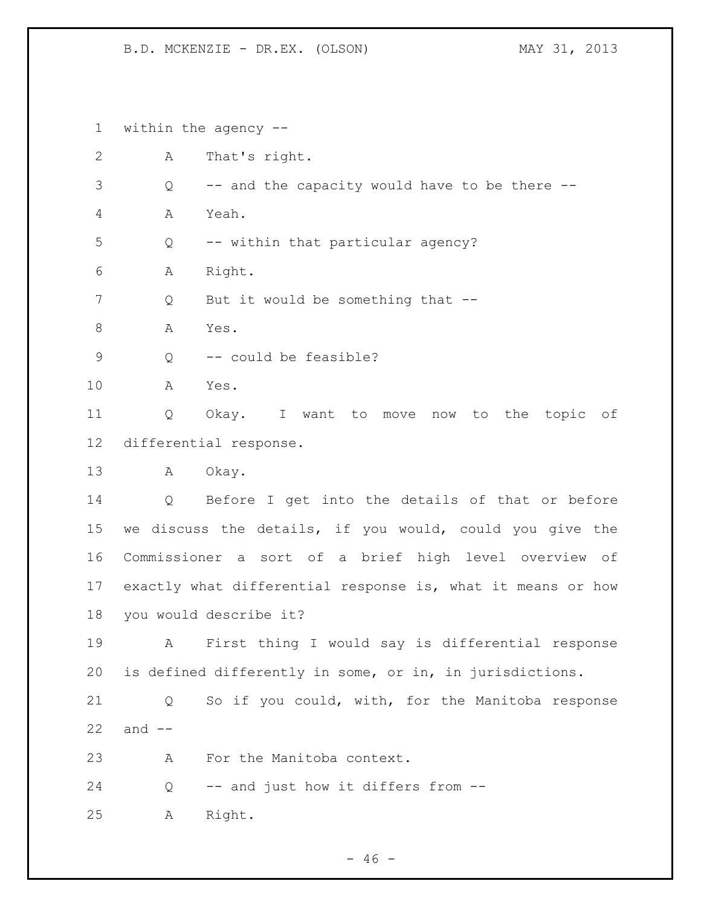within the agency -- A That's right. Q -- and the capacity would have to be there -- A Yeah. Q -- within that particular agency? A Right. 7 Q But it would be something that --8 A Yes. 9 Q -- could be feasible? A Yes. Q Okay. I want to move now to the topic of differential response. A Okay. Q Before I get into the details of that or before we discuss the details, if you would, could you give the Commissioner a sort of a brief high level overview of exactly what differential response is, what it means or how you would describe it? A First thing I would say is differential response is defined differently in some, or in, in jurisdictions. Q So if you could, with, for the Manitoba response and  $-$  A For the Manitoba context. Q -- and just how it differs from -- A Right.

 $- 46 -$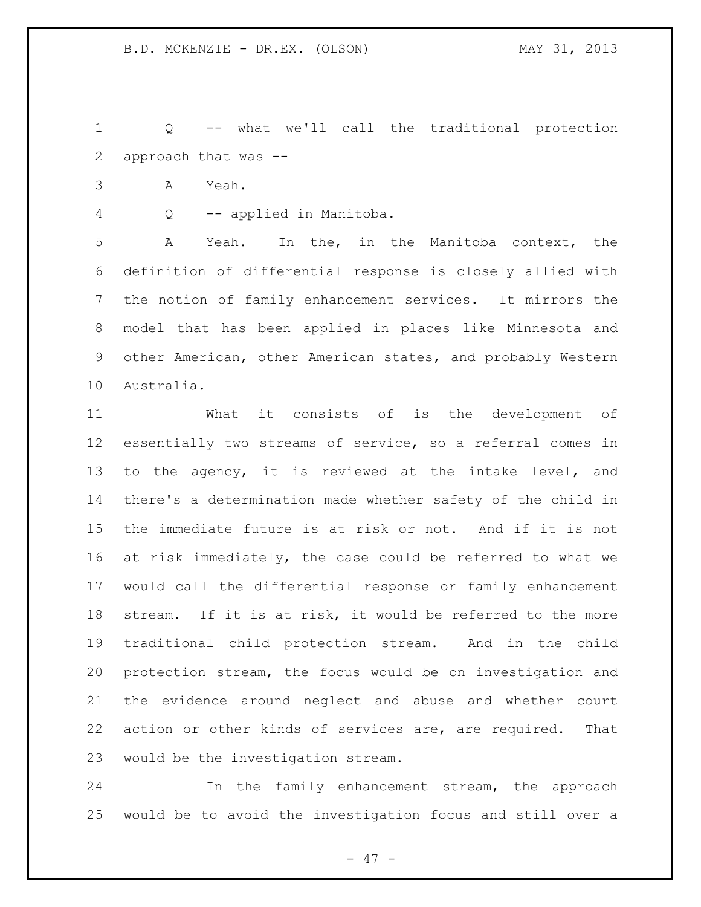Q -- what we'll call the traditional protection approach that was --

A Yeah.

Q -- applied in Manitoba.

 A Yeah. In the, in the Manitoba context, the definition of differential response is closely allied with the notion of family enhancement services. It mirrors the model that has been applied in places like Minnesota and other American, other American states, and probably Western Australia.

 What it consists of is the development of essentially two streams of service, so a referral comes in to the agency, it is reviewed at the intake level, and there's a determination made whether safety of the child in the immediate future is at risk or not. And if it is not at risk immediately, the case could be referred to what we would call the differential response or family enhancement stream. If it is at risk, it would be referred to the more traditional child protection stream. And in the child protection stream, the focus would be on investigation and the evidence around neglect and abuse and whether court action or other kinds of services are, are required. That would be the investigation stream.

 In the family enhancement stream, the approach would be to avoid the investigation focus and still over a

- 47 -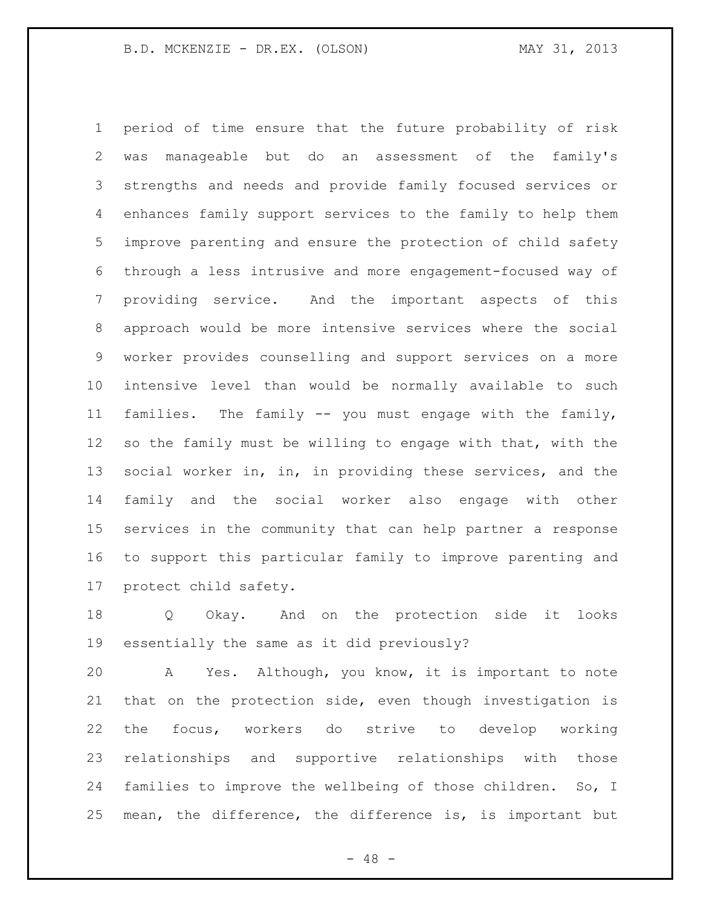period of time ensure that the future probability of risk was manageable but do an assessment of the family's strengths and needs and provide family focused services or enhances family support services to the family to help them improve parenting and ensure the protection of child safety through a less intrusive and more engagement-focused way of providing service. And the important aspects of this approach would be more intensive services where the social worker provides counselling and support services on a more intensive level than would be normally available to such families. The family -- you must engage with the family, so the family must be willing to engage with that, with the 13 social worker in, in, in providing these services, and the family and the social worker also engage with other services in the community that can help partner a response to support this particular family to improve parenting and protect child safety.

 Q Okay. And on the protection side it looks essentially the same as it did previously?

 A Yes. Although, you know, it is important to note that on the protection side, even though investigation is the focus, workers do strive to develop working relationships and supportive relationships with those families to improve the wellbeing of those children. So, I mean, the difference, the difference is, is important but

 $- 48 -$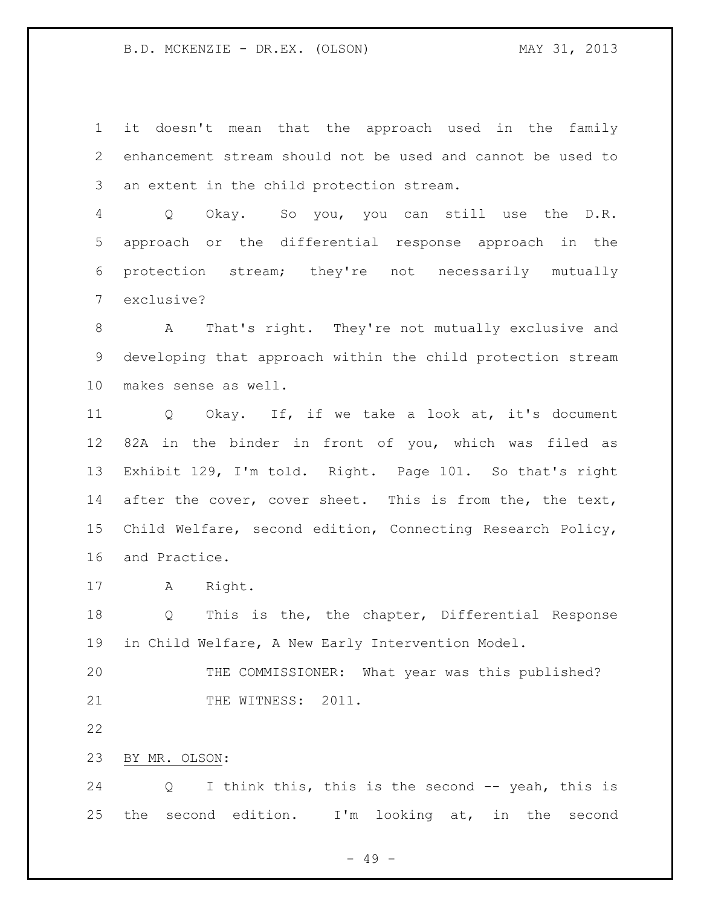it doesn't mean that the approach used in the family enhancement stream should not be used and cannot be used to an extent in the child protection stream.

 Q Okay. So you, you can still use the D.R. approach or the differential response approach in the protection stream; they're not necessarily mutually exclusive?

 A That's right. They're not mutually exclusive and developing that approach within the child protection stream makes sense as well.

 Q Okay. If, if we take a look at, it's document 82A in the binder in front of you, which was filed as Exhibit 129, I'm told. Right. Page 101. So that's right 14 after the cover, cover sheet. This is from the, the text, Child Welfare, second edition, Connecting Research Policy, and Practice.

A Right.

 Q This is the, the chapter, Differential Response in Child Welfare, A New Early Intervention Model.

 THE COMMISSIONER: What year was this published? 21 THE WITNESS: 2011.

BY MR. OLSON:

 Q I think this, this is the second -- yeah, this is the second edition. I'm looking at, in the second

- 49 -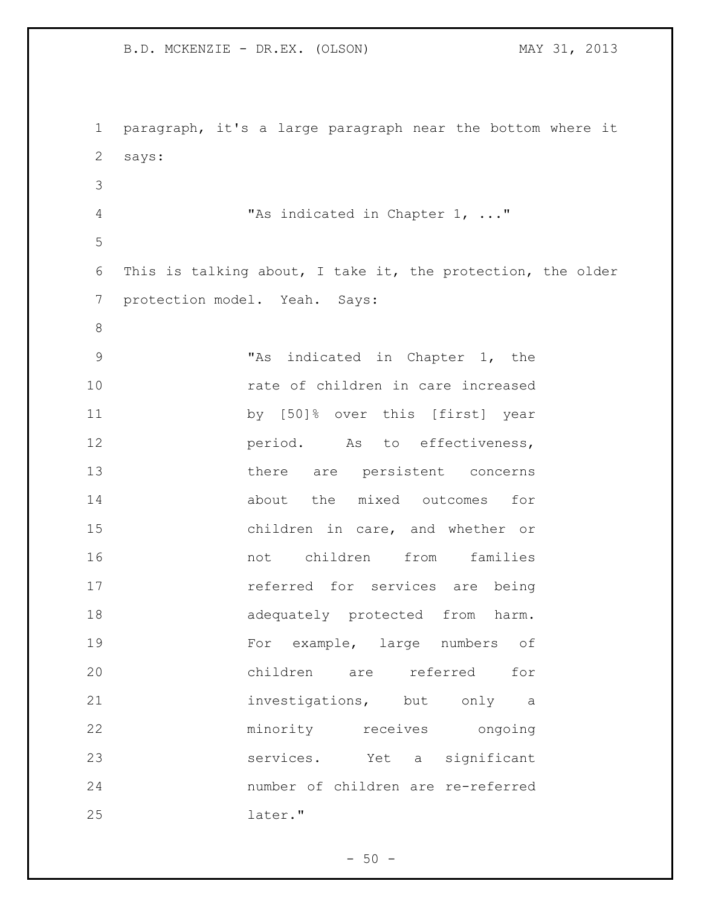paragraph, it's a large paragraph near the bottom where it says: "As indicated in Chapter 1, ..." This is talking about, I take it, the protection, the older protection model. Yeah. Says: "As indicated in Chapter 1, the **10** rate of children in care increased by [50]% over this [first] year **period.** As to effectiveness, there are persistent concerns about the mixed outcomes for children in care, and whether or not children from families **referred for services are being**  adequately protected from harm. For example, large numbers of children are referred for investigations, but only a minority receives ongoing services. Yet a significant number of children are re-referred later."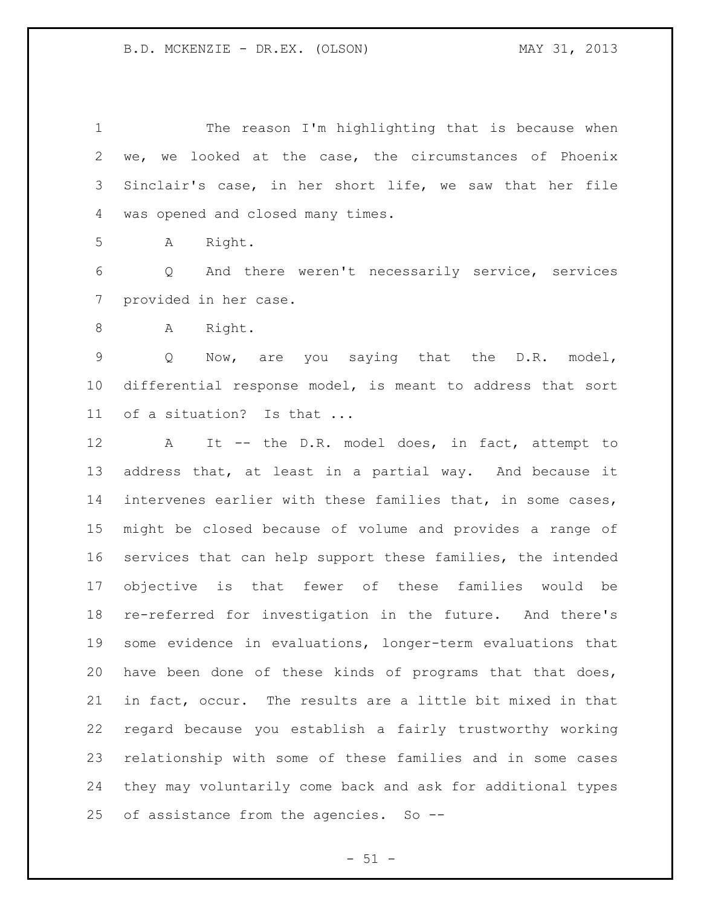The reason I'm highlighting that is because when we, we looked at the case, the circumstances of Phoenix Sinclair's case, in her short life, we saw that her file was opened and closed many times.

A Right.

 Q And there weren't necessarily service, services provided in her case.

8 A Right.

 Q Now, are you saying that the D.R. model, differential response model, is meant to address that sort of a situation? Is that ...

 A It -- the D.R. model does, in fact, attempt to address that, at least in a partial way. And because it intervenes earlier with these families that, in some cases, might be closed because of volume and provides a range of services that can help support these families, the intended objective is that fewer of these families would be re-referred for investigation in the future. And there's some evidence in evaluations, longer-term evaluations that have been done of these kinds of programs that that does, in fact, occur. The results are a little bit mixed in that regard because you establish a fairly trustworthy working relationship with some of these families and in some cases they may voluntarily come back and ask for additional types of assistance from the agencies. So --

 $- 51 -$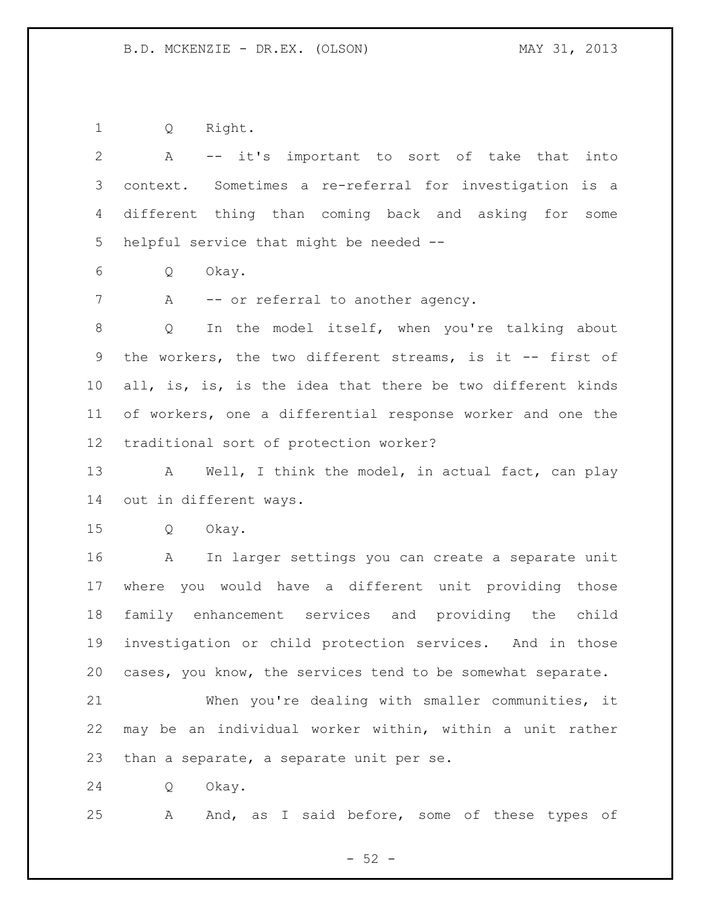Q Right.

 A -- it's important to sort of take that into context. Sometimes a re-referral for investigation is a different thing than coming back and asking for some helpful service that might be needed --

Q Okay.

7 A -- or referral to another agency.

 Q In the model itself, when you're talking about 9 the workers, the two different streams, is it -- first of 10 all, is, is, is the idea that there be two different kinds of workers, one a differential response worker and one the traditional sort of protection worker?

13 A Well, I think the model, in actual fact, can play out in different ways.

Q Okay.

 A In larger settings you can create a separate unit where you would have a different unit providing those family enhancement services and providing the child investigation or child protection services. And in those cases, you know, the services tend to be somewhat separate.

 When you're dealing with smaller communities, it may be an individual worker within, within a unit rather than a separate, a separate unit per se.

Q Okay.

A And, as I said before, some of these types of

 $-52 -$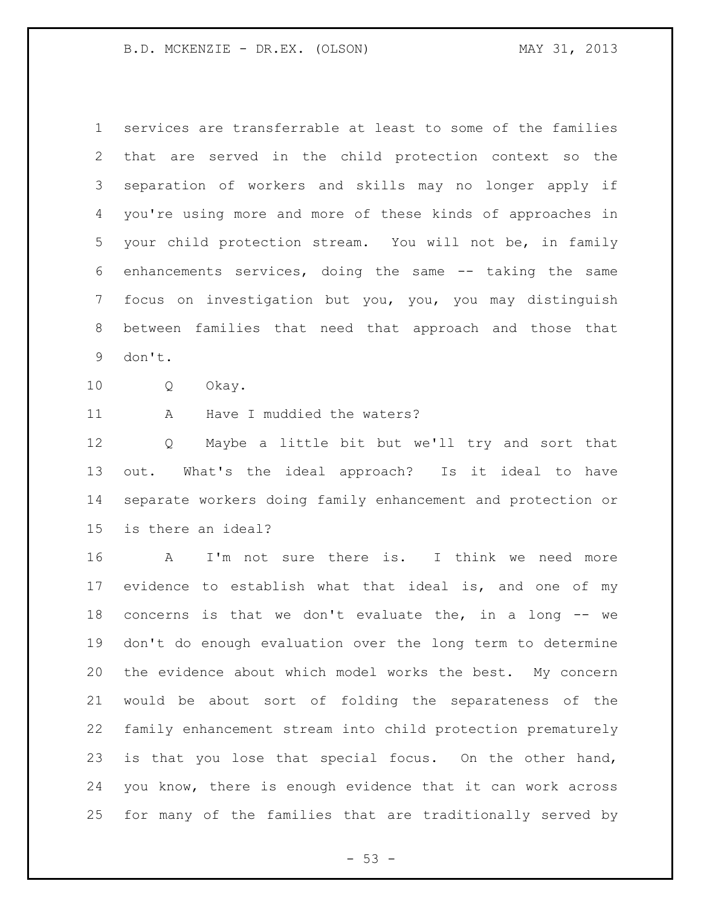services are transferrable at least to some of the families that are served in the child protection context so the separation of workers and skills may no longer apply if you're using more and more of these kinds of approaches in your child protection stream. You will not be, in family enhancements services, doing the same -- taking the same focus on investigation but you, you, you may distinguish between families that need that approach and those that don't.

Q Okay.

11 A Have I muddied the waters?

 Q Maybe a little bit but we'll try and sort that out. What's the ideal approach? Is it ideal to have separate workers doing family enhancement and protection or is there an ideal?

 A I'm not sure there is. I think we need more evidence to establish what that ideal is, and one of my concerns is that we don't evaluate the, in a long -- we don't do enough evaluation over the long term to determine the evidence about which model works the best. My concern would be about sort of folding the separateness of the family enhancement stream into child protection prematurely is that you lose that special focus. On the other hand, you know, there is enough evidence that it can work across for many of the families that are traditionally served by

 $-53 -$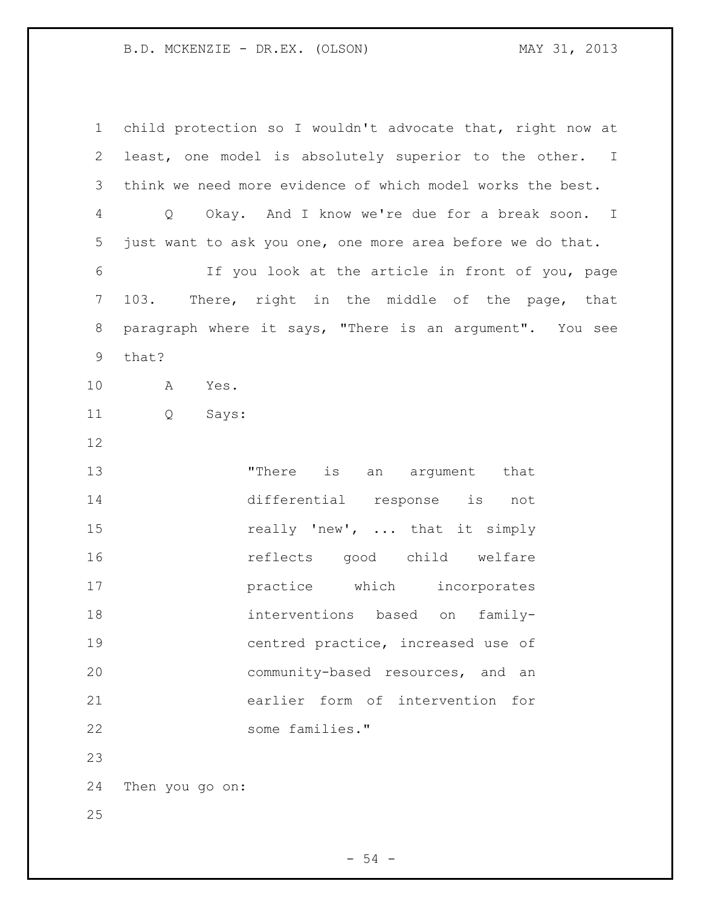| $\mathbf 1$    | child protection so I wouldn't advocate that, right now at |
|----------------|------------------------------------------------------------|
| $\overline{2}$ | least, one model is absolutely superior to the other. I    |
| 3              | think we need more evidence of which model works the best. |
| 4              | Q Okay. And I know we're due for a break soon. I           |
| 5              | just want to ask you one, one more area before we do that. |
| 6              | If you look at the article in front of you, page           |
| $7\phantom{.}$ | 103. There, right in the middle of the page, that          |
| 8              | paragraph where it says, "There is an argument". You see   |
| 9              | that?                                                      |
| 10             | A<br>Yes.                                                  |
| 11             | Q<br>Says:                                                 |
| 12             |                                                            |
| 13             | "There is an argument that                                 |
| 14             | differential response is not                               |
| 15             | really 'new',  that it simply                              |
| 16             | reflects good child welfare                                |
| 17             | practice which incorporates                                |
| 18             | interventions based on family-                             |
| 19             | centred practice, increased use of                         |
| 20             | community-based resources, and<br>an                       |
| 21             | earlier form of intervention for                           |
| 22             | some families."                                            |
| 23             |                                                            |
| 24             | Then you go on:                                            |
| 25             |                                                            |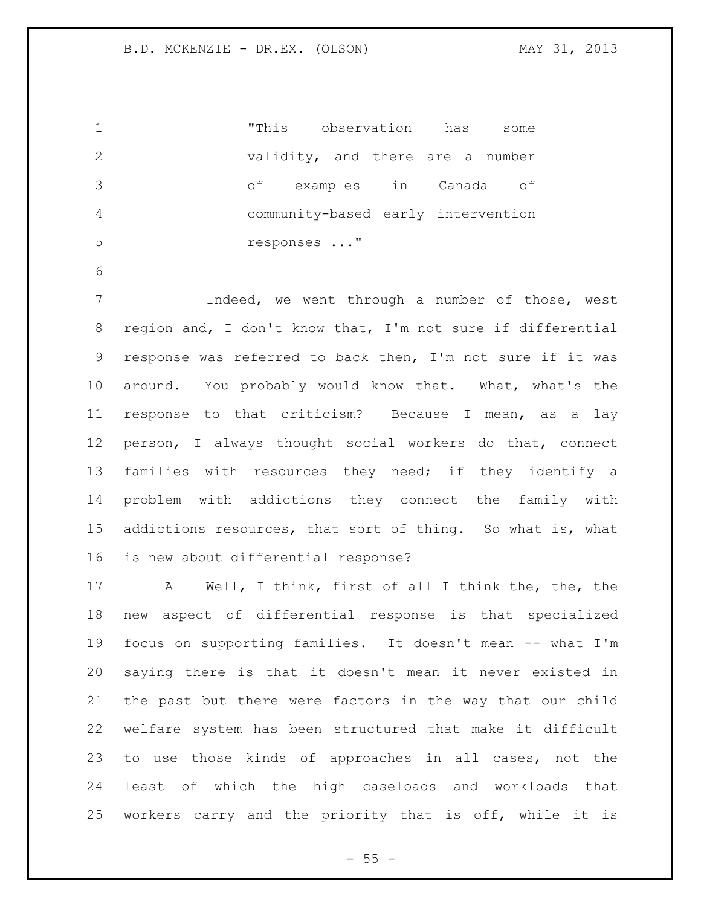|    | "This observation has              |                       |  | some |
|----|------------------------------------|-----------------------|--|------|
| -2 | validity, and there are a number   |                       |  |      |
| -3 | of                                 | examples in Canada of |  |      |
|    | community-based early intervention |                       |  |      |
| -5 | responses "                        |                       |  |      |

 Indeed, we went through a number of those, west region and, I don't know that, I'm not sure if differential response was referred to back then, I'm not sure if it was around. You probably would know that. What, what's the response to that criticism? Because I mean, as a lay person, I always thought social workers do that, connect families with resources they need; if they identify a problem with addictions they connect the family with addictions resources, that sort of thing. So what is, what is new about differential response?

 A Well, I think, first of all I think the, the, the new aspect of differential response is that specialized focus on supporting families. It doesn't mean -- what I'm saying there is that it doesn't mean it never existed in the past but there were factors in the way that our child welfare system has been structured that make it difficult to use those kinds of approaches in all cases, not the least of which the high caseloads and workloads that workers carry and the priority that is off, while it is

 $- 55 -$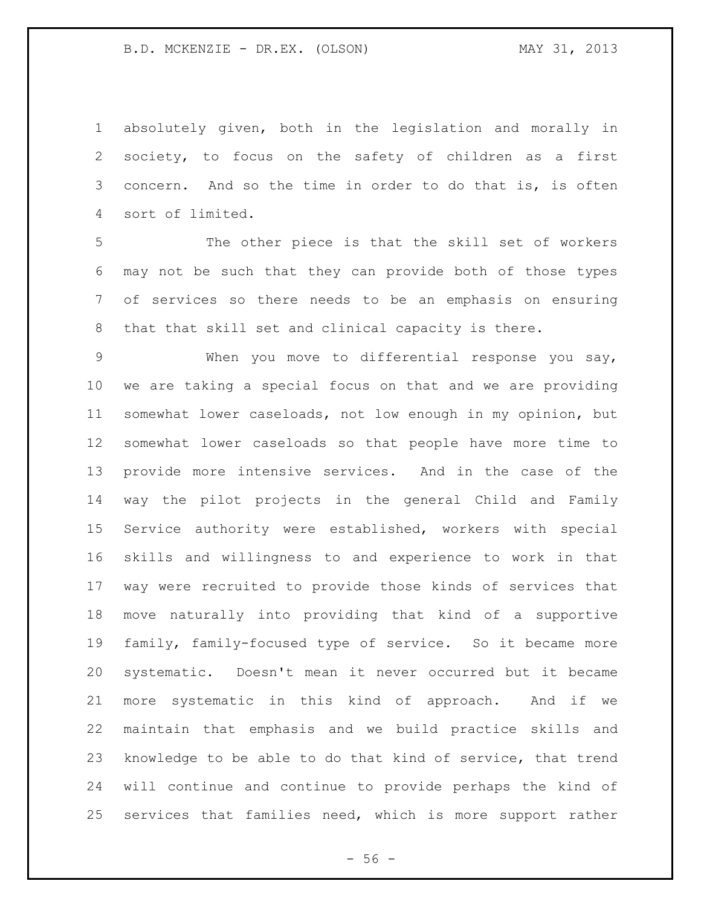absolutely given, both in the legislation and morally in society, to focus on the safety of children as a first concern. And so the time in order to do that is, is often sort of limited.

 The other piece is that the skill set of workers may not be such that they can provide both of those types of services so there needs to be an emphasis on ensuring that that skill set and clinical capacity is there.

 When you move to differential response you say, we are taking a special focus on that and we are providing somewhat lower caseloads, not low enough in my opinion, but somewhat lower caseloads so that people have more time to provide more intensive services. And in the case of the way the pilot projects in the general Child and Family Service authority were established, workers with special skills and willingness to and experience to work in that way were recruited to provide those kinds of services that move naturally into providing that kind of a supportive family, family-focused type of service. So it became more systematic. Doesn't mean it never occurred but it became more systematic in this kind of approach. And if we maintain that emphasis and we build practice skills and knowledge to be able to do that kind of service, that trend will continue and continue to provide perhaps the kind of services that families need, which is more support rather

 $- 56 -$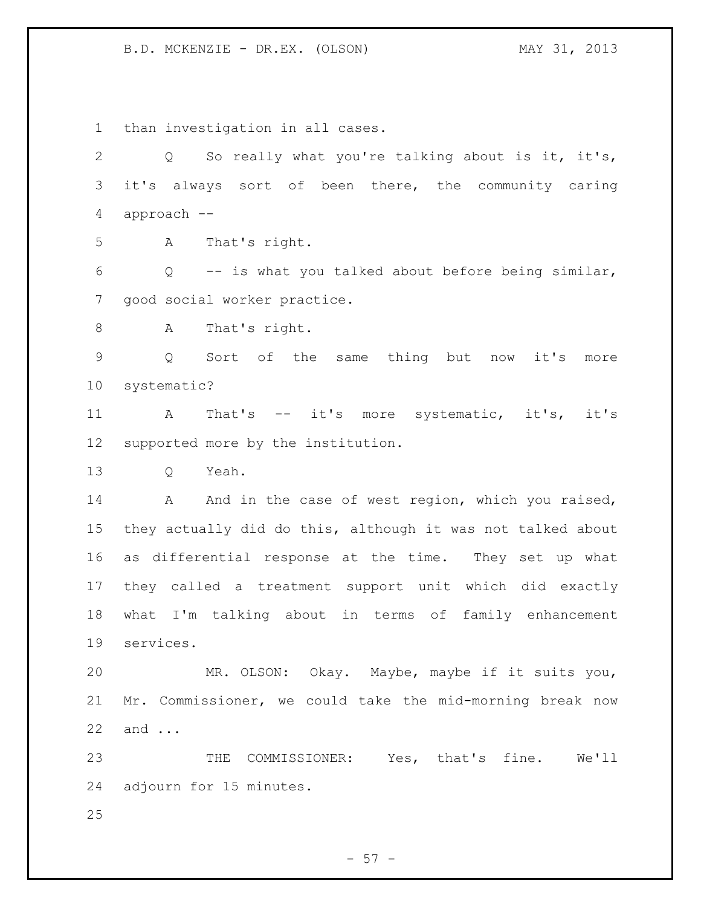than investigation in all cases. Q So really what you're talking about is it, it's, it's always sort of been there, the community caring approach -- A That's right. Q -- is what you talked about before being similar, good social worker practice. A That's right. Q Sort of the same thing but now it's more systematic? A That's -- it's more systematic, it's, it's supported more by the institution. Q Yeah. 14 A And in the case of west region, which you raised, they actually did do this, although it was not talked about as differential response at the time. They set up what they called a treatment support unit which did exactly what I'm talking about in terms of family enhancement services. MR. OLSON: Okay. Maybe, maybe if it suits you, Mr. Commissioner, we could take the mid-morning break now and ... THE COMMISSIONER: Yes, that's fine. We'll adjourn for 15 minutes. 

 $-57 -$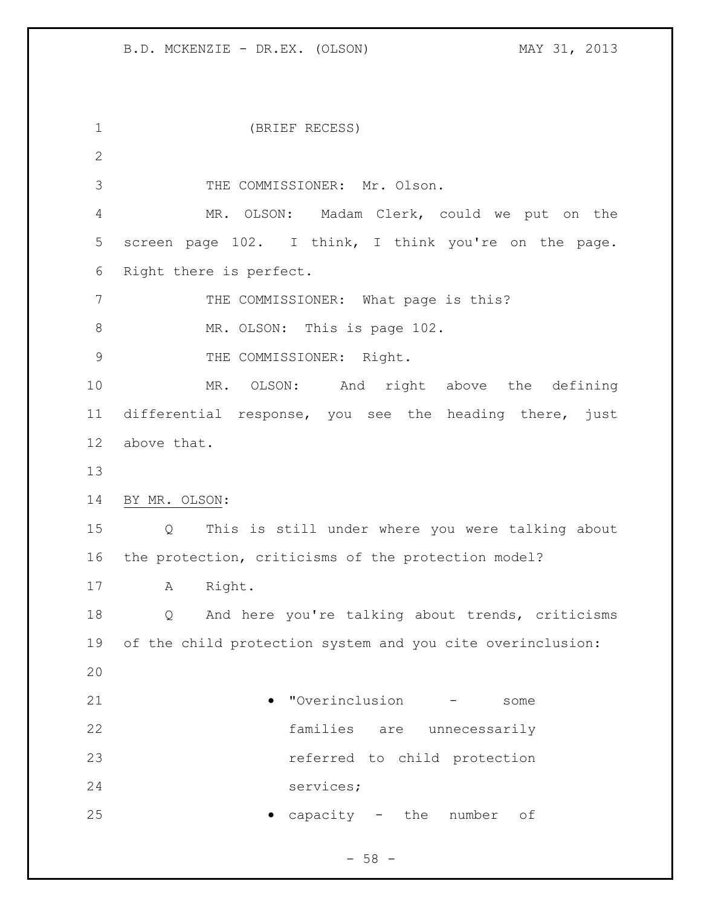(BRIEF RECESS) 3 THE COMMISSIONER: Mr. Olson. MR. OLSON: Madam Clerk, could we put on the screen page 102. I think, I think you're on the page. Right there is perfect. 7 THE COMMISSIONER: What page is this? 8 MR. OLSON: This is page 102. 9 THE COMMISSIONER: Right. MR. OLSON: And right above the defining differential response, you see the heading there, just above that. BY MR. OLSON: Q This is still under where you were talking about the protection, criticisms of the protection model? A Right. Q And here you're talking about trends, criticisms of the child protection system and you cite overinclusion: "Overinclusion - some families are unnecessarily referred to child protection services; **capacity** - the number of

 $-58 -$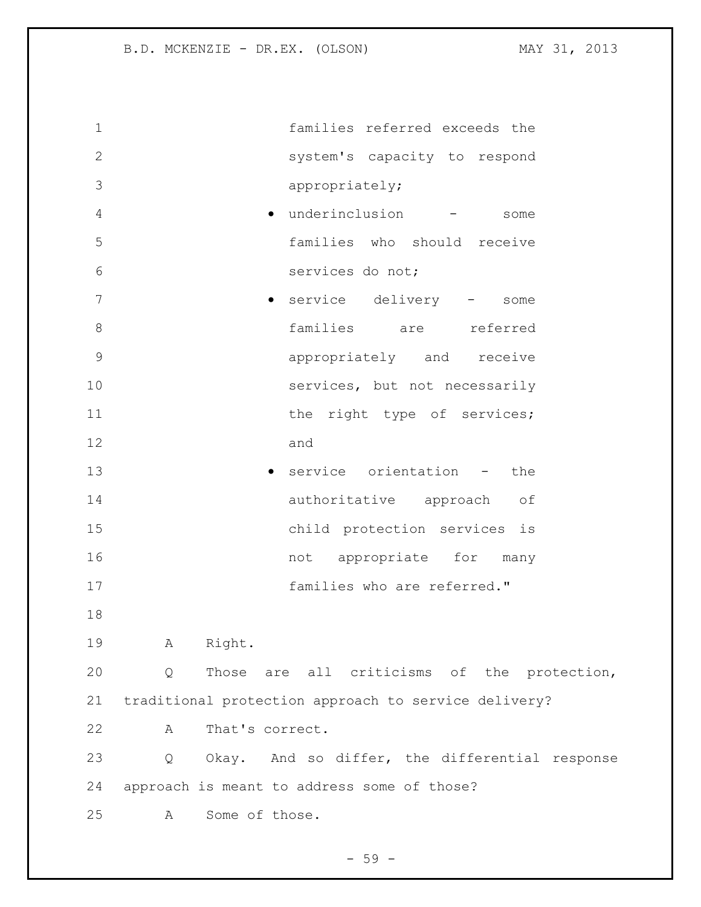| $\mathbf 1$    | families referred exceeds the                        |
|----------------|------------------------------------------------------|
| $\mathbf{2}$   | system's capacity to respond                         |
| 3              | appropriately;                                       |
| $\overline{4}$ | · underinclusion<br>some                             |
| 5              | families who should receive                          |
| 6              | services do not;                                     |
| 7              | service delivery -<br>$\bullet$<br>some              |
| 8              | families are referred                                |
| $\mathsf 9$    | appropriately and receive                            |
| 10             | services, but not necessarily                        |
| 11             | the right type of services;                          |
| 12             | and                                                  |
| 13             | service orientation -<br>the                         |
| 14             | authoritative approach<br>оf                         |
| 15             | child protection services is                         |
| 16             | not appropriate for many                             |
| 17             | families who are referred."                          |
| 18             |                                                      |
| 19             | Right.<br>A                                          |
| 20             | Those are all criticisms of the protection,<br>Q     |
| 21             | traditional protection approach to service delivery? |
| 22             | That's correct.<br>A                                 |
| 23             | Okay. And so differ, the differential response<br>Q  |
| 24             | approach is meant to address some of those?          |
| 25             | Some of those.<br>A                                  |
|                |                                                      |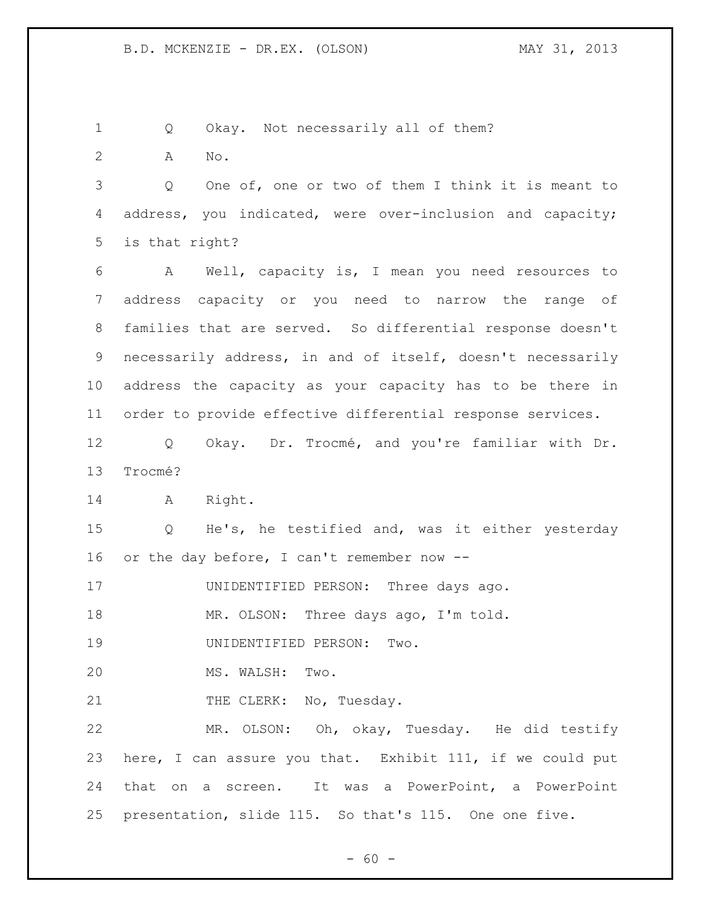Q Okay. Not necessarily all of them?

A No.

 Q One of, one or two of them I think it is meant to address, you indicated, were over-inclusion and capacity; is that right?

 A Well, capacity is, I mean you need resources to address capacity or you need to narrow the range of families that are served. So differential response doesn't necessarily address, in and of itself, doesn't necessarily address the capacity as your capacity has to be there in order to provide effective differential response services.

 Q Okay. Dr. Trocmé, and you're familiar with Dr. Trocmé?

A Right.

 Q He's, he testified and, was it either yesterday or the day before, I can't remember now --

UNIDENTIFIED PERSON: Three days ago.

MR. OLSON: Three days ago, I'm told.

UNIDENTIFIED PERSON: Two.

MS. WALSH: Two.

21 THE CLERK: No, Tuesday.

 MR. OLSON: Oh, okay, Tuesday. He did testify here, I can assure you that. Exhibit 111, if we could put that on a screen. It was a PowerPoint, a PowerPoint presentation, slide 115. So that's 115. One one five.

 $- 60 -$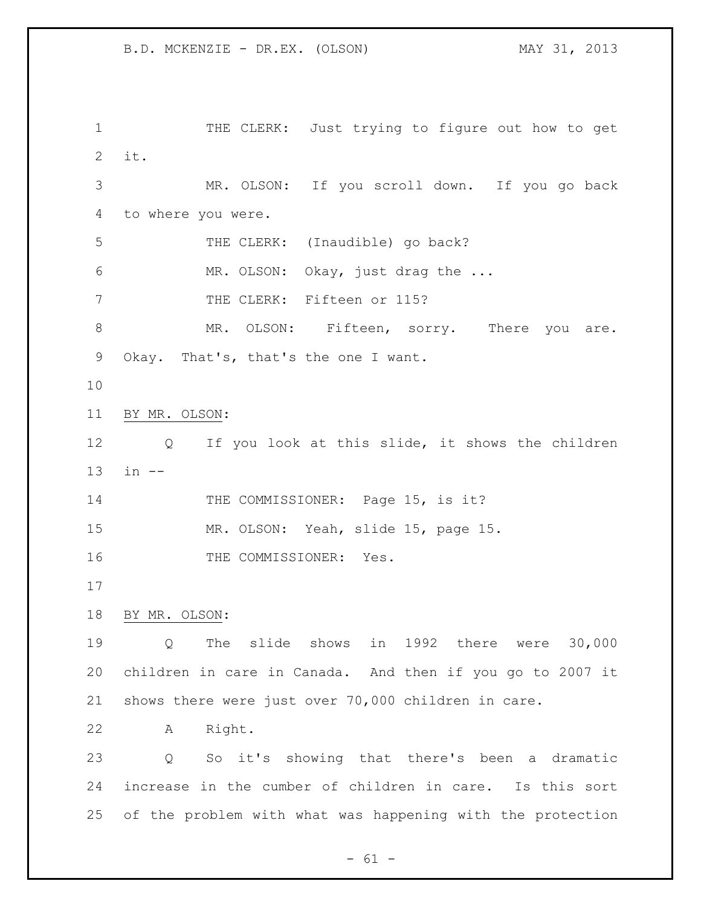1 THE CLERK: Just trying to figure out how to get it. MR. OLSON: If you scroll down. If you go back to where you were. THE CLERK: (Inaudible) go back? MR. OLSON: Okay, just drag the ... 7 THE CLERK: Fifteen or 115? 8 MR. OLSON: Fifteen, sorry. There you are. Okay. That's, that's the one I want. BY MR. OLSON: Q If you look at this slide, it shows the children in -- 14 THE COMMISSIONER: Page 15, is it? MR. OLSON: Yeah, slide 15, page 15. 16 THE COMMISSIONER: Yes. BY MR. OLSON: Q The slide shows in 1992 there were 30,000 children in care in Canada. And then if you go to 2007 it shows there were just over 70,000 children in care. A Right. Q So it's showing that there's been a dramatic increase in the cumber of children in care. Is this sort of the problem with what was happening with the protection

 $- 61 -$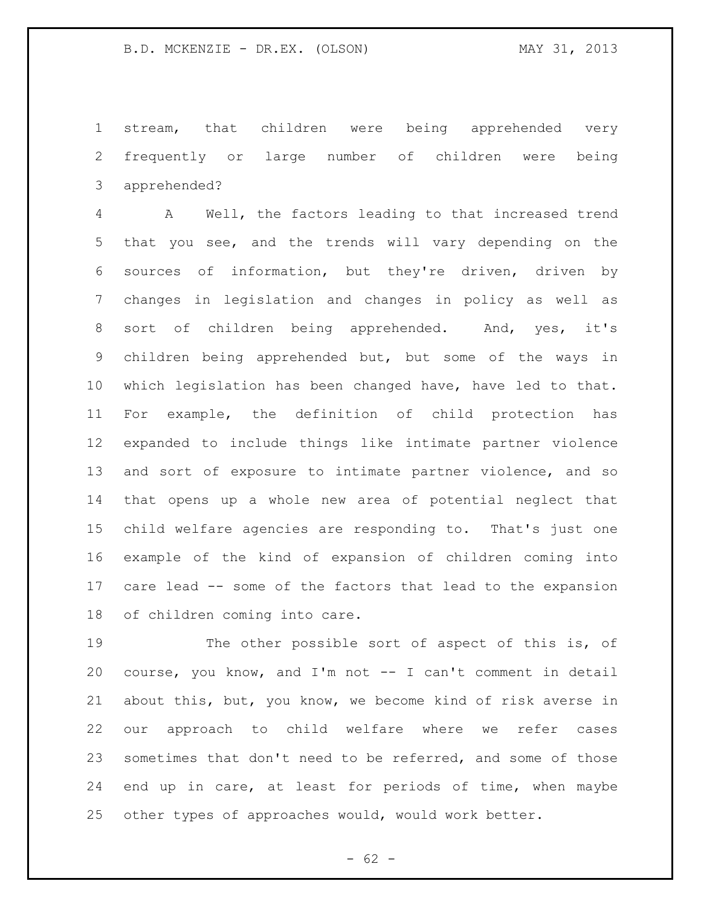stream, that children were being apprehended very frequently or large number of children were being apprehended?

 A Well, the factors leading to that increased trend that you see, and the trends will vary depending on the sources of information, but they're driven, driven by changes in legislation and changes in policy as well as sort of children being apprehended. And, yes, it's children being apprehended but, but some of the ways in which legislation has been changed have, have led to that. For example, the definition of child protection has expanded to include things like intimate partner violence and sort of exposure to intimate partner violence, and so that opens up a whole new area of potential neglect that child welfare agencies are responding to. That's just one example of the kind of expansion of children coming into care lead -- some of the factors that lead to the expansion of children coming into care.

19 The other possible sort of aspect of this is, of course, you know, and I'm not -- I can't comment in detail about this, but, you know, we become kind of risk averse in our approach to child welfare where we refer cases sometimes that don't need to be referred, and some of those end up in care, at least for periods of time, when maybe other types of approaches would, would work better.

 $- 62 -$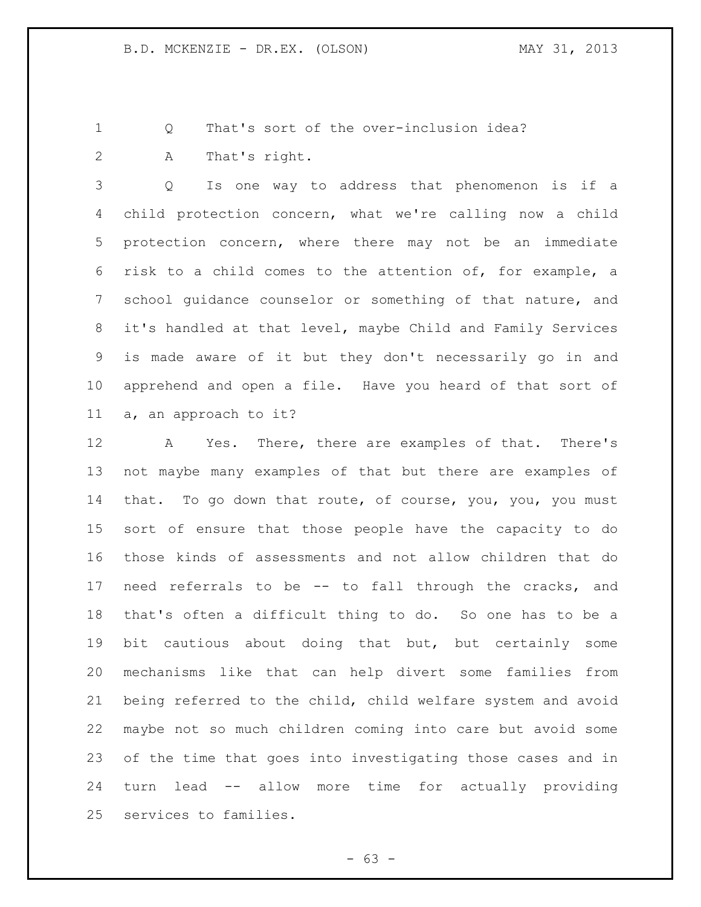Q That's sort of the over-inclusion idea?

A That's right.

 Q Is one way to address that phenomenon is if a child protection concern, what we're calling now a child protection concern, where there may not be an immediate risk to a child comes to the attention of, for example, a school guidance counselor or something of that nature, and it's handled at that level, maybe Child and Family Services is made aware of it but they don't necessarily go in and apprehend and open a file. Have you heard of that sort of a, an approach to it?

 A Yes. There, there are examples of that. There's not maybe many examples of that but there are examples of that. To go down that route, of course, you, you, you must sort of ensure that those people have the capacity to do those kinds of assessments and not allow children that do need referrals to be -- to fall through the cracks, and that's often a difficult thing to do. So one has to be a bit cautious about doing that but, but certainly some mechanisms like that can help divert some families from being referred to the child, child welfare system and avoid maybe not so much children coming into care but avoid some of the time that goes into investigating those cases and in turn lead -- allow more time for actually providing services to families.

 $- 63 -$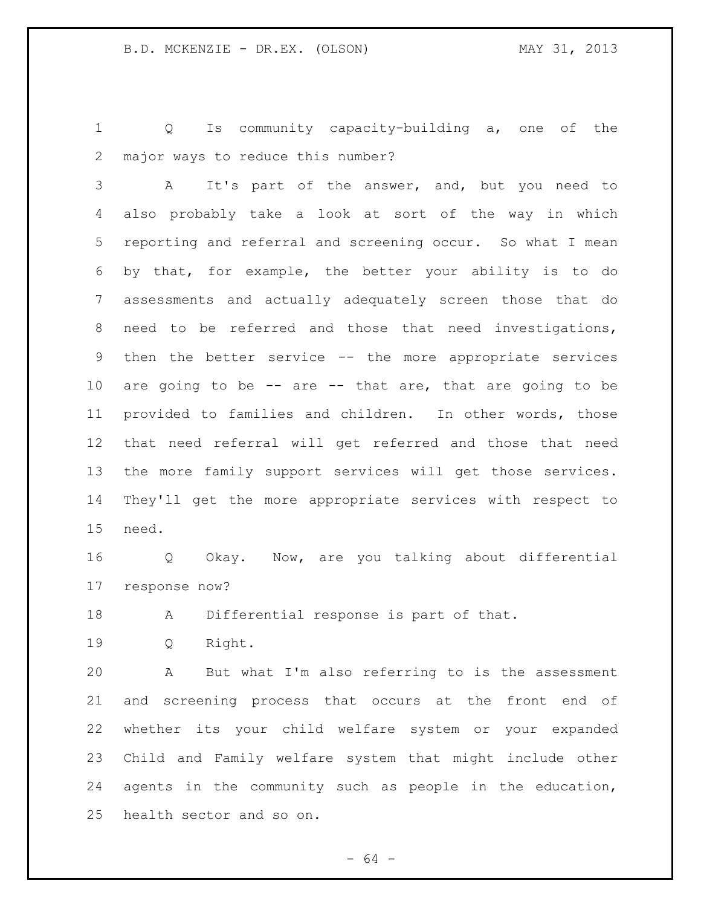Q Is community capacity-building a, one of the major ways to reduce this number?

 A It's part of the answer, and, but you need to also probably take a look at sort of the way in which reporting and referral and screening occur. So what I mean by that, for example, the better your ability is to do assessments and actually adequately screen those that do need to be referred and those that need investigations, then the better service -- the more appropriate services are going to be -- are -- that are, that are going to be provided to families and children. In other words, those that need referral will get referred and those that need the more family support services will get those services. They'll get the more appropriate services with respect to need.

 Q Okay. Now, are you talking about differential response now?

A Differential response is part of that.

Q Right.

 A But what I'm also referring to is the assessment and screening process that occurs at the front end of whether its your child welfare system or your expanded Child and Family welfare system that might include other agents in the community such as people in the education, health sector and so on.

- 64 -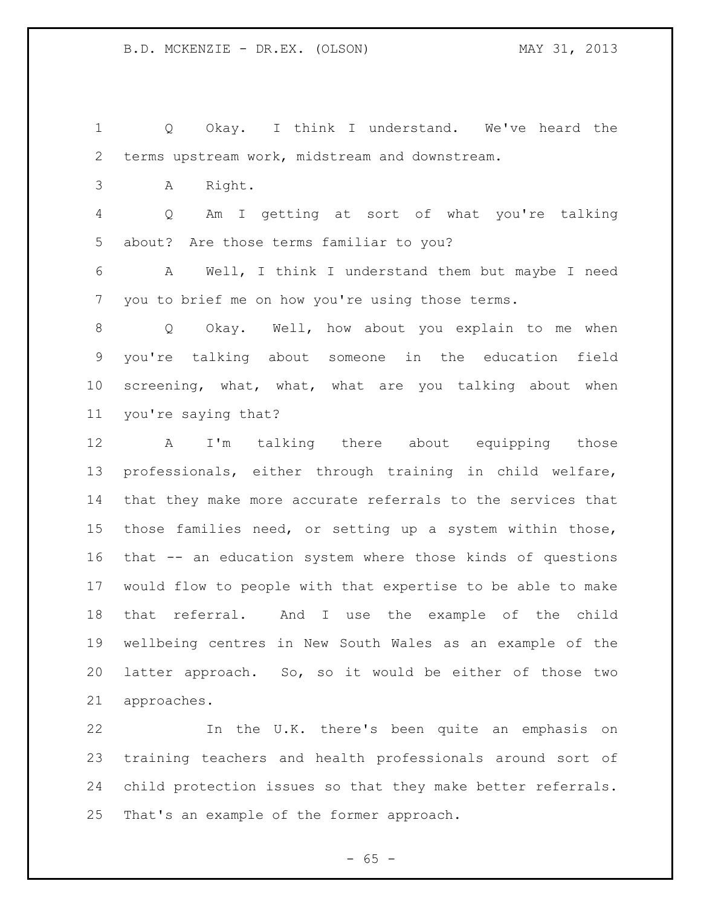Q Okay. I think I understand. We've heard the terms upstream work, midstream and downstream. A Right. Q Am I getting at sort of what you're talking about? Are those terms familiar to you? A Well, I think I understand them but maybe I need you to brief me on how you're using those terms. Q Okay. Well, how about you explain to me when you're talking about someone in the education field screening, what, what, what are you talking about when you're saying that? A I'm talking there about equipping those professionals, either through training in child welfare, that they make more accurate referrals to the services that those families need, or setting up a system within those, that -- an education system where those kinds of questions would flow to people with that expertise to be able to make that referral. And I use the example of the child wellbeing centres in New South Wales as an example of the latter approach. So, so it would be either of those two approaches.

 In the U.K. there's been quite an emphasis on training teachers and health professionals around sort of child protection issues so that they make better referrals. That's an example of the former approach.

 $- 65 -$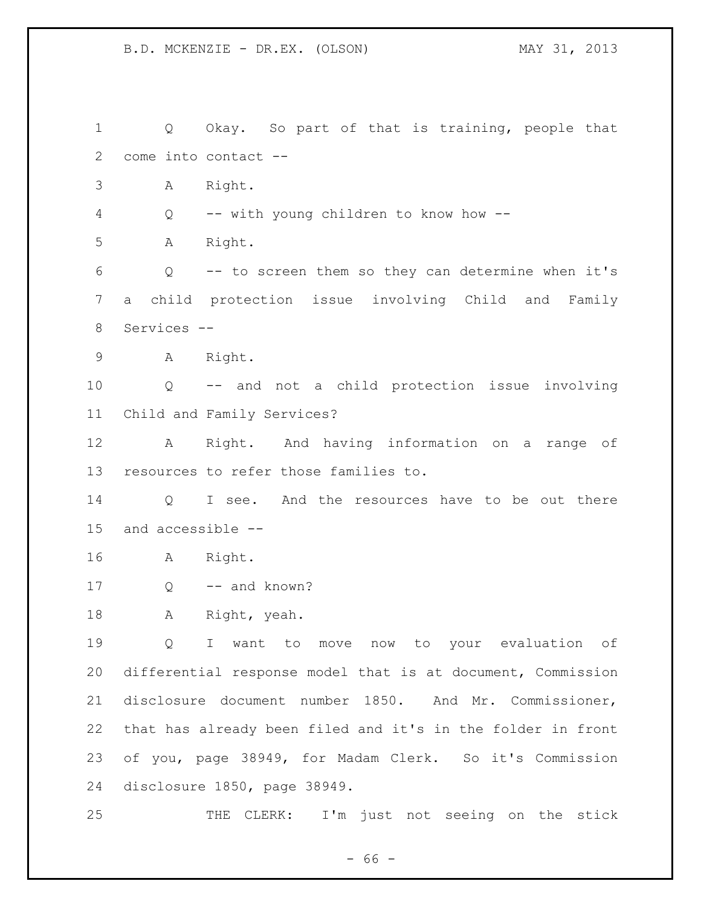Q Okay. So part of that is training, people that come into contact -- A Right. Q -- with young children to know how -- A Right. Q -- to screen them so they can determine when it's a child protection issue involving Child and Family Services -- A Right. Q -- and not a child protection issue involving Child and Family Services? A Right. And having information on a range of resources to refer those families to. 14 O I see. And the resources have to be out there and accessible -- A Right. 17 Q -- and known? A Right, yeah. Q I want to move now to your evaluation of differential response model that is at document, Commission disclosure document number 1850. And Mr. Commissioner, that has already been filed and it's in the folder in front of you, page 38949, for Madam Clerk. So it's Commission disclosure 1850, page 38949. THE CLERK: I'm just not seeing on the stick

- 66 -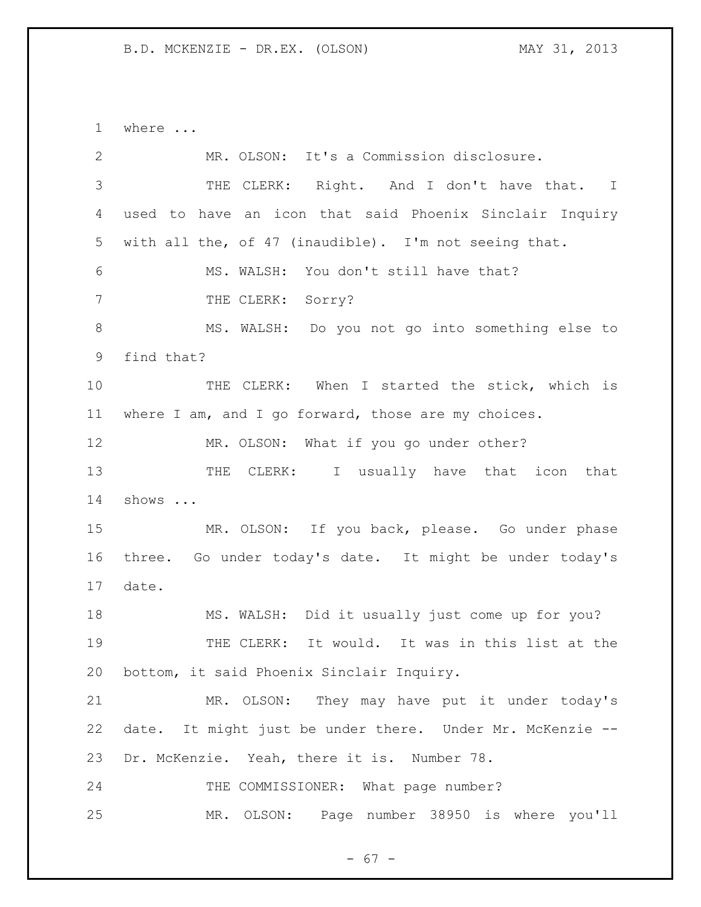where ... MR. OLSON: It's a Commission disclosure. THE CLERK: Right. And I don't have that. I used to have an icon that said Phoenix Sinclair Inquiry with all the, of 47 (inaudible). I'm not seeing that. MS. WALSH: You don't still have that? 7 THE CLERK: Sorry? MS. WALSH: Do you not go into something else to find that? THE CLERK: When I started the stick, which is where I am, and I go forward, those are my choices. 12 MR. OLSON: What if you go under other? 13 THE CLERK: I usually have that icon that shows ... MR. OLSON: If you back, please. Go under phase three. Go under today's date. It might be under today's date. MS. WALSH: Did it usually just come up for you? THE CLERK: It would. It was in this list at the bottom, it said Phoenix Sinclair Inquiry. MR. OLSON: They may have put it under today's date. It might just be under there. Under Mr. McKenzie -- Dr. McKenzie. Yeah, there it is. Number 78. 24 THE COMMISSIONER: What page number? MR. OLSON: Page number 38950 is where you'll

 $- 67 -$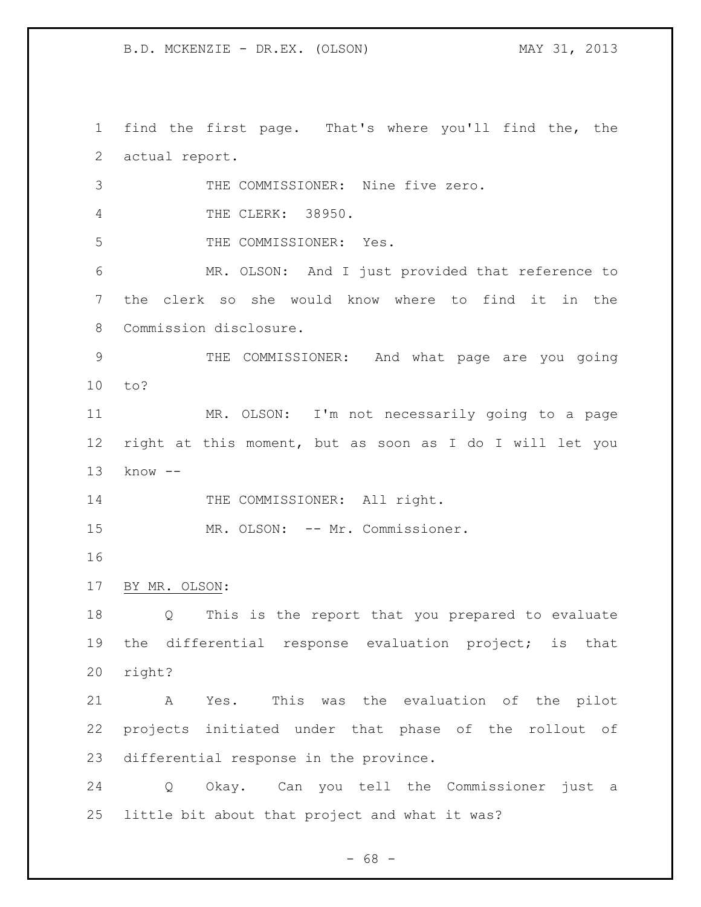find the first page. That's where you'll find the, the actual report. THE COMMISSIONER: Nine five zero. THE CLERK: 38950. THE COMMISSIONER: Yes. MR. OLSON: And I just provided that reference to the clerk so she would know where to find it in the Commission disclosure. THE COMMISSIONER: And what page are you going to? MR. OLSON: I'm not necessarily going to a page right at this moment, but as soon as I do I will let you know -- 14 THE COMMISSIONER: All right. 15 MR. OLSON: -- Mr. Commissioner. BY MR. OLSON: Q This is the report that you prepared to evaluate the differential response evaluation project; is that right? A Yes. This was the evaluation of the pilot projects initiated under that phase of the rollout of differential response in the province. Q Okay. Can you tell the Commissioner just a little bit about that project and what it was?

- 68 -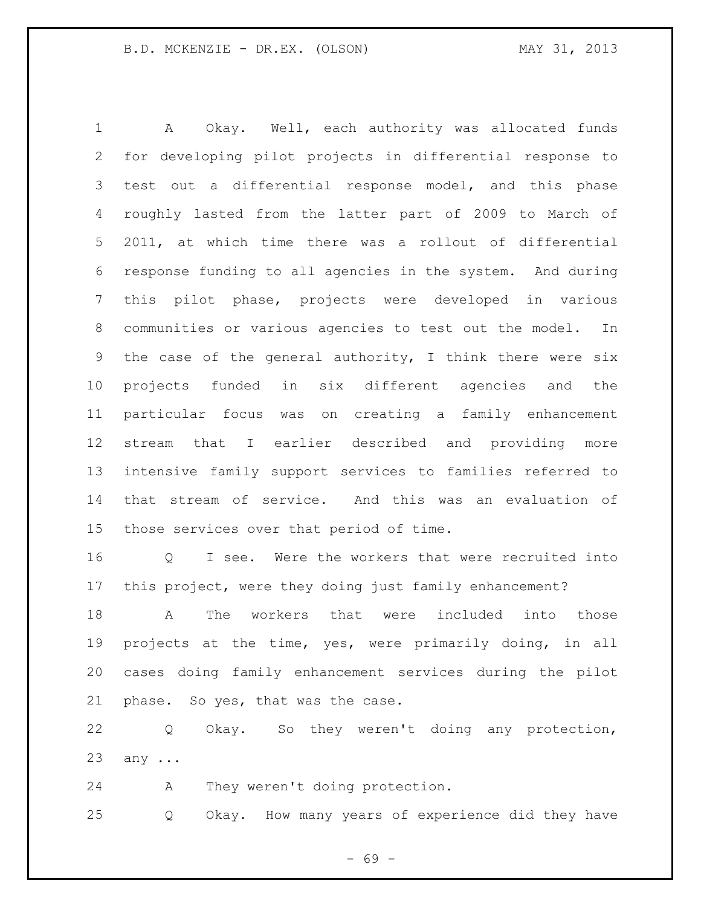A Okay. Well, each authority was allocated funds for developing pilot projects in differential response to test out a differential response model, and this phase roughly lasted from the latter part of 2009 to March of 2011, at which time there was a rollout of differential response funding to all agencies in the system. And during this pilot phase, projects were developed in various communities or various agencies to test out the model. In the case of the general authority, I think there were six projects funded in six different agencies and the particular focus was on creating a family enhancement stream that I earlier described and providing more intensive family support services to families referred to that stream of service. And this was an evaluation of those services over that period of time.

 Q I see. Were the workers that were recruited into this project, were they doing just family enhancement?

 A The workers that were included into those projects at the time, yes, were primarily doing, in all cases doing family enhancement services during the pilot phase. So yes, that was the case.

 Q Okay. So they weren't doing any protection, any ...

A They weren't doing protection.

Q Okay. How many years of experience did they have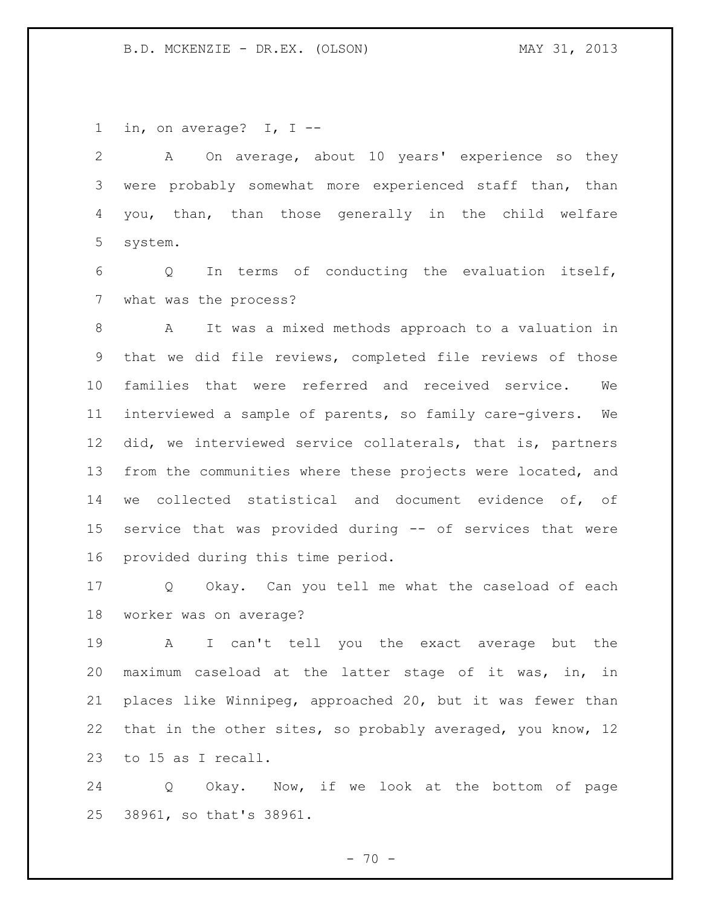in, on average? I, I --

 A On average, about 10 years' experience so they were probably somewhat more experienced staff than, than you, than, than those generally in the child welfare system.

 Q In terms of conducting the evaluation itself, what was the process?

 A It was a mixed methods approach to a valuation in that we did file reviews, completed file reviews of those families that were referred and received service. We interviewed a sample of parents, so family care-givers. We did, we interviewed service collaterals, that is, partners from the communities where these projects were located, and we collected statistical and document evidence of, of service that was provided during -- of services that were provided during this time period.

 Q Okay. Can you tell me what the caseload of each worker was on average?

 A I can't tell you the exact average but the maximum caseload at the latter stage of it was, in, in places like Winnipeg, approached 20, but it was fewer than that in the other sites, so probably averaged, you know, 12 to 15 as I recall.

 Q Okay. Now, if we look at the bottom of page 38961, so that's 38961.

 $- 70 -$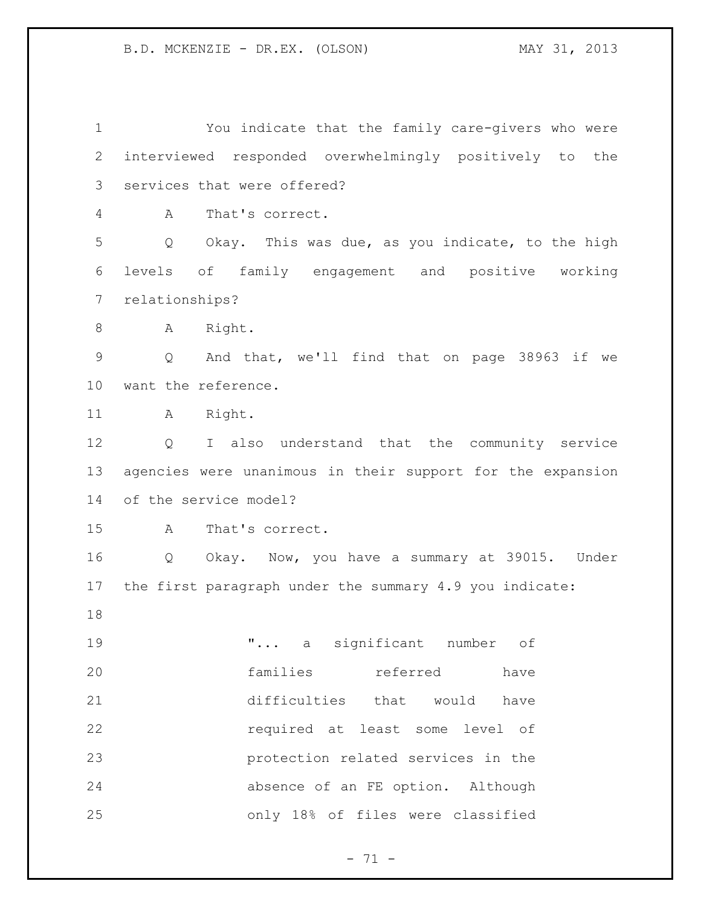You indicate that the family care-givers who were interviewed responded overwhelmingly positively to the services that were offered? A That's correct. Q Okay. This was due, as you indicate, to the high levels of family engagement and positive working relationships? 8 A Right. Q And that, we'll find that on page 38963 if we want the reference. 11 A Right. Q I also understand that the community service agencies were unanimous in their support for the expansion of the service model? A That's correct. Q Okay. Now, you have a summary at 39015. Under the first paragraph under the summary 4.9 you indicate: "... a significant number of families referred have difficulties that would have required at least some level of protection related services in the absence of an FE option. Although only 18% of files were classified

 $- 71 -$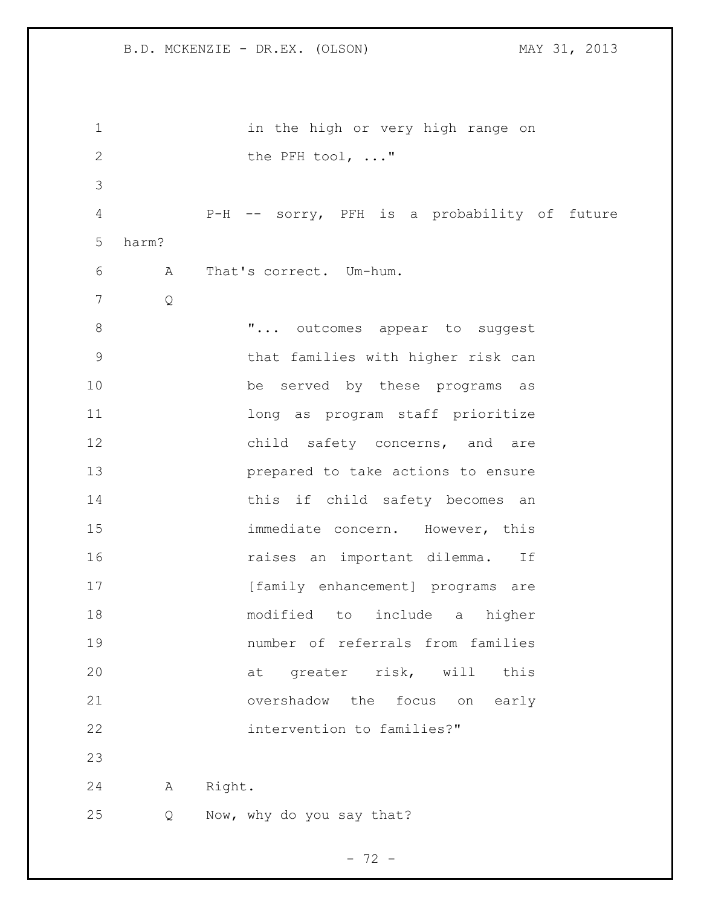1 in the high or very high range on 2 the PFH tool, ..." P-H -- sorry, PFH is a probability of future harm? A That's correct. Um-hum. Q **"...** outcomes appear to suggest that families with higher risk can be served by these programs as 11 12 long as program staff prioritize 12 child safety concerns, and are prepared to take actions to ensure 14 this if child safety becomes an immediate concern. However, this raises an important dilemma. If 17 [family enhancement] programs are modified to include a higher number of referrals from families at greater risk, will this overshadow the focus on early intervention to families?" A Right. Q Now, why do you say that?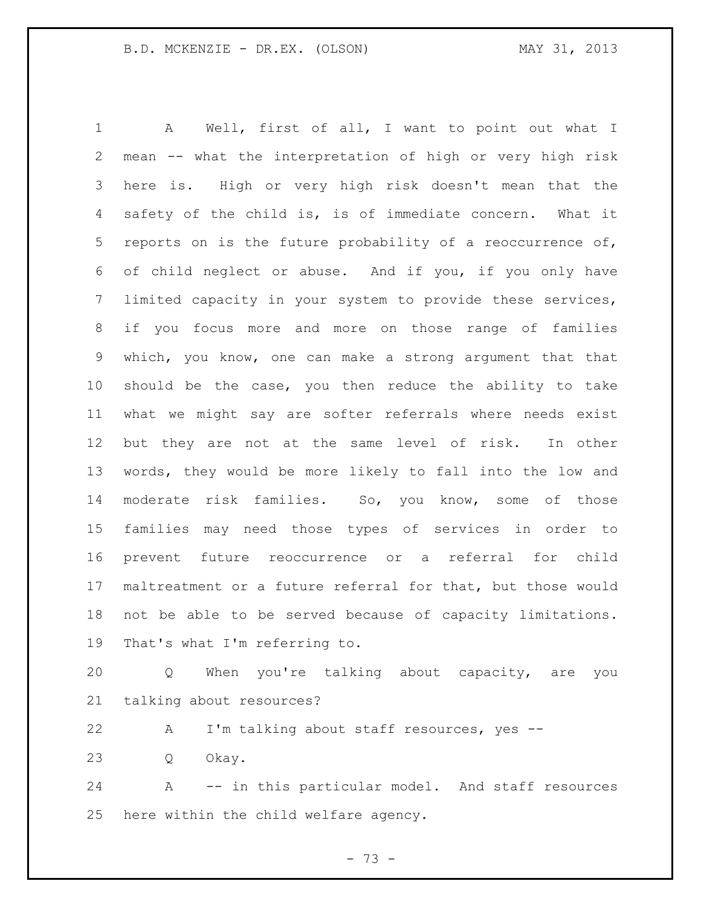A Well, first of all, I want to point out what I mean -- what the interpretation of high or very high risk here is. High or very high risk doesn't mean that the safety of the child is, is of immediate concern. What it reports on is the future probability of a reoccurrence of, of child neglect or abuse. And if you, if you only have limited capacity in your system to provide these services, if you focus more and more on those range of families which, you know, one can make a strong argument that that should be the case, you then reduce the ability to take what we might say are softer referrals where needs exist but they are not at the same level of risk. In other words, they would be more likely to fall into the low and moderate risk families. So, you know, some of those families may need those types of services in order to prevent future reoccurrence or a referral for child maltreatment or a future referral for that, but those would not be able to be served because of capacity limitations. That's what I'm referring to.

 Q When you're talking about capacity, are you talking about resources?

A I'm talking about staff resources, yes --

Q Okay.

 A -- in this particular model. And staff resources here within the child welfare agency.

- 73 -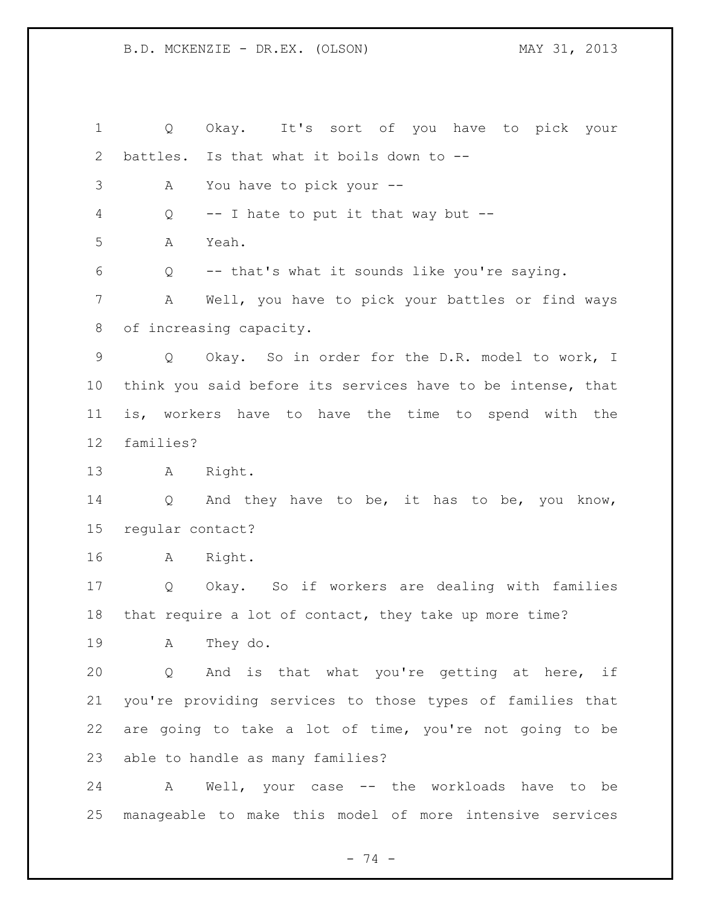Q Okay. It's sort of you have to pick your battles. Is that what it boils down to -- A You have to pick your -- Q -- I hate to put it that way but -- A Yeah. Q -- that's what it sounds like you're saying. A Well, you have to pick your battles or find ways of increasing capacity. Q Okay. So in order for the D.R. model to work, I think you said before its services have to be intense, that is, workers have to have the time to spend with the families? A Right. 14 Q And they have to be, it has to be, you know, regular contact? A Right. Q Okay. So if workers are dealing with families that require a lot of contact, they take up more time? A They do. Q And is that what you're getting at here, if you're providing services to those types of families that are going to take a lot of time, you're not going to be able to handle as many families? A Well, your case -- the workloads have to be manageable to make this model of more intensive services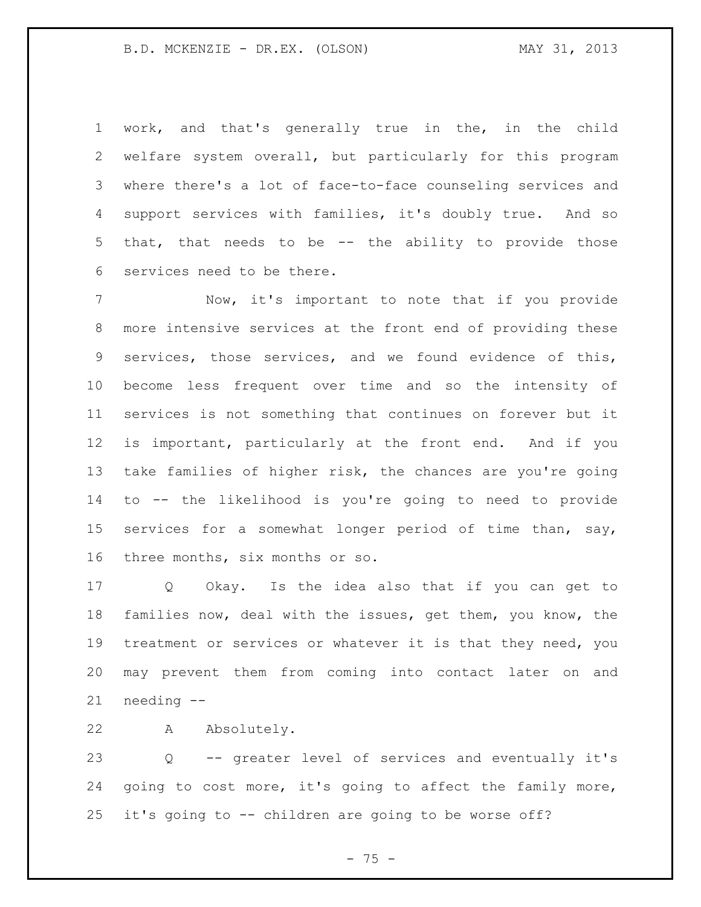work, and that's generally true in the, in the child welfare system overall, but particularly for this program where there's a lot of face-to-face counseling services and support services with families, it's doubly true. And so that, that needs to be -- the ability to provide those services need to be there.

 Now, it's important to note that if you provide more intensive services at the front end of providing these services, those services, and we found evidence of this, become less frequent over time and so the intensity of services is not something that continues on forever but it is important, particularly at the front end. And if you take families of higher risk, the chances are you're going to -- the likelihood is you're going to need to provide services for a somewhat longer period of time than, say, three months, six months or so.

 Q Okay. Is the idea also that if you can get to families now, deal with the issues, get them, you know, the treatment or services or whatever it is that they need, you may prevent them from coming into contact later on and needing --

A Absolutely.

 Q -- greater level of services and eventually it's going to cost more, it's going to affect the family more, it's going to -- children are going to be worse off?

 $- 75 -$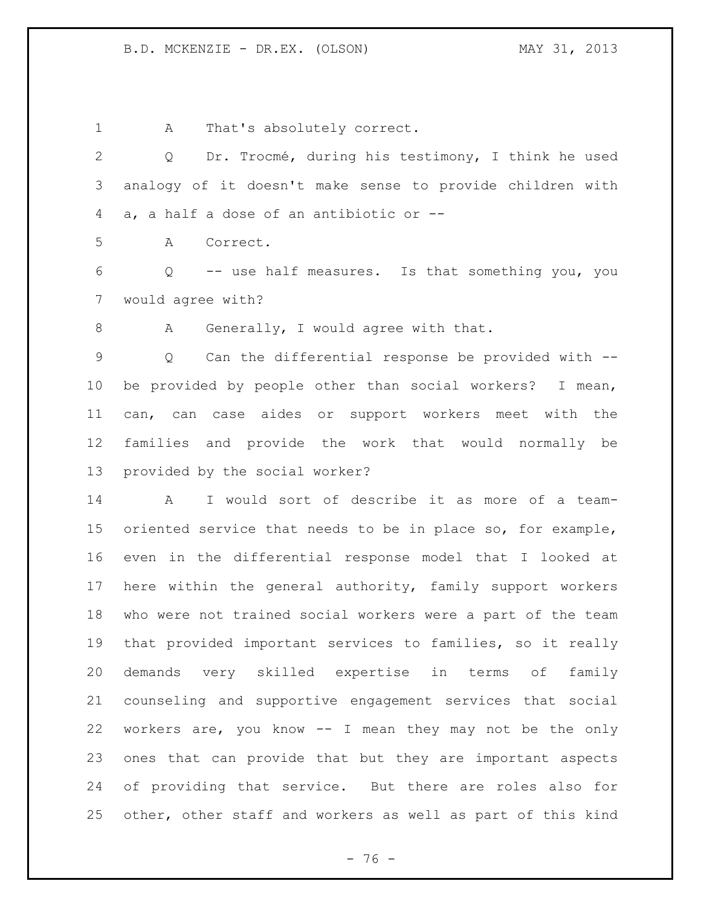1 A That's absolutely correct. Q Dr. Trocmé, during his testimony, I think he used analogy of it doesn't make sense to provide children with a, a half a dose of an antibiotic or -- A Correct. Q -- use half measures. Is that something you, you would agree with? 8 A Generally, I would agree with that. Q Can the differential response be provided with -- be provided by people other than social workers? I mean, can, can case aides or support workers meet with the families and provide the work that would normally be provided by the social worker? A I would sort of describe it as more of a team- oriented service that needs to be in place so, for example, even in the differential response model that I looked at here within the general authority, family support workers who were not trained social workers were a part of the team that provided important services to families, so it really demands very skilled expertise in terms of family counseling and supportive engagement services that social workers are, you know -- I mean they may not be the only ones that can provide that but they are important aspects of providing that service. But there are roles also for other, other staff and workers as well as part of this kind

- 76 -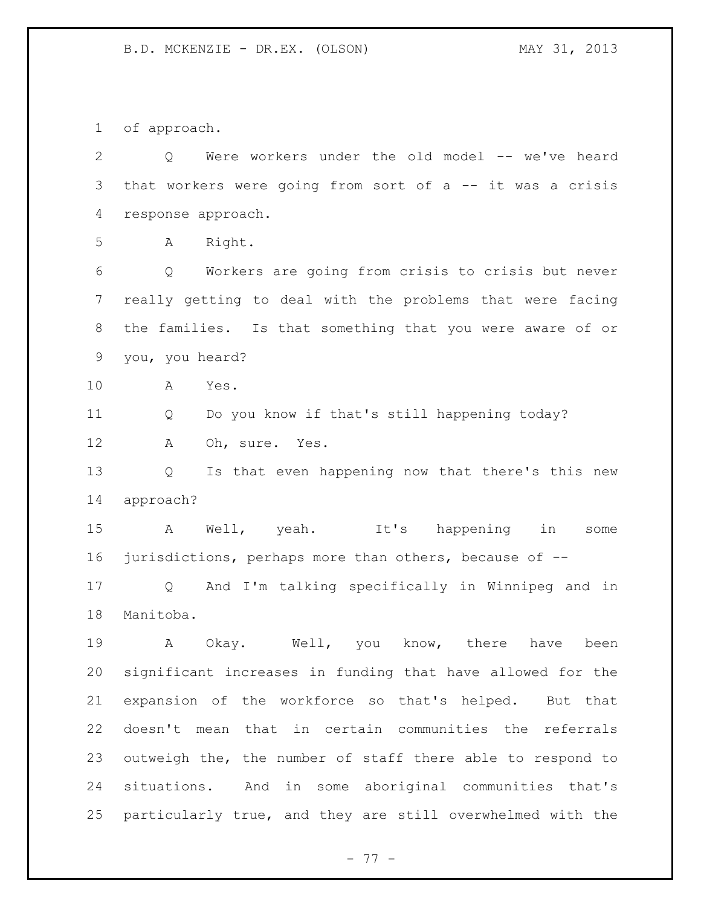of approach.

| $\overline{2}$ | Were workers under the old model -- we've heard<br>Q                   |
|----------------|------------------------------------------------------------------------|
| 3              | that workers were going from sort of $a$ -- it was a crisis            |
| 4              | response approach.                                                     |
| 5              | Right.<br>A                                                            |
| 6              | Workers are going from crisis to crisis but never<br>$Q \qquad \qquad$ |
| 7              | really getting to deal with the problems that were facing              |
| 8              | the families. Is that something that you were aware of or              |
| 9              | you, you heard?                                                        |
| 10             | Α<br>Yes.                                                              |
| 11             | Do you know if that's still happening today?<br>Q                      |
| 12             | Oh, sure. Yes.<br>А                                                    |
| 13             | Is that even happening now that there's this new<br>Q                  |
| 14             | approach?                                                              |
| 15             | Well, yeah. It's happening in<br>A<br>some                             |
| 16             | jurisdictions, perhaps more than others, because of --                 |
| 17             | And I'm talking specifically in Winnipeg and in<br>Q                   |
| 18             | Manitoba.                                                              |
| 19             | A<br>Okay. Well, you know, there have<br>been                          |
| 20             | significant increases in funding that have allowed for the             |
| 21             | expansion of the workforce so that's helped. But that                  |
| 22             | doesn't mean that in certain communities the<br>referrals              |
| 23             | outweigh the, the number of staff there able to respond to             |
| 24             | situations. And in some aboriginal communities that's                  |
| 25             | particularly true, and they are still overwhelmed with the             |

- 77 -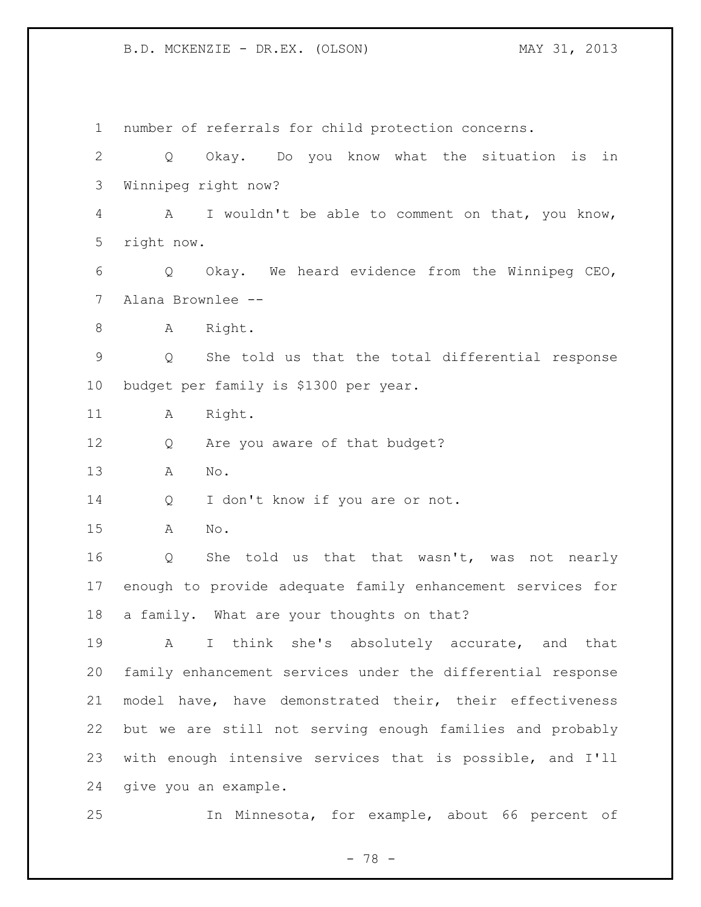number of referrals for child protection concerns. Q Okay. Do you know what the situation is in Winnipeg right now? A I wouldn't be able to comment on that, you know, right now. Q Okay. We heard evidence from the Winnipeg CEO, Alana Brownlee -- 8 A Right. Q She told us that the total differential response budget per family is \$1300 per year. 11 A Right. 12 Q Are you aware of that budget? A No. 14 Q I don't know if you are or not. A No. Q She told us that that wasn't, was not nearly enough to provide adequate family enhancement services for a family. What are your thoughts on that? A I think she's absolutely accurate, and that family enhancement services under the differential response model have, have demonstrated their, their effectiveness but we are still not serving enough families and probably with enough intensive services that is possible, and I'll give you an example. In Minnesota, for example, about 66 percent of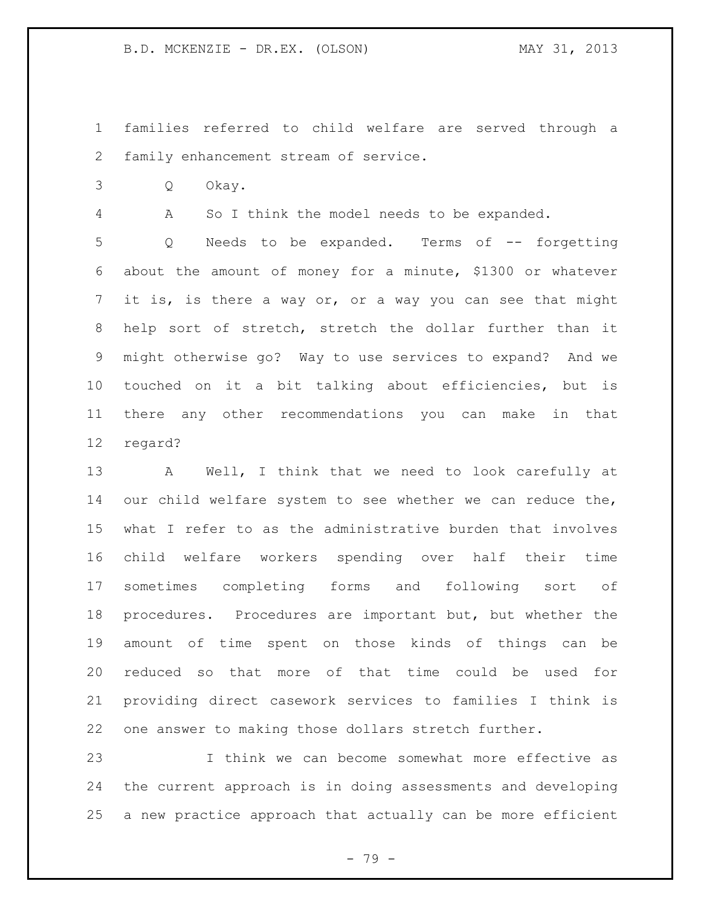- families referred to child welfare are served through a family enhancement stream of service.
- Q Okay.

A So I think the model needs to be expanded.

 Q Needs to be expanded. Terms of -- forgetting about the amount of money for a minute, \$1300 or whatever it is, is there a way or, or a way you can see that might help sort of stretch, stretch the dollar further than it might otherwise go? Way to use services to expand? And we touched on it a bit talking about efficiencies, but is there any other recommendations you can make in that regard?

 A Well, I think that we need to look carefully at 14 our child welfare system to see whether we can reduce the, what I refer to as the administrative burden that involves child welfare workers spending over half their time sometimes completing forms and following sort of procedures. Procedures are important but, but whether the amount of time spent on those kinds of things can be reduced so that more of that time could be used for providing direct casework services to families I think is one answer to making those dollars stretch further.

 I think we can become somewhat more effective as the current approach is in doing assessments and developing a new practice approach that actually can be more efficient

- 79 -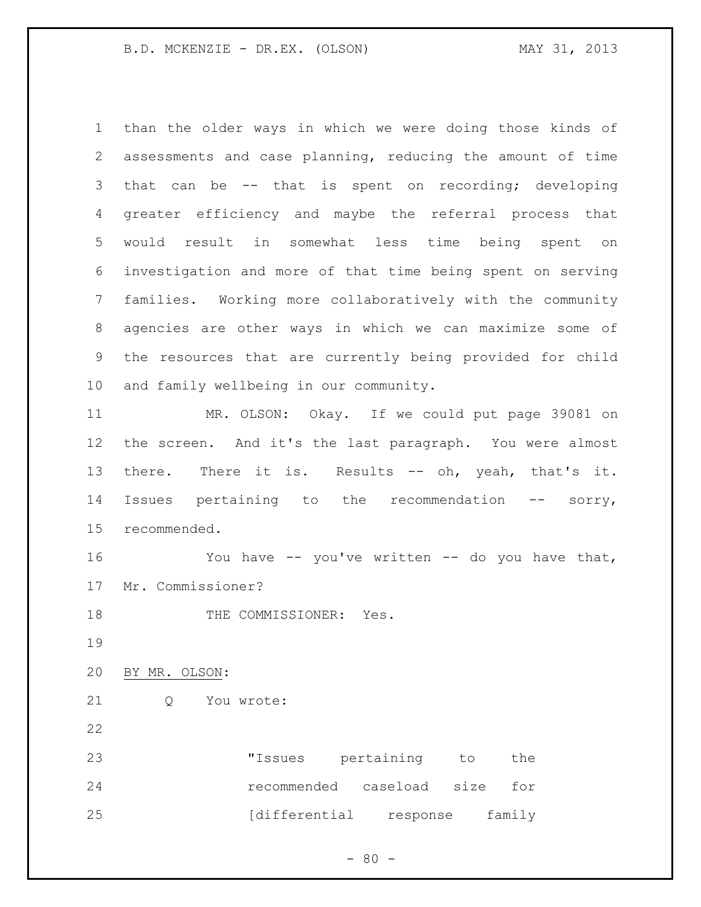than the older ways in which we were doing those kinds of assessments and case planning, reducing the amount of time that can be -- that is spent on recording; developing greater efficiency and maybe the referral process that would result in somewhat less time being spent on investigation and more of that time being spent on serving families. Working more collaboratively with the community agencies are other ways in which we can maximize some of the resources that are currently being provided for child and family wellbeing in our community.

 MR. OLSON: Okay. If we could put page 39081 on the screen. And it's the last paragraph. You were almost 13 there. There it is. Results -- oh, yeah, that's it. Issues pertaining to the recommendation -- sorry, recommended.

 You have -- you've written -- do you have that, Mr. Commissioner?

18 THE COMMISSIONER: Yes.

BY MR. OLSON:

Q You wrote:

| 23 | "Issues pertaining to         | the    |  |
|----|-------------------------------|--------|--|
| 24 | recommended caseload size for |        |  |
| 25 | [differential response        | family |  |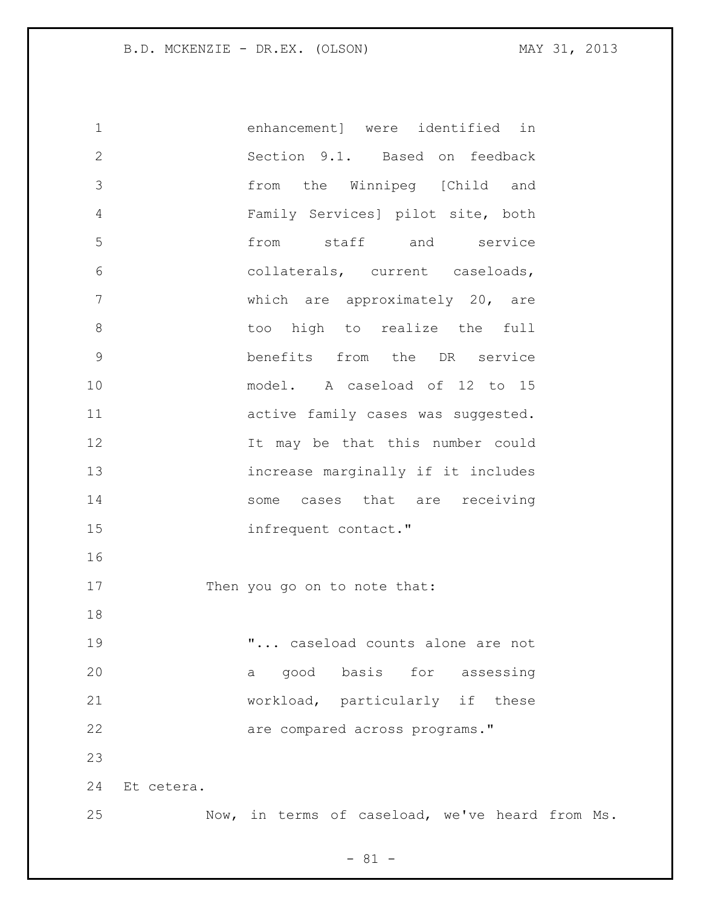enhancement] were identified in Section 9.1. Based on feedback from the Winnipeg [Child and Family Services] pilot site, both from staff and service collaterals, current caseloads, which are approximately 20, are 8 boo high to realize the full benefits from the DR service model. A caseload of 12 to 15 active family cases was suggested. 12 12 It may be that this number could increase marginally if it includes 14 some cases that are receiving infrequent contact." 17 Then you go on to note that: "... caseload counts alone are not a good basis for assessing workload, particularly if these are compared across programs." Et cetera. Now, in terms of caseload, we've heard from Ms.

 $- 81 -$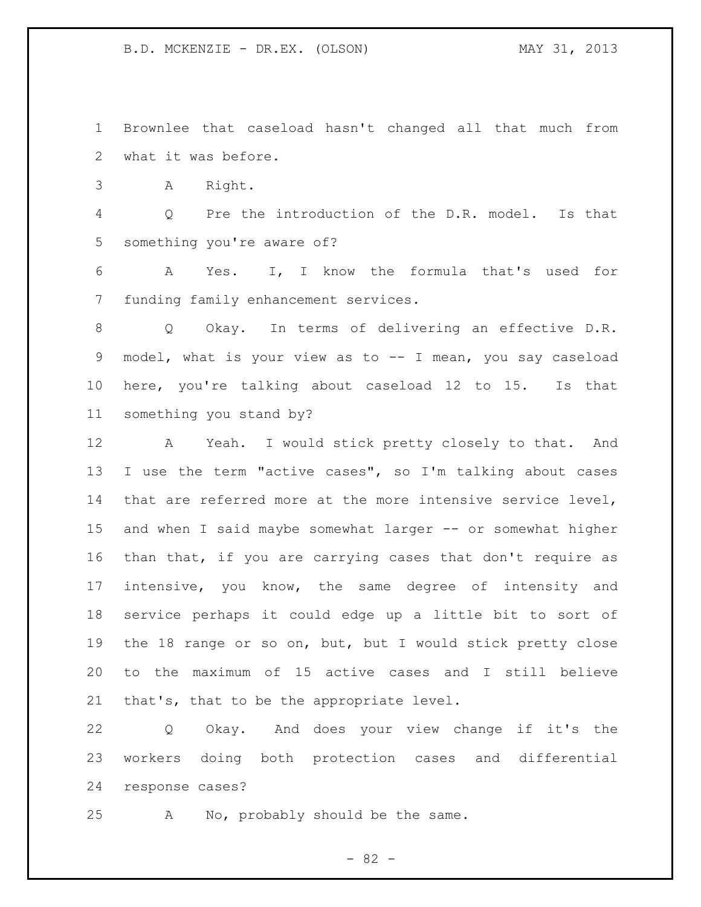Brownlee that caseload hasn't changed all that much from what it was before.

A Right.

 Q Pre the introduction of the D.R. model. Is that something you're aware of?

 A Yes. I, I know the formula that's used for funding family enhancement services.

 Q Okay. In terms of delivering an effective D.R. model, what is your view as to -- I mean, you say caseload here, you're talking about caseload 12 to 15. Is that something you stand by?

 A Yeah. I would stick pretty closely to that. And I use the term "active cases", so I'm talking about cases that are referred more at the more intensive service level, and when I said maybe somewhat larger -- or somewhat higher than that, if you are carrying cases that don't require as 17 intensive, you know, the same degree of intensity and service perhaps it could edge up a little bit to sort of the 18 range or so on, but, but I would stick pretty close to the maximum of 15 active cases and I still believe that's, that to be the appropriate level.

 Q Okay. And does your view change if it's the workers doing both protection cases and differential response cases?

A No, probably should be the same.

- 82 -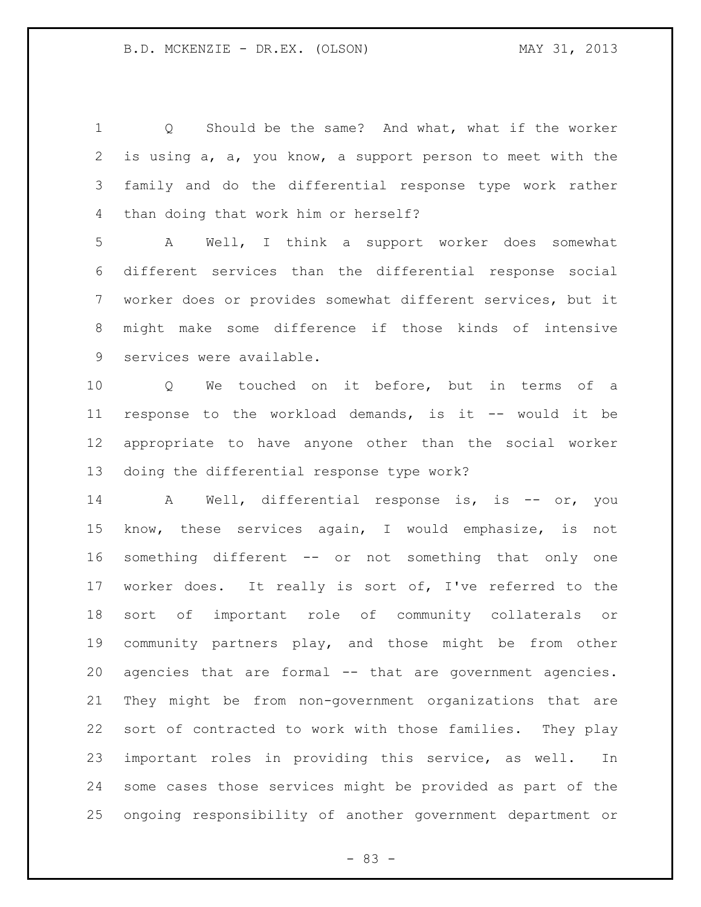Q Should be the same? And what, what if the worker is using a, a, you know, a support person to meet with the family and do the differential response type work rather than doing that work him or herself?

 A Well, I think a support worker does somewhat different services than the differential response social worker does or provides somewhat different services, but it might make some difference if those kinds of intensive services were available.

 Q We touched on it before, but in terms of a response to the workload demands, is it -- would it be appropriate to have anyone other than the social worker doing the differential response type work?

14 A Well, differential response is, is -- or, you know, these services again, I would emphasize, is not something different -- or not something that only one worker does. It really is sort of, I've referred to the sort of important role of community collaterals or community partners play, and those might be from other agencies that are formal -- that are government agencies. They might be from non-government organizations that are sort of contracted to work with those families. They play important roles in providing this service, as well. In some cases those services might be provided as part of the ongoing responsibility of another government department or

- 83 -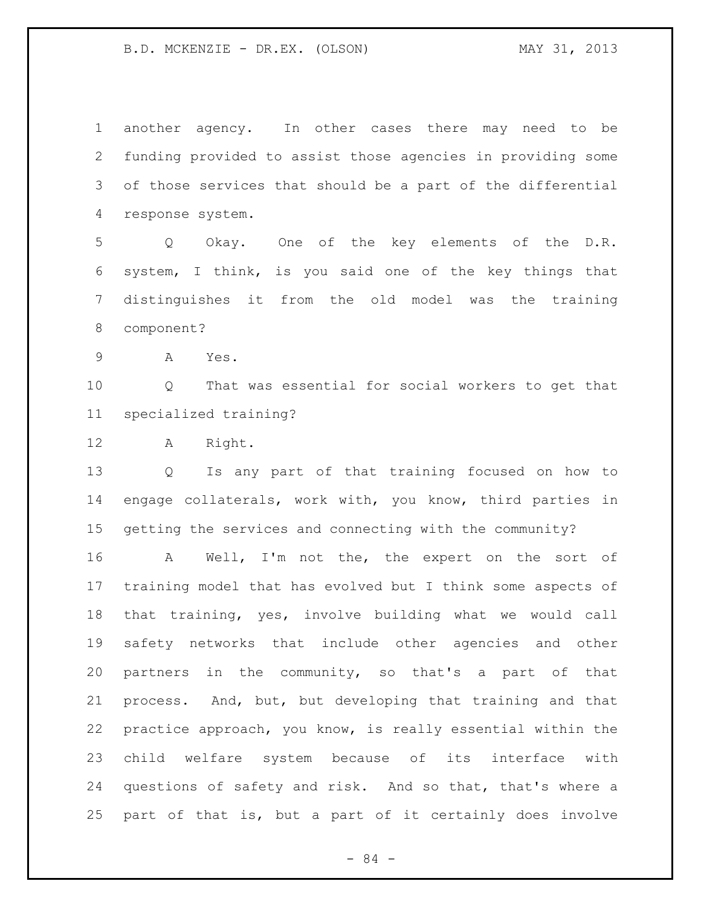another agency. In other cases there may need to be funding provided to assist those agencies in providing some of those services that should be a part of the differential response system.

 Q Okay. One of the key elements of the D.R. system, I think, is you said one of the key things that distinguishes it from the old model was the training component?

A Yes.

 Q That was essential for social workers to get that specialized training?

A Right.

 Q Is any part of that training focused on how to engage collaterals, work with, you know, third parties in getting the services and connecting with the community?

 A Well, I'm not the, the expert on the sort of training model that has evolved but I think some aspects of that training, yes, involve building what we would call safety networks that include other agencies and other partners in the community, so that's a part of that process. And, but, but developing that training and that practice approach, you know, is really essential within the child welfare system because of its interface with questions of safety and risk. And so that, that's where a part of that is, but a part of it certainly does involve

- 84 -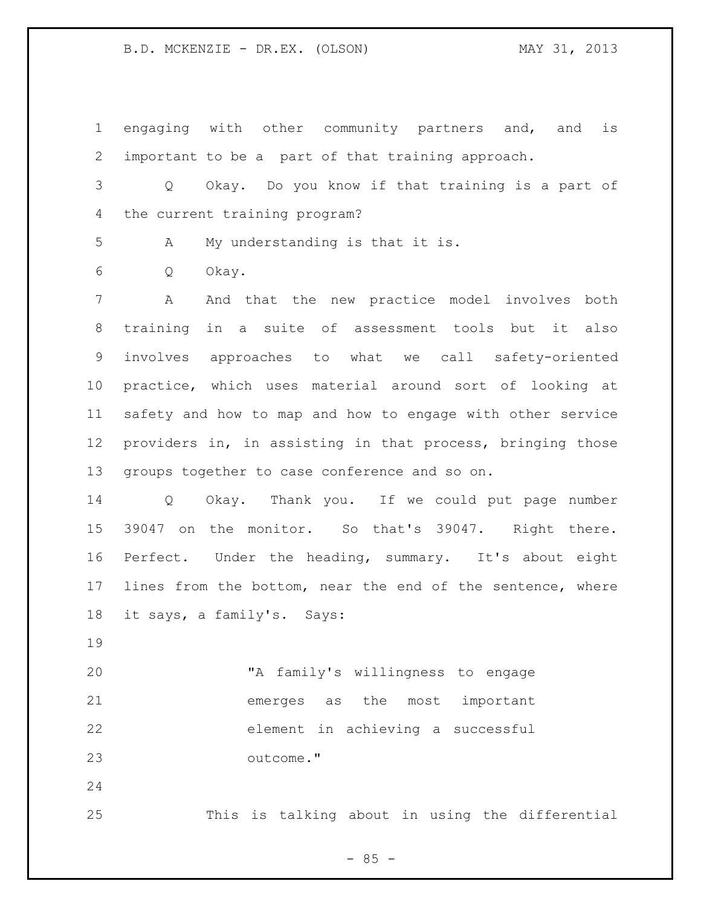engaging with other community partners and, and is important to be a part of that training approach.

 Q Okay. Do you know if that training is a part of the current training program?

A My understanding is that it is.

Q Okay.

 A And that the new practice model involves both training in a suite of assessment tools but it also involves approaches to what we call safety-oriented practice, which uses material around sort of looking at safety and how to map and how to engage with other service providers in, in assisting in that process, bringing those groups together to case conference and so on.

 Q Okay. Thank you. If we could put page number 39047 on the monitor. So that's 39047. Right there. Perfect. Under the heading, summary. It's about eight lines from the bottom, near the end of the sentence, where it says, a family's. Says:

 "A family's willingness to engage emerges as the most important element in achieving a successful outcome."

This is talking about in using the differential

 $- 85 -$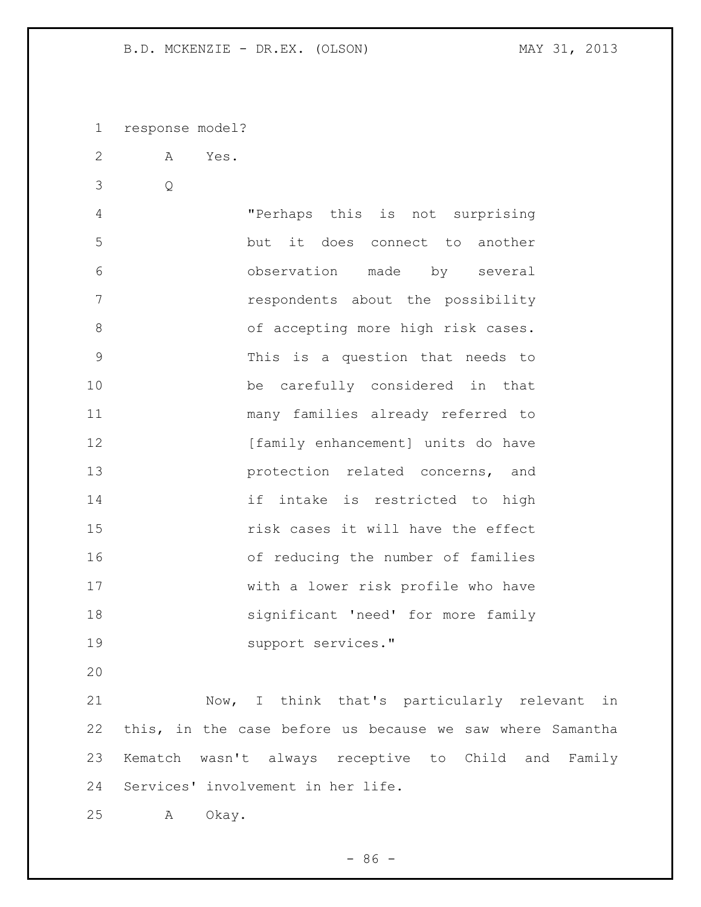response model?

A Yes.

Q

 "Perhaps this is not surprising but it does connect to another observation made by several respondents about the possibility 8 of accepting more high risk cases. This is a question that needs to be carefully considered in that many families already referred to **[family enhancement]** units do have **protection** related concerns, and 14 if intake is restricted to high risk cases it will have the effect of reducing the number of families with a lower risk profile who have significant 'need' for more family support services."

 Now, I think that's particularly relevant in this, in the case before us because we saw where Samantha Kematch wasn't always receptive to Child and Family Services' involvement in her life.

A Okay.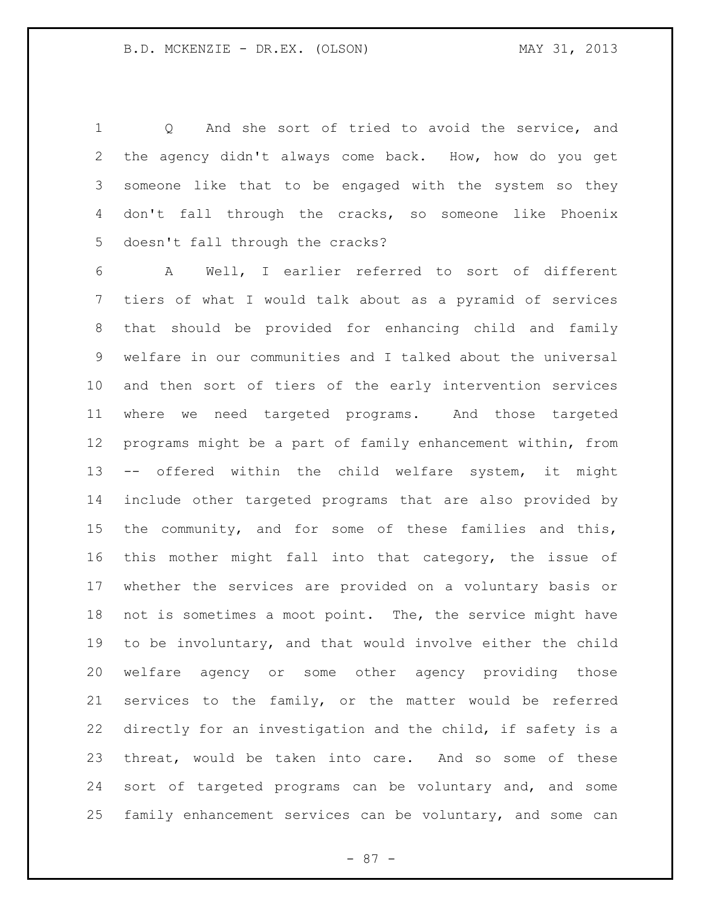Q And she sort of tried to avoid the service, and the agency didn't always come back. How, how do you get someone like that to be engaged with the system so they don't fall through the cracks, so someone like Phoenix doesn't fall through the cracks?

 A Well, I earlier referred to sort of different tiers of what I would talk about as a pyramid of services that should be provided for enhancing child and family welfare in our communities and I talked about the universal and then sort of tiers of the early intervention services where we need targeted programs. And those targeted programs might be a part of family enhancement within, from -- offered within the child welfare system, it might include other targeted programs that are also provided by the community, and for some of these families and this, this mother might fall into that category, the issue of whether the services are provided on a voluntary basis or 18 not is sometimes a moot point. The, the service might have to be involuntary, and that would involve either the child welfare agency or some other agency providing those services to the family, or the matter would be referred directly for an investigation and the child, if safety is a threat, would be taken into care. And so some of these sort of targeted programs can be voluntary and, and some family enhancement services can be voluntary, and some can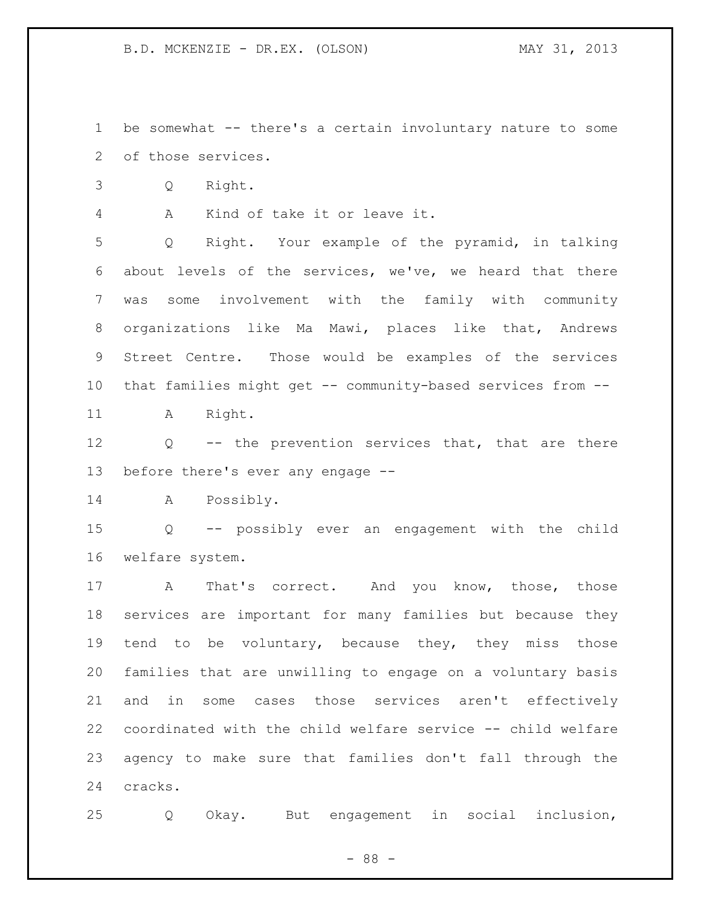be somewhat -- there's a certain involuntary nature to some of those services.

Q Right.

A Kind of take it or leave it.

 Q Right. Your example of the pyramid, in talking about levels of the services, we've, we heard that there was some involvement with the family with community organizations like Ma Mawi, places like that, Andrews Street Centre. Those would be examples of the services that families might get -- community-based services from --

11 A Right.

 Q -- the prevention services that, that are there before there's ever any engage --

A Possibly.

 Q -- possibly ever an engagement with the child welfare system.

17 A That's correct. And you know, those, those services are important for many families but because they tend to be voluntary, because they, they miss those families that are unwilling to engage on a voluntary basis and in some cases those services aren't effectively coordinated with the child welfare service -- child welfare agency to make sure that families don't fall through the cracks.

Q Okay. But engagement in social inclusion,

- 88 -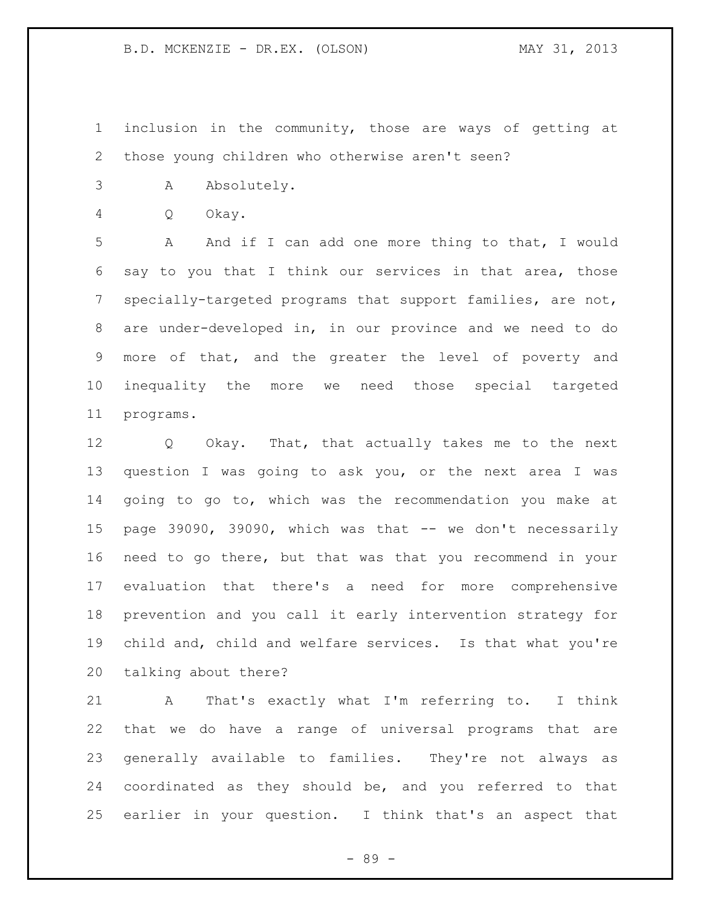inclusion in the community, those are ways of getting at those young children who otherwise aren't seen?

- A Absolutely.
- Q Okay.

 A And if I can add one more thing to that, I would say to you that I think our services in that area, those specially-targeted programs that support families, are not, are under-developed in, in our province and we need to do more of that, and the greater the level of poverty and inequality the more we need those special targeted programs.

 Q Okay. That, that actually takes me to the next question I was going to ask you, or the next area I was going to go to, which was the recommendation you make at page 39090, 39090, which was that -- we don't necessarily need to go there, but that was that you recommend in your evaluation that there's a need for more comprehensive prevention and you call it early intervention strategy for child and, child and welfare services. Is that what you're talking about there?

 A That's exactly what I'm referring to. I think that we do have a range of universal programs that are generally available to families. They're not always as coordinated as they should be, and you referred to that earlier in your question. I think that's an aspect that

- 89 -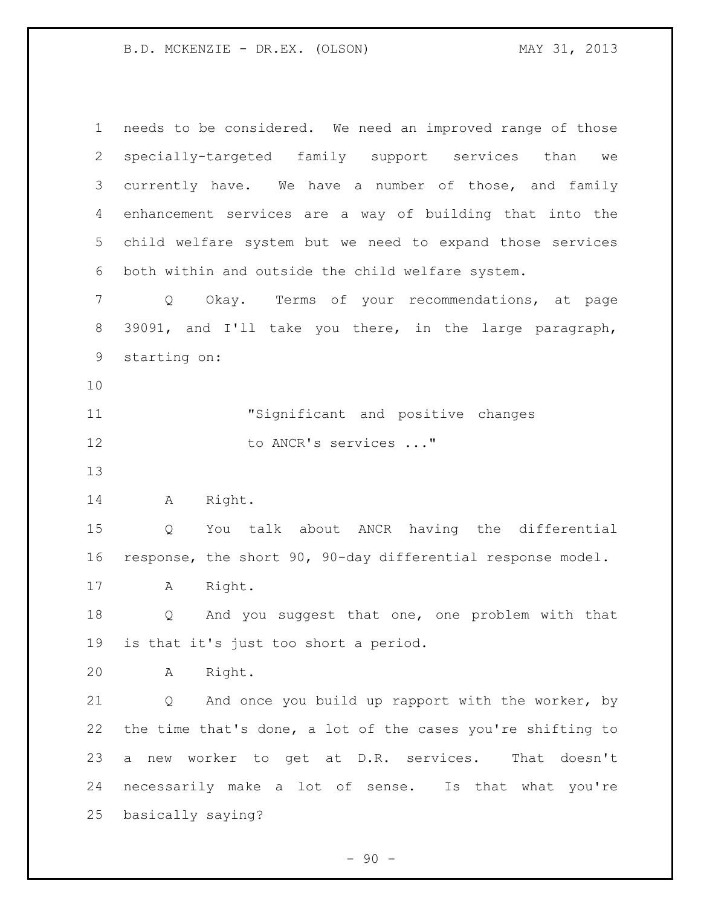| 1              | needs to be considered. We need an improved range of those        |
|----------------|-------------------------------------------------------------------|
| $\mathbf{2}$   | specially-targeted family support services<br>than we             |
| 3              | currently have. We have a number of those, and family             |
| 4              | enhancement services are a way of building that into the          |
| 5 <sup>1</sup> | child welfare system but we need to expand those services         |
| 6              | both within and outside the child welfare system.                 |
| 7              | Okay. Terms of your recommendations, at page<br>$Q \qquad \qquad$ |
| 8              | 39091, and I'll take you there, in the large paragraph,           |
| 9              | starting on:                                                      |
| 10             |                                                                   |
| 11             | "Significant and positive changes                                 |
| 12             | to ANCR's services "                                              |
| 13             |                                                                   |
| 14             | Right.<br>Α                                                       |
| 15             | You talk about ANCR having the differential<br>Q                  |
| 16             | response, the short 90, 90-day differential response model.       |
| 17             | Right.<br>A                                                       |
| 18             | And you suggest that one, one problem with that<br>Q              |
| 19             | is that it's just too short a period.                             |
| 20             | Right.<br>Α                                                       |
| 21             | And once you build up rapport with the worker, by<br>Q            |
| 22             | the time that's done, a lot of the cases you're shifting to       |
| 23             | new worker to get at D.R. services. That doesn't<br>a             |
| 24             | necessarily make a lot of sense. Is that what you're              |
| 25             | basically saying?                                                 |
|                |                                                                   |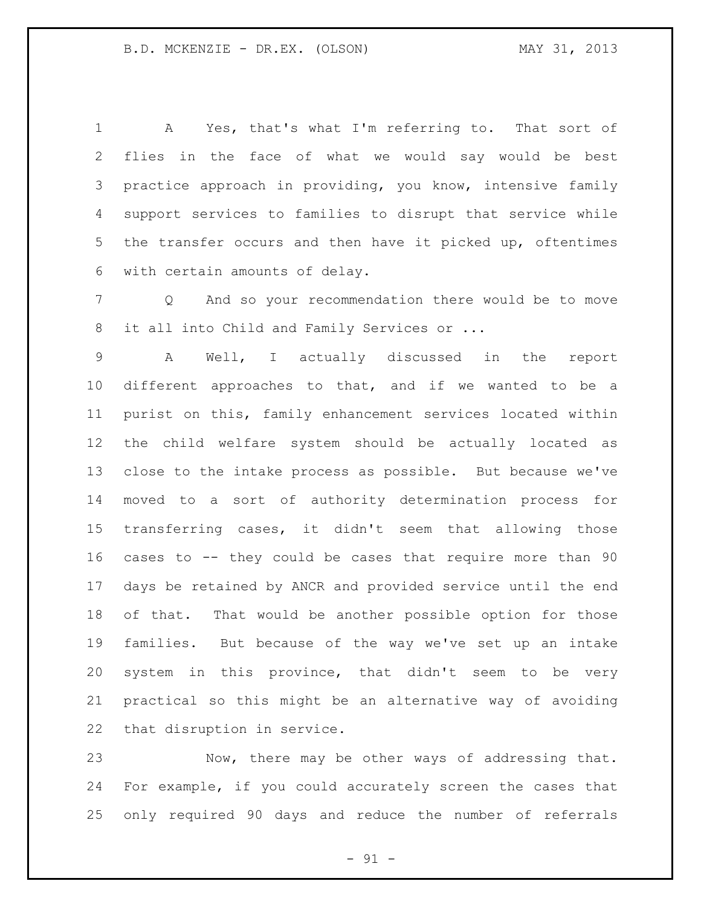A Yes, that's what I'm referring to. That sort of flies in the face of what we would say would be best practice approach in providing, you know, intensive family support services to families to disrupt that service while the transfer occurs and then have it picked up, oftentimes with certain amounts of delay.

 Q And so your recommendation there would be to move 8 it all into Child and Family Services or ...

 A Well, I actually discussed in the report different approaches to that, and if we wanted to be a purist on this, family enhancement services located within the child welfare system should be actually located as close to the intake process as possible. But because we've moved to a sort of authority determination process for transferring cases, it didn't seem that allowing those cases to -- they could be cases that require more than 90 days be retained by ANCR and provided service until the end of that. That would be another possible option for those families. But because of the way we've set up an intake system in this province, that didn't seem to be very practical so this might be an alternative way of avoiding that disruption in service.

 Now, there may be other ways of addressing that. For example, if you could accurately screen the cases that only required 90 days and reduce the number of referrals

 $- 91 -$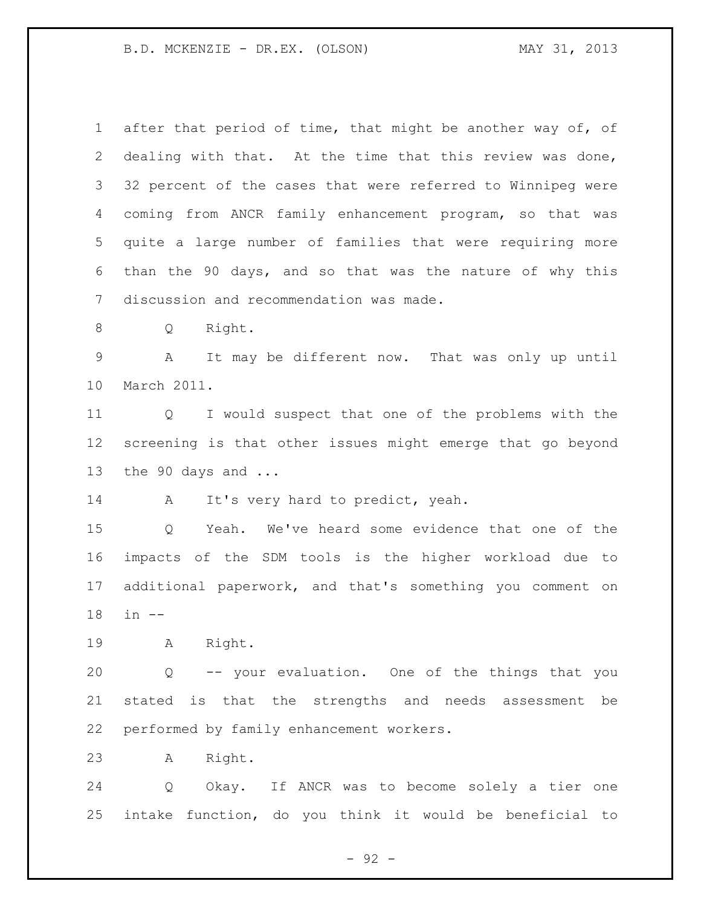after that period of time, that might be another way of, of dealing with that. At the time that this review was done, 32 percent of the cases that were referred to Winnipeg were coming from ANCR family enhancement program, so that was quite a large number of families that were requiring more than the 90 days, and so that was the nature of why this discussion and recommendation was made. Q Right. A It may be different now. That was only up until March 2011. Q I would suspect that one of the problems with the screening is that other issues might emerge that go beyond the 90 days and ... 14 A It's very hard to predict, yeah. Q Yeah. We've heard some evidence that one of the impacts of the SDM tools is the higher workload due to additional paperwork, and that's something you comment on in -- A Right. Q -- your evaluation. One of the things that you stated is that the strengths and needs assessment be performed by family enhancement workers. A Right. Q Okay. If ANCR was to become solely a tier one intake function, do you think it would be beneficial to

- 92 -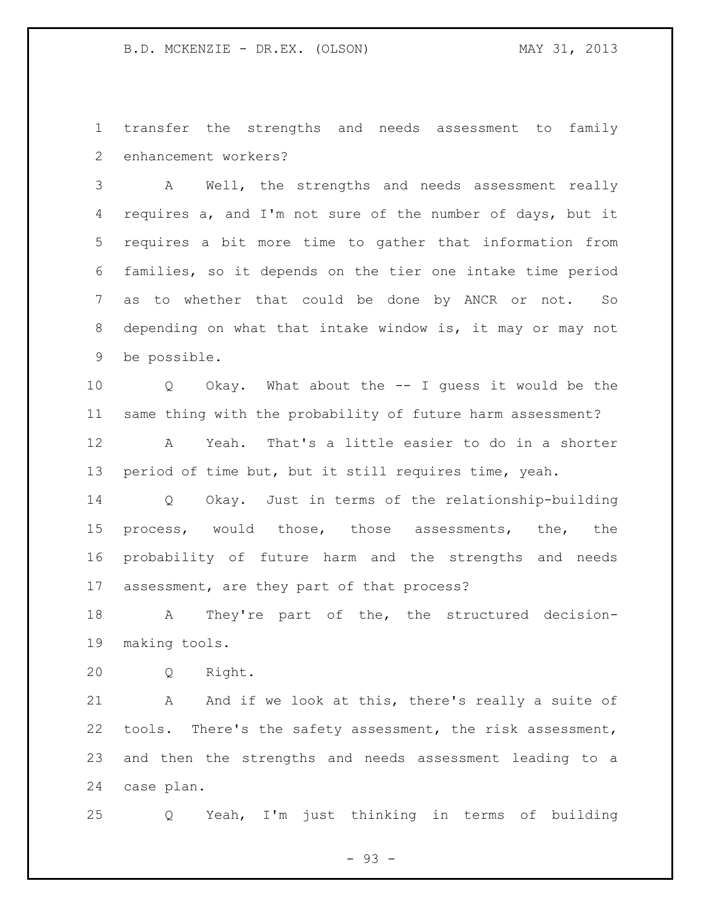transfer the strengths and needs assessment to family enhancement workers?

 A Well, the strengths and needs assessment really requires a, and I'm not sure of the number of days, but it requires a bit more time to gather that information from families, so it depends on the tier one intake time period as to whether that could be done by ANCR or not. So depending on what that intake window is, it may or may not be possible.

 Q Okay. What about the -- I guess it would be the same thing with the probability of future harm assessment?

 A Yeah. That's a little easier to do in a shorter period of time but, but it still requires time, yeah.

 Q Okay. Just in terms of the relationship-building process, would those, those assessments, the, the probability of future harm and the strengths and needs assessment, are they part of that process?

 A They're part of the, the structured decision-making tools.

Q Right.

21 A And if we look at this, there's really a suite of tools. There's the safety assessment, the risk assessment, and then the strengths and needs assessment leading to a case plan.

Q Yeah, I'm just thinking in terms of building

- 93 -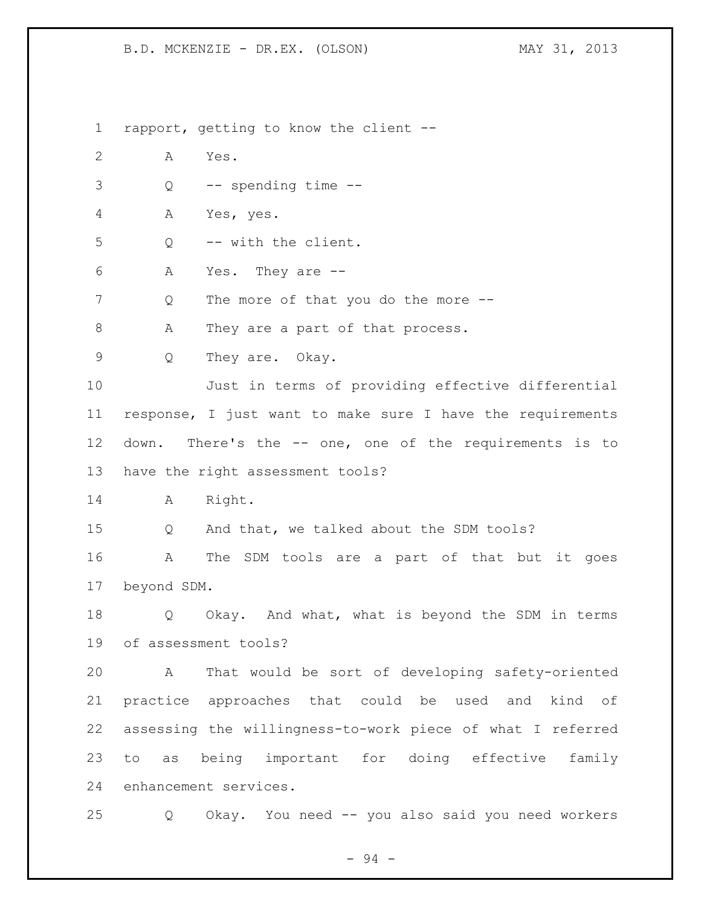rapport, getting to know the client -- A Yes. Q -- spending time -- A Yes, yes. Q -- with the client. A Yes. They are -- 7 Q The more of that you do the more --8 A They are a part of that process. Q They are. Okay. Just in terms of providing effective differential response, I just want to make sure I have the requirements down. There's the -- one, one of the requirements is to have the right assessment tools? A Right. Q And that, we talked about the SDM tools? A The SDM tools are a part of that but it goes beyond SDM. Q Okay. And what, what is beyond the SDM in terms of assessment tools? A That would be sort of developing safety-oriented practice approaches that could be used and kind of assessing the willingness-to-work piece of what I referred to as being important for doing effective family enhancement services. Q Okay. You need -- you also said you need workers

- 94 -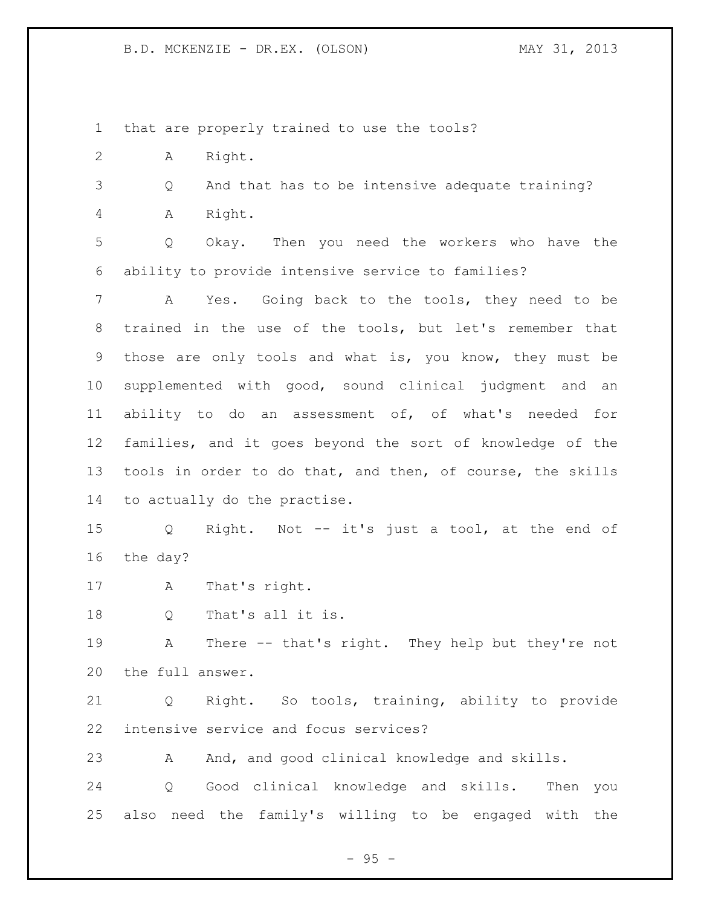that are properly trained to use the tools?

A Right.

 Q And that has to be intensive adequate training? A Right.

 Q Okay. Then you need the workers who have the ability to provide intensive service to families?

 A Yes. Going back to the tools, they need to be trained in the use of the tools, but let's remember that those are only tools and what is, you know, they must be supplemented with good, sound clinical judgment and an ability to do an assessment of, of what's needed for families, and it goes beyond the sort of knowledge of the tools in order to do that, and then, of course, the skills to actually do the practise.

 Q Right. Not -- it's just a tool, at the end of the day?

A That's right.

Q That's all it is.

 A There -- that's right. They help but they're not the full answer.

 Q Right. So tools, training, ability to provide intensive service and focus services?

23 A And, and good clinical knowledge and skills.

 Q Good clinical knowledge and skills. Then you also need the family's willing to be engaged with the

 $-95 -$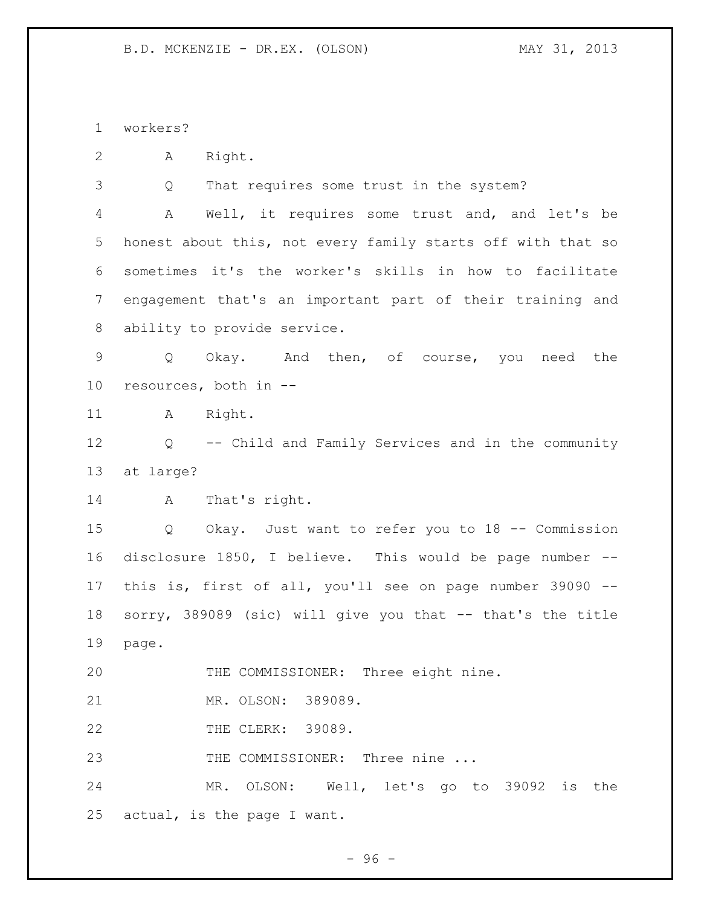workers?

A Right.

Q That requires some trust in the system?

 A Well, it requires some trust and, and let's be honest about this, not every family starts off with that so sometimes it's the worker's skills in how to facilitate engagement that's an important part of their training and ability to provide service.

 Q Okay. And then, of course, you need the resources, both in --

11 A Right.

 Q -- Child and Family Services and in the community at large?

A That's right.

 Q Okay. Just want to refer you to 18 -- Commission disclosure 1850, I believe. This would be page number -- this is, first of all, you'll see on page number 39090 -- sorry, 389089 (sic) will give you that -- that's the title page.

THE COMMISSIONER: Three eight nine.

MR. OLSON: 389089.

THE CLERK: 39089.

23 THE COMMISSIONER: Three nine ...

 MR. OLSON: Well, let's go to 39092 is the actual, is the page I want.

 $-96 -$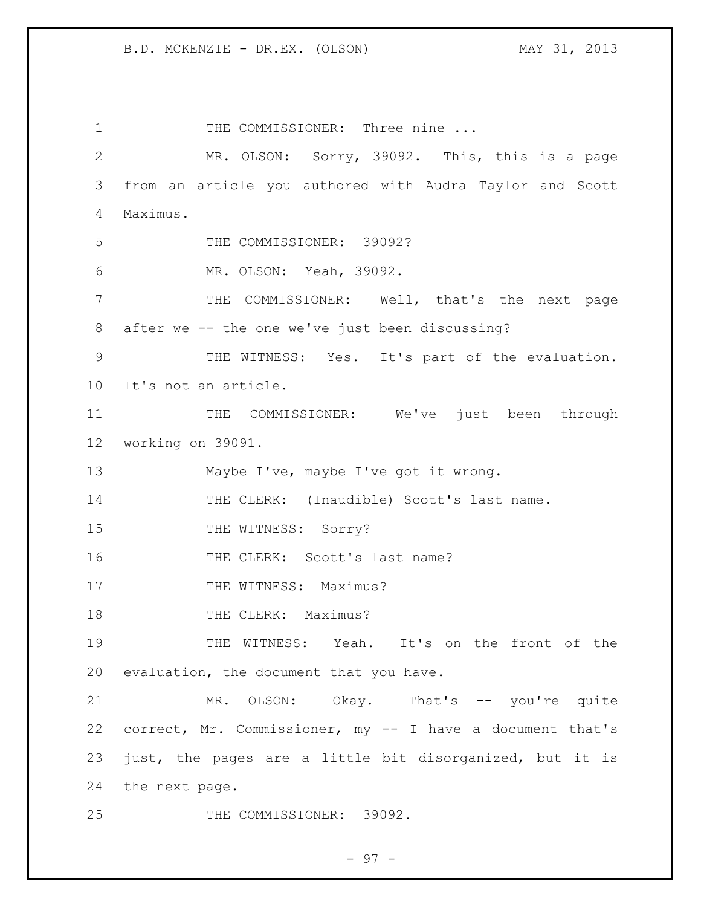1 THE COMMISSIONER: Three nine ... MR. OLSON: Sorry, 39092. This, this is a page from an article you authored with Audra Taylor and Scott Maximus. THE COMMISSIONER: 39092? MR. OLSON: Yeah, 39092. THE COMMISSIONER: Well, that's the next page after we -- the one we've just been discussing? THE WITNESS: Yes. It's part of the evaluation. It's not an article. 11 THE COMMISSIONER: We've just been through working on 39091. 13 Maybe I've, maybe I've got it wrong. THE CLERK: (Inaudible) Scott's last name. 15 THE WITNESS: Sorry? 16 THE CLERK: Scott's last name? 17 THE WITNESS: Maximus? 18 THE CLERK: Maximus? THE WITNESS: Yeah. It's on the front of the evaluation, the document that you have. MR. OLSON: Okay. That's -- you're quite correct, Mr. Commissioner, my -- I have a document that's just, the pages are a little bit disorganized, but it is the next page. THE COMMISSIONER: 39092.

$$
-97-
$$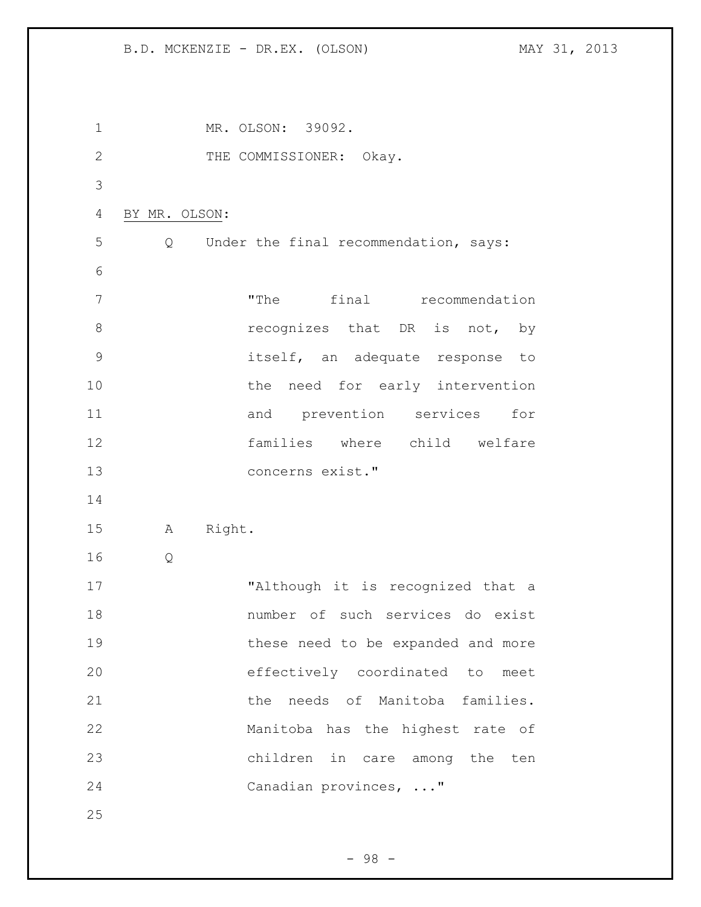1 MR. OLSON: 39092. 2 THE COMMISSIONER: Okay. BY MR. OLSON: Q Under the final recommendation, says: "The final recommendation **8 recognizes** that DR is not, by itself, an adequate response to 10 the need for early intervention 11 and prevention services for families where child welfare concerns exist." A Right. Q "Although it is recognized that a number of such services do exist these need to be expanded and more effectively coordinated to meet **blue 120 and 120 and 120 and 120 and 120 and 121 and 121 and 121 and 121 and 121 and 121 and 121 and 121 and 121 and 121 and 121 and 121 and 121 and 121 and 121 and 121 and 121 and 121 and 121 and 121 and 121 and 121 a**  Manitoba has the highest rate of children in care among the ten Canadian provinces, ..." 

- 98 -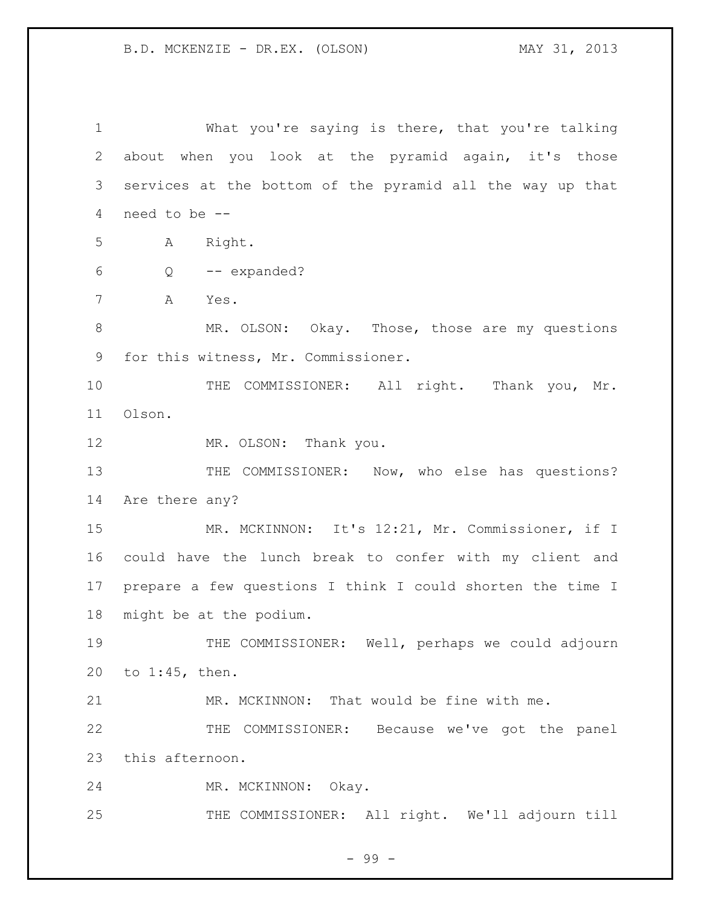What you're saying is there, that you're talking about when you look at the pyramid again, it's those services at the bottom of the pyramid all the way up that need to be -- A Right. Q -- expanded? A Yes. 8 MR. OLSON: Okay. Those, those are my questions for this witness, Mr. Commissioner. 10 THE COMMISSIONER: All right. Thank you, Mr. Olson. 12 MR. OLSON: Thank you. 13 THE COMMISSIONER: Now, who else has questions? Are there any? MR. MCKINNON: It's 12:21, Mr. Commissioner, if I could have the lunch break to confer with my client and prepare a few questions I think I could shorten the time I might be at the podium. 19 THE COMMISSIONER: Well, perhaps we could adjourn to 1:45, then. MR. MCKINNON: That would be fine with me. THE COMMISSIONER: Because we've got the panel this afternoon. MR. MCKINNON: Okay. THE COMMISSIONER: All right. We'll adjourn till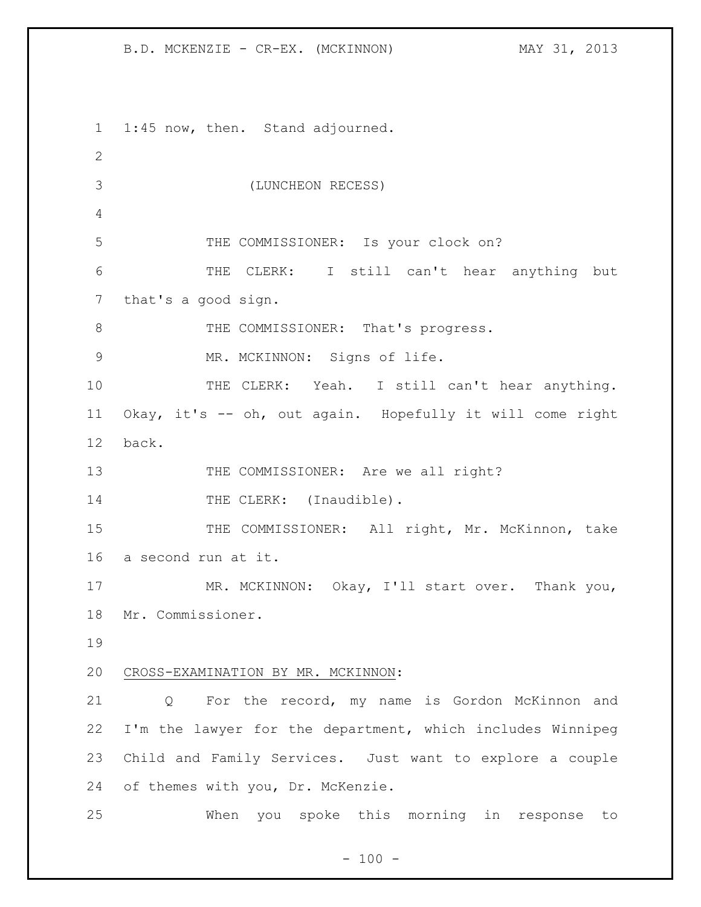B.D. MCKENZIE - CR-EX. (MCKINNON) MAY 31, 2013

 1:45 now, then. Stand adjourned. (LUNCHEON RECESS) THE COMMISSIONER: Is your clock on? THE CLERK: I still can't hear anything but that's a good sign. 8 THE COMMISSIONER: That's progress. MR. MCKINNON: Signs of life. 10 THE CLERK: Yeah. I still can't hear anything. Okay, it's -- oh, out again. Hopefully it will come right back. 13 THE COMMISSIONER: Are we all right? 14 THE CLERK: (Inaudible). 15 THE COMMISSIONER: All right, Mr. McKinnon, take a second run at it. 17 MR. MCKINNON: Okay, I'll start over. Thank you, Mr. Commissioner. CROSS-EXAMINATION BY MR. MCKINNON: Q For the record, my name is Gordon McKinnon and I'm the lawyer for the department, which includes Winnipeg Child and Family Services. Just want to explore a couple of themes with you, Dr. McKenzie. When you spoke this morning in response to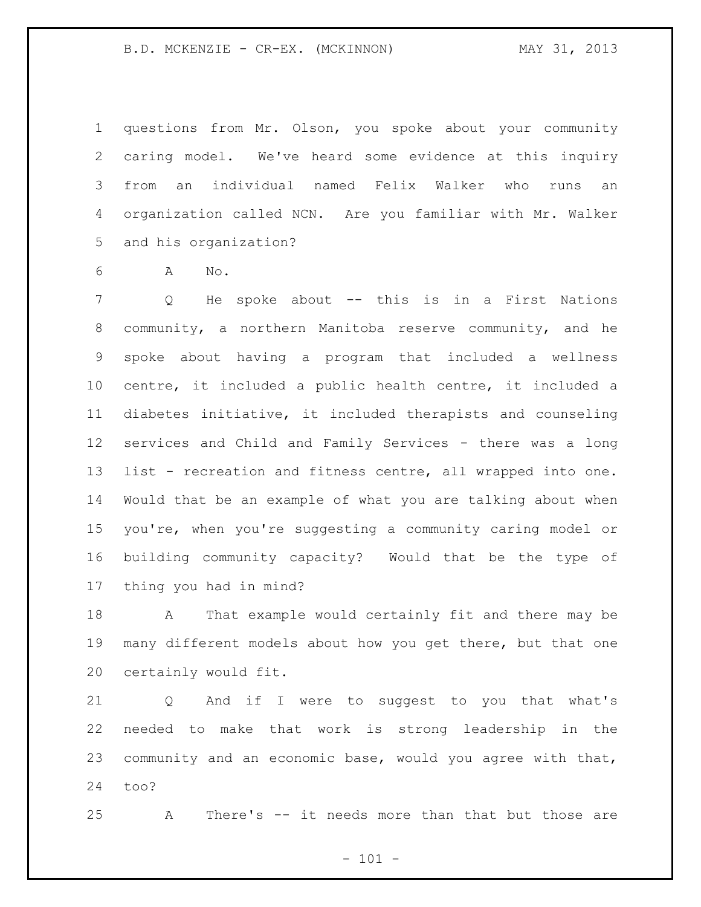questions from Mr. Olson, you spoke about your community caring model. We've heard some evidence at this inquiry from an individual named Felix Walker who runs an organization called NCN. Are you familiar with Mr. Walker and his organization?

A No.

 Q He spoke about -- this is in a First Nations community, a northern Manitoba reserve community, and he spoke about having a program that included a wellness centre, it included a public health centre, it included a diabetes initiative, it included therapists and counseling services and Child and Family Services - there was a long list - recreation and fitness centre, all wrapped into one. Would that be an example of what you are talking about when you're, when you're suggesting a community caring model or building community capacity? Would that be the type of thing you had in mind?

 A That example would certainly fit and there may be many different models about how you get there, but that one certainly would fit.

 Q And if I were to suggest to you that what's needed to make that work is strong leadership in the community and an economic base, would you agree with that, too?

A There's -- it needs more than that but those are

 $- 101 -$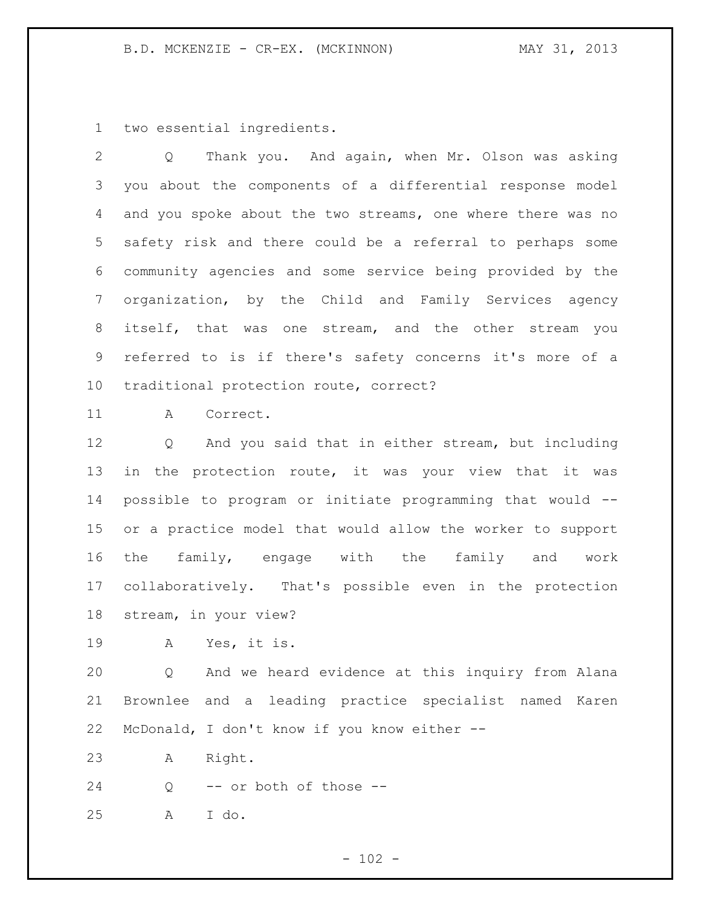two essential ingredients.

 Q Thank you. And again, when Mr. Olson was asking you about the components of a differential response model and you spoke about the two streams, one where there was no safety risk and there could be a referral to perhaps some community agencies and some service being provided by the organization, by the Child and Family Services agency itself, that was one stream, and the other stream you referred to is if there's safety concerns it's more of a traditional protection route, correct?

A Correct.

 Q And you said that in either stream, but including in the protection route, it was your view that it was possible to program or initiate programming that would -- or a practice model that would allow the worker to support the family, engage with the family and work collaboratively. That's possible even in the protection stream, in your view?

A Yes, it is.

 Q And we heard evidence at this inquiry from Alana Brownlee and a leading practice specialist named Karen McDonald, I don't know if you know either --

A Right.

Q -- or both of those --

A I do.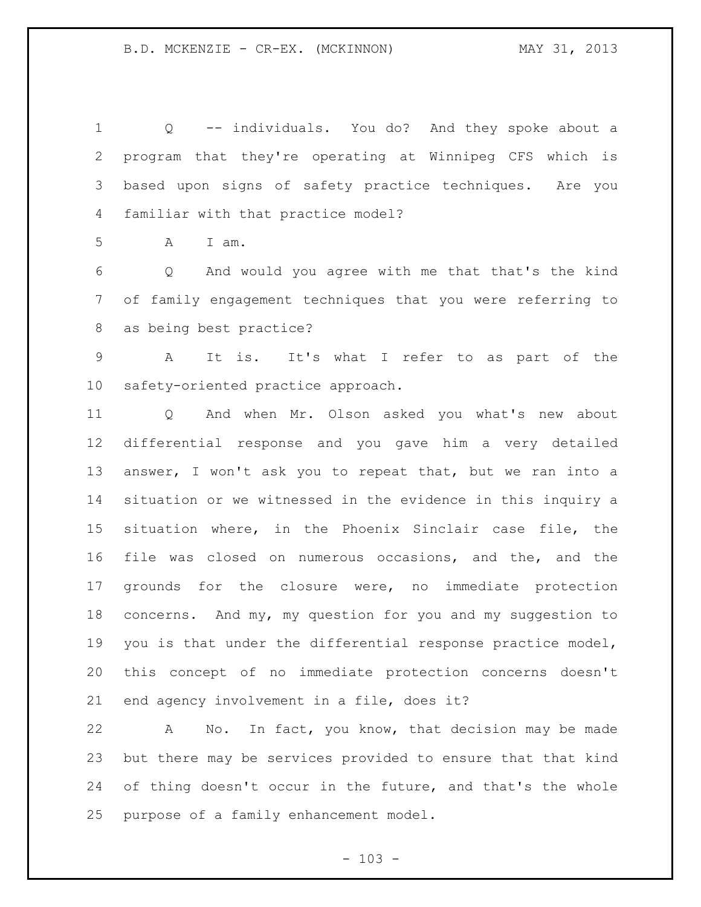Q -- individuals. You do? And they spoke about a program that they're operating at Winnipeg CFS which is based upon signs of safety practice techniques. Are you familiar with that practice model?

A I am.

 Q And would you agree with me that that's the kind of family engagement techniques that you were referring to as being best practice?

 A It is. It's what I refer to as part of the safety-oriented practice approach.

 Q And when Mr. Olson asked you what's new about differential response and you gave him a very detailed answer, I won't ask you to repeat that, but we ran into a situation or we witnessed in the evidence in this inquiry a situation where, in the Phoenix Sinclair case file, the file was closed on numerous occasions, and the, and the grounds for the closure were, no immediate protection concerns. And my, my question for you and my suggestion to you is that under the differential response practice model, this concept of no immediate protection concerns doesn't end agency involvement in a file, does it?

 A No. In fact, you know, that decision may be made but there may be services provided to ensure that that kind 24 of thing doesn't occur in the future, and that's the whole purpose of a family enhancement model.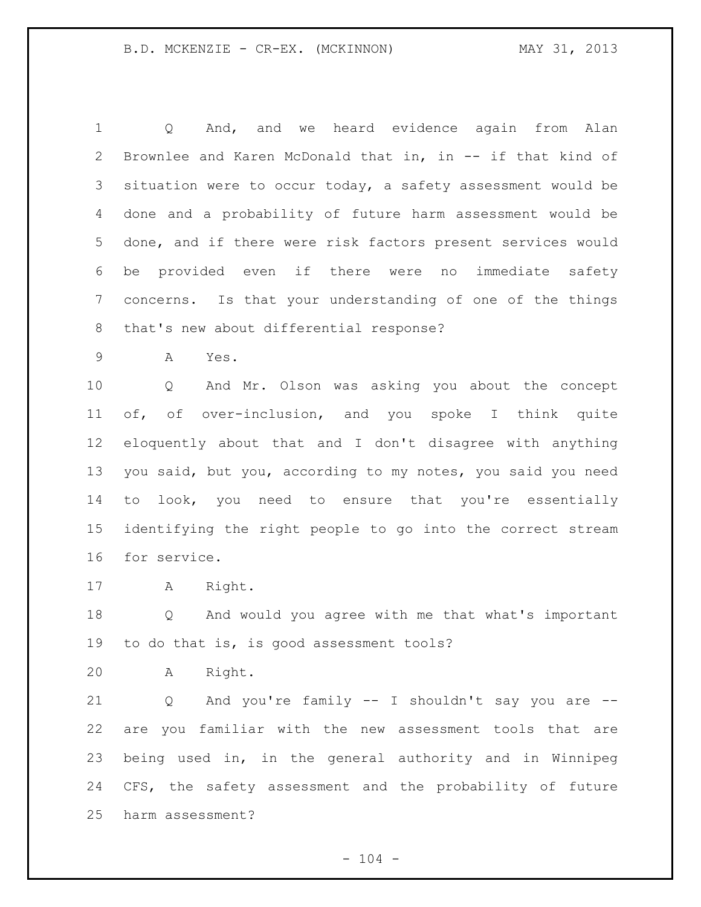Q And, and we heard evidence again from Alan Brownlee and Karen McDonald that in, in -- if that kind of situation were to occur today, a safety assessment would be done and a probability of future harm assessment would be done, and if there were risk factors present services would be provided even if there were no immediate safety concerns. Is that your understanding of one of the things that's new about differential response?

A Yes.

 Q And Mr. Olson was asking you about the concept of, of over-inclusion, and you spoke I think quite eloquently about that and I don't disagree with anything you said, but you, according to my notes, you said you need to look, you need to ensure that you're essentially identifying the right people to go into the correct stream for service.

A Right.

 Q And would you agree with me that what's important to do that is, is good assessment tools?

A Right.

 Q And you're family -- I shouldn't say you are -- are you familiar with the new assessment tools that are being used in, in the general authority and in Winnipeg CFS, the safety assessment and the probability of future harm assessment?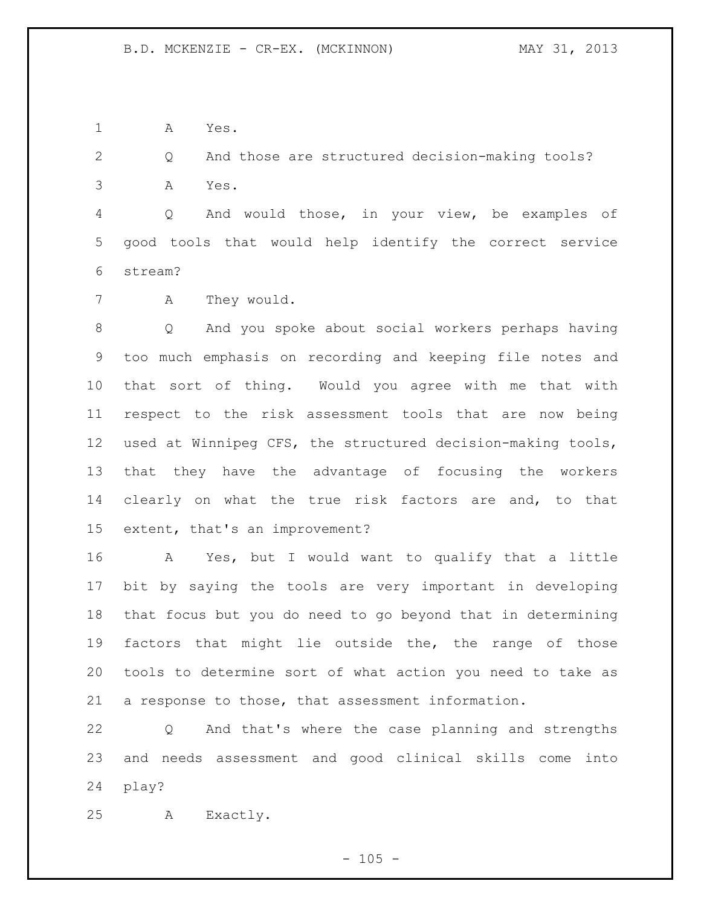A Yes.

 Q And those are structured decision-making tools? A Yes.

 Q And would those, in your view, be examples of good tools that would help identify the correct service stream?

A They would.

 Q And you spoke about social workers perhaps having too much emphasis on recording and keeping file notes and that sort of thing. Would you agree with me that with respect to the risk assessment tools that are now being used at Winnipeg CFS, the structured decision-making tools, that they have the advantage of focusing the workers clearly on what the true risk factors are and, to that extent, that's an improvement?

 A Yes, but I would want to qualify that a little bit by saying the tools are very important in developing that focus but you do need to go beyond that in determining factors that might lie outside the, the range of those tools to determine sort of what action you need to take as a response to those, that assessment information.

 Q And that's where the case planning and strengths and needs assessment and good clinical skills come into play?

A Exactly.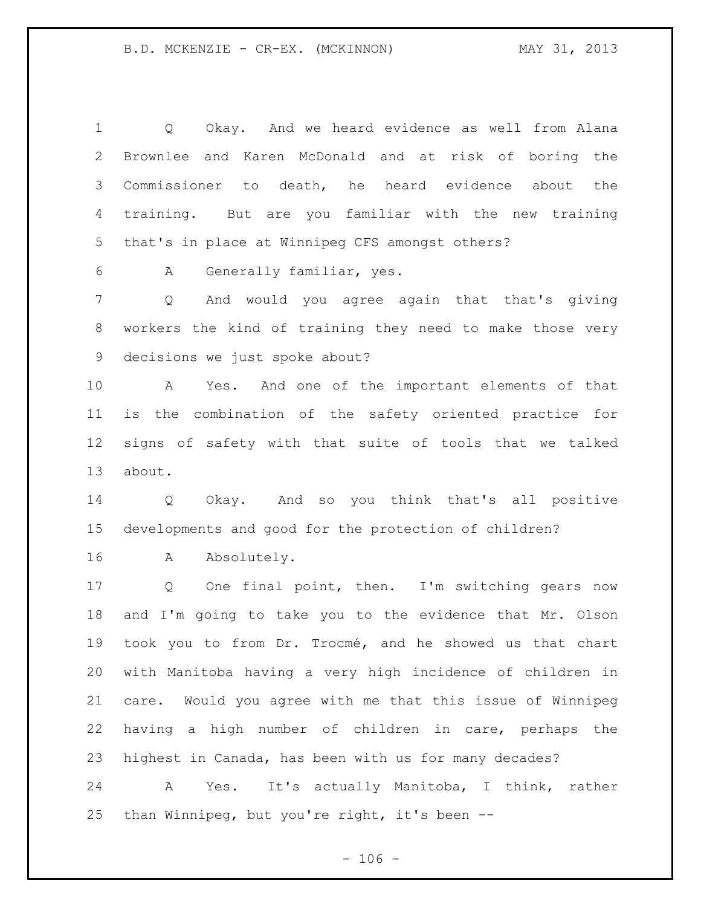Q Okay. And we heard evidence as well from Alana Brownlee and Karen McDonald and at risk of boring the Commissioner to death, he heard evidence about the training. But are you familiar with the new training that's in place at Winnipeg CFS amongst others? A Generally familiar, yes. Q And would you agree again that that's giving workers the kind of training they need to make those very

decisions we just spoke about?

 A Yes. And one of the important elements of that is the combination of the safety oriented practice for signs of safety with that suite of tools that we talked about.

 Q Okay. And so you think that's all positive developments and good for the protection of children?

A Absolutely.

 Q One final point, then. I'm switching gears now and I'm going to take you to the evidence that Mr. Olson took you to from Dr. Trocmé, and he showed us that chart with Manitoba having a very high incidence of children in care. Would you agree with me that this issue of Winnipeg having a high number of children in care, perhaps the highest in Canada, has been with us for many decades?

 A Yes. It's actually Manitoba, I think, rather than Winnipeg, but you're right, it's been --

 $- 106 -$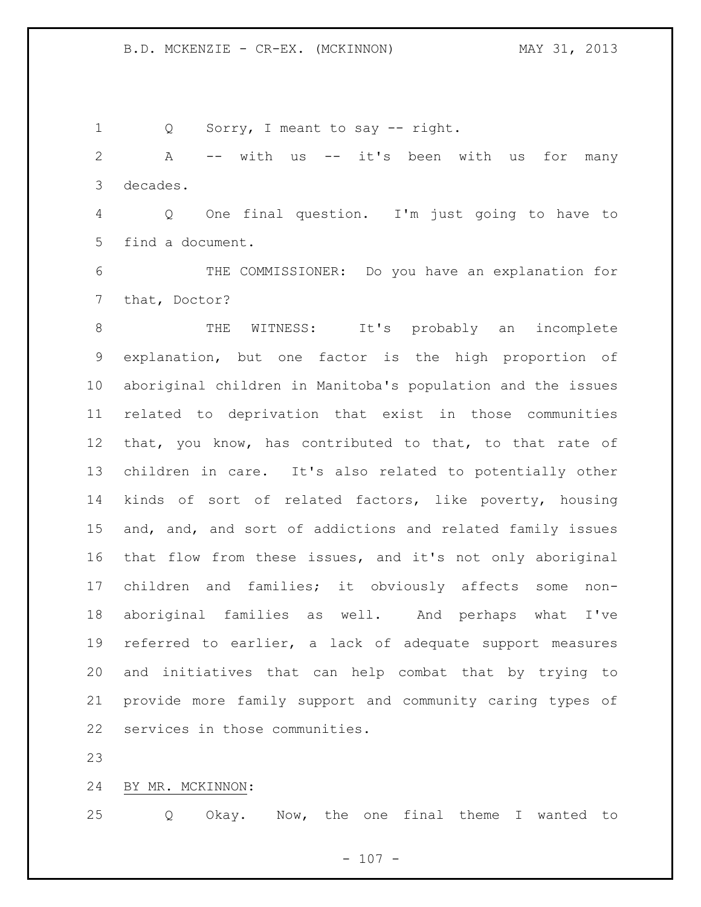Q Sorry, I meant to say -- right.

 A -- with us -- it's been with us for many decades.

 Q One final question. I'm just going to have to find a document.

 THE COMMISSIONER: Do you have an explanation for that, Doctor?

 THE WITNESS: It's probably an incomplete explanation, but one factor is the high proportion of aboriginal children in Manitoba's population and the issues related to deprivation that exist in those communities that, you know, has contributed to that, to that rate of children in care. It's also related to potentially other kinds of sort of related factors, like poverty, housing and, and, and sort of addictions and related family issues that flow from these issues, and it's not only aboriginal children and families; it obviously affects some non- aboriginal families as well. And perhaps what I've referred to earlier, a lack of adequate support measures and initiatives that can help combat that by trying to provide more family support and community caring types of services in those communities.

BY MR. MCKINNON:

Q Okay. Now, the one final theme I wanted to

 $- 107 -$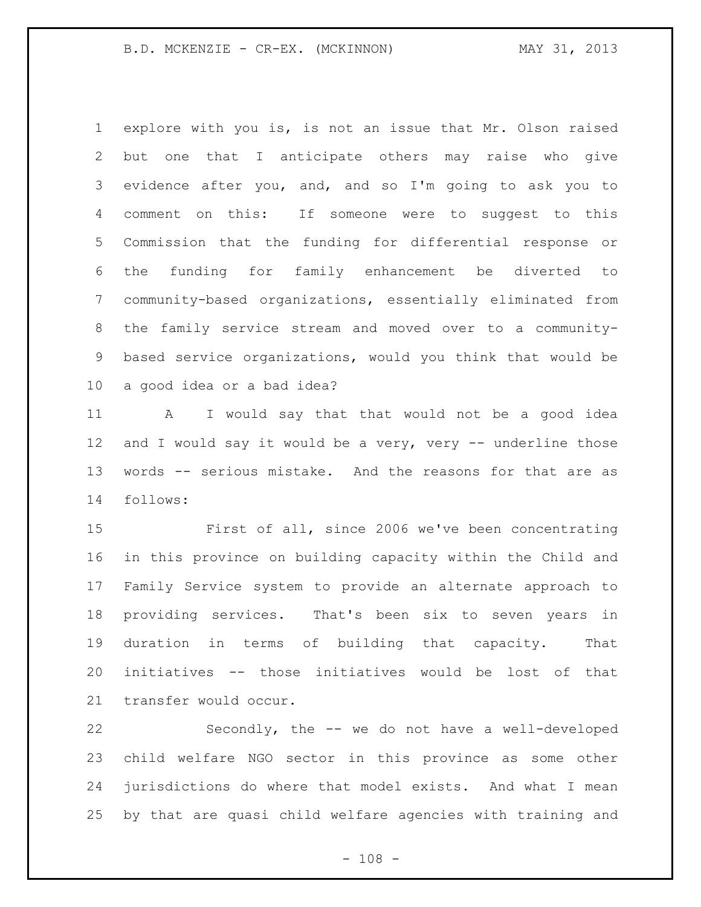## B.D. MCKENZIE - CR-EX. (MCKINNON) MAY 31, 2013

 explore with you is, is not an issue that Mr. Olson raised but one that I anticipate others may raise who give evidence after you, and, and so I'm going to ask you to comment on this: If someone were to suggest to this Commission that the funding for differential response or the funding for family enhancement be diverted to community-based organizations, essentially eliminated from the family service stream and moved over to a community- based service organizations, would you think that would be a good idea or a bad idea?

 A I would say that that would not be a good idea and I would say it would be a very, very -- underline those words -- serious mistake. And the reasons for that are as follows:

 First of all, since 2006 we've been concentrating in this province on building capacity within the Child and Family Service system to provide an alternate approach to providing services. That's been six to seven years in duration in terms of building that capacity. That initiatives -- those initiatives would be lost of that transfer would occur.

 Secondly, the -- we do not have a well-developed child welfare NGO sector in this province as some other jurisdictions do where that model exists. And what I mean by that are quasi child welfare agencies with training and

 $- 108 -$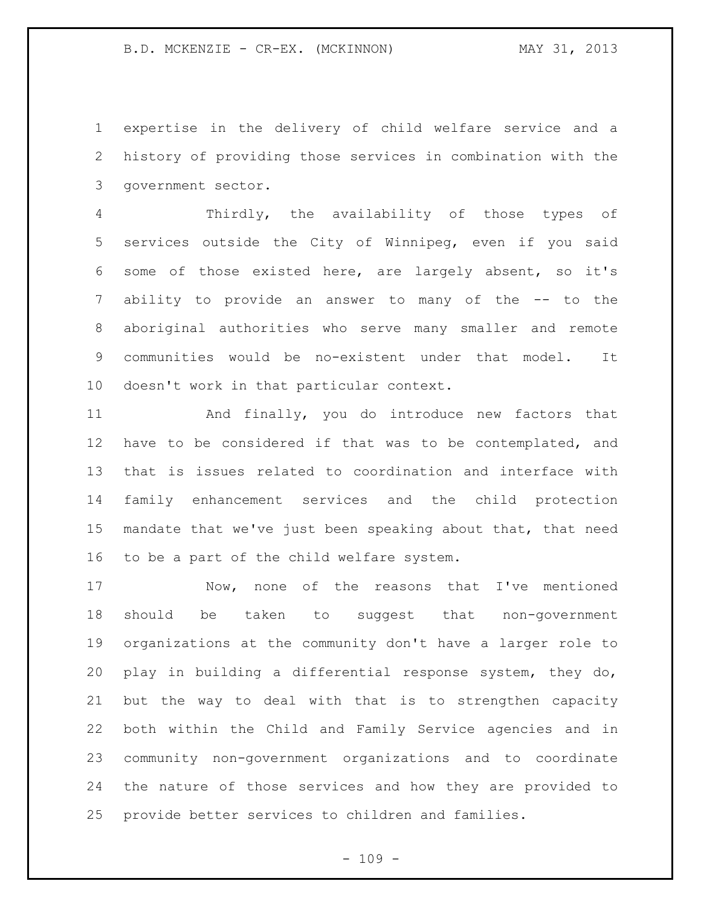expertise in the delivery of child welfare service and a history of providing those services in combination with the government sector.

 Thirdly, the availability of those types of services outside the City of Winnipeg, even if you said some of those existed here, are largely absent, so it's ability to provide an answer to many of the -- to the aboriginal authorities who serve many smaller and remote communities would be no-existent under that model. It doesn't work in that particular context.

 And finally, you do introduce new factors that have to be considered if that was to be contemplated, and that is issues related to coordination and interface with family enhancement services and the child protection mandate that we've just been speaking about that, that need to be a part of the child welfare system.

 Now, none of the reasons that I've mentioned should be taken to suggest that non-government organizations at the community don't have a larger role to play in building a differential response system, they do, but the way to deal with that is to strengthen capacity both within the Child and Family Service agencies and in community non-government organizations and to coordinate the nature of those services and how they are provided to provide better services to children and families.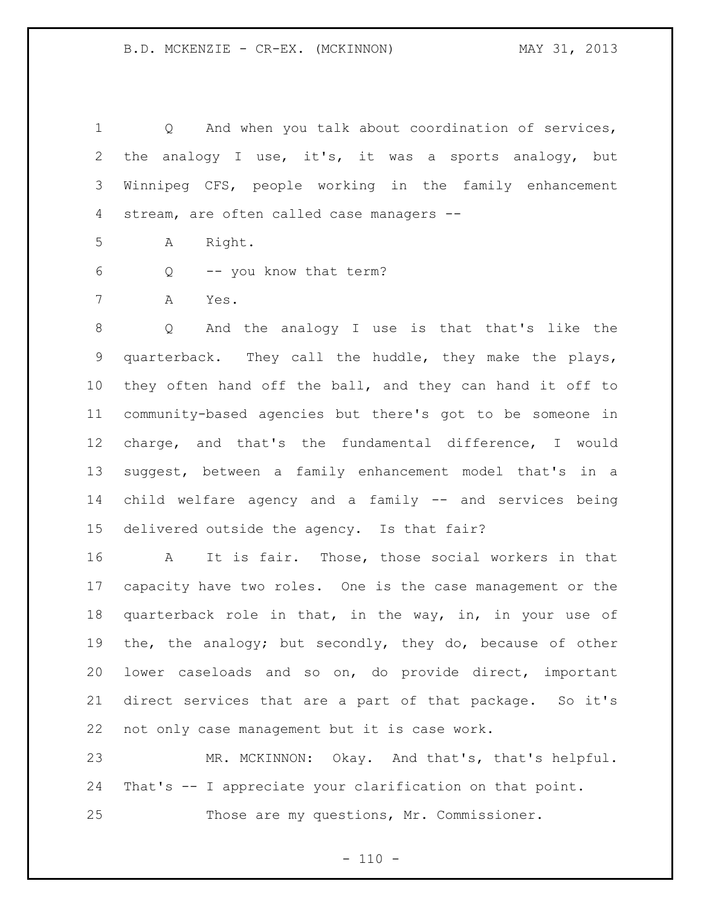Q And when you talk about coordination of services, the analogy I use, it's, it was a sports analogy, but Winnipeg CFS, people working in the family enhancement stream, are often called case managers --

A Right.

Q -- you know that term?

A Yes.

 Q And the analogy I use is that that's like the quarterback. They call the huddle, they make the plays, they often hand off the ball, and they can hand it off to community-based agencies but there's got to be someone in charge, and that's the fundamental difference, I would suggest, between a family enhancement model that's in a child welfare agency and a family -- and services being delivered outside the agency. Is that fair?

 A It is fair. Those, those social workers in that capacity have two roles. One is the case management or the quarterback role in that, in the way, in, in your use of the, the analogy; but secondly, they do, because of other lower caseloads and so on, do provide direct, important direct services that are a part of that package. So it's not only case management but it is case work.

 MR. MCKINNON: Okay. And that's, that's helpful. That's -- I appreciate your clarification on that point. Those are my questions, Mr. Commissioner.

 $- 110 -$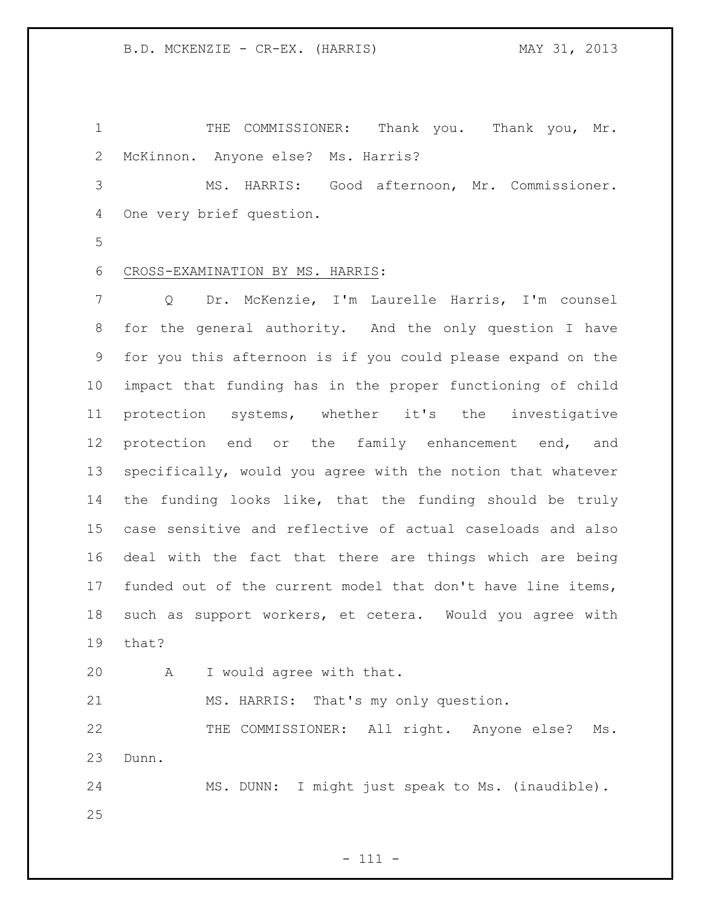THE COMMISSIONER: Thank you. Thank you, Mr. McKinnon. Anyone else? Ms. Harris?

 MS. HARRIS: Good afternoon, Mr. Commissioner. One very brief question.

## CROSS-EXAMINATION BY MS. HARRIS:

 Q Dr. McKenzie, I'm Laurelle Harris, I'm counsel for the general authority. And the only question I have for you this afternoon is if you could please expand on the impact that funding has in the proper functioning of child protection systems, whether it's the investigative protection end or the family enhancement end, and specifically, would you agree with the notion that whatever the funding looks like, that the funding should be truly case sensitive and reflective of actual caseloads and also deal with the fact that there are things which are being funded out of the current model that don't have line items, such as support workers, et cetera. Would you agree with that?

A I would agree with that.

MS. HARRIS: That's my only question.

 THE COMMISSIONER: All right. Anyone else? Ms. Dunn.

 MS. DUNN: I might just speak to Ms. (inaudible). 

- 111 -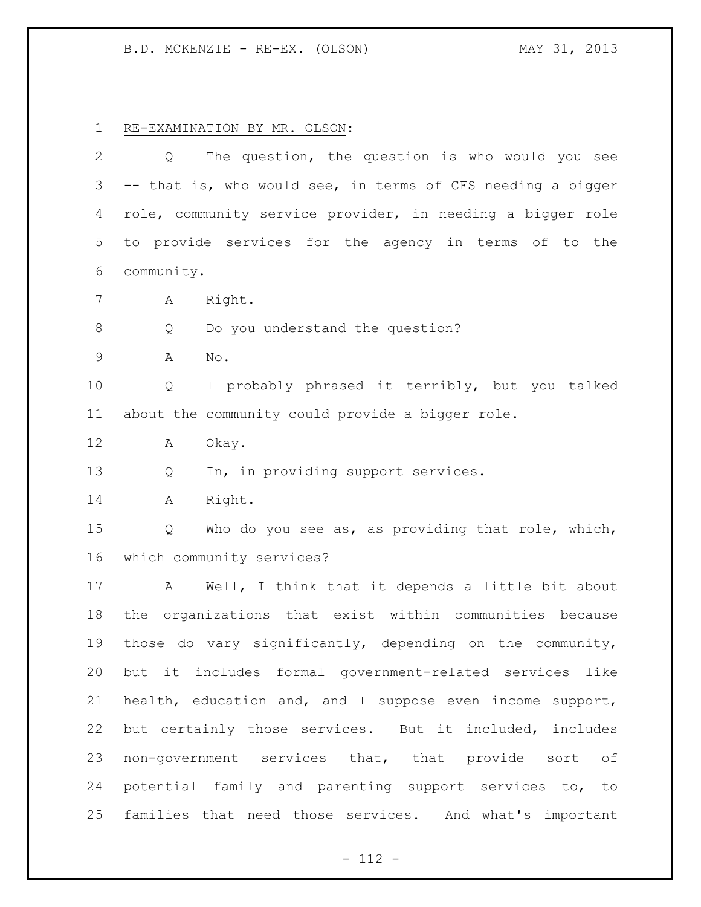B.D. MCKENZIE - RE-EX. (OLSON) MAY 31, 2013

RE-EXAMINATION BY MR. OLSON:

| 2           | The question, the question is who would you see<br>Q        |
|-------------|-------------------------------------------------------------|
| 3           | -- that is, who would see, in terms of CFS needing a bigger |
| 4           | role, community service provider, in needing a bigger role  |
| 5           | to provide services for the agency in terms of to the       |
| 6           | community.                                                  |
| 7           | Right.<br>Α                                                 |
| $\,8\,$     | Do you understand the question?<br>Q                        |
| $\mathsf 9$ | No.<br>Α                                                    |
| 10          | I probably phrased it terribly, but you talked<br>Q         |
| 11          | about the community could provide a bigger role.            |
| 12          | Okay.<br>Α                                                  |
| 13          | In, in providing support services.<br>Q                     |
| 14          | Right.<br>Α                                                 |
| 15          | Who do you see as, as providing that role, which,<br>Q      |
| 16          | which community services?                                   |
| 17          | Well, I think that it depends a little bit about<br>A       |
| 18          | the organizations that exist within communities because     |
| 19          | those do vary significantly, depending on the community,    |
| 20          | but it includes formal government-related services like     |
| 21          | health, education and, and I suppose even income support,   |
| 22          | but certainly those services. But it included, includes     |
| 23          | non-government services that, that provide sort of          |
| 24          | potential family and parenting support services to, to      |
| 25          | families that need those services. And what's important     |

- 112 -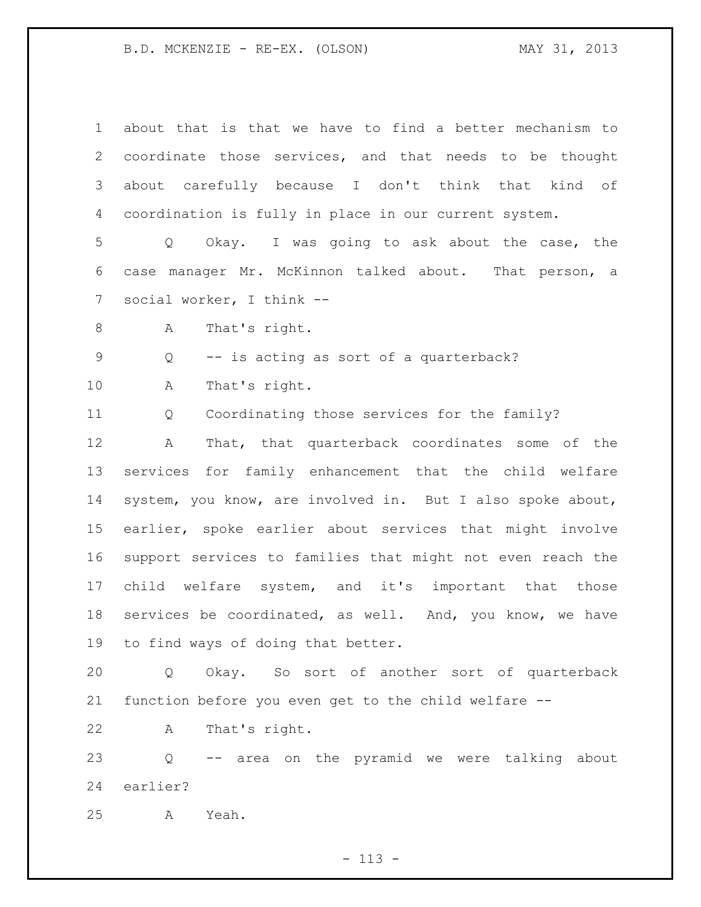B.D. MCKENZIE - RE-EX. (OLSON) MAY 31, 2013

 about that is that we have to find a better mechanism to coordinate those services, and that needs to be thought about carefully because I don't think that kind of coordination is fully in place in our current system. Q Okay. I was going to ask about the case, the case manager Mr. McKinnon talked about. That person, a social worker, I think -- A That's right. Q -- is acting as sort of a quarterback? A That's right. Q Coordinating those services for the family? A That, that quarterback coordinates some of the services for family enhancement that the child welfare system, you know, are involved in. But I also spoke about, earlier, spoke earlier about services that might involve support services to families that might not even reach the child welfare system, and it's important that those services be coordinated, as well. And, you know, we have to find ways of doing that better. Q Okay. So sort of another sort of quarterback function before you even get to the child welfare -- A That's right. Q -- area on the pyramid we were talking about earlier? A Yeah.

- 113 -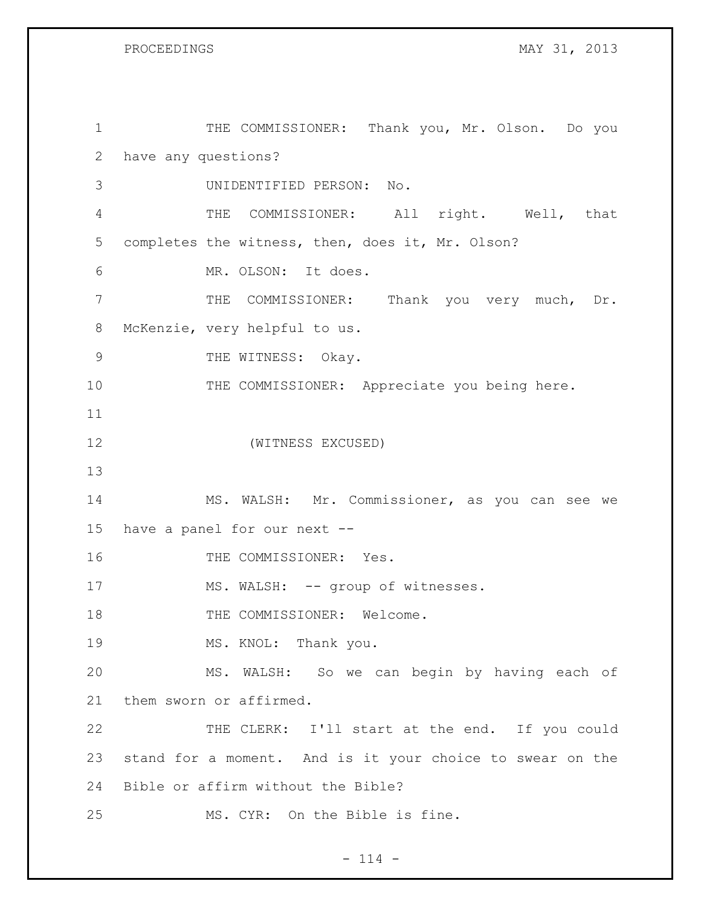1 THE COMMISSIONER: Thank you, Mr. Olson. Do you have any questions? UNIDENTIFIED PERSON: No. THE COMMISSIONER: All right. Well, that completes the witness, then, does it, Mr. Olson? MR. OLSON: It does. THE COMMISSIONER: Thank you very much, Dr. McKenzie, very helpful to us. 9 THE WITNESS: Okay. 10 THE COMMISSIONER: Appreciate you being here. (WITNESS EXCUSED) MS. WALSH: Mr. Commissioner, as you can see we have a panel for our next -- 16 THE COMMISSIONER: Yes. 17 MS. WALSH: -- group of witnesses. 18 THE COMMISSIONER: Welcome. 19 MS. KNOL: Thank you. MS. WALSH: So we can begin by having each of them sworn or affirmed. 22 THE CLERK: I'll start at the end. If you could stand for a moment. And is it your choice to swear on the Bible or affirm without the Bible? MS. CYR: On the Bible is fine.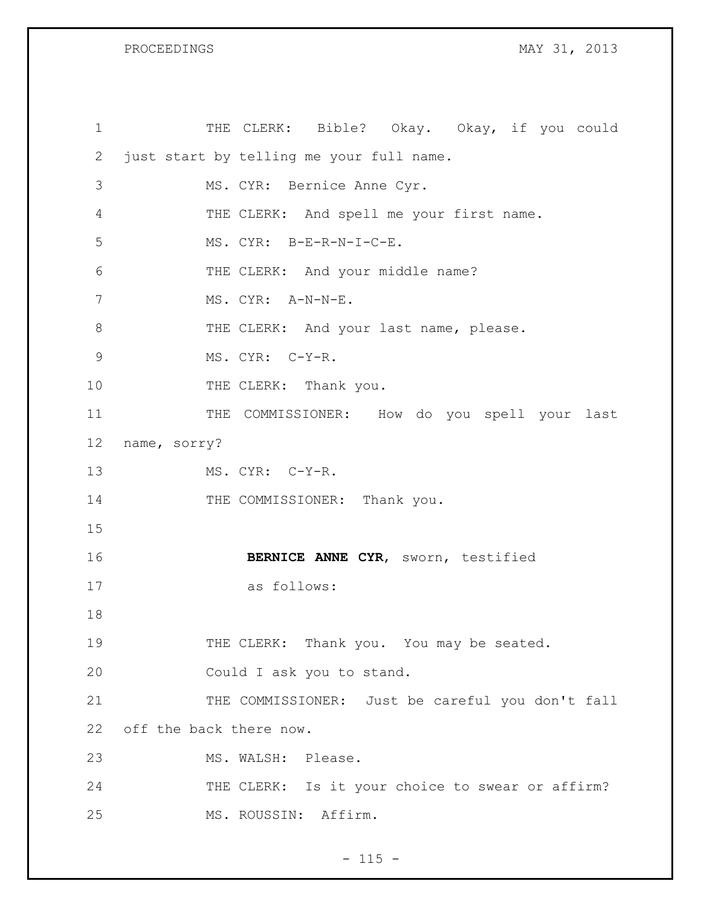| $\mathbf 1$    | THE CLERK: Bible? Okay. Okay, if you could       |
|----------------|--------------------------------------------------|
| 2              | just start by telling me your full name.         |
| 3              | MS. CYR: Bernice Anne Cyr.                       |
| $\overline{4}$ | THE CLERK: And spell me your first name.         |
| 5              | MS. CYR: B-E-R-N-I-C-E.                          |
| 6              | THE CLERK: And your middle name?                 |
| 7              | MS. CYR: A-N-N-E.                                |
| $8\,$          | THE CLERK: And your last name, please.           |
| $\mathcal{G}$  | MS. CYR: C-Y-R.                                  |
| 10             | THE CLERK: Thank you.                            |
| 11             | THE COMMISSIONER: How do you spell your last     |
| 12             | name, sorry?                                     |
| 13             | MS. CYR: C-Y-R.                                  |
| 14             | THE COMMISSIONER: Thank you.                     |
| 15             |                                                  |
| 16             | BERNICE ANNE CYR, sworn, testified               |
| 17             | as follows:                                      |
| 18             |                                                  |
| 19             | THE CLERK: Thank you. You may be seated.         |
| 20             | Could I ask you to stand.                        |
| 21             | THE COMMISSIONER: Just be careful you don't fall |
| 22             | off the back there now.                          |
| 23             | MS. WALSH: Please.                               |
| 24             | THE CLERK: Is it your choice to swear or affirm? |
| 25             | MS. ROUSSIN: Affirm.                             |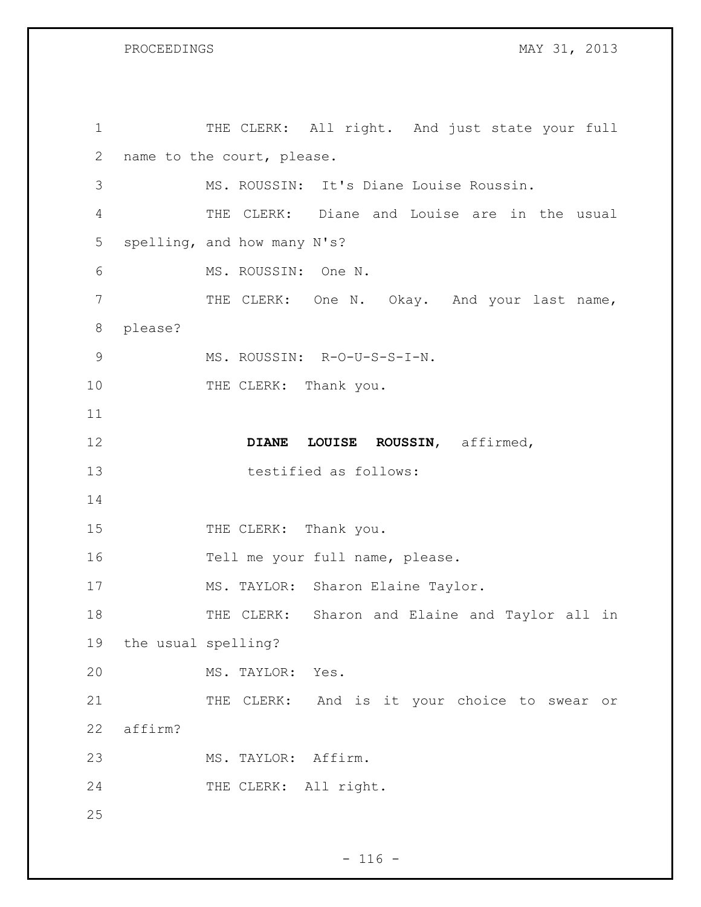| $\mathbf 1$ |                     | THE CLERK: All right. And just state your full |
|-------------|---------------------|------------------------------------------------|
| 2           |                     | name to the court, please.                     |
| 3           |                     | MS. ROUSSIN: It's Diane Louise Roussin.        |
| 4           |                     | THE CLERK: Diane and Louise are in the usual   |
| 5           |                     | spelling, and how many N's?                    |
| 6           |                     | MS. ROUSSIN: One N.                            |
| 7           |                     | THE CLERK: One N. Okay. And your last name,    |
| $8\,$       | please?             |                                                |
| 9           |                     | MS. ROUSSIN: R-O-U-S-S-I-N.                    |
| 10          |                     | THE CLERK: Thank you.                          |
| 11          |                     |                                                |
| 12          |                     | ROUSSIN, affirmed,<br><b>DIANE</b><br>LOUISE   |
| 13          |                     | testified as follows:                          |
| 14          |                     |                                                |
| 15          |                     | THE CLERK: Thank you.                          |
| 16          |                     | Tell me your full name, please.                |
| 17          |                     | MS. TAYLOR: Sharon Elaine Taylor.              |
| 18          |                     | THE CLERK: Sharon and Elaine and Taylor all in |
| 19          | the usual spelling? |                                                |
| 20          |                     | MS. TAYLOR: Yes.                               |
| 21          |                     | THE CLERK: And is it your choice to swear or   |
| 22          | affirm?             |                                                |
| 23          |                     | MS. TAYLOR: Affirm.                            |
| 24          |                     | THE CLERK: All right.                          |
| 25          |                     |                                                |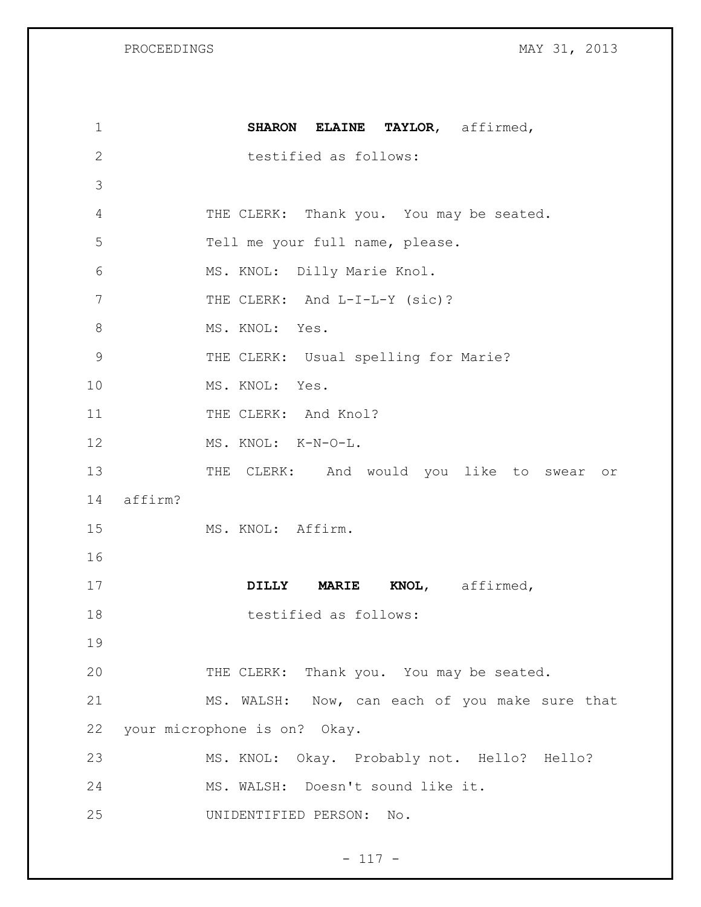| $\mathbf 1$    | SHARON ELAINE TAYLOR, affirmed,                |
|----------------|------------------------------------------------|
| 2              | testified as follows:                          |
| 3              |                                                |
| $\overline{4}$ | THE CLERK: Thank you. You may be seated.       |
| 5              | Tell me your full name, please.                |
| 6              | MS. KNOL: Dilly Marie Knol.                    |
| 7              | THE CLERK: And L-I-L-Y (sic)?                  |
| $8\,$          | MS. KNOL: Yes.                                 |
| $\mathcal{G}$  | THE CLERK: Usual spelling for Marie?           |
| 10             | MS. KNOL: Yes.                                 |
| 11             | THE CLERK: And Knol?                           |
| 12             | MS. KNOL: K-N-O-L.                             |
| 13             | THE CLERK: And would you like to swear or      |
| 14             | affirm?                                        |
| 15             | MS. KNOL: Affirm.                              |
| 16             |                                                |
| 17             | KNOL, affirmed,<br>DILLY MARIE                 |
| 18             | testified as follows:                          |
| 19             |                                                |
| 20             | THE CLERK: Thank you. You may be seated.       |
| 21             | MS. WALSH: Now, can each of you make sure that |
| 22             | your microphone is on? Okay.                   |
| 23             | MS. KNOL: Okay. Probably not. Hello? Hello?    |
| 24             | MS. WALSH: Doesn't sound like it.              |
| 25             | UNIDENTIFIED PERSON:<br>No.                    |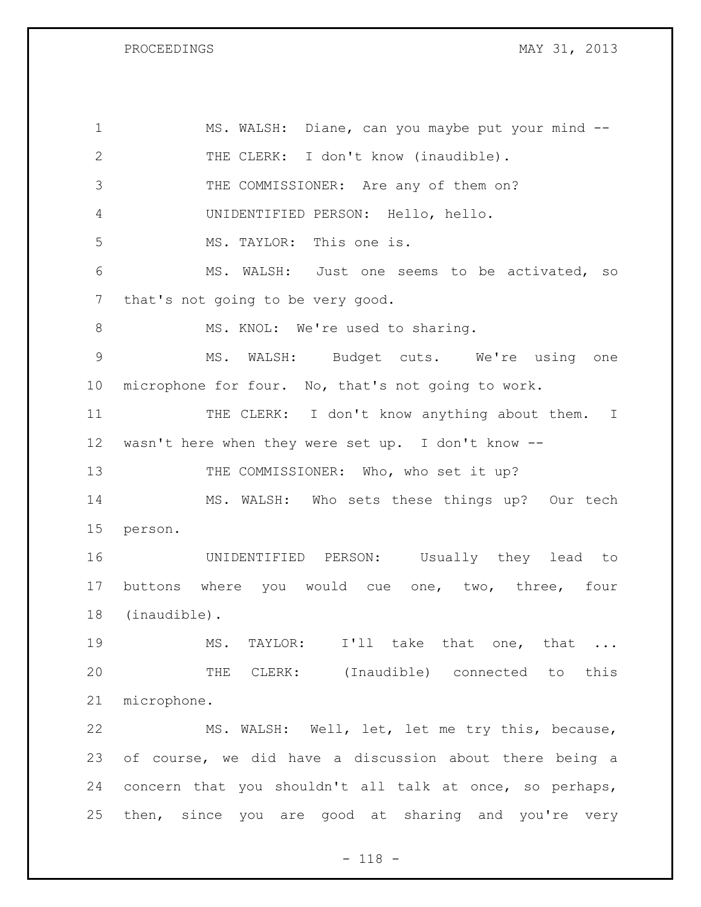| $\mathbf 1$     | MS. WALSH: Diane, can you maybe put your mind --         |
|-----------------|----------------------------------------------------------|
| 2               | THE CLERK: I don't know (inaudible).                     |
| 3               | THE COMMISSIONER: Are any of them on?                    |
| 4               | UNIDENTIFIED PERSON: Hello, hello.                       |
| 5               | MS. TAYLOR: This one is.                                 |
| 6               | MS. WALSH: Just one seems to be activated, so            |
| 7               | that's not going to be very good.                        |
| 8               | MS. KNOL: We're used to sharing.                         |
| $\overline{9}$  | MS. WALSH: Budget cuts. We're using one                  |
| $10 \,$         | microphone for four. No, that's not going to work.       |
| 11              | THE CLERK: I don't know anything about them. I           |
| 12 <sup>°</sup> | wasn't here when they were set up. I don't know --       |
| 13              | THE COMMISSIONER: Who, who set it up?                    |
| 14              | MS. WALSH: Who sets these things up? Our tech            |
| 15              | person.                                                  |
| 16              | UNIDENTIFIED PERSON: Usually they lead to                |
| 17              | buttons where you would cue one, two, three, four        |
| 18              |                                                          |
|                 | (inaudible).                                             |
| 19              | MS. TAYLOR: I'll take that one, that                     |
| 20              | THE CLERK: (Inaudible) connected to this                 |
| 21              | microphone.                                              |
| 22              | MS. WALSH: Well, let, let me try this, because,          |
| 23              | of course, we did have a discussion about there being a  |
| 24              | concern that you shouldn't all talk at once, so perhaps, |

- 118 -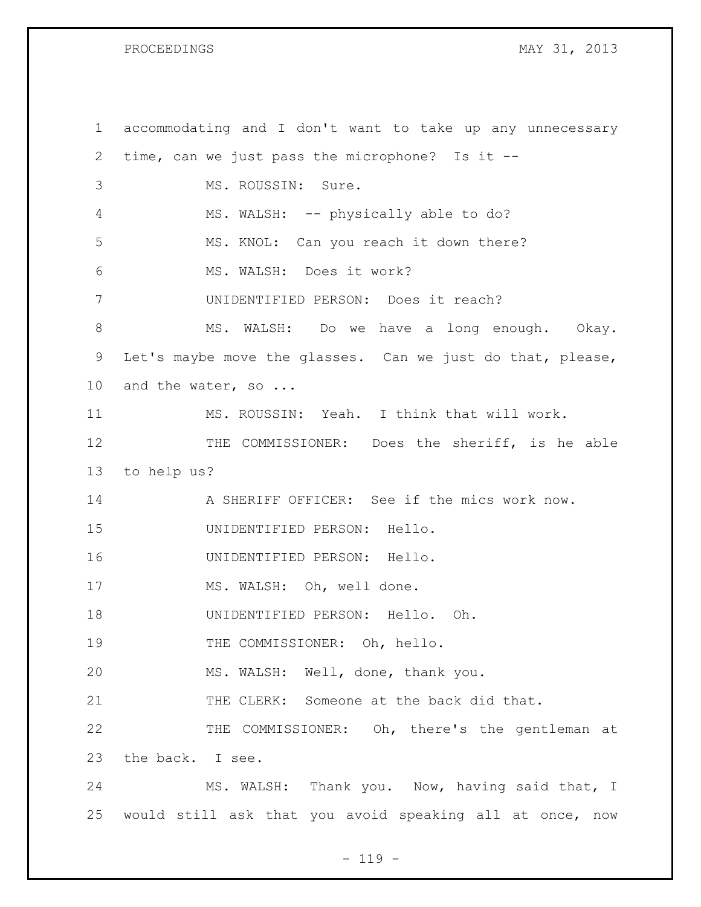| $\mathbf 1$     | accommodating and I don't want to take up any unnecessary  |
|-----------------|------------------------------------------------------------|
| 2               | time, can we just pass the microphone? Is it --            |
| 3               | MS. ROUSSIN: Sure.                                         |
| 4               | MS. WALSH: -- physically able to do?                       |
| 5               | MS. KNOL: Can you reach it down there?                     |
| 6               | MS. WALSH: Does it work?                                   |
| 7               | UNIDENTIFIED PERSON: Does it reach?                        |
| 8               | MS. WALSH: Do we have a long enough. Okay.                 |
| 9               | Let's maybe move the glasses. Can we just do that, please, |
| 10 <sub>o</sub> | and the water, so                                          |
| 11              | MS. ROUSSIN: Yeah. I think that will work.                 |
| 12              | THE COMMISSIONER: Does the sheriff, is he able             |
| 13              | to help us?                                                |
| 14              | A SHERIFF OFFICER: See if the mics work now.               |
| 15              | UNIDENTIFIED PERSON: Hello.                                |
| 16              | UNIDENTIFIED PERSON: Hello.                                |
| 17              | MS. WALSH: Oh, well done.                                  |
| 18              | UNIDENTIFIED PERSON: Hello. Oh.                            |
| 19              | THE COMMISSIONER: Oh, hello.                               |
| 20              | MS. WALSH: Well, done, thank you.                          |
| 21              | THE CLERK: Someone at the back did that.                   |
| 22              | THE COMMISSIONER: Oh, there's the gentleman at             |
| 23              | the back. I see.                                           |
| 24              | MS. WALSH: Thank you. Now, having said that, I             |
| 25              | would still ask that you avoid speaking all at once, now   |

- 119 -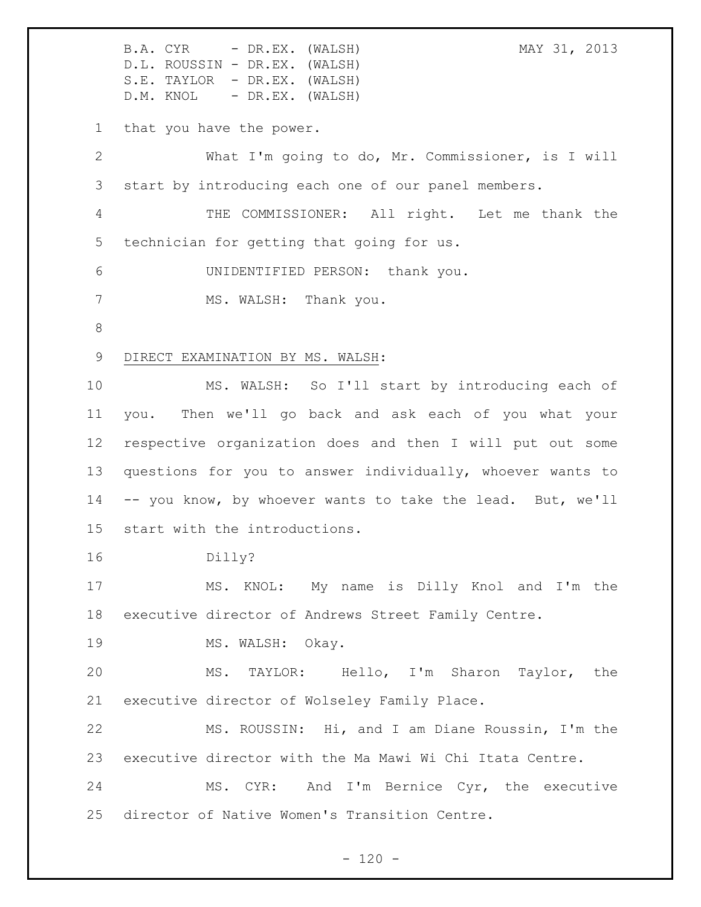B.A. CYR - DR.EX. (WALSH) MAY 31, 2013 D.L. ROUSSIN - DR.EX. (WALSH) S.E. TAYLOR - DR.EX. (WALSH) D.M. KNOL - DR.EX. (WALSH) that you have the power. What I'm going to do, Mr. Commissioner, is I will start by introducing each one of our panel members. THE COMMISSIONER: All right. Let me thank the technician for getting that going for us. UNIDENTIFIED PERSON: thank you. 7 MS. WALSH: Thank you. DIRECT EXAMINATION BY MS. WALSH: MS. WALSH: So I'll start by introducing each of you. Then we'll go back and ask each of you what your respective organization does and then I will put out some questions for you to answer individually, whoever wants to -- you know, by whoever wants to take the lead. But, we'll start with the introductions. Dilly? MS. KNOL: My name is Dilly Knol and I'm the executive director of Andrews Street Family Centre. 19 MS. WALSH: Okay. MS. TAYLOR: Hello, I'm Sharon Taylor, the executive director of Wolseley Family Place. MS. ROUSSIN: Hi, and I am Diane Roussin, I'm the executive director with the Ma Mawi Wi Chi Itata Centre. MS. CYR: And I'm Bernice Cyr, the executive director of Native Women's Transition Centre.

 $- 120 -$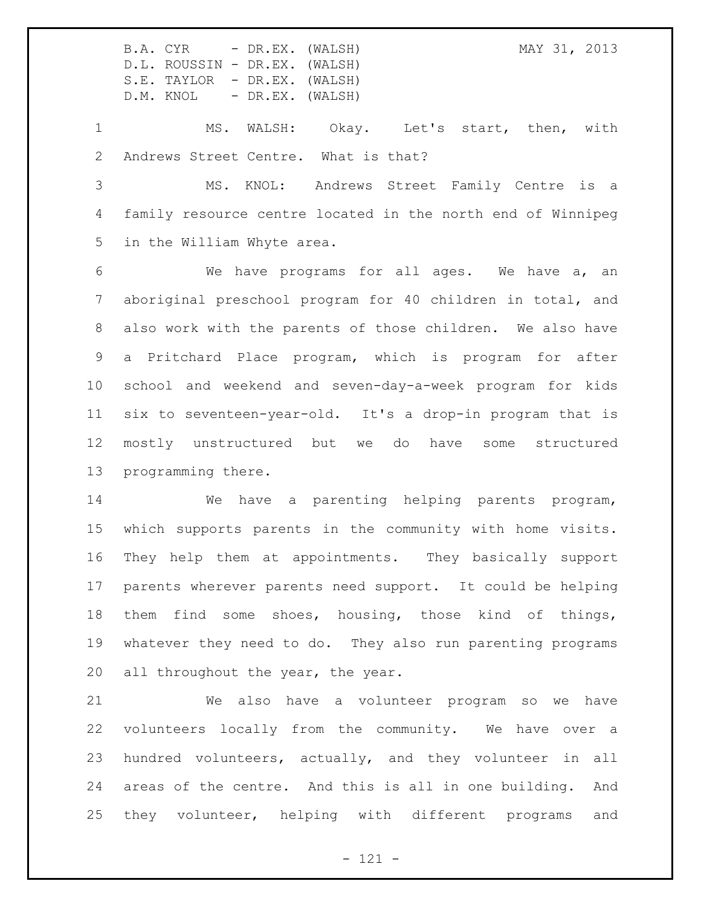MS. WALSH: Okay. Let's start, then, with Andrews Street Centre. What is that?

 MS. KNOL: Andrews Street Family Centre is a family resource centre located in the north end of Winnipeg in the William Whyte area.

 We have programs for all ages. We have a, an aboriginal preschool program for 40 children in total, and also work with the parents of those children. We also have a Pritchard Place program, which is program for after school and weekend and seven-day-a-week program for kids six to seventeen-year-old. It's a drop-in program that is mostly unstructured but we do have some structured programming there.

 We have a parenting helping parents program, which supports parents in the community with home visits. They help them at appointments. They basically support parents wherever parents need support. It could be helping them find some shoes, housing, those kind of things, whatever they need to do. They also run parenting programs 20 all throughout the year, the year.

 We also have a volunteer program so we have volunteers locally from the community. We have over a hundred volunteers, actually, and they volunteer in all areas of the centre. And this is all in one building. And they volunteer, helping with different programs and

- 121 -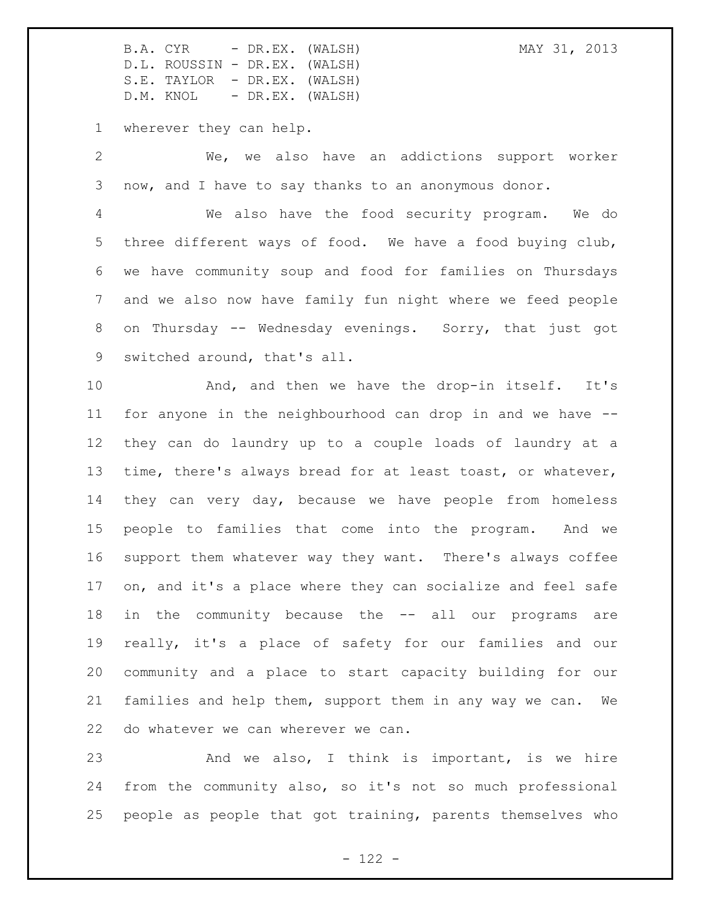wherever they can help.

 We, we also have an addictions support worker now, and I have to say thanks to an anonymous donor.

 We also have the food security program. We do three different ways of food. We have a food buying club, we have community soup and food for families on Thursdays and we also now have family fun night where we feed people on Thursday -- Wednesday evenings. Sorry, that just got switched around, that's all.

10 And, and then we have the drop-in itself. It's for anyone in the neighbourhood can drop in and we have -- they can do laundry up to a couple loads of laundry at a time, there's always bread for at least toast, or whatever, they can very day, because we have people from homeless people to families that come into the program. And we support them whatever way they want. There's always coffee on, and it's a place where they can socialize and feel safe in the community because the -- all our programs are really, it's a place of safety for our families and our community and a place to start capacity building for our families and help them, support them in any way we can. We do whatever we can wherever we can.

 And we also, I think is important, is we hire from the community also, so it's not so much professional people as people that got training, parents themselves who

 $- 122 -$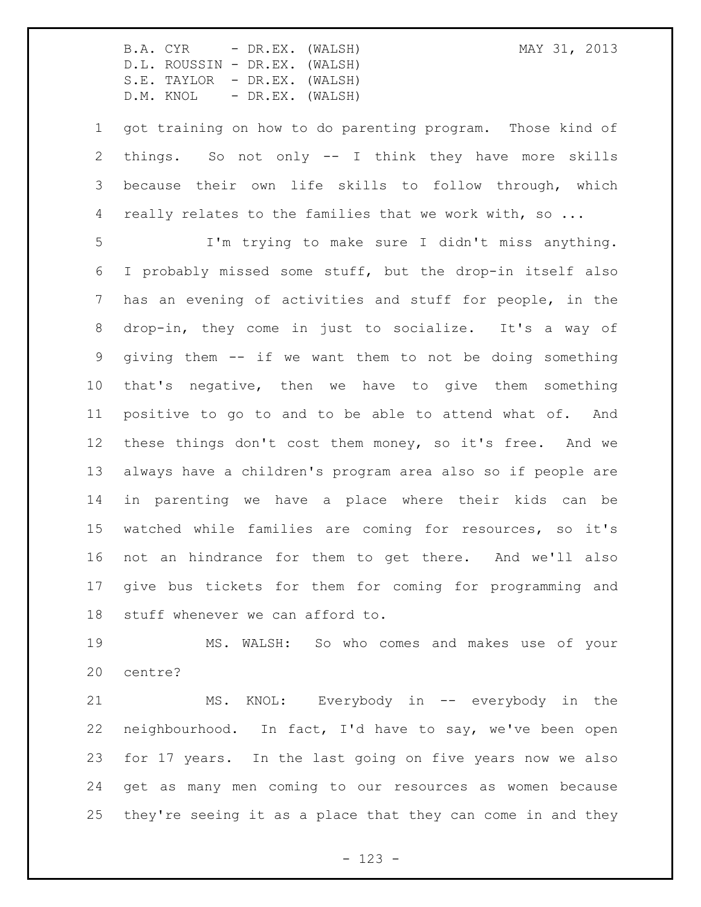got training on how to do parenting program. Those kind of things. So not only -- I think they have more skills because their own life skills to follow through, which 4 really relates to the families that we work with, so ...

 I'm trying to make sure I didn't miss anything. I probably missed some stuff, but the drop-in itself also has an evening of activities and stuff for people, in the drop-in, they come in just to socialize. It's a way of giving them -- if we want them to not be doing something that's negative, then we have to give them something positive to go to and to be able to attend what of. And these things don't cost them money, so it's free. And we always have a children's program area also so if people are in parenting we have a place where their kids can be watched while families are coming for resources, so it's not an hindrance for them to get there. And we'll also give bus tickets for them for coming for programming and stuff whenever we can afford to.

 MS. WALSH: So who comes and makes use of your centre?

 MS. KNOL: Everybody in -- everybody in the neighbourhood. In fact, I'd have to say, we've been open for 17 years. In the last going on five years now we also get as many men coming to our resources as women because they're seeing it as a place that they can come in and they

- 123 -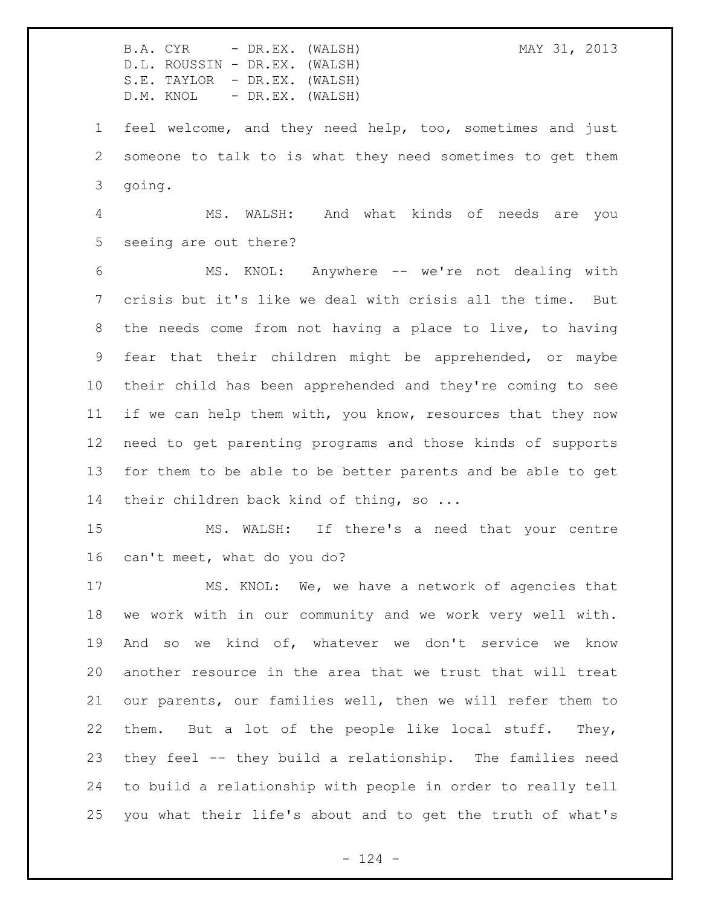B.A. CYR - DR.EX. (WALSH) MAY 31, 2013 D.L. ROUSSIN - DR.EX. (WALSH) S.E. TAYLOR - DR.EX. (WALSH) D.M. KNOL - DR.EX. (WALSH) feel welcome, and they need help, too, sometimes and just someone to talk to is what they need sometimes to get them going. MS. WALSH: And what kinds of needs are you seeing are out there? MS. KNOL: Anywhere -- we're not dealing with crisis but it's like we deal with crisis all the time. But the needs come from not having a place to live, to having fear that their children might be apprehended, or maybe their child has been apprehended and they're coming to see if we can help them with, you know, resources that they now need to get parenting programs and those kinds of supports for them to be able to be better parents and be able to get 14 their children back kind of thing, so ... MS. WALSH: If there's a need that your centre can't meet, what do you do? MS. KNOL: We, we have a network of agencies that we work with in our community and we work very well with. And so we kind of, whatever we don't service we know another resource in the area that we trust that will treat our parents, our families well, then we will refer them to them. But a lot of the people like local stuff. They, they feel -- they build a relationship. The families need to build a relationship with people in order to really tell you what their life's about and to get the truth of what's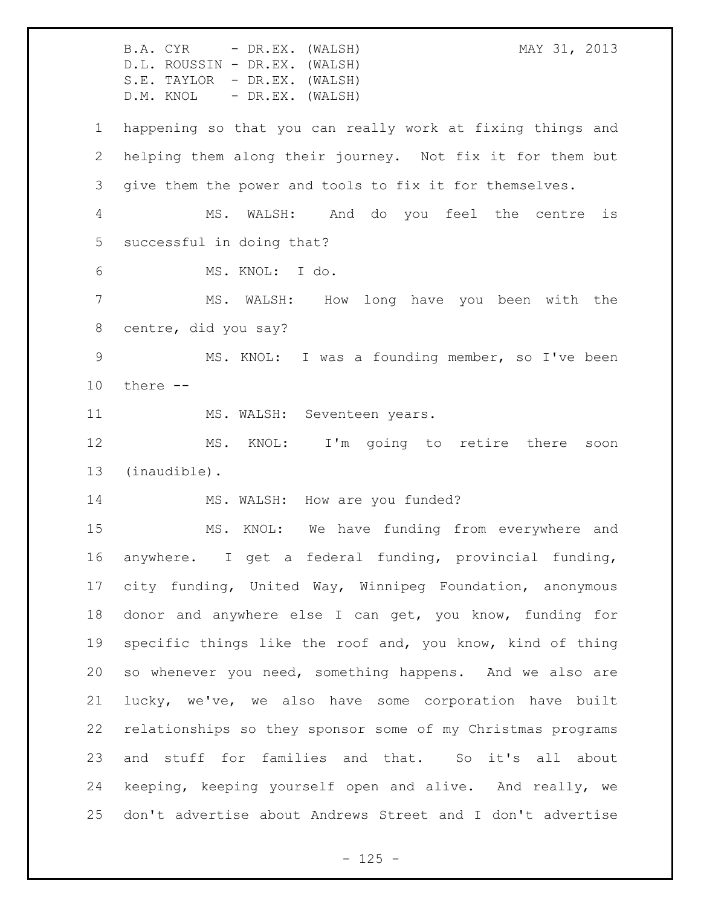B.A. CYR - DR.EX. (WALSH) MAY 31, 2013 D.L. ROUSSIN - DR.EX. (WALSH) S.E. TAYLOR - DR.EX. (WALSH) D.M. KNOL - DR.EX. (WALSH) happening so that you can really work at fixing things and helping them along their journey. Not fix it for them but give them the power and tools to fix it for themselves. MS. WALSH: And do you feel the centre is successful in doing that? MS. KNOL: I do. MS. WALSH: How long have you been with the centre, did you say? MS. KNOL: I was a founding member, so I've been there -- 11 MS. WALSH: Seventeen years. MS. KNOL: I'm going to retire there soon (inaudible). 14 MS. WALSH: How are you funded? MS. KNOL: We have funding from everywhere and anywhere. I get a federal funding, provincial funding, city funding, United Way, Winnipeg Foundation, anonymous donor and anywhere else I can get, you know, funding for specific things like the roof and, you know, kind of thing so whenever you need, something happens. And we also are lucky, we've, we also have some corporation have built relationships so they sponsor some of my Christmas programs 23 and stuff for families and that. So it's all about keeping, keeping yourself open and alive. And really, we don't advertise about Andrews Street and I don't advertise

 $- 125 -$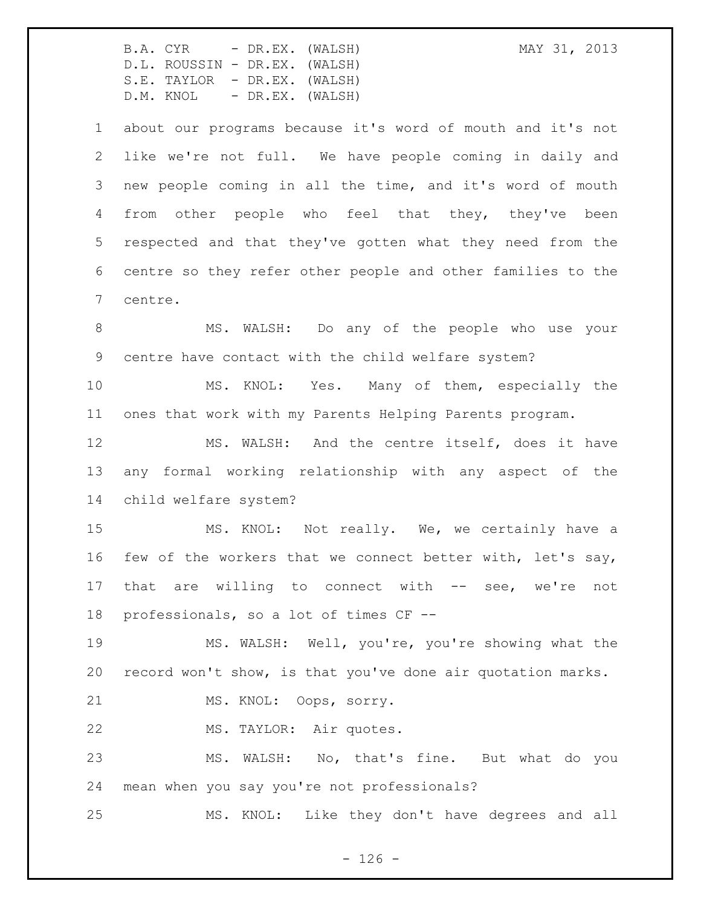about our programs because it's word of mouth and it's not like we're not full. We have people coming in daily and new people coming in all the time, and it's word of mouth from other people who feel that they, they've been respected and that they've gotten what they need from the centre so they refer other people and other families to the centre.

 MS. WALSH: Do any of the people who use your centre have contact with the child welfare system?

 MS. KNOL: Yes. Many of them, especially the ones that work with my Parents Helping Parents program.

 MS. WALSH: And the centre itself, does it have any formal working relationship with any aspect of the child welfare system?

 MS. KNOL: Not really. We, we certainly have a few of the workers that we connect better with, let's say, 17 that are willing to connect with -- see, we're not professionals, so a lot of times CF --

 MS. WALSH: Well, you're, you're showing what the record won't show, is that you've done air quotation marks.

MS. KNOL: Oops, sorry.

MS. TAYLOR: Air quotes.

 MS. WALSH: No, that's fine. But what do you mean when you say you're not professionals?

MS. KNOL: Like they don't have degrees and all

 $- 126 -$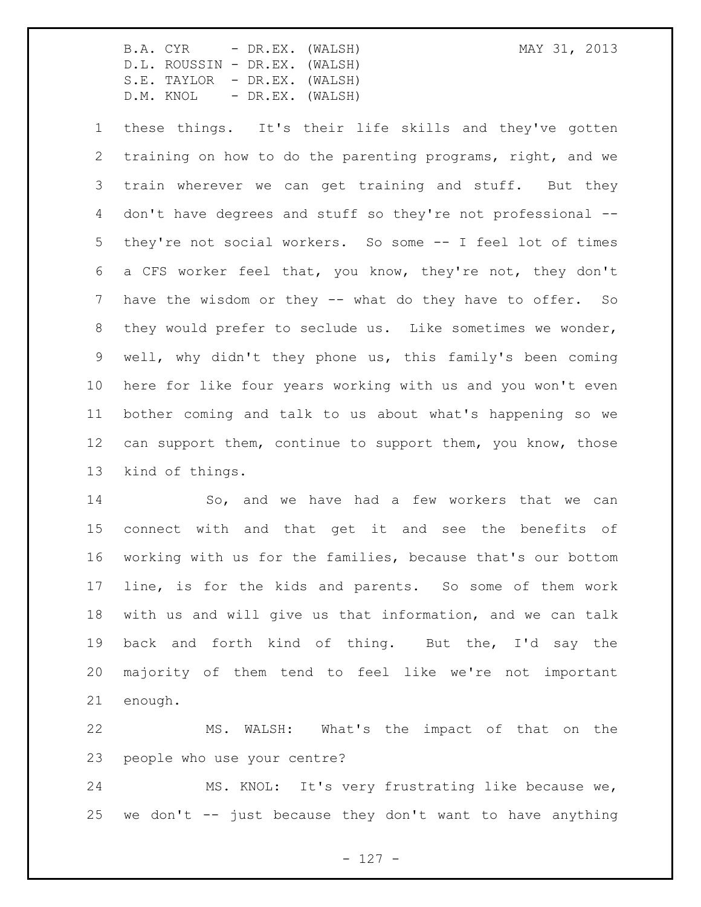these things. It's their life skills and they've gotten training on how to do the parenting programs, right, and we train wherever we can get training and stuff. But they don't have degrees and stuff so they're not professional -- they're not social workers. So some -- I feel lot of times a CFS worker feel that, you know, they're not, they don't 7 have the wisdom or they -- what do they have to offer. So they would prefer to seclude us. Like sometimes we wonder, well, why didn't they phone us, this family's been coming here for like four years working with us and you won't even bother coming and talk to us about what's happening so we 12 can support them, continue to support them, you know, those kind of things.

 So, and we have had a few workers that we can connect with and that get it and see the benefits of working with us for the families, because that's our bottom line, is for the kids and parents. So some of them work with us and will give us that information, and we can talk back and forth kind of thing. But the, I'd say the majority of them tend to feel like we're not important enough.

 MS. WALSH: What's the impact of that on the people who use your centre?

 MS. KNOL: It's very frustrating like because we, 25 we don't  $-$  just because they don't want to have anything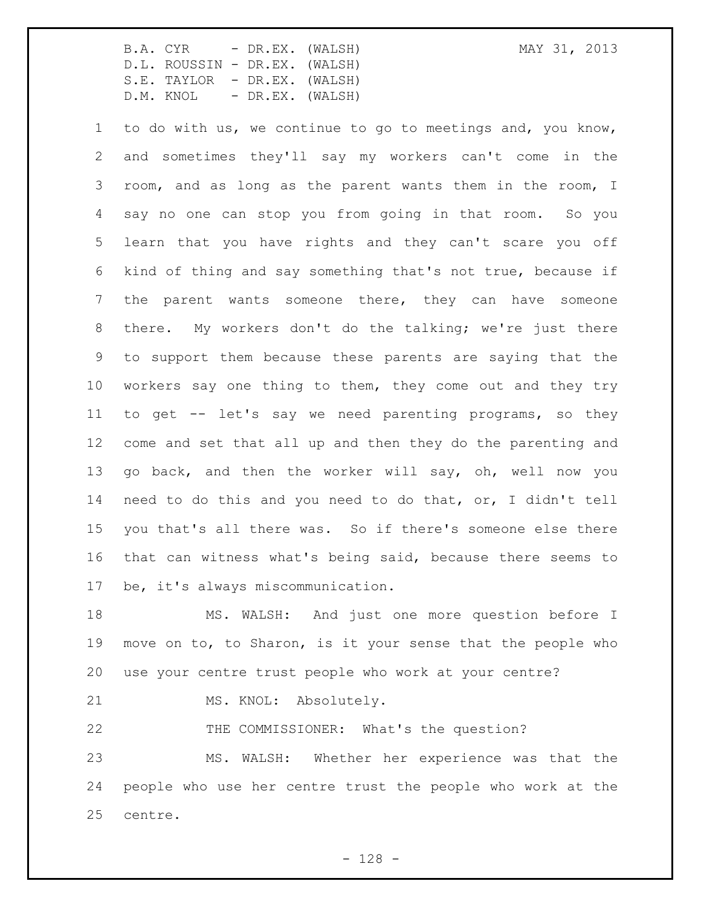to do with us, we continue to go to meetings and, you know, and sometimes they'll say my workers can't come in the room, and as long as the parent wants them in the room, I say no one can stop you from going in that room. So you learn that you have rights and they can't scare you off kind of thing and say something that's not true, because if the parent wants someone there, they can have someone there. My workers don't do the talking; we're just there to support them because these parents are saying that the workers say one thing to them, they come out and they try to get -- let's say we need parenting programs, so they come and set that all up and then they do the parenting and go back, and then the worker will say, oh, well now you need to do this and you need to do that, or, I didn't tell you that's all there was. So if there's someone else there that can witness what's being said, because there seems to be, it's always miscommunication.

 MS. WALSH: And just one more question before I move on to, to Sharon, is it your sense that the people who use your centre trust people who work at your centre?

21 MS. KNOL: Absolutely.

THE COMMISSIONER: What's the question?

 MS. WALSH: Whether her experience was that the people who use her centre trust the people who work at the centre.

- 128 -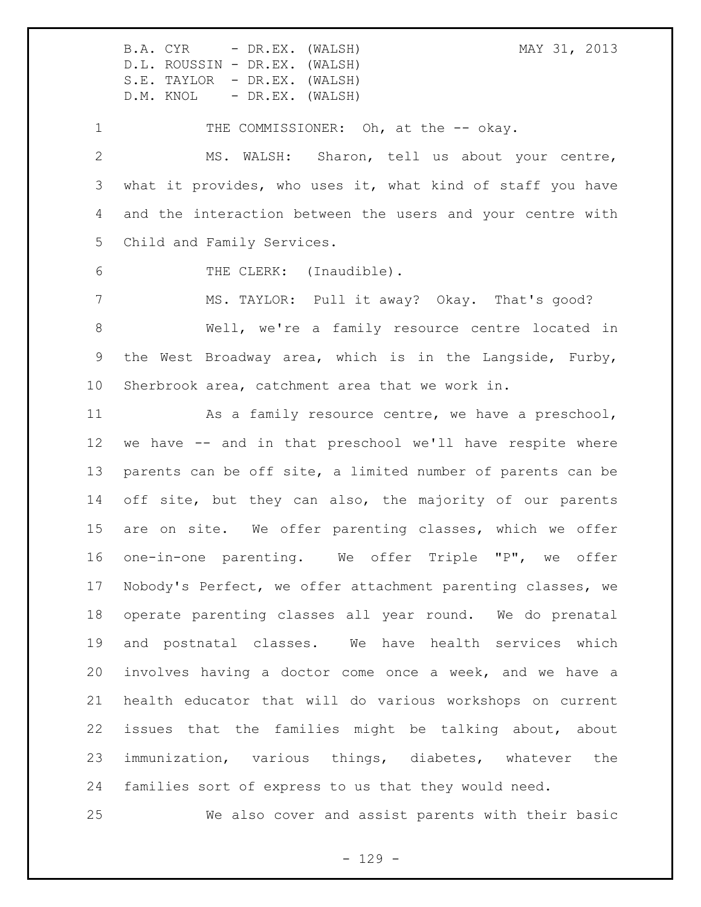B.A. CYR - DR.EX. (WALSH) MAY 31, 2013

D.L. ROUSSIN - DR.EX. (WALSH) S.E. TAYLOR - DR.EX. (WALSH) D.M. KNOL - DR.EX. (WALSH)

1 THE COMMISSIONER: Oh, at the -- okay. MS. WALSH: Sharon, tell us about your centre, what it provides, who uses it, what kind of staff you have and the interaction between the users and your centre with Child and Family Services.

6 THE CLERK: (Inaudible).

 MS. TAYLOR: Pull it away? Okay. That's good? Well, we're a family resource centre located in the West Broadway area, which is in the Langside, Furby, Sherbrook area, catchment area that we work in.

11 As a family resource centre, we have a preschool, we have -- and in that preschool we'll have respite where parents can be off site, a limited number of parents can be 14 off site, but they can also, the majority of our parents are on site. We offer parenting classes, which we offer one-in-one parenting. We offer Triple "P", we offer Nobody's Perfect, we offer attachment parenting classes, we operate parenting classes all year round. We do prenatal and postnatal classes. We have health services which involves having a doctor come once a week, and we have a health educator that will do various workshops on current issues that the families might be talking about, about immunization, various things, diabetes, whatever the families sort of express to us that they would need.

We also cover and assist parents with their basic

 $- 129 -$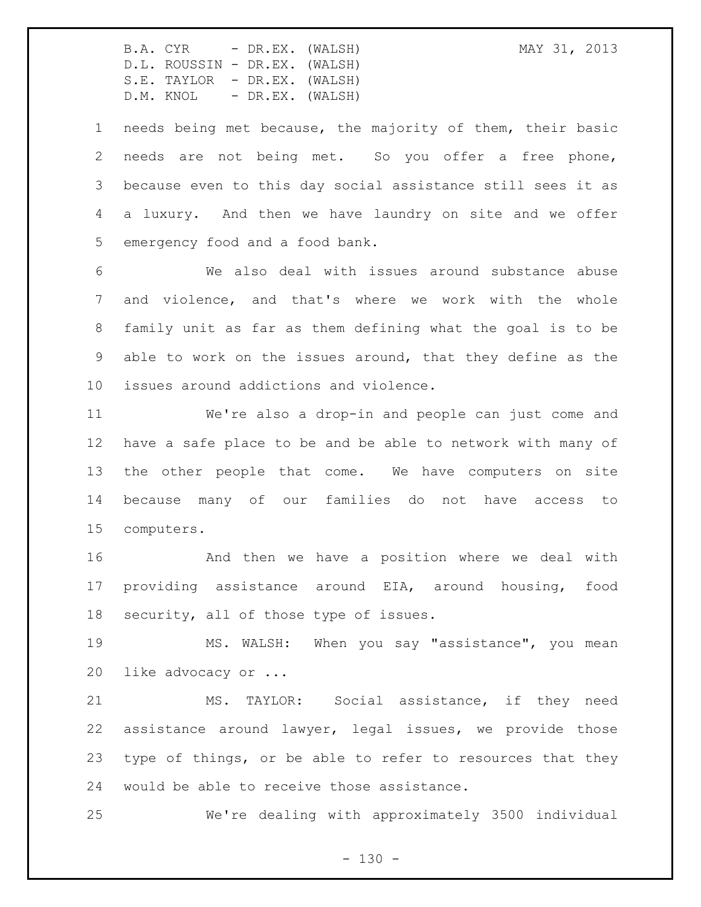needs being met because, the majority of them, their basic needs are not being met. So you offer a free phone, because even to this day social assistance still sees it as a luxury. And then we have laundry on site and we offer emergency food and a food bank.

 We also deal with issues around substance abuse and violence, and that's where we work with the whole family unit as far as them defining what the goal is to be able to work on the issues around, that they define as the issues around addictions and violence.

 We're also a drop-in and people can just come and have a safe place to be and be able to network with many of the other people that come. We have computers on site because many of our families do not have access to computers.

 And then we have a position where we deal with providing assistance around EIA, around housing, food security, all of those type of issues.

 MS. WALSH: When you say "assistance", you mean like advocacy or ...

 MS. TAYLOR: Social assistance, if they need assistance around lawyer, legal issues, we provide those type of things, or be able to refer to resources that they would be able to receive those assistance.

We're dealing with approximately 3500 individual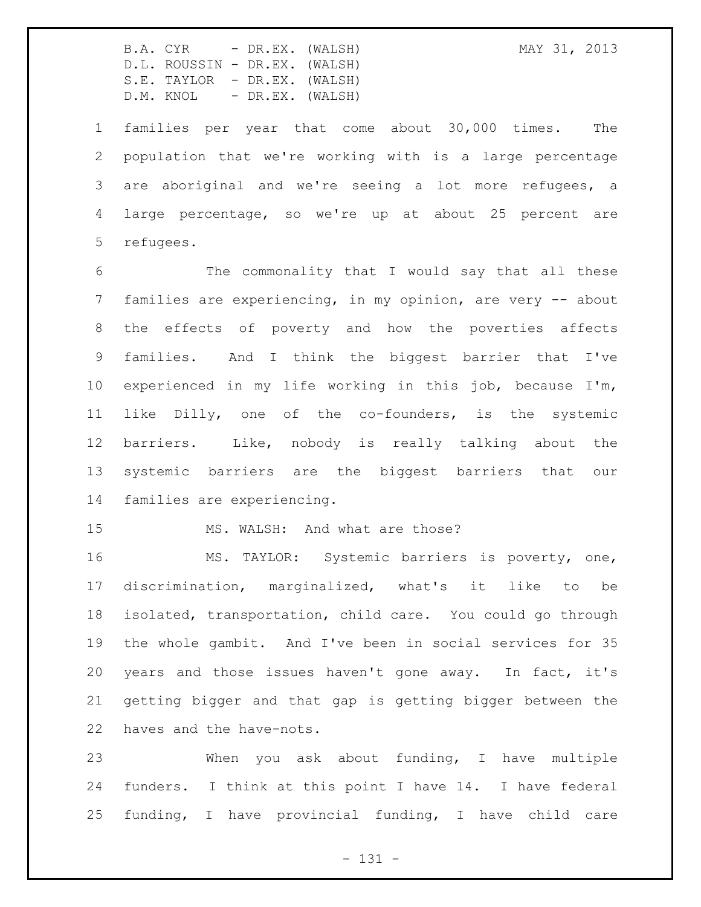families per year that come about 30,000 times. The population that we're working with is a large percentage are aboriginal and we're seeing a lot more refugees, a large percentage, so we're up at about 25 percent are refugees.

 The commonality that I would say that all these families are experiencing, in my opinion, are very -- about the effects of poverty and how the poverties affects families. And I think the biggest barrier that I've experienced in my life working in this job, because I'm, like Dilly, one of the co-founders, is the systemic barriers. Like, nobody is really talking about the systemic barriers are the biggest barriers that our families are experiencing.

15 MS. WALSH: And what are those?

 MS. TAYLOR: Systemic barriers is poverty, one, discrimination, marginalized, what's it like to be isolated, transportation, child care. You could go through the whole gambit. And I've been in social services for 35 years and those issues haven't gone away. In fact, it's getting bigger and that gap is getting bigger between the haves and the have-nots.

 When you ask about funding, I have multiple funders. I think at this point I have 14. I have federal funding, I have provincial funding, I have child care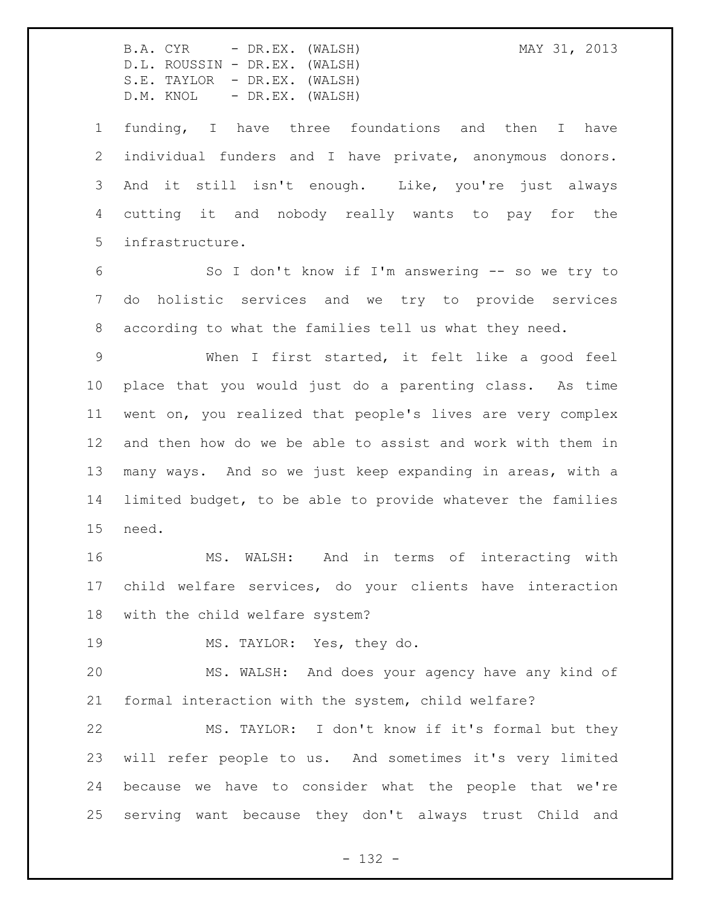B.A. CYR - DR.EX. (WALSH) MAY 31, 2013

D.L. ROUSSIN - DR.EX. (WALSH) S.E. TAYLOR - DR.EX. (WALSH) D.M. KNOL - DR.EX. (WALSH)

 funding, I have three foundations and then I have individual funders and I have private, anonymous donors. And it still isn't enough. Like, you're just always cutting it and nobody really wants to pay for the infrastructure.

 So I don't know if I'm answering -- so we try to do holistic services and we try to provide services according to what the families tell us what they need.

 When I first started, it felt like a good feel place that you would just do a parenting class. As time went on, you realized that people's lives are very complex and then how do we be able to assist and work with them in many ways. And so we just keep expanding in areas, with a limited budget, to be able to provide whatever the families need.

 MS. WALSH: And in terms of interacting with child welfare services, do your clients have interaction with the child welfare system?

MS. TAYLOR: Yes, they do.

 MS. WALSH: And does your agency have any kind of formal interaction with the system, child welfare?

 MS. TAYLOR: I don't know if it's formal but they will refer people to us. And sometimes it's very limited because we have to consider what the people that we're serving want because they don't always trust Child and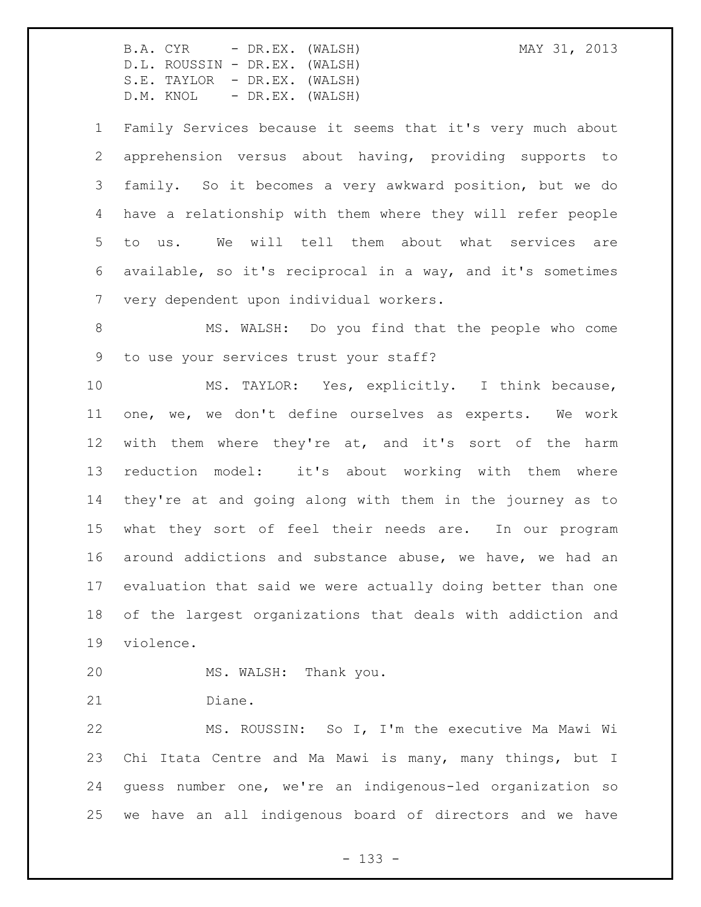Family Services because it seems that it's very much about apprehension versus about having, providing supports to family. So it becomes a very awkward position, but we do have a relationship with them where they will refer people to us. We will tell them about what services are available, so it's reciprocal in a way, and it's sometimes very dependent upon individual workers.

 MS. WALSH: Do you find that the people who come to use your services trust your staff?

 MS. TAYLOR: Yes, explicitly. I think because, one, we, we don't define ourselves as experts. We work with them where they're at, and it's sort of the harm reduction model: it's about working with them where they're at and going along with them in the journey as to what they sort of feel their needs are. In our program around addictions and substance abuse, we have, we had an evaluation that said we were actually doing better than one of the largest organizations that deals with addiction and violence.

MS. WALSH: Thank you.

Diane.

 MS. ROUSSIN: So I, I'm the executive Ma Mawi Wi Chi Itata Centre and Ma Mawi is many, many things, but I guess number one, we're an indigenous-led organization so we have an all indigenous board of directors and we have

- 133 -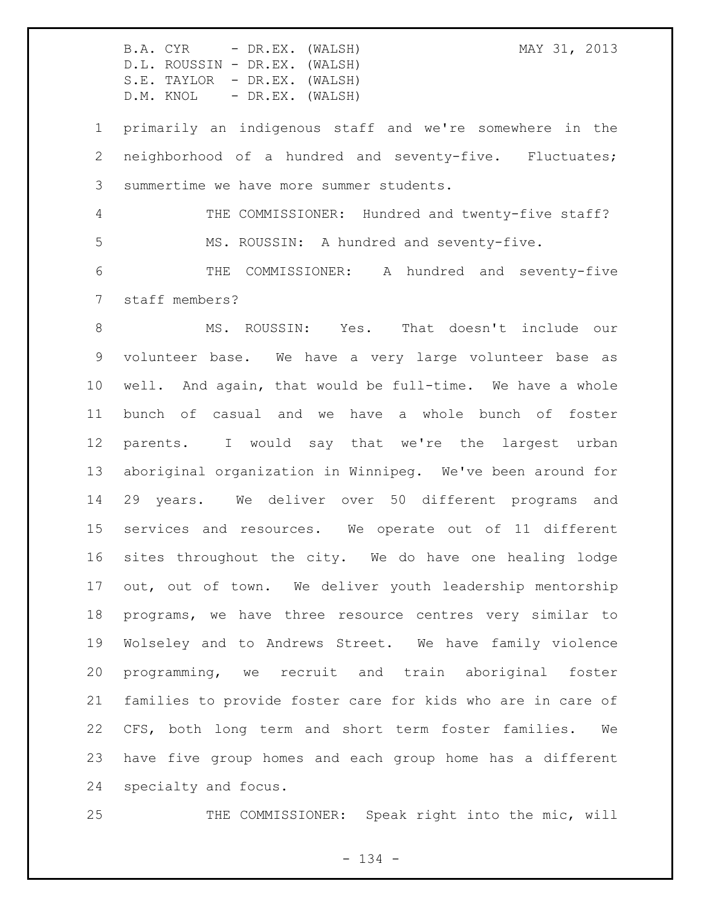primarily an indigenous staff and we're somewhere in the neighborhood of a hundred and seventy-five. Fluctuates; summertime we have more summer students.

 THE COMMISSIONER: Hundred and twenty-five staff? MS. ROUSSIN: A hundred and seventy-five. THE COMMISSIONER: A hundred and seventy-five

staff members?

 MS. ROUSSIN: Yes. That doesn't include our volunteer base. We have a very large volunteer base as well. And again, that would be full-time. We have a whole bunch of casual and we have a whole bunch of foster parents. I would say that we're the largest urban aboriginal organization in Winnipeg. We've been around for 29 years. We deliver over 50 different programs and services and resources. We operate out of 11 different sites throughout the city. We do have one healing lodge out, out of town. We deliver youth leadership mentorship programs, we have three resource centres very similar to Wolseley and to Andrews Street. We have family violence programming, we recruit and train aboriginal foster families to provide foster care for kids who are in care of CFS, both long term and short term foster families. We have five group homes and each group home has a different specialty and focus.

THE COMMISSIONER: Speak right into the mic, will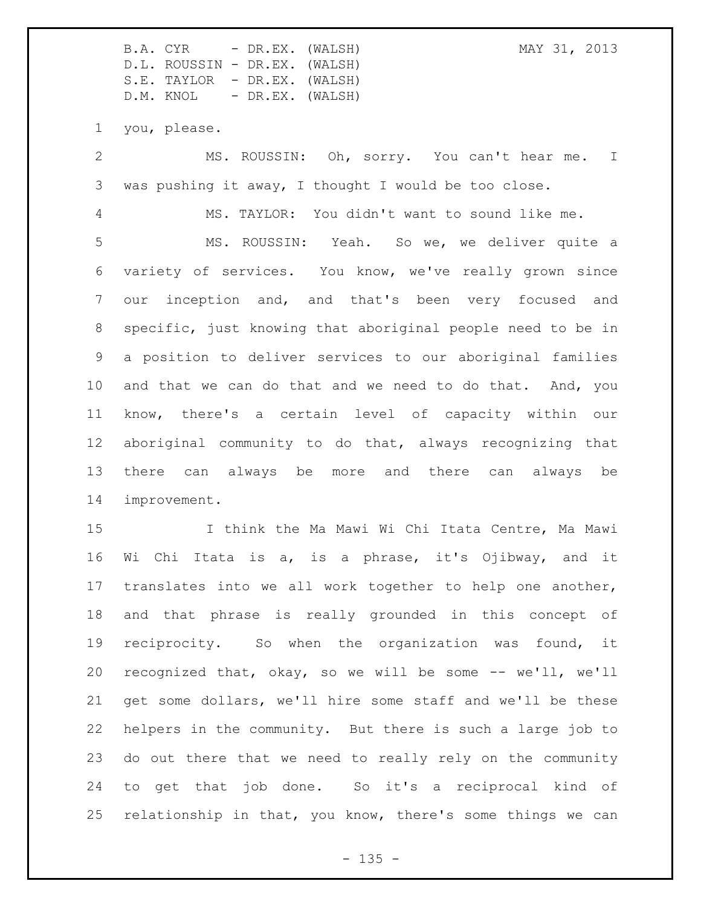B.A. CYR - DR.EX. (WALSH) MAY 31, 2013 D.L. ROUSSIN - DR.EX. (WALSH) S.E. TAYLOR - DR.EX. (WALSH) D.M. KNOL - DR.EX. (WALSH) you, please. MS. ROUSSIN: Oh, sorry. You can't hear me. I was pushing it away, I thought I would be too close. MS. TAYLOR: You didn't want to sound like me. MS. ROUSSIN: Yeah. So we, we deliver quite a variety of services. You know, we've really grown since our inception and, and that's been very focused and specific, just knowing that aboriginal people need to be in a position to deliver services to our aboriginal families and that we can do that and we need to do that. And, you know, there's a certain level of capacity within our aboriginal community to do that, always recognizing that there can always be more and there can always be improvement.

 I think the Ma Mawi Wi Chi Itata Centre, Ma Mawi Wi Chi Itata is a, is a phrase, it's Ojibway, and it translates into we all work together to help one another, and that phrase is really grounded in this concept of reciprocity. So when the organization was found, it recognized that, okay, so we will be some -- we'll, we'll get some dollars, we'll hire some staff and we'll be these helpers in the community. But there is such a large job to do out there that we need to really rely on the community to get that job done. So it's a reciprocal kind of relationship in that, you know, there's some things we can

 $- 135 -$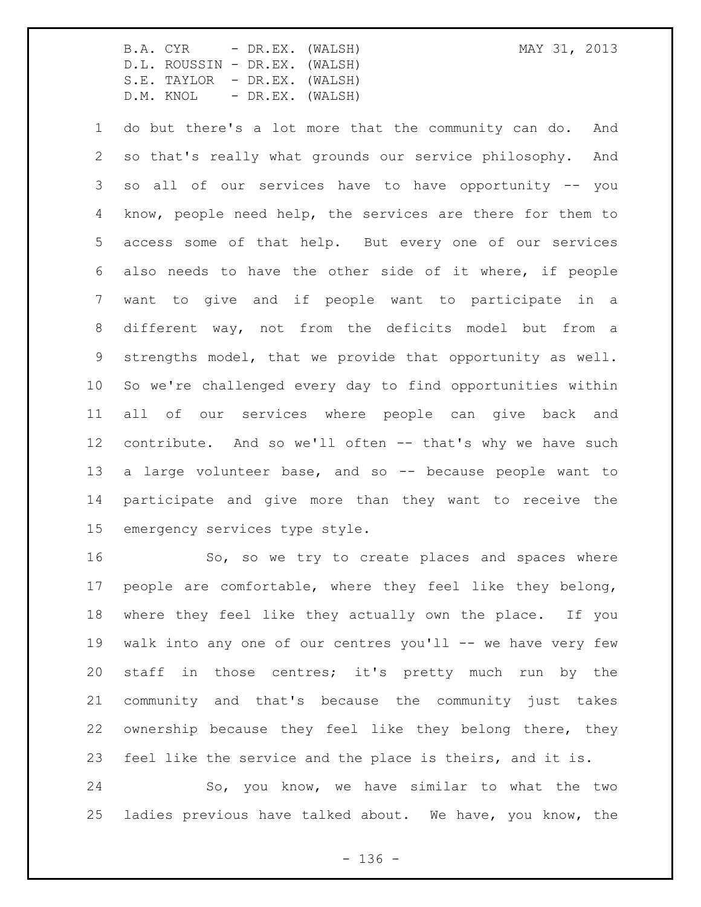do but there's a lot more that the community can do. And so that's really what grounds our service philosophy. And so all of our services have to have opportunity -- you know, people need help, the services are there for them to access some of that help. But every one of our services also needs to have the other side of it where, if people want to give and if people want to participate in a different way, not from the deficits model but from a strengths model, that we provide that opportunity as well. So we're challenged every day to find opportunities within all of our services where people can give back and contribute. And so we'll often -- that's why we have such a large volunteer base, and so -- because people want to participate and give more than they want to receive the emergency services type style.

16 So, so we try to create places and spaces where people are comfortable, where they feel like they belong, where they feel like they actually own the place. If you 19 walk into any one of our centres you'll -- we have very few staff in those centres; it's pretty much run by the community and that's because the community just takes ownership because they feel like they belong there, they feel like the service and the place is theirs, and it is.

 So, you know, we have similar to what the two ladies previous have talked about. We have, you know, the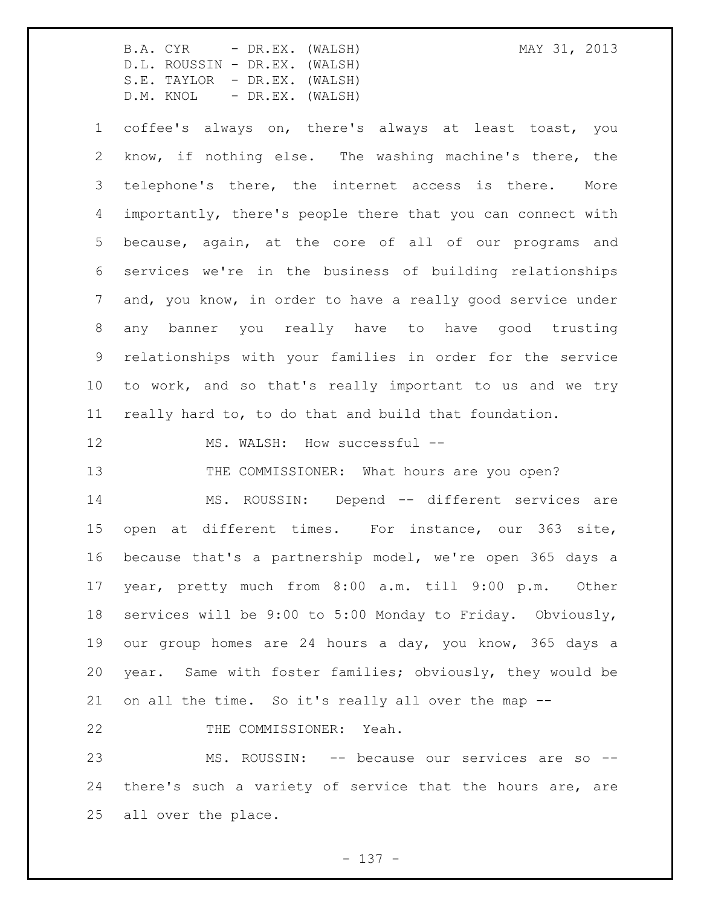coffee's always on, there's always at least toast, you know, if nothing else. The washing machine's there, the telephone's there, the internet access is there. More importantly, there's people there that you can connect with because, again, at the core of all of our programs and services we're in the business of building relationships and, you know, in order to have a really good service under any banner you really have to have good trusting relationships with your families in order for the service to work, and so that's really important to us and we try really hard to, to do that and build that foundation.

12 MS. WALSH: How successful --

13 THE COMMISSIONER: What hours are you open?

 MS. ROUSSIN: Depend -- different services are open at different times. For instance, our 363 site, because that's a partnership model, we're open 365 days a year, pretty much from 8:00 a.m. till 9:00 p.m. Other services will be 9:00 to 5:00 Monday to Friday. Obviously, our group homes are 24 hours a day, you know, 365 days a year. Same with foster families; obviously, they would be on all the time. So it's really all over the map --

22 THE COMMISSIONER: Yeah.

 MS. ROUSSIN: -- because our services are so -- there's such a variety of service that the hours are, are all over the place.

- 137 -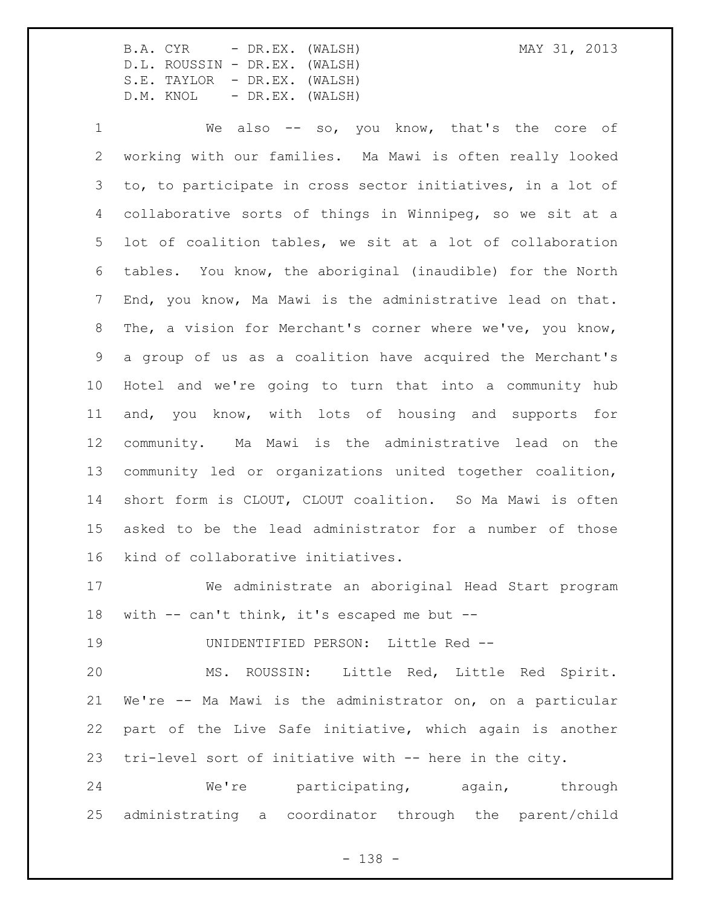We also -- so, you know, that's the core of working with our families. Ma Mawi is often really looked to, to participate in cross sector initiatives, in a lot of collaborative sorts of things in Winnipeg, so we sit at a lot of coalition tables, we sit at a lot of collaboration tables. You know, the aboriginal (inaudible) for the North End, you know, Ma Mawi is the administrative lead on that. The, a vision for Merchant's corner where we've, you know, a group of us as a coalition have acquired the Merchant's Hotel and we're going to turn that into a community hub and, you know, with lots of housing and supports for community. Ma Mawi is the administrative lead on the community led or organizations united together coalition, short form is CLOUT, CLOUT coalition. So Ma Mawi is often asked to be the lead administrator for a number of those kind of collaborative initiatives.

 We administrate an aboriginal Head Start program with -- can't think, it's escaped me but --

UNIDENTIFIED PERSON: Little Red --

 MS. ROUSSIN: Little Red, Little Red Spirit. We're -- Ma Mawi is the administrator on, on a particular part of the Live Safe initiative, which again is another tri-level sort of initiative with -- here in the city.

24 We're participating, again, through administrating a coordinator through the parent/child

- 138 -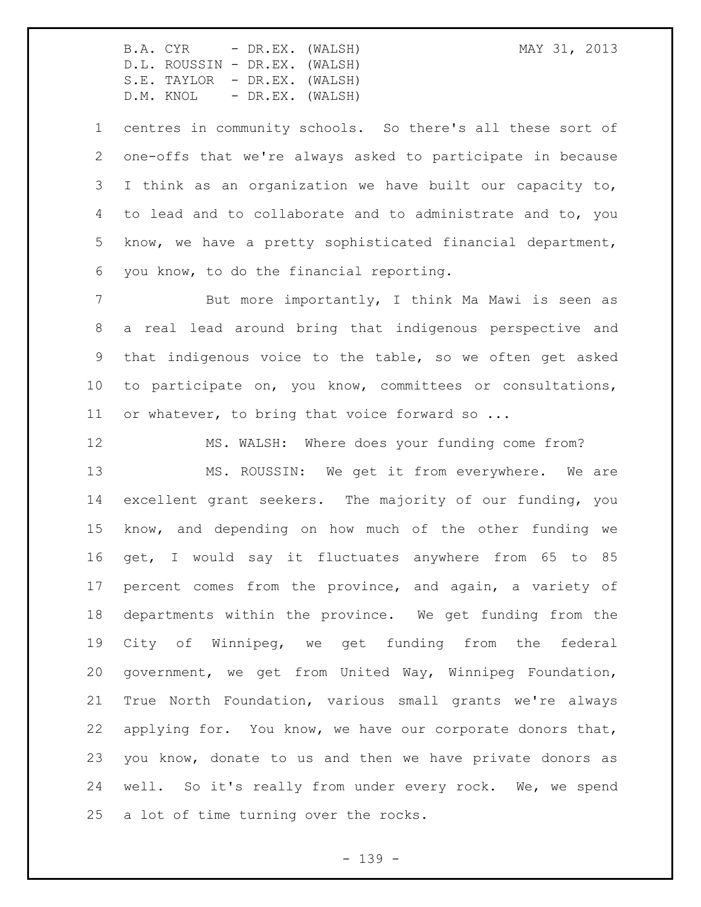centres in community schools. So there's all these sort of one-offs that we're always asked to participate in because I think as an organization we have built our capacity to, to lead and to collaborate and to administrate and to, you know, we have a pretty sophisticated financial department, you know, to do the financial reporting.

 But more importantly, I think Ma Mawi is seen as a real lead around bring that indigenous perspective and that indigenous voice to the table, so we often get asked to participate on, you know, committees or consultations, 11 or whatever, to bring that voice forward so ...

 MS. WALSH: Where does your funding come from? MS. ROUSSIN: We get it from everywhere. We are excellent grant seekers. The majority of our funding, you know, and depending on how much of the other funding we get, I would say it fluctuates anywhere from 65 to 85 percent comes from the province, and again, a variety of departments within the province. We get funding from the City of Winnipeg, we get funding from the federal government, we get from United Way, Winnipeg Foundation, True North Foundation, various small grants we're always applying for. You know, we have our corporate donors that, you know, donate to us and then we have private donors as 24 well. So it's really from under every rock. We, we spend a lot of time turning over the rocks.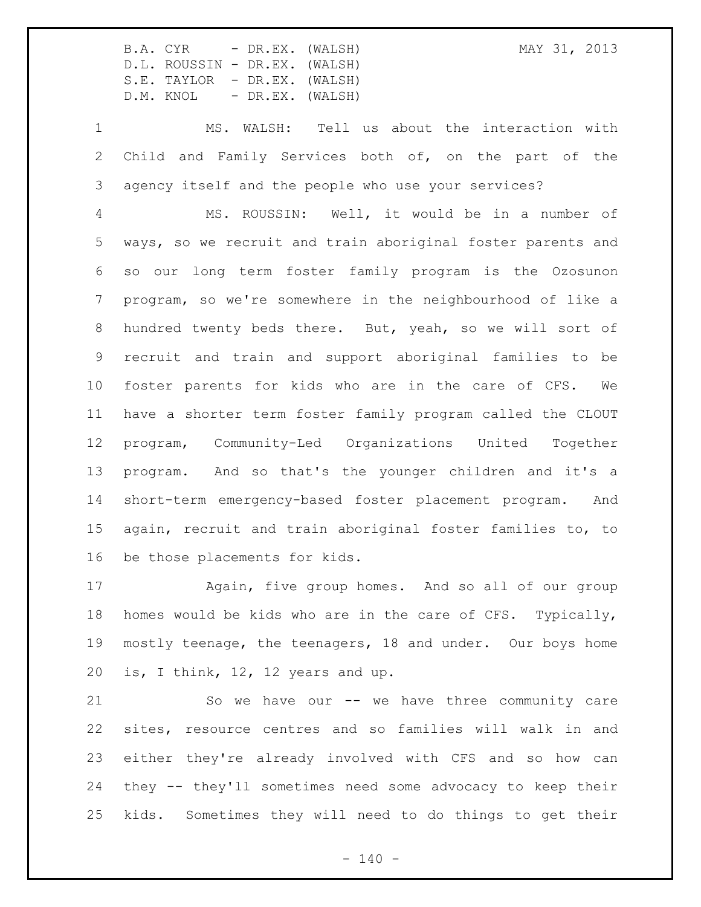MS. WALSH: Tell us about the interaction with Child and Family Services both of, on the part of the agency itself and the people who use your services?

 MS. ROUSSIN: Well, it would be in a number of ways, so we recruit and train aboriginal foster parents and so our long term foster family program is the Ozosunon program, so we're somewhere in the neighbourhood of like a hundred twenty beds there. But, yeah, so we will sort of recruit and train and support aboriginal families to be foster parents for kids who are in the care of CFS. We have a shorter term foster family program called the CLOUT program, Community-Led Organizations United Together program. And so that's the younger children and it's a short-term emergency-based foster placement program. And again, recruit and train aboriginal foster families to, to be those placements for kids.

 Again, five group homes. And so all of our group homes would be kids who are in the care of CFS. Typically, mostly teenage, the teenagers, 18 and under. Our boys home is, I think, 12, 12 years and up.

 So we have our -- we have three community care sites, resource centres and so families will walk in and either they're already involved with CFS and so how can they -- they'll sometimes need some advocacy to keep their kids. Sometimes they will need to do things to get their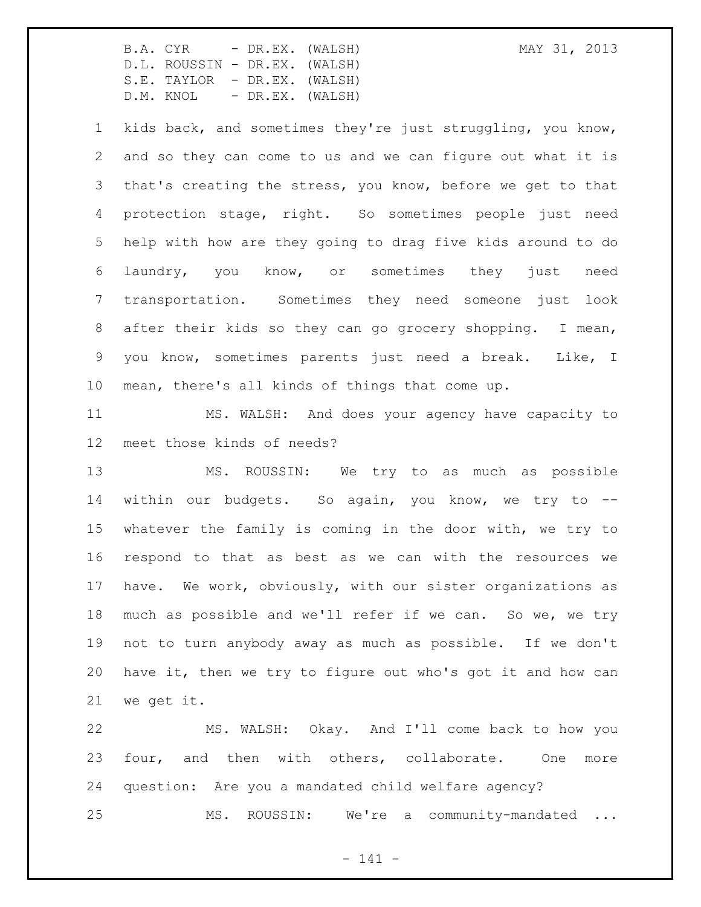kids back, and sometimes they're just struggling, you know, and so they can come to us and we can figure out what it is that's creating the stress, you know, before we get to that protection stage, right. So sometimes people just need help with how are they going to drag five kids around to do laundry, you know, or sometimes they just need transportation. Sometimes they need someone just look after their kids so they can go grocery shopping. I mean, you know, sometimes parents just need a break. Like, I mean, there's all kinds of things that come up.

 MS. WALSH: And does your agency have capacity to meet those kinds of needs?

 MS. ROUSSIN: We try to as much as possible 14 within our budgets. So again, you know, we try to -- whatever the family is coming in the door with, we try to respond to that as best as we can with the resources we have. We work, obviously, with our sister organizations as much as possible and we'll refer if we can. So we, we try not to turn anybody away as much as possible. If we don't have it, then we try to figure out who's got it and how can we get it.

 MS. WALSH: Okay. And I'll come back to how you 23 four, and then with others, collaborate. One more question: Are you a mandated child welfare agency? MS. ROUSSIN: We're a community-mandated ...

 $- 141 -$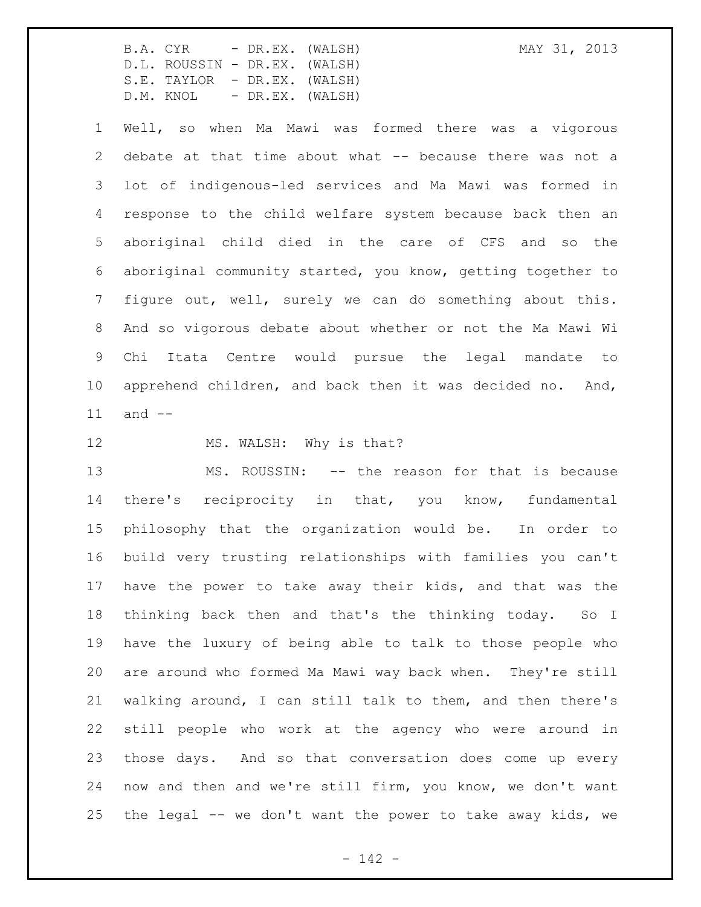Well, so when Ma Mawi was formed there was a vigorous debate at that time about what -- because there was not a lot of indigenous-led services and Ma Mawi was formed in response to the child welfare system because back then an aboriginal child died in the care of CFS and so the aboriginal community started, you know, getting together to figure out, well, surely we can do something about this. And so vigorous debate about whether or not the Ma Mawi Wi Chi Itata Centre would pursue the legal mandate to apprehend children, and back then it was decided no. And, and --

## 12 MS. WALSH: Why is that?

 MS. ROUSSIN: -- the reason for that is because there's reciprocity in that, you know, fundamental philosophy that the organization would be. In order to build very trusting relationships with families you can't have the power to take away their kids, and that was the thinking back then and that's the thinking today. So I have the luxury of being able to talk to those people who are around who formed Ma Mawi way back when. They're still walking around, I can still talk to them, and then there's still people who work at the agency who were around in those days. And so that conversation does come up every now and then and we're still firm, you know, we don't want the legal -- we don't want the power to take away kids, we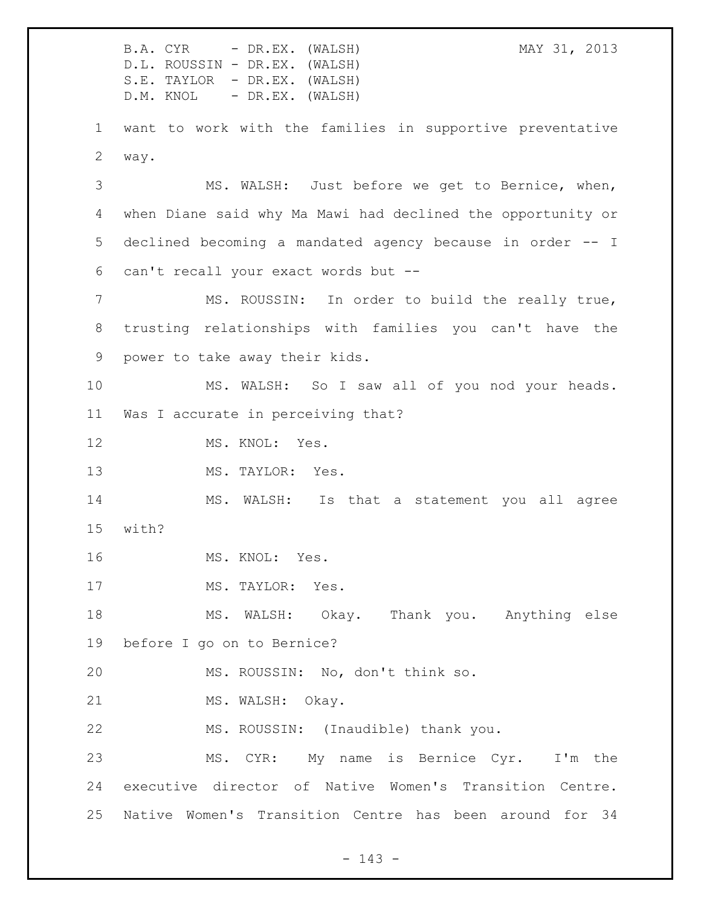B.A. CYR - DR.EX. (WALSH) MAY 31, 2013 D.L. ROUSSIN - DR.EX. (WALSH) S.E. TAYLOR - DR.EX. (WALSH) D.M. KNOL - DR.EX. (WALSH) want to work with the families in supportive preventative way. MS. WALSH: Just before we get to Bernice, when, when Diane said why Ma Mawi had declined the opportunity or declined becoming a mandated agency because in order -- I can't recall your exact words but -- MS. ROUSSIN: In order to build the really true, trusting relationships with families you can't have the power to take away their kids. MS. WALSH: So I saw all of you nod your heads. Was I accurate in perceiving that? 12 MS. KNOL: Yes. 13 MS. TAYLOR: Yes. MS. WALSH: Is that a statement you all agree with? MS. KNOL: Yes. 17 MS. TAYLOR: Yes. MS. WALSH: Okay. Thank you. Anything else before I go on to Bernice? MS. ROUSSIN: No, don't think so. 21 MS. WALSH: Okay. MS. ROUSSIN: (Inaudible) thank you. MS. CYR: My name is Bernice Cyr. I'm the executive director of Native Women's Transition Centre. Native Women's Transition Centre has been around for 34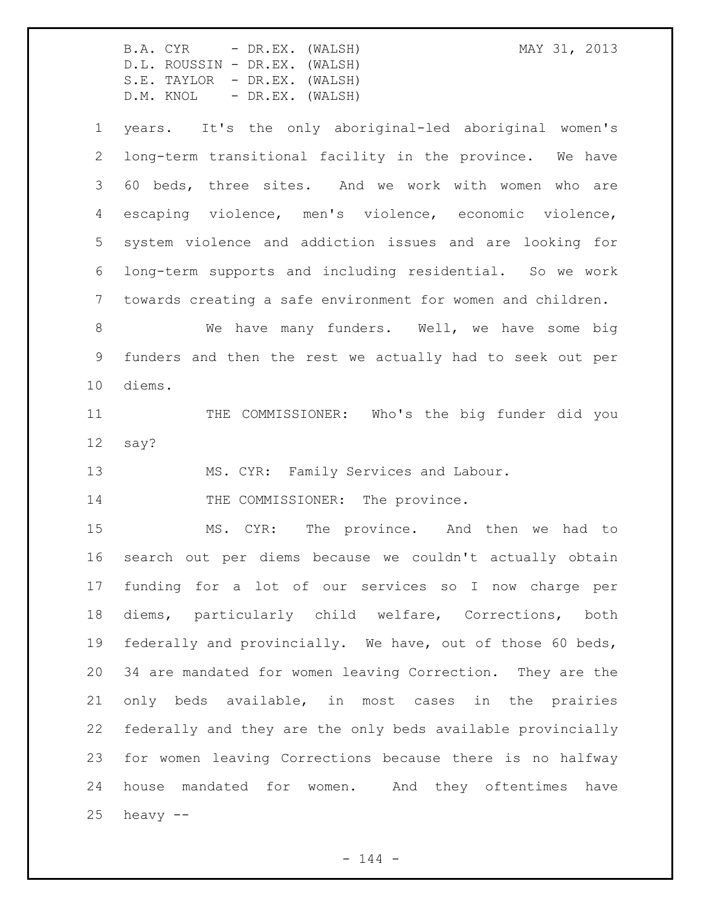B.A. CYR - DR.EX. (WALSH) MAY 31, 2013 D.L. ROUSSIN - DR.EX. (WALSH) S.E. TAYLOR - DR.EX. (WALSH) D.M. KNOL - DR.EX. (WALSH) years. It's the only aboriginal-led aboriginal women's long-term transitional facility in the province. We have 60 beds, three sites. And we work with women who are escaping violence, men's violence, economic violence, system violence and addiction issues and are looking for long-term supports and including residential. So we work towards creating a safe environment for women and children. 8 We have many funders. Well, we have some big funders and then the rest we actually had to seek out per diems. 11 THE COMMISSIONER: Who's the big funder did you say? MS. CYR: Family Services and Labour. 14 THE COMMISSIONER: The province. MS. CYR: The province. And then we had to search out per diems because we couldn't actually obtain funding for a lot of our services so I now charge per diems, particularly child welfare, Corrections, both federally and provincially. We have, out of those 60 beds, 34 are mandated for women leaving Correction. They are the only beds available, in most cases in the prairies federally and they are the only beds available provincially for women leaving Corrections because there is no halfway house mandated for women. And they oftentimes have

heavy  $-$ 

 $- 144 -$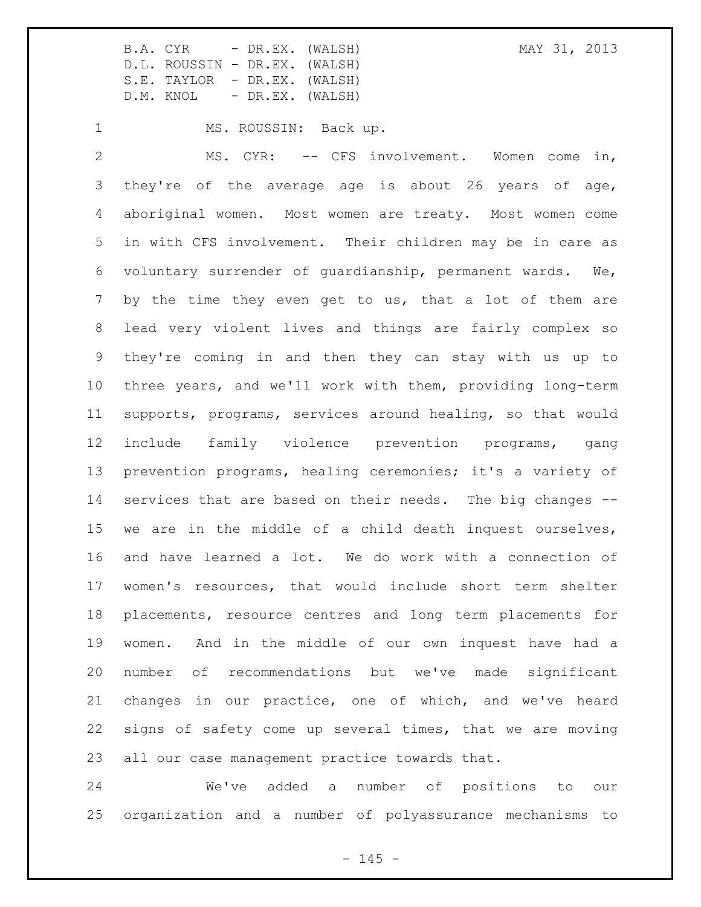1 MS. ROUSSIN: Back up.

 MS. CYR: -- CFS involvement. Women come in, they're of the average age is about 26 years of age, aboriginal women. Most women are treaty. Most women come in with CFS involvement. Their children may be in care as voluntary surrender of guardianship, permanent wards. We, by the time they even get to us, that a lot of them are lead very violent lives and things are fairly complex so they're coming in and then they can stay with us up to three years, and we'll work with them, providing long-term supports, programs, services around healing, so that would include family violence prevention programs, gang prevention programs, healing ceremonies; it's a variety of services that are based on their needs. The big changes -- we are in the middle of a child death inquest ourselves, and have learned a lot. We do work with a connection of women's resources, that would include short term shelter placements, resource centres and long term placements for women. And in the middle of our own inquest have had a number of recommendations but we've made significant changes in our practice, one of which, and we've heard signs of safety come up several times, that we are moving all our case management practice towards that.

 We've added a number of positions to our organization and a number of polyassurance mechanisms to

 $- 145 -$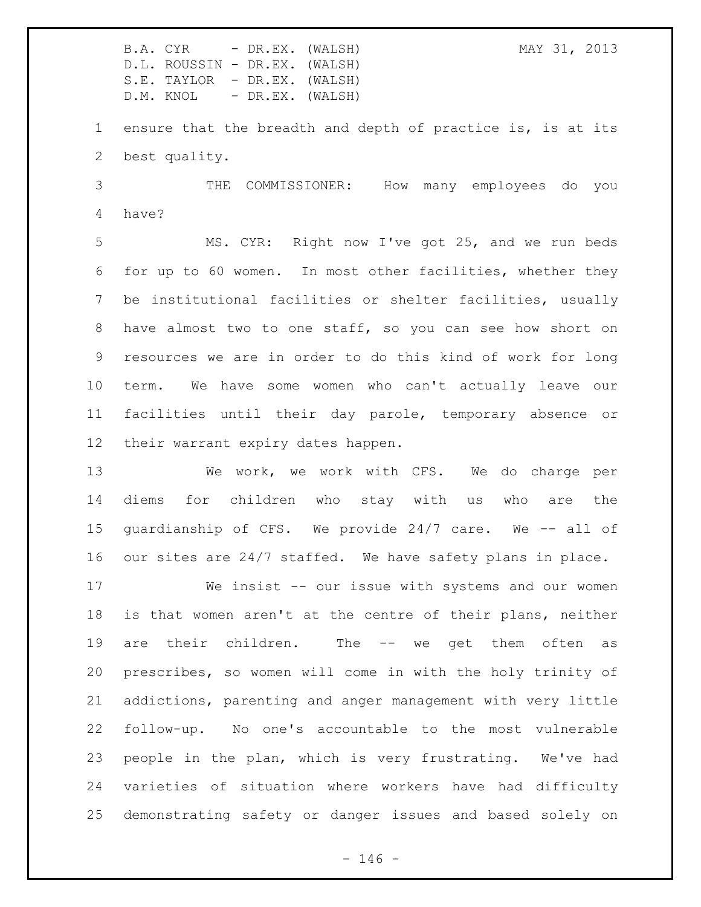B.A. CYR - DR.EX. (WALSH) MAY 31, 2013 D.L. ROUSSIN - DR.EX. (WALSH) S.E. TAYLOR - DR.EX. (WALSH) D.M. KNOL - DR.EX. (WALSH) ensure that the breadth and depth of practice is, is at its best quality. THE COMMISSIONER: How many employees do you have? MS. CYR: Right now I've got 25, and we run beds for up to 60 women. In most other facilities, whether they be institutional facilities or shelter facilities, usually have almost two to one staff, so you can see how short on resources we are in order to do this kind of work for long term. We have some women who can't actually leave our facilities until their day parole, temporary absence or their warrant expiry dates happen.

 We work, we work with CFS. We do charge per diems for children who stay with us who are the guardianship of CFS. We provide 24/7 care. We -- all of our sites are 24/7 staffed. We have safety plans in place.

 We insist -- our issue with systems and our women is that women aren't at the centre of their plans, neither are their children. The -- we get them often as prescribes, so women will come in with the holy trinity of addictions, parenting and anger management with very little follow-up. No one's accountable to the most vulnerable people in the plan, which is very frustrating. We've had varieties of situation where workers have had difficulty demonstrating safety or danger issues and based solely on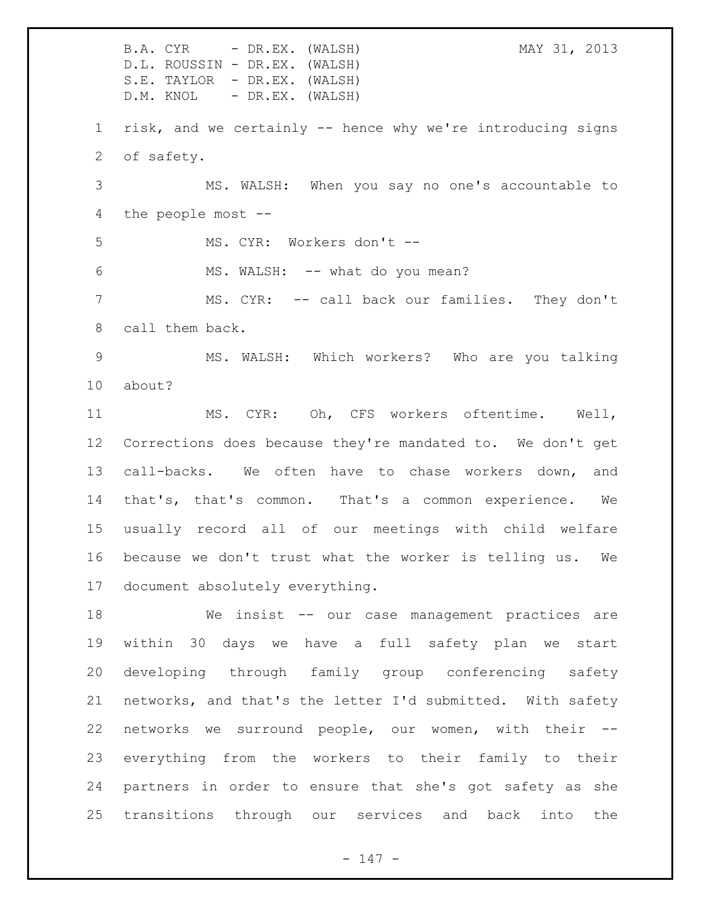B.A. CYR - DR.EX. (WALSH) MAY 31, 2013 D.L. ROUSSIN - DR.EX. (WALSH) S.E. TAYLOR - DR.EX. (WALSH) D.M. KNOL - DR.EX. (WALSH) risk, and we certainly -- hence why we're introducing signs of safety. MS. WALSH: When you say no one's accountable to the people most -- MS. CYR: Workers don't -- MS. WALSH: -- what do you mean? MS. CYR: -- call back our families. They don't call them back. MS. WALSH: Which workers? Who are you talking about? MS. CYR: Oh, CFS workers oftentime. Well, Corrections does because they're mandated to. We don't get call-backs. We often have to chase workers down, and that's, that's common. That's a common experience. We usually record all of our meetings with child welfare because we don't trust what the worker is telling us. We document absolutely everything. We insist -- our case management practices are within 30 days we have a full safety plan we start developing through family group conferencing safety networks, and that's the letter I'd submitted. With safety networks we surround people, our women, with their -- everything from the workers to their family to their partners in order to ensure that she's got safety as she transitions through our services and back into the

- 147 -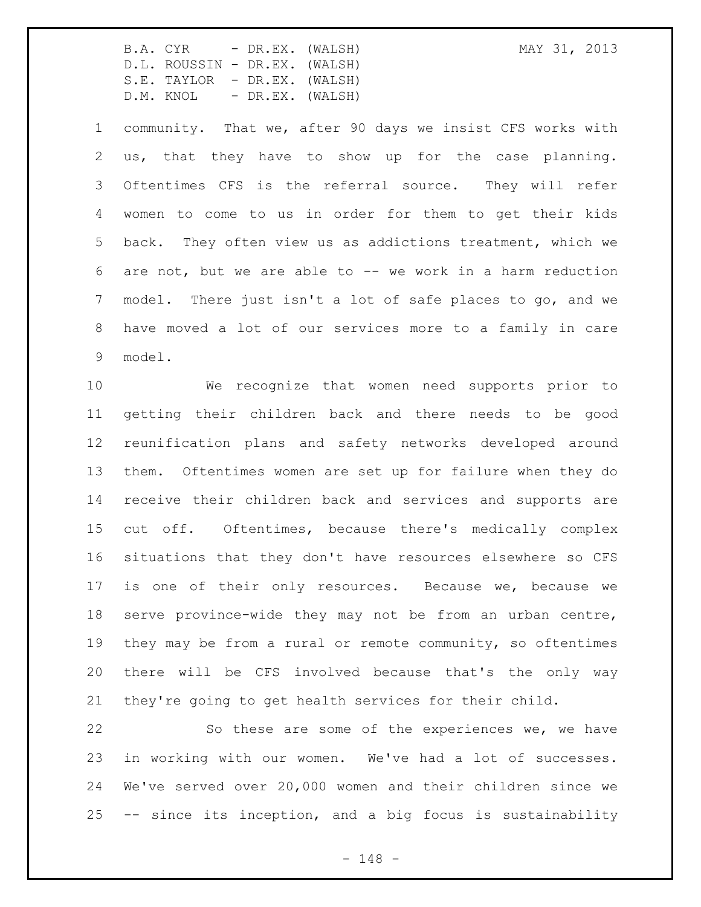community. That we, after 90 days we insist CFS works with us, that they have to show up for the case planning. Oftentimes CFS is the referral source. They will refer women to come to us in order for them to get their kids back. They often view us as addictions treatment, which we are not, but we are able to -- we work in a harm reduction model. There just isn't a lot of safe places to go, and we have moved a lot of our services more to a family in care model.

 We recognize that women need supports prior to getting their children back and there needs to be good reunification plans and safety networks developed around them. Oftentimes women are set up for failure when they do receive their children back and services and supports are cut off. Oftentimes, because there's medically complex situations that they don't have resources elsewhere so CFS is one of their only resources. Because we, because we serve province-wide they may not be from an urban centre, they may be from a rural or remote community, so oftentimes there will be CFS involved because that's the only way they're going to get health services for their child.

22 So these are some of the experiences we, we have in working with our women. We've had a lot of successes. We've served over 20,000 women and their children since we -- since its inception, and a big focus is sustainability

- 148 -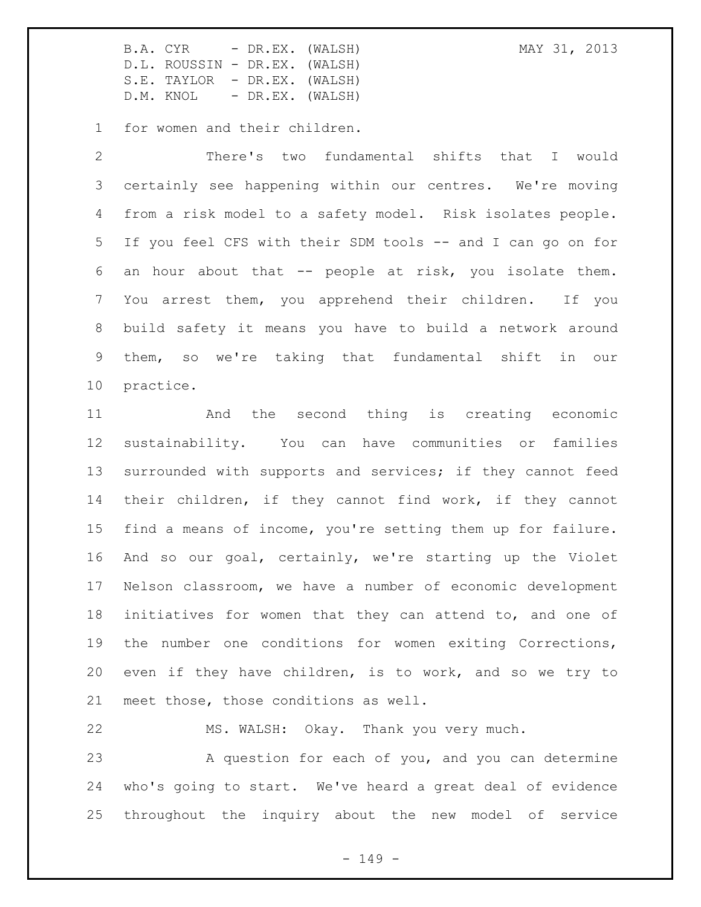for women and their children.

 There's two fundamental shifts that I would certainly see happening within our centres. We're moving from a risk model to a safety model. Risk isolates people. If you feel CFS with their SDM tools -- and I can go on for an hour about that -- people at risk, you isolate them. You arrest them, you apprehend their children. If you build safety it means you have to build a network around them, so we're taking that fundamental shift in our practice.

 And the second thing is creating economic sustainability. You can have communities or families surrounded with supports and services; if they cannot feed their children, if they cannot find work, if they cannot find a means of income, you're setting them up for failure. And so our goal, certainly, we're starting up the Violet Nelson classroom, we have a number of economic development initiatives for women that they can attend to, and one of the number one conditions for women exiting Corrections, even if they have children, is to work, and so we try to meet those, those conditions as well.

MS. WALSH: Okay. Thank you very much.

23 A question for each of you, and you can determine who's going to start. We've heard a great deal of evidence throughout the inquiry about the new model of service

 $- 149 -$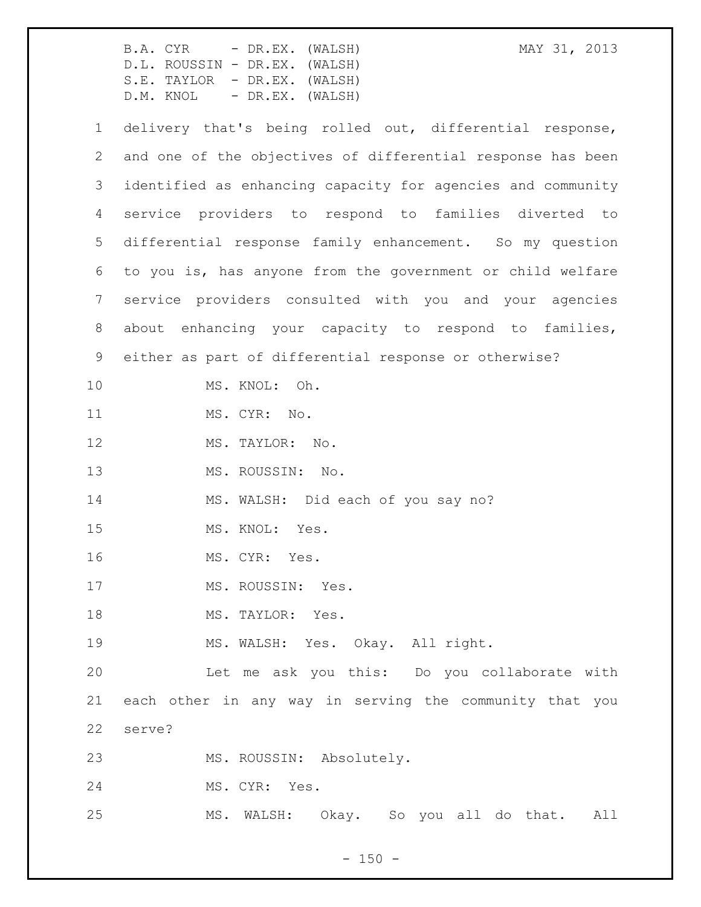|                | MAY 31, 2013<br>B.A. CYR - DR.EX. (WALSH)<br>D.L. ROUSSIN - DR.EX. (WALSH)<br>S.E. TAYLOR - DR.EX. (WALSH)<br>D.M. KNOL - DR.EX. (WALSH) |
|----------------|------------------------------------------------------------------------------------------------------------------------------------------|
| $\mathbf 1$    | delivery that's being rolled out, differential response,                                                                                 |
| $\overline{2}$ | and one of the objectives of differential response has been                                                                              |
| 3              | identified as enhancing capacity for agencies and community                                                                              |
| $\overline{4}$ | service providers to respond to families diverted to                                                                                     |
| 5              | differential response family enhancement. So my question                                                                                 |
| 6              | to you is, has anyone from the government or child welfare                                                                               |
| 7              | service providers consulted with you and your agencies                                                                                   |
| 8              | about enhancing your capacity to respond to families,                                                                                    |
| 9              | either as part of differential response or otherwise?                                                                                    |
| 10             | MS. KNOL: Oh.                                                                                                                            |
| 11             | MS. CYR: No.                                                                                                                             |
| 12             | MS. TAYLOR: No.                                                                                                                          |
| 13             | MS. ROUSSIN: No.                                                                                                                         |
| 14             | MS. WALSH: Did each of you say no?                                                                                                       |
| 15             | MS. KNOL: Yes.                                                                                                                           |
| 16             | MS. CYR: Yes.                                                                                                                            |
| 17             | MS. ROUSSIN: Yes.                                                                                                                        |
| 18             | MS. TAYLOR: Yes.                                                                                                                         |
| 19             | MS. WALSH: Yes. Okay. All right.                                                                                                         |
| 20             | Let me ask you this: Do you collaborate with                                                                                             |
| 21             | each other in any way in serving the community that you                                                                                  |
| 22             | serve?                                                                                                                                   |
| 23             | MS. ROUSSIN: Absolutely.                                                                                                                 |
| 24             | MS. CYR: Yes.                                                                                                                            |
| 25             | MS. WALSH: Okay. So you all do that. All                                                                                                 |

- 150 -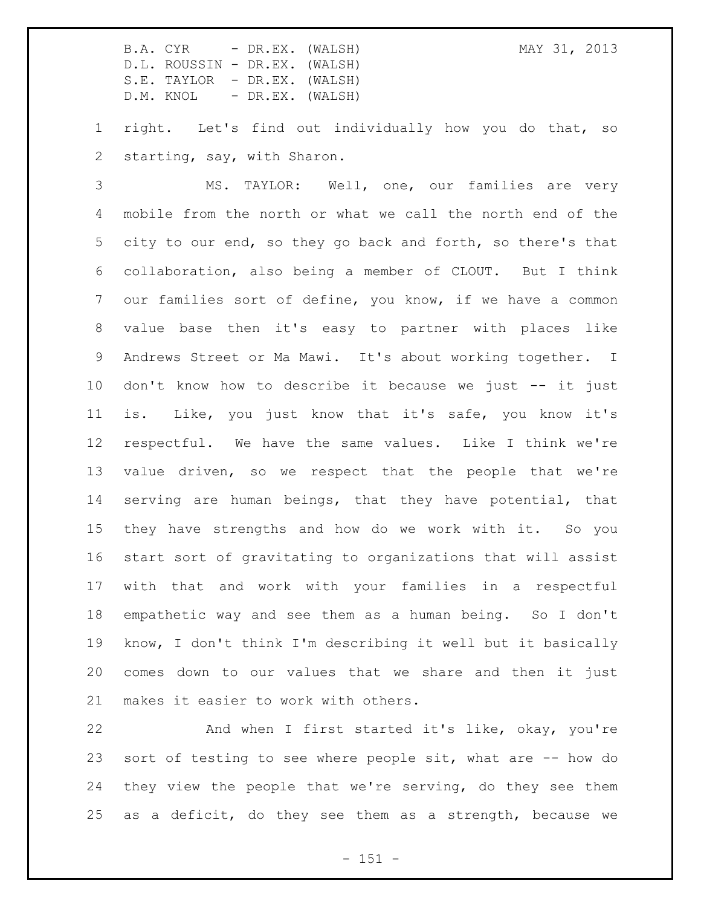right. Let's find out individually how you do that, so starting, say, with Sharon.

 MS. TAYLOR: Well, one, our families are very mobile from the north or what we call the north end of the city to our end, so they go back and forth, so there's that collaboration, also being a member of CLOUT. But I think our families sort of define, you know, if we have a common value base then it's easy to partner with places like Andrews Street or Ma Mawi. It's about working together. I don't know how to describe it because we just -- it just is. Like, you just know that it's safe, you know it's respectful. We have the same values. Like I think we're value driven, so we respect that the people that we're serving are human beings, that they have potential, that they have strengths and how do we work with it. So you start sort of gravitating to organizations that will assist with that and work with your families in a respectful empathetic way and see them as a human being. So I don't know, I don't think I'm describing it well but it basically comes down to our values that we share and then it just makes it easier to work with others.

 And when I first started it's like, okay, you're sort of testing to see where people sit, what are -- how do they view the people that we're serving, do they see them as a deficit, do they see them as a strength, because we

 $- 151 -$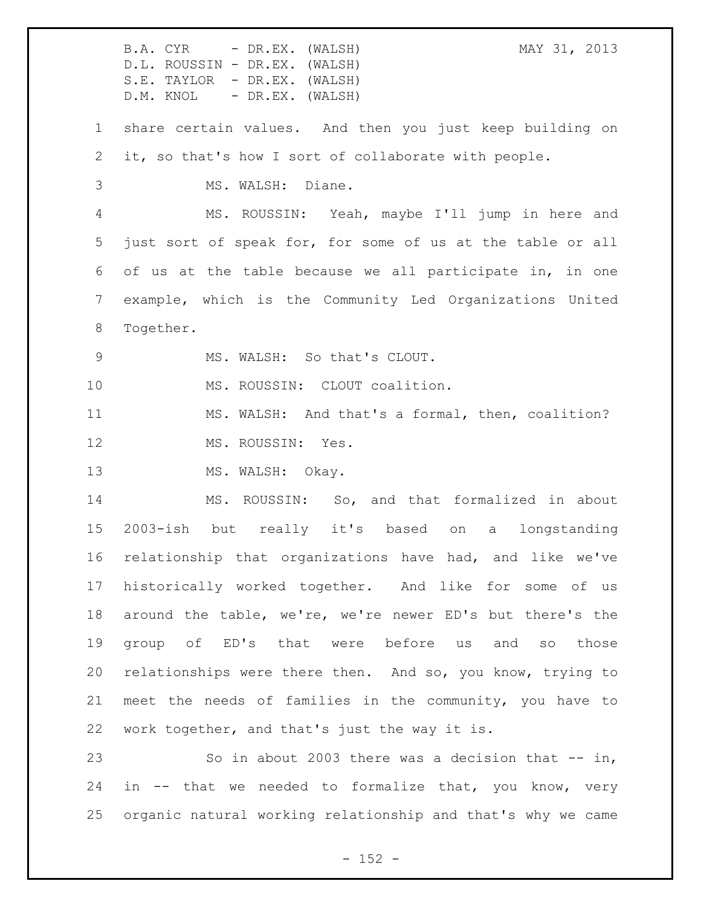B.A. CYR - DR.EX. (WALSH) MAY 31, 2013 D.L. ROUSSIN - DR.EX. (WALSH) S.E. TAYLOR - DR.EX. (WALSH) D.M. KNOL - DR.EX. (WALSH) share certain values. And then you just keep building on it, so that's how I sort of collaborate with people. MS. WALSH: Diane. MS. ROUSSIN: Yeah, maybe I'll jump in here and just sort of speak for, for some of us at the table or all of us at the table because we all participate in, in one example, which is the Community Led Organizations United Together. MS. WALSH: So that's CLOUT. 10 MS. ROUSSIN: CLOUT coalition. MS. WALSH: And that's a formal, then, coalition? 12 MS. ROUSSIN: Yes. 13 MS. WALSH: Okay. MS. ROUSSIN: So, and that formalized in about 2003-ish but really it's based on a longstanding relationship that organizations have had, and like we've historically worked together. And like for some of us around the table, we're, we're newer ED's but there's the group of ED's that were before us and so those relationships were there then. And so, you know, trying to meet the needs of families in the community, you have to work together, and that's just the way it is. So in about 2003 there was a decision that -- in, in -- that we needed to formalize that, you know, very organic natural working relationship and that's why we came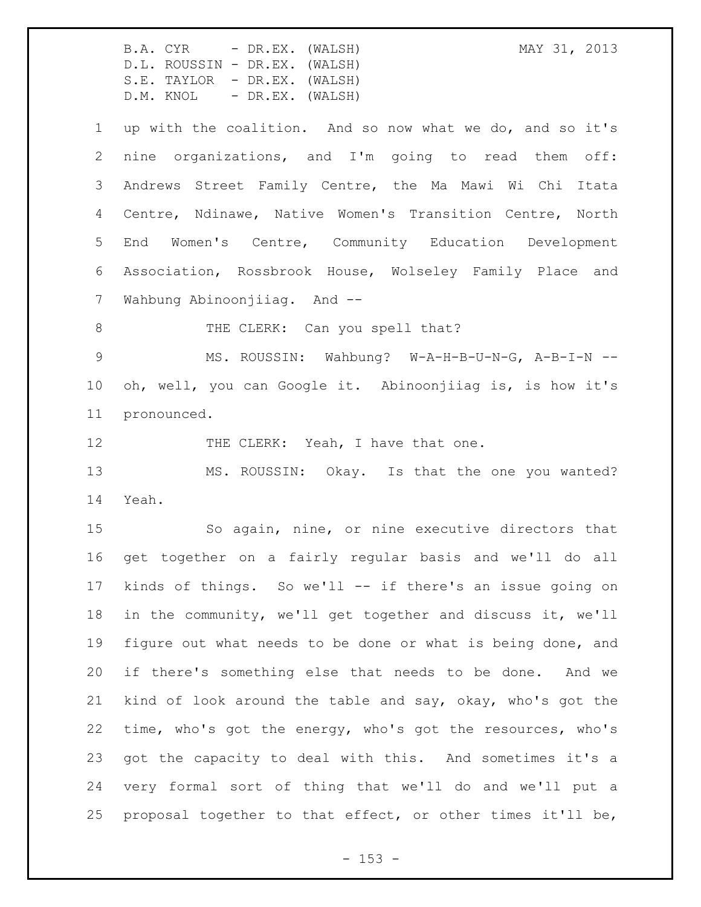B.A. CYR - DR.EX. (WALSH) MAY 31, 2013 D.L. ROUSSIN - DR.EX. (WALSH) S.E. TAYLOR - DR.EX. (WALSH) D.M. KNOL - DR.EX. (WALSH) up with the coalition. And so now what we do, and so it's nine organizations, and I'm going to read them off: Andrews Street Family Centre, the Ma Mawi Wi Chi Itata Centre, Ndinawe, Native Women's Transition Centre, North End Women's Centre, Community Education Development Association, Rossbrook House, Wolseley Family Place and Wahbung Abinoonjiiag. And -- 8 THE CLERK: Can you spell that? MS. ROUSSIN: Wahbung? W-A-H-B-U-N-G, A-B-I-N -- oh, well, you can Google it. Abinoonjiiag is, is how it's pronounced. 12 THE CLERK: Yeah, I have that one. MS. ROUSSIN: Okay. Is that the one you wanted? Yeah. So again, nine, or nine executive directors that get together on a fairly regular basis and we'll do all kinds of things. So we'll -- if there's an issue going on in the community, we'll get together and discuss it, we'll figure out what needs to be done or what is being done, and if there's something else that needs to be done. And we kind of look around the table and say, okay, who's got the time, who's got the energy, who's got the resources, who's got the capacity to deal with this. And sometimes it's a very formal sort of thing that we'll do and we'll put a proposal together to that effect, or other times it'll be,

- 153 -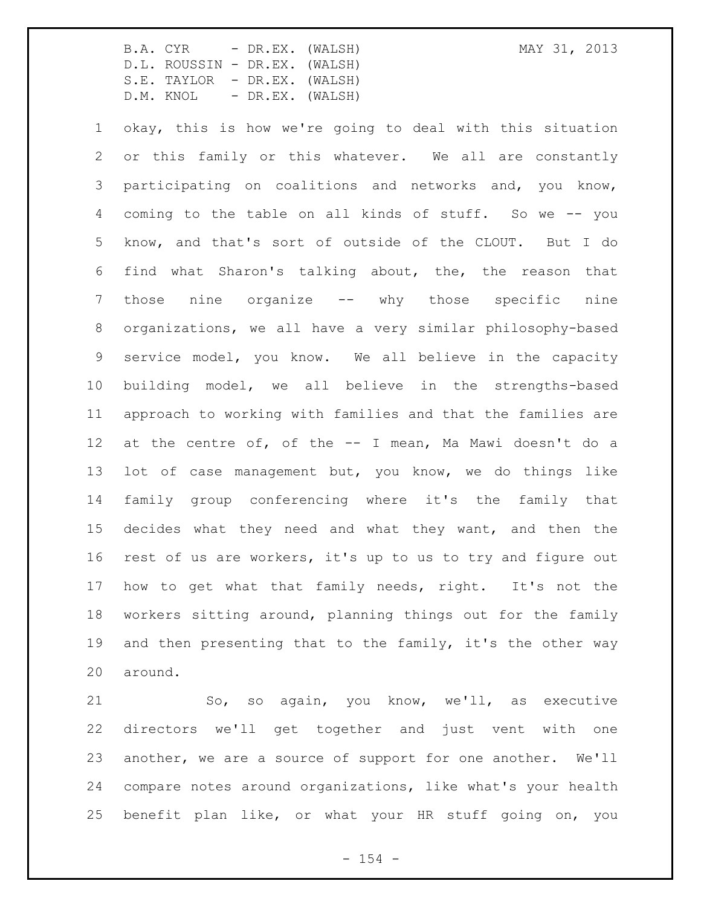okay, this is how we're going to deal with this situation or this family or this whatever. We all are constantly participating on coalitions and networks and, you know, coming to the table on all kinds of stuff. So we -- you know, and that's sort of outside of the CLOUT. But I do find what Sharon's talking about, the, the reason that those nine organize -- why those specific nine organizations, we all have a very similar philosophy-based service model, you know. We all believe in the capacity building model, we all believe in the strengths-based approach to working with families and that the families are at the centre of, of the -- I mean, Ma Mawi doesn't do a lot of case management but, you know, we do things like family group conferencing where it's the family that decides what they need and what they want, and then the rest of us are workers, it's up to us to try and figure out how to get what that family needs, right. It's not the workers sitting around, planning things out for the family and then presenting that to the family, it's the other way around.

21 So, so again, you know, we'll, as executive directors we'll get together and just vent with one another, we are a source of support for one another. We'll compare notes around organizations, like what's your health benefit plan like, or what your HR stuff going on, you

 $- 154 -$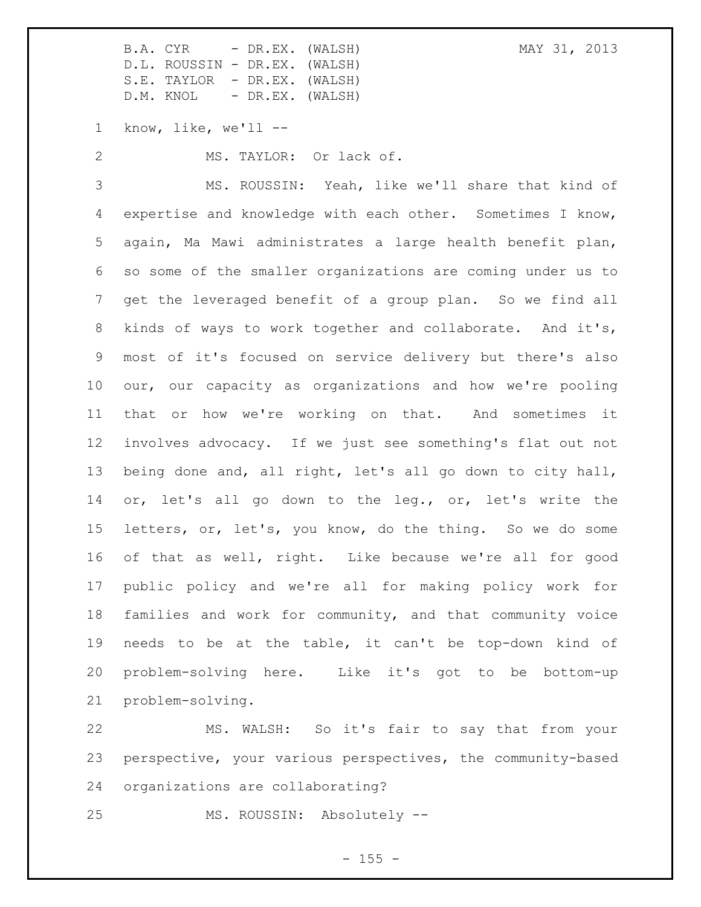know, like, we'll --

MS. TAYLOR: Or lack of.

 MS. ROUSSIN: Yeah, like we'll share that kind of expertise and knowledge with each other. Sometimes I know, again, Ma Mawi administrates a large health benefit plan, so some of the smaller organizations are coming under us to get the leveraged benefit of a group plan. So we find all kinds of ways to work together and collaborate. And it's, most of it's focused on service delivery but there's also our, our capacity as organizations and how we're pooling that or how we're working on that. And sometimes it involves advocacy. If we just see something's flat out not being done and, all right, let's all go down to city hall, or, let's all go down to the leg., or, let's write the letters, or, let's, you know, do the thing. So we do some of that as well, right. Like because we're all for good public policy and we're all for making policy work for families and work for community, and that community voice needs to be at the table, it can't be top-down kind of problem-solving here. Like it's got to be bottom-up problem-solving.

 MS. WALSH: So it's fair to say that from your perspective, your various perspectives, the community-based organizations are collaborating?

MS. ROUSSIN: Absolutely --

 $- 155 -$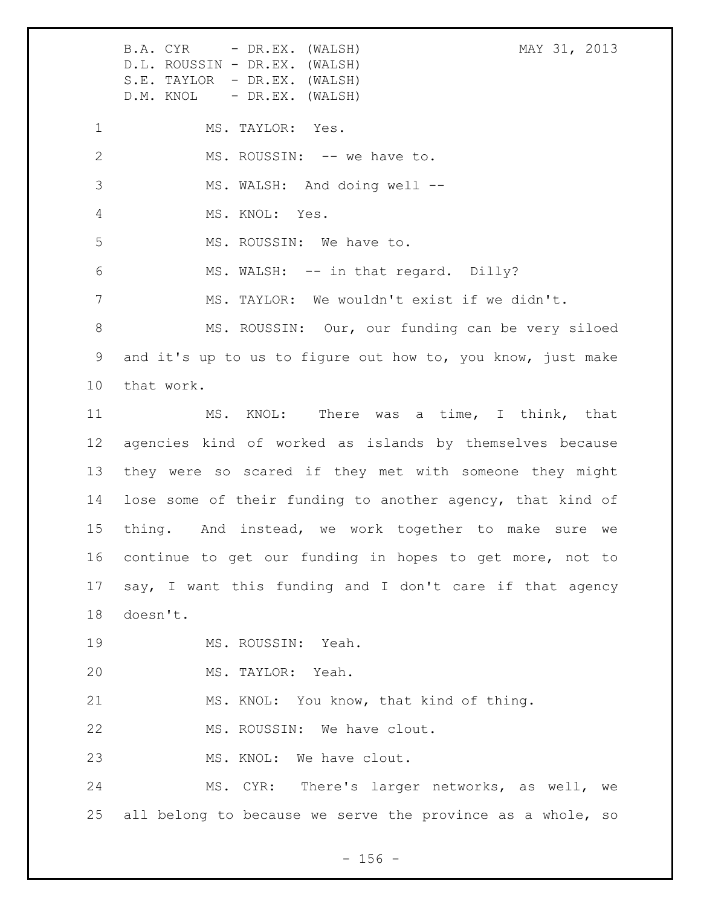B.A. CYR - DR.EX. (WALSH) MAY 31, 2013 D.L. ROUSSIN - DR.EX. (WALSH) S.E. TAYLOR - DR.EX. (WALSH) D.M. KNOL - DR.EX. (WALSH) 1 MS. TAYLOR: Yes. 2 MS. ROUSSIN: -- we have to. 3 MS. WALSH: And doing well -- MS. KNOL: Yes. 5 MS. ROUSSIN: We have to. 6 MS. WALSH: -- in that regard. Dilly? MS. TAYLOR: We wouldn't exist if we didn't. MS. ROUSSIN: Our, our funding can be very siloed and it's up to us to figure out how to, you know, just make that work. MS. KNOL: There was a time, I think, that agencies kind of worked as islands by themselves because they were so scared if they met with someone they might lose some of their funding to another agency, that kind of thing. And instead, we work together to make sure we continue to get our funding in hopes to get more, not to say, I want this funding and I don't care if that agency doesn't. MS. ROUSSIN: Yeah. MS. TAYLOR: Yeah. MS. KNOL: You know, that kind of thing. 22 MS. ROUSSIN: We have clout. 23 MS. KNOL: We have clout. MS. CYR: There's larger networks, as well, we all belong to because we serve the province as a whole, so

 $- 156 -$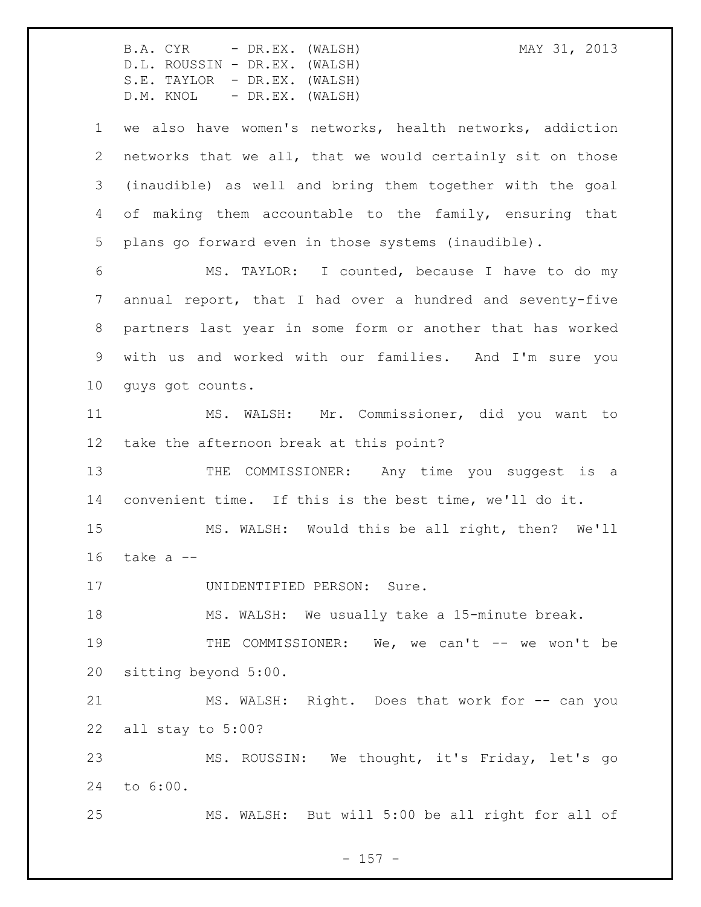B.A. CYR - DR.EX. (WALSH) MAY 31, 2013 D.L. ROUSSIN - DR.EX. (WALSH) S.E. TAYLOR - DR.EX. (WALSH) D.M. KNOL - DR.EX. (WALSH) we also have women's networks, health networks, addiction networks that we all, that we would certainly sit on those (inaudible) as well and bring them together with the goal of making them accountable to the family, ensuring that plans go forward even in those systems (inaudible). MS. TAYLOR: I counted, because I have to do my annual report, that I had over a hundred and seventy-five partners last year in some form or another that has worked with us and worked with our families. And I'm sure you guys got counts. MS. WALSH: Mr. Commissioner, did you want to take the afternoon break at this point? 13 THE COMMISSIONER: Any time you suggest is a convenient time. If this is the best time, we'll do it. MS. WALSH: Would this be all right, then? We'll take a -- 17 UNIDENTIFIED PERSON: Sure. MS. WALSH: We usually take a 15-minute break. 19 THE COMMISSIONER: We, we can't -- we won't be sitting beyond 5:00. 21 MS. WALSH: Right. Does that work for -- can you all stay to 5:00? MS. ROUSSIN: We thought, it's Friday, let's go to 6:00. MS. WALSH: But will 5:00 be all right for all of

 $- 157 -$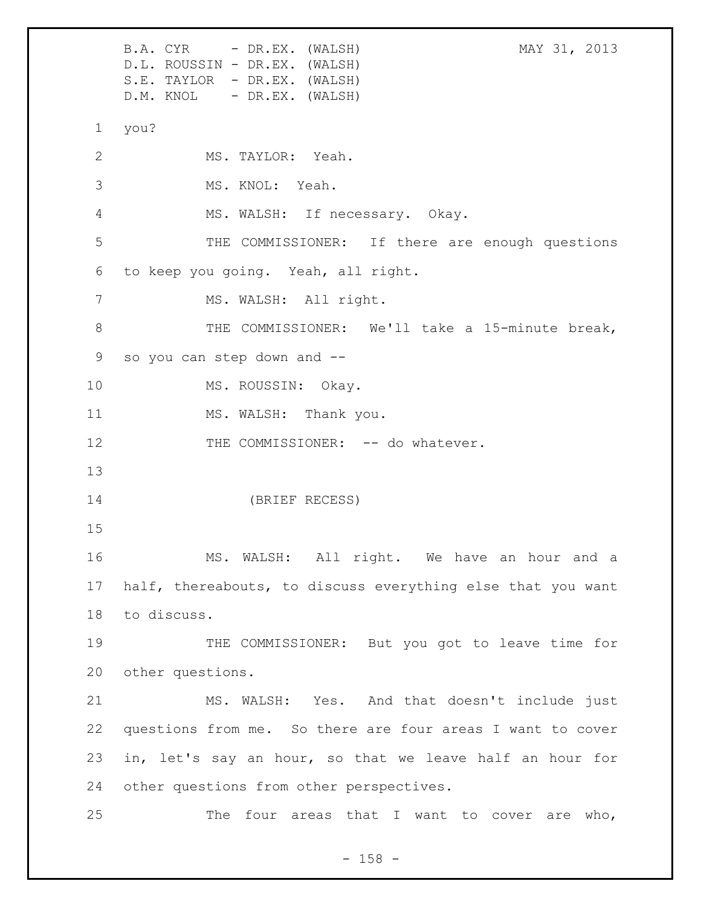B.A. CYR - DR.EX. (WALSH) MAY 31, 2013 D.L. ROUSSIN - DR.EX. (WALSH) S.E. TAYLOR - DR.EX. (WALSH) D.M. KNOL - DR.EX. (WALSH) 1 you? 2 MS. TAYLOR: Yeah. 3 MS. KNOL: Yeah. 4 MS. WALSH: If necessary. Okay. 5 THE COMMISSIONER: If there are enough questions 6 to keep you going. Yeah, all right. 7 MS. WALSH: All right. 8 THE COMMISSIONER: We'll take a 15-minute break, 9 so you can step down and -- 10 MS. ROUSSIN: Okay. 11 MS. WALSH: Thank you. 12 THE COMMISSIONER: -- do whatever. 13 14 (BRIEF RECESS) 15 16 MS. WALSH: All right. We have an hour and a 17 half, thereabouts, to discuss everything else that you want 18 to discuss. 19 THE COMMISSIONER: But you got to leave time for 20 other questions. 21 MS. WALSH: Yes. And that doesn't include just 22 questions from me. So there are four areas I want to cover 23 in, let's say an hour, so that we leave half an hour for 24 other questions from other perspectives. 25 The four areas that I want to cover are who,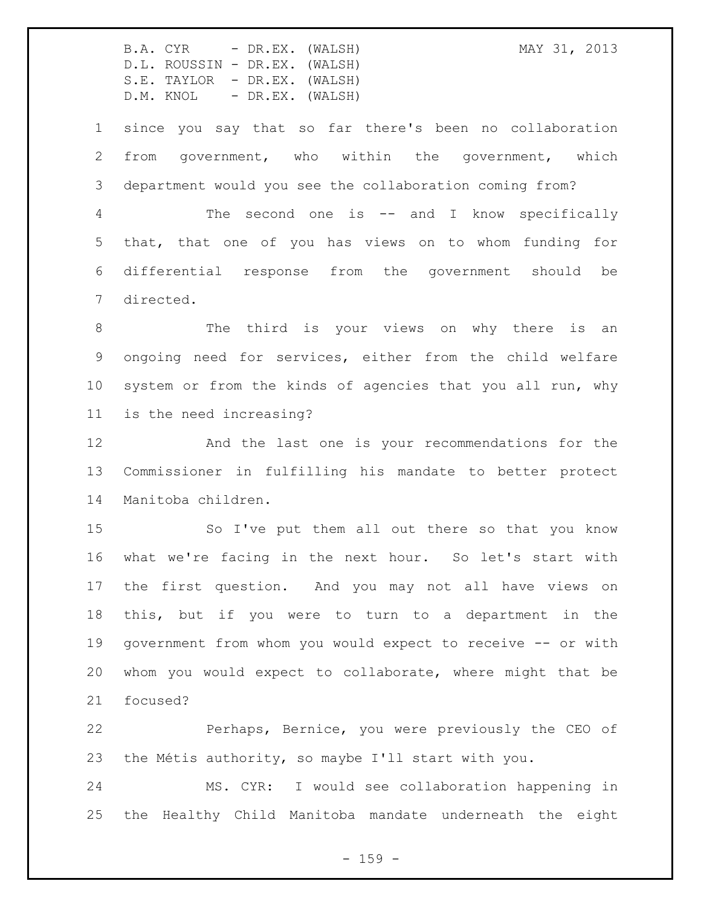since you say that so far there's been no collaboration from government, who within the government, which department would you see the collaboration coming from?

 The second one is -- and I know specifically that, that one of you has views on to whom funding for differential response from the government should be directed.

8 The third is your views on why there is an ongoing need for services, either from the child welfare system or from the kinds of agencies that you all run, why is the need increasing?

 And the last one is your recommendations for the Commissioner in fulfilling his mandate to better protect Manitoba children.

 So I've put them all out there so that you know what we're facing in the next hour. So let's start with the first question. And you may not all have views on this, but if you were to turn to a department in the government from whom you would expect to receive -- or with whom you would expect to collaborate, where might that be focused?

 Perhaps, Bernice, you were previously the CEO of the Métis authority, so maybe I'll start with you.

 MS. CYR: I would see collaboration happening in the Healthy Child Manitoba mandate underneath the eight

 $- 159 -$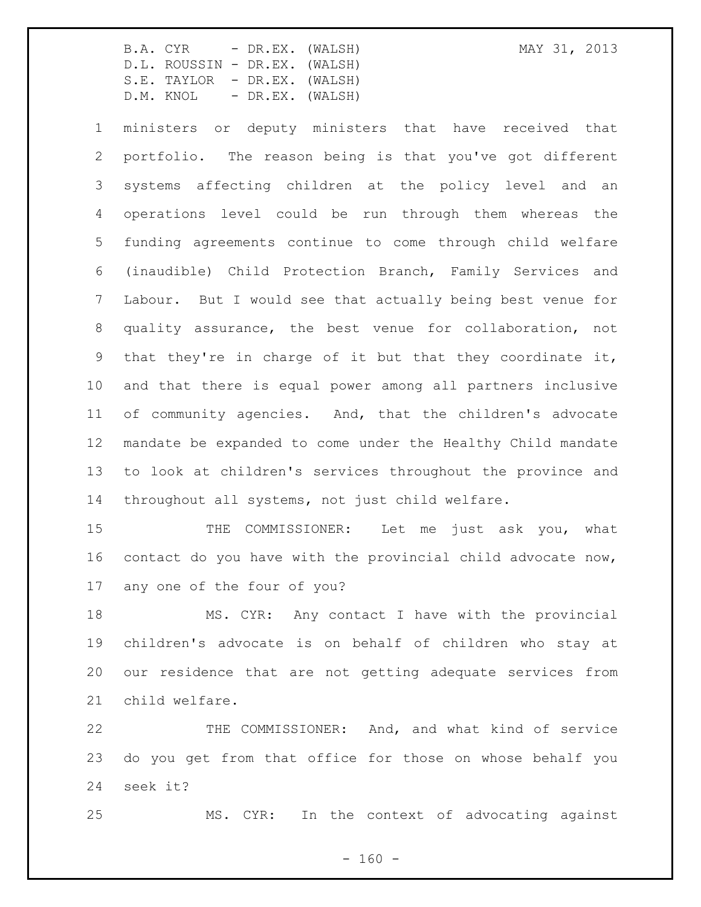ministers or deputy ministers that have received that portfolio. The reason being is that you've got different systems affecting children at the policy level and an operations level could be run through them whereas the funding agreements continue to come through child welfare (inaudible) Child Protection Branch, Family Services and Labour. But I would see that actually being best venue for quality assurance, the best venue for collaboration, not that they're in charge of it but that they coordinate it, and that there is equal power among all partners inclusive of community agencies. And, that the children's advocate mandate be expanded to come under the Healthy Child mandate to look at children's services throughout the province and throughout all systems, not just child welfare.

15 THE COMMISSIONER: Let me just ask you, what contact do you have with the provincial child advocate now, any one of the four of you?

 MS. CYR: Any contact I have with the provincial children's advocate is on behalf of children who stay at our residence that are not getting adequate services from child welfare.

 THE COMMISSIONER: And, and what kind of service do you get from that office for those on whose behalf you seek it?

MS. CYR: In the context of advocating against

 $- 160 -$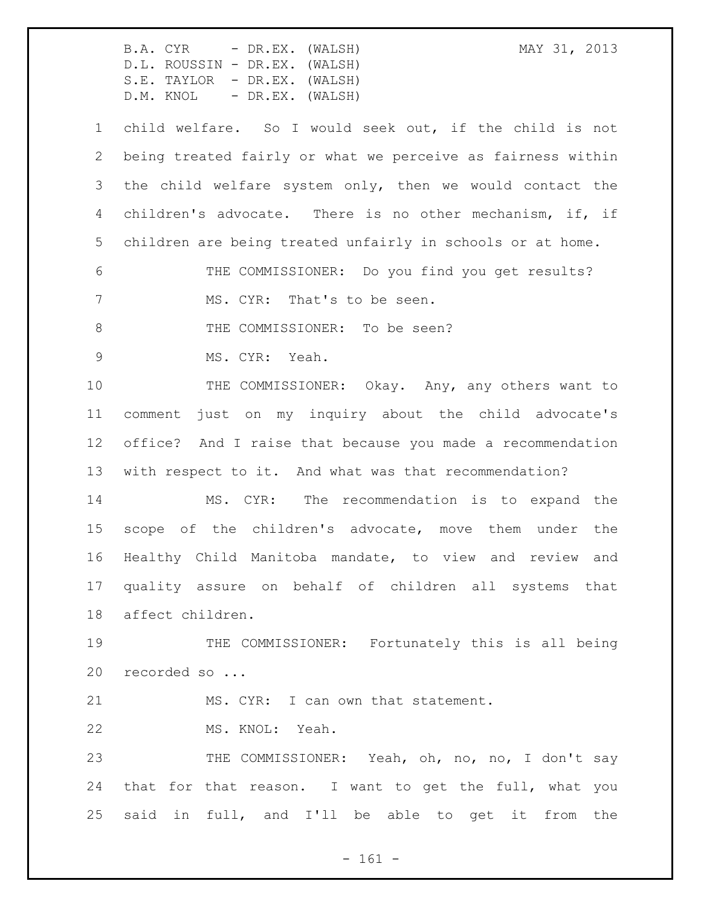B.A. CYR - DR.EX. (WALSH) MAY 31, 2013 D.L. ROUSSIN - DR.EX. (WALSH) S.E. TAYLOR - DR.EX. (WALSH) D.M. KNOL - DR.EX. (WALSH) child welfare. So I would seek out, if the child is not being treated fairly or what we perceive as fairness within the child welfare system only, then we would contact the children's advocate. There is no other mechanism, if, if children are being treated unfairly in schools or at home. THE COMMISSIONER: Do you find you get results? 7 MS. CYR: That's to be seen. 8 THE COMMISSIONER: To be seen? MS. CYR: Yeah. 10 THE COMMISSIONER: Okay. Any, any others want to comment just on my inquiry about the child advocate's office? And I raise that because you made a recommendation with respect to it. And what was that recommendation? MS. CYR: The recommendation is to expand the scope of the children's advocate, move them under the Healthy Child Manitoba mandate, to view and review and quality assure on behalf of children all systems that affect children. THE COMMISSIONER: Fortunately this is all being recorded so ... 21 MS. CYR: I can own that statement. MS. KNOL: Yeah. THE COMMISSIONER: Yeah, oh, no, no, I don't say that for that reason. I want to get the full, what you said in full, and I'll be able to get it from the

- 161 -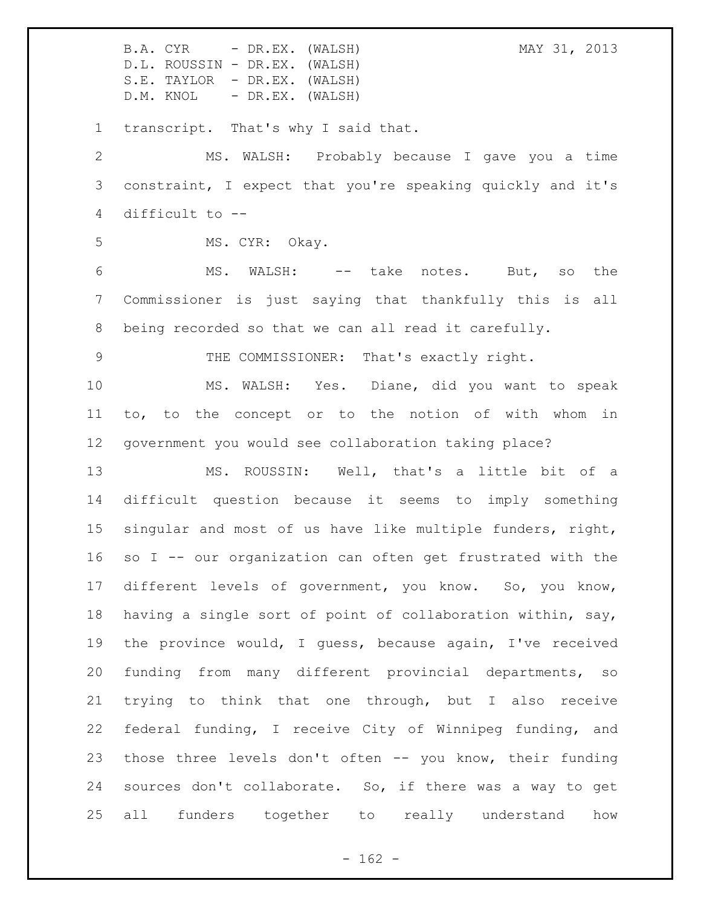B.A. CYR - DR.EX. (WALSH) MAY 31, 2013 D.L. ROUSSIN - DR.EX. (WALSH) S.E. TAYLOR - DR.EX. (WALSH) D.M. KNOL - DR.EX. (WALSH) transcript. That's why I said that. MS. WALSH: Probably because I gave you a time constraint, I expect that you're speaking quickly and it's difficult to -- MS. CYR: Okay. MS. WALSH: -- take notes. But, so the Commissioner is just saying that thankfully this is all being recorded so that we can all read it carefully. THE COMMISSIONER: That's exactly right. MS. WALSH: Yes. Diane, did you want to speak to, to the concept or to the notion of with whom in government you would see collaboration taking place? MS. ROUSSIN: Well, that's a little bit of a difficult question because it seems to imply something singular and most of us have like multiple funders, right, so I -- our organization can often get frustrated with the different levels of government, you know. So, you know, having a single sort of point of collaboration within, say, the province would, I guess, because again, I've received funding from many different provincial departments, so trying to think that one through, but I also receive federal funding, I receive City of Winnipeg funding, and those three levels don't often -- you know, their funding sources don't collaborate. So, if there was a way to get all funders together to really understand how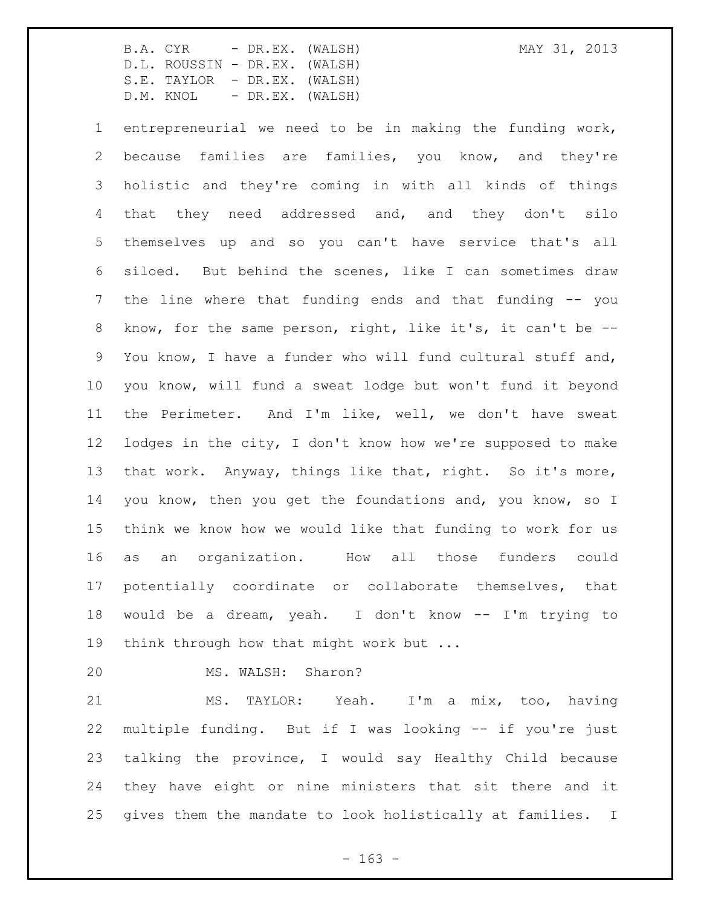entrepreneurial we need to be in making the funding work, because families are families, you know, and they're holistic and they're coming in with all kinds of things that they need addressed and, and they don't silo themselves up and so you can't have service that's all siloed. But behind the scenes, like I can sometimes draw the line where that funding ends and that funding -- you know, for the same person, right, like it's, it can't be -- You know, I have a funder who will fund cultural stuff and, you know, will fund a sweat lodge but won't fund it beyond the Perimeter. And I'm like, well, we don't have sweat lodges in the city, I don't know how we're supposed to make that work. Anyway, things like that, right. So it's more, you know, then you get the foundations and, you know, so I think we know how we would like that funding to work for us as an organization. How all those funders could potentially coordinate or collaborate themselves, that would be a dream, yeah. I don't know -- I'm trying to 19 think through how that might work but ...

MS. WALSH: Sharon?

 MS. TAYLOR: Yeah. I'm a mix, too, having multiple funding. But if I was looking -- if you're just talking the province, I would say Healthy Child because they have eight or nine ministers that sit there and it gives them the mandate to look holistically at families. I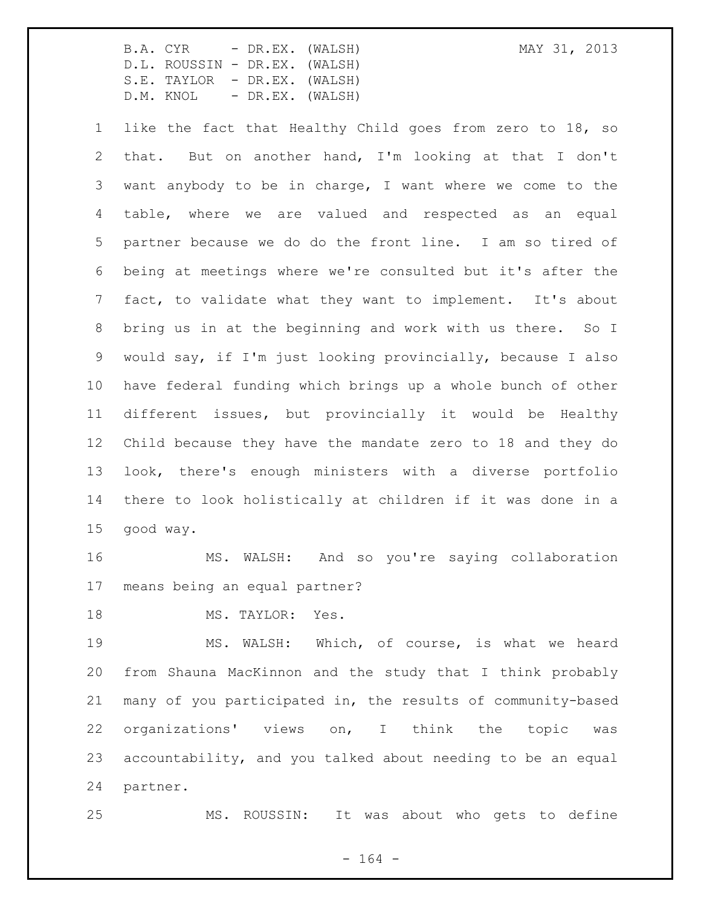like the fact that Healthy Child goes from zero to 18, so that. But on another hand, I'm looking at that I don't want anybody to be in charge, I want where we come to the table, where we are valued and respected as an equal partner because we do do the front line. I am so tired of being at meetings where we're consulted but it's after the fact, to validate what they want to implement. It's about bring us in at the beginning and work with us there. So I would say, if I'm just looking provincially, because I also have federal funding which brings up a whole bunch of other different issues, but provincially it would be Healthy Child because they have the mandate zero to 18 and they do look, there's enough ministers with a diverse portfolio there to look holistically at children if it was done in a good way.

 MS. WALSH: And so you're saying collaboration means being an equal partner?

18 MS. TAYLOR: Yes.

 MS. WALSH: Which, of course, is what we heard from Shauna MacKinnon and the study that I think probably many of you participated in, the results of community-based organizations' views on, I think the topic was accountability, and you talked about needing to be an equal partner.

MS. ROUSSIN: It was about who gets to define

- 164 -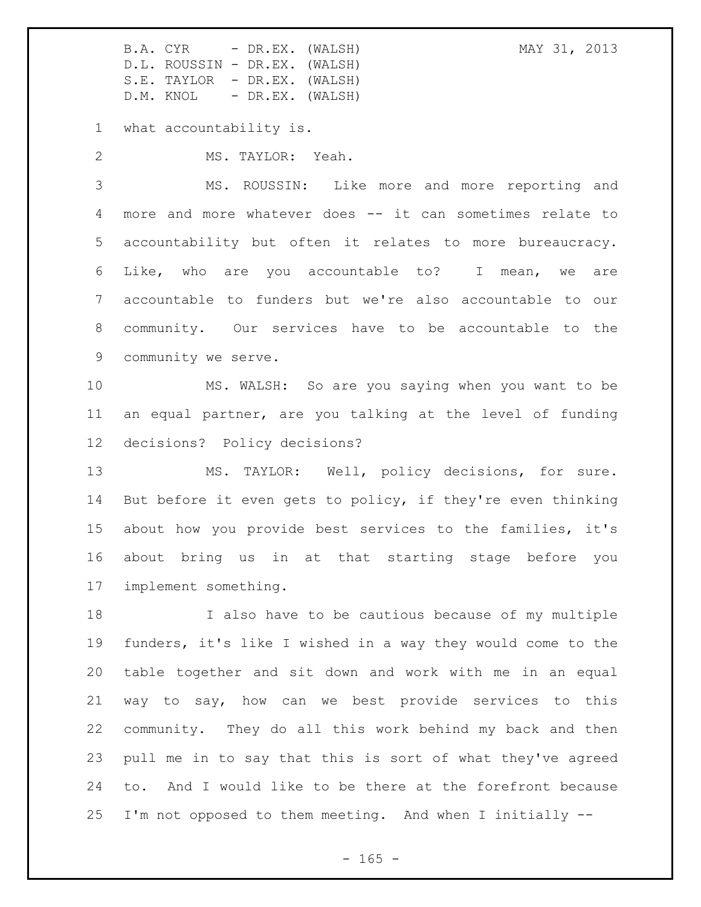what accountability is.

MS. TAYLOR: Yeah.

 MS. ROUSSIN: Like more and more reporting and more and more whatever does -- it can sometimes relate to accountability but often it relates to more bureaucracy. Like, who are you accountable to? I mean, we are accountable to funders but we're also accountable to our community. Our services have to be accountable to the community we serve.

 MS. WALSH: So are you saying when you want to be an equal partner, are you talking at the level of funding decisions? Policy decisions?

 MS. TAYLOR: Well, policy decisions, for sure. But before it even gets to policy, if they're even thinking about how you provide best services to the families, it's about bring us in at that starting stage before you implement something.

 I also have to be cautious because of my multiple funders, it's like I wished in a way they would come to the table together and sit down and work with me in an equal way to say, how can we best provide services to this community. They do all this work behind my back and then pull me in to say that this is sort of what they've agreed to. And I would like to be there at the forefront because I'm not opposed to them meeting. And when I initially --

 $- 165 -$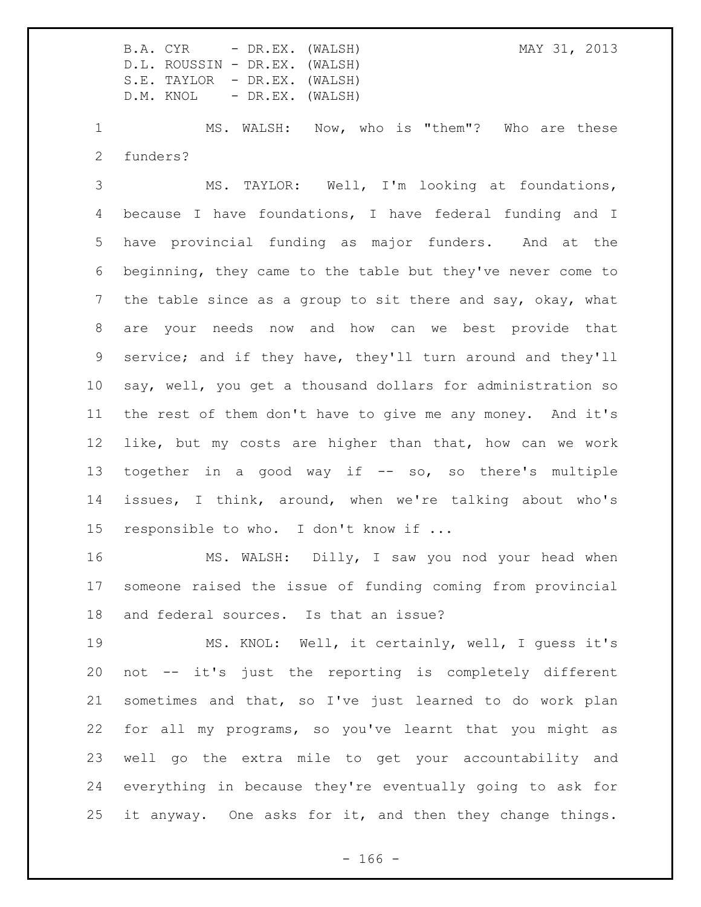MS. WALSH: Now, who is "them"? Who are these funders?

 MS. TAYLOR: Well, I'm looking at foundations, because I have foundations, I have federal funding and I have provincial funding as major funders. And at the beginning, they came to the table but they've never come to the table since as a group to sit there and say, okay, what are your needs now and how can we best provide that service; and if they have, they'll turn around and they'll say, well, you get a thousand dollars for administration so the rest of them don't have to give me any money. And it's like, but my costs are higher than that, how can we work together in a good way if -- so, so there's multiple issues, I think, around, when we're talking about who's responsible to who. I don't know if ...

 MS. WALSH: Dilly, I saw you nod your head when someone raised the issue of funding coming from provincial and federal sources. Is that an issue?

 MS. KNOL: Well, it certainly, well, I guess it's not -- it's just the reporting is completely different sometimes and that, so I've just learned to do work plan for all my programs, so you've learnt that you might as well go the extra mile to get your accountability and everything in because they're eventually going to ask for it anyway. One asks for it, and then they change things.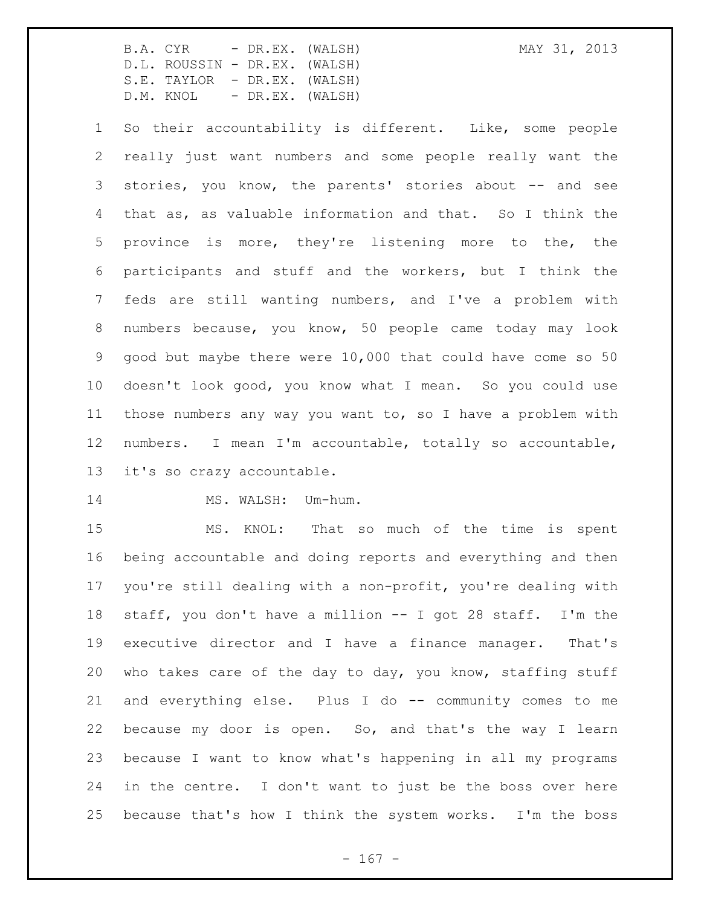So their accountability is different. Like, some people really just want numbers and some people really want the stories, you know, the parents' stories about -- and see that as, as valuable information and that. So I think the province is more, they're listening more to the, the participants and stuff and the workers, but I think the feds are still wanting numbers, and I've a problem with numbers because, you know, 50 people came today may look good but maybe there were 10,000 that could have come so 50 doesn't look good, you know what I mean. So you could use those numbers any way you want to, so I have a problem with numbers. I mean I'm accountable, totally so accountable, it's so crazy accountable.

## 14 MS. WALSH: Um-hum.

 MS. KNOL: That so much of the time is spent being accountable and doing reports and everything and then you're still dealing with a non-profit, you're dealing with staff, you don't have a million -- I got 28 staff. I'm the executive director and I have a finance manager. That's who takes care of the day to day, you know, staffing stuff and everything else. Plus I do -- community comes to me because my door is open. So, and that's the way I learn because I want to know what's happening in all my programs in the centre. I don't want to just be the boss over here because that's how I think the system works. I'm the boss

 $- 167 -$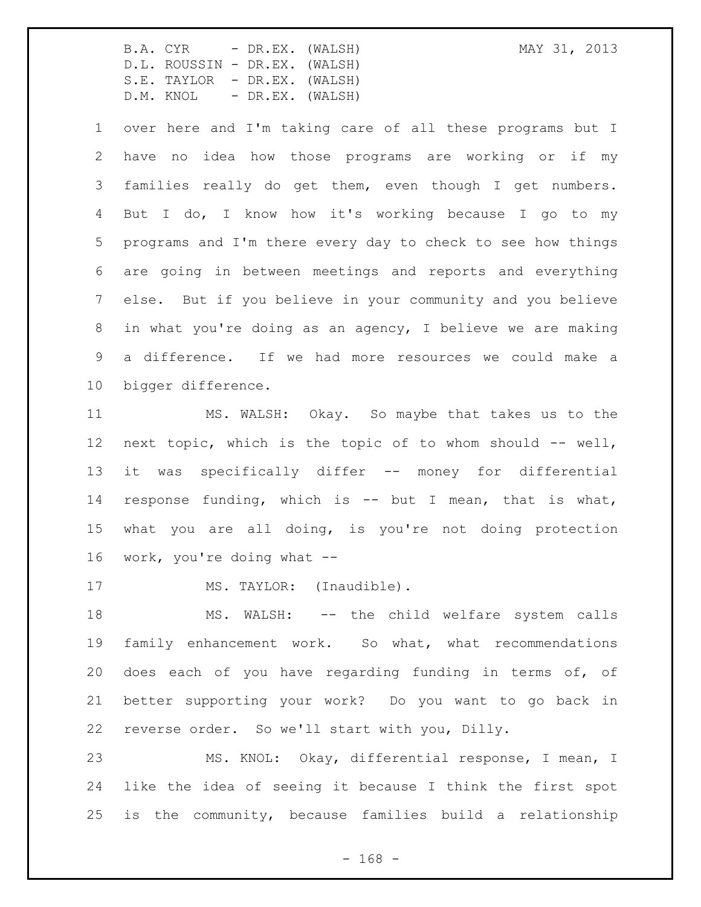over here and I'm taking care of all these programs but I have no idea how those programs are working or if my families really do get them, even though I get numbers. But I do, I know how it's working because I go to my programs and I'm there every day to check to see how things are going in between meetings and reports and everything else. But if you believe in your community and you believe in what you're doing as an agency, I believe we are making a difference. If we had more resources we could make a bigger difference.

 MS. WALSH: Okay. So maybe that takes us to the next topic, which is the topic of to whom should -- well, it was specifically differ -- money for differential response funding, which is -- but I mean, that is what, what you are all doing, is you're not doing protection work, you're doing what --

17 MS. TAYLOR: (Inaudible).

18 MS. WALSH: -- the child welfare system calls family enhancement work. So what, what recommendations does each of you have regarding funding in terms of, of better supporting your work? Do you want to go back in reverse order. So we'll start with you, Dilly.

 MS. KNOL: Okay, differential response, I mean, I like the idea of seeing it because I think the first spot is the community, because families build a relationship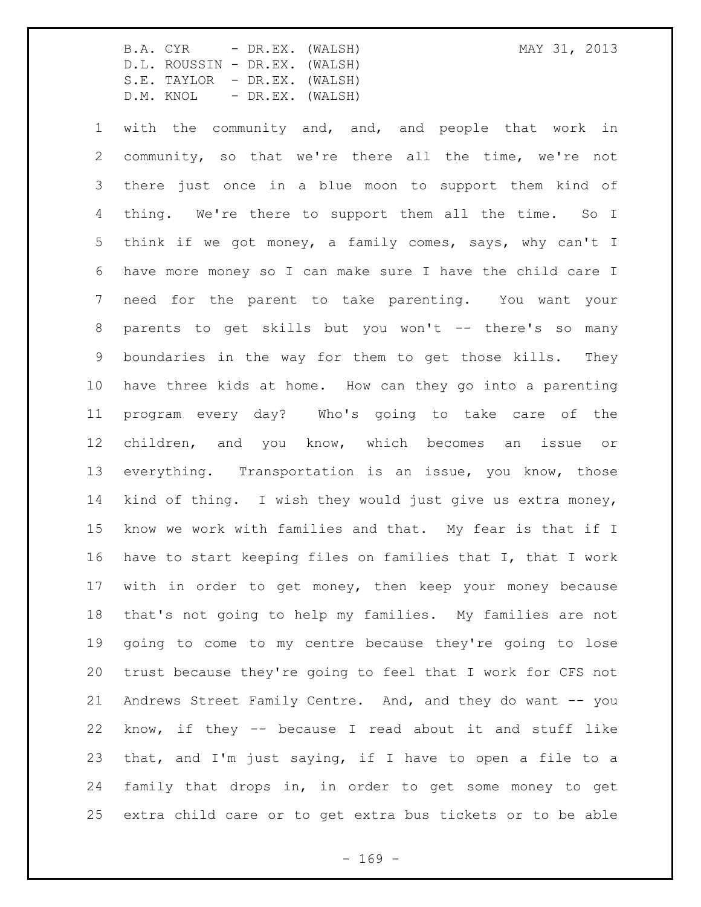with the community and, and, and people that work in community, so that we're there all the time, we're not there just once in a blue moon to support them kind of thing. We're there to support them all the time. So I think if we got money, a family comes, says, why can't I have more money so I can make sure I have the child care I need for the parent to take parenting. You want your parents to get skills but you won't -- there's so many boundaries in the way for them to get those kills. They have three kids at home. How can they go into a parenting program every day? Who's going to take care of the children, and you know, which becomes an issue or everything. Transportation is an issue, you know, those kind of thing. I wish they would just give us extra money, know we work with families and that. My fear is that if I have to start keeping files on families that I, that I work with in order to get money, then keep your money because that's not going to help my families. My families are not going to come to my centre because they're going to lose trust because they're going to feel that I work for CFS not Andrews Street Family Centre. And, and they do want -- you know, if they -- because I read about it and stuff like that, and I'm just saying, if I have to open a file to a family that drops in, in order to get some money to get extra child care or to get extra bus tickets or to be able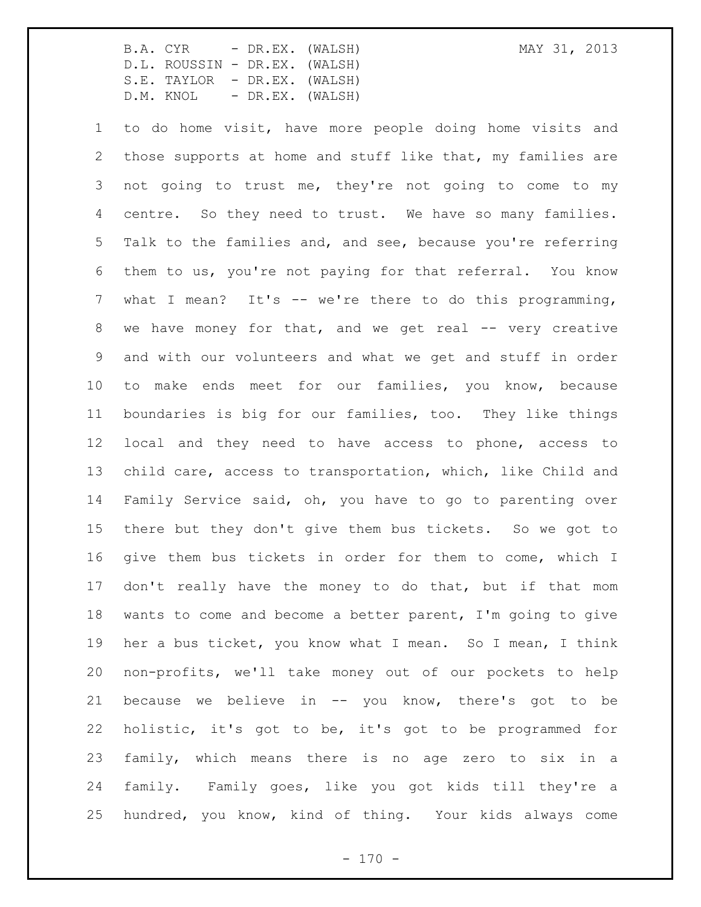to do home visit, have more people doing home visits and those supports at home and stuff like that, my families are not going to trust me, they're not going to come to my centre. So they need to trust. We have so many families. Talk to the families and, and see, because you're referring them to us, you're not paying for that referral. You know what I mean? It's -- we're there to do this programming, we have money for that, and we get real -- very creative and with our volunteers and what we get and stuff in order to make ends meet for our families, you know, because boundaries is big for our families, too. They like things local and they need to have access to phone, access to child care, access to transportation, which, like Child and Family Service said, oh, you have to go to parenting over there but they don't give them bus tickets. So we got to give them bus tickets in order for them to come, which I 17 don't really have the money to do that, but if that mom wants to come and become a better parent, I'm going to give her a bus ticket, you know what I mean. So I mean, I think non-profits, we'll take money out of our pockets to help because we believe in -- you know, there's got to be holistic, it's got to be, it's got to be programmed for family, which means there is no age zero to six in a family. Family goes, like you got kids till they're a hundred, you know, kind of thing. Your kids always come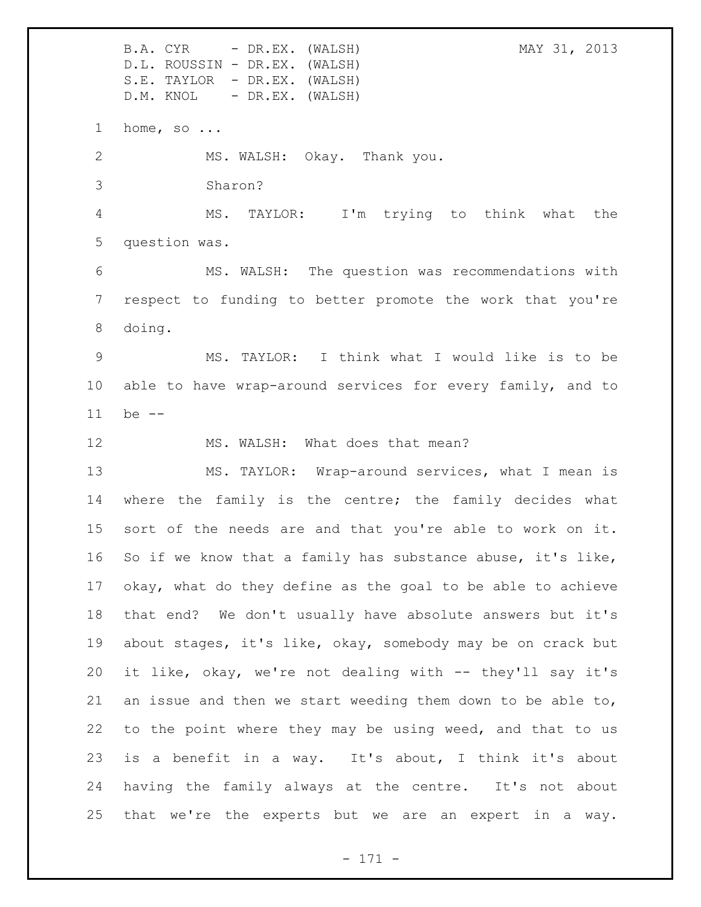B.A. CYR - DR.EX. (WALSH) MAY 31, 2013 D.L. ROUSSIN - DR.EX. (WALSH) S.E. TAYLOR - DR.EX. (WALSH) D.M. KNOL - DR.EX. (WALSH) home, so ... MS. WALSH: Okay. Thank you. Sharon? MS. TAYLOR: I'm trying to think what the question was. MS. WALSH: The question was recommendations with respect to funding to better promote the work that you're doing. MS. TAYLOR: I think what I would like is to be able to have wrap-around services for every family, and to be -- 12 MS. WALSH: What does that mean? MS. TAYLOR: Wrap-around services, what I mean is 14 where the family is the centre; the family decides what sort of the needs are and that you're able to work on it. So if we know that a family has substance abuse, it's like, okay, what do they define as the goal to be able to achieve that end? We don't usually have absolute answers but it's about stages, it's like, okay, somebody may be on crack but it like, okay, we're not dealing with -- they'll say it's an issue and then we start weeding them down to be able to, to the point where they may be using weed, and that to us is a benefit in a way. It's about, I think it's about having the family always at the centre. It's not about that we're the experts but we are an expert in a way.

- 171 -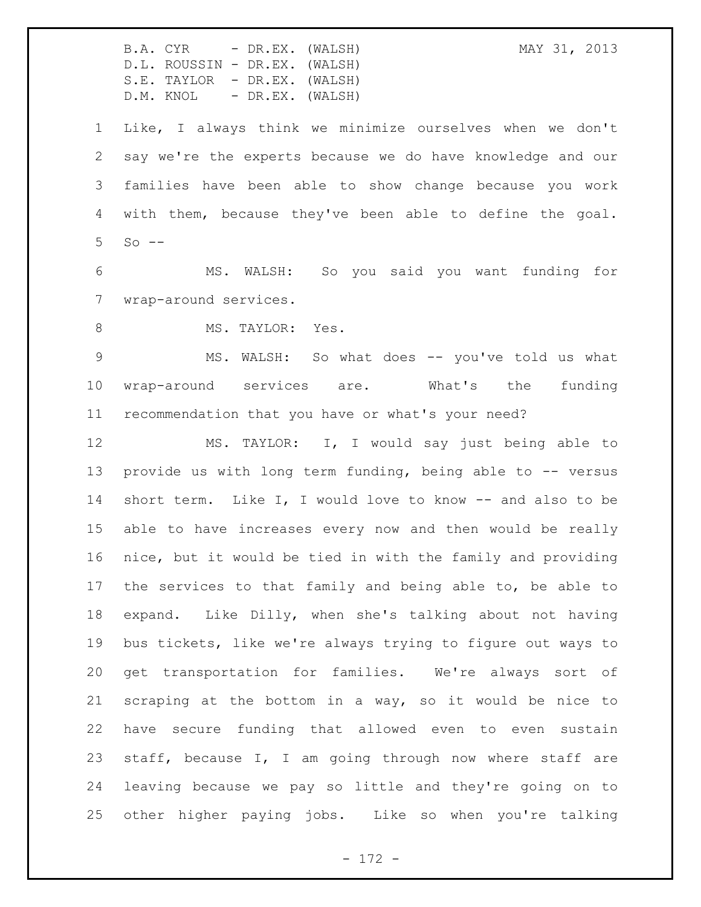B.A. CYR - DR.EX. (WALSH) MAY 31, 2013 D.L. ROUSSIN - DR.EX. (WALSH) S.E. TAYLOR - DR.EX. (WALSH) D.M. KNOL - DR.EX. (WALSH) Like, I always think we minimize ourselves when we don't say we're the experts because we do have knowledge and our families have been able to show change because you work with them, because they've been able to define the goal. So  $-$  MS. WALSH: So you said you want funding for wrap-around services. 8 MS. TAYLOR: Yes. MS. WALSH: So what does -- you've told us what wrap-around services are. What's the funding recommendation that you have or what's your need? MS. TAYLOR: I, I would say just being able to 13 provide us with long term funding, being able to -- versus short term. Like I, I would love to know -- and also to be able to have increases every now and then would be really nice, but it would be tied in with the family and providing the services to that family and being able to, be able to expand. Like Dilly, when she's talking about not having bus tickets, like we're always trying to figure out ways to get transportation for families. We're always sort of scraping at the bottom in a way, so it would be nice to have secure funding that allowed even to even sustain staff, because I, I am going through now where staff are leaving because we pay so little and they're going on to other higher paying jobs. Like so when you're talking

- 172 -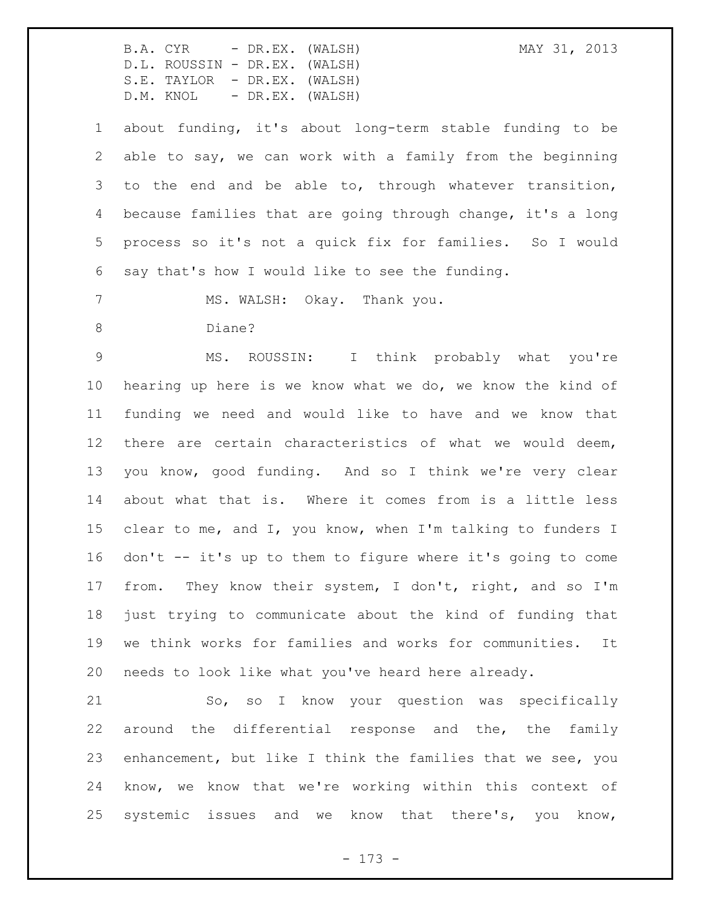about funding, it's about long-term stable funding to be able to say, we can work with a family from the beginning to the end and be able to, through whatever transition, because families that are going through change, it's a long process so it's not a quick fix for families. So I would say that's how I would like to see the funding.

7 MS. WALSH: Okay. Thank you.

Diane?

 MS. ROUSSIN: I think probably what you're hearing up here is we know what we do, we know the kind of funding we need and would like to have and we know that there are certain characteristics of what we would deem, you know, good funding. And so I think we're very clear about what that is. Where it comes from is a little less 15 clear to me, and I, you know, when I'm talking to funders I don't -- it's up to them to figure where it's going to come from. They know their system, I don't, right, and so I'm just trying to communicate about the kind of funding that we think works for families and works for communities. It needs to look like what you've heard here already.

 So, so I know your question was specifically around the differential response and the, the family enhancement, but like I think the families that we see, you know, we know that we're working within this context of systemic issues and we know that there's, you know,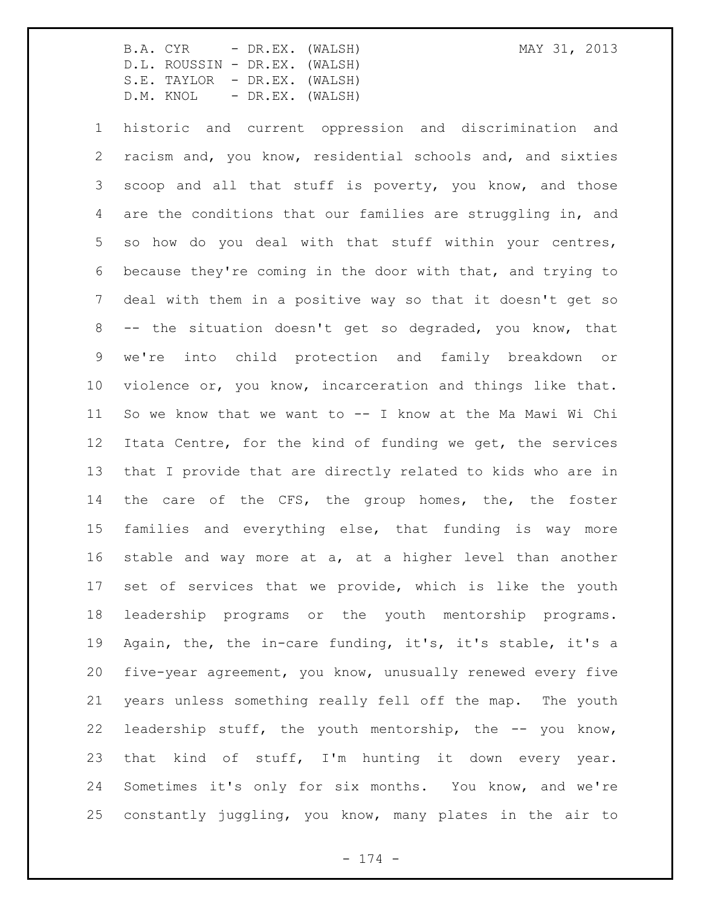historic and current oppression and discrimination and racism and, you know, residential schools and, and sixties scoop and all that stuff is poverty, you know, and those are the conditions that our families are struggling in, and so how do you deal with that stuff within your centres, because they're coming in the door with that, and trying to deal with them in a positive way so that it doesn't get so -- the situation doesn't get so degraded, you know, that we're into child protection and family breakdown or violence or, you know, incarceration and things like that. So we know that we want to -- I know at the Ma Mawi Wi Chi Itata Centre, for the kind of funding we get, the services that I provide that are directly related to kids who are in 14 the care of the CFS, the group homes, the, the foster families and everything else, that funding is way more stable and way more at a, at a higher level than another set of services that we provide, which is like the youth leadership programs or the youth mentorship programs. Again, the, the in-care funding, it's, it's stable, it's a five-year agreement, you know, unusually renewed every five years unless something really fell off the map. The youth leadership stuff, the youth mentorship, the -- you know, that kind of stuff, I'm hunting it down every year. Sometimes it's only for six months. You know, and we're constantly juggling, you know, many plates in the air to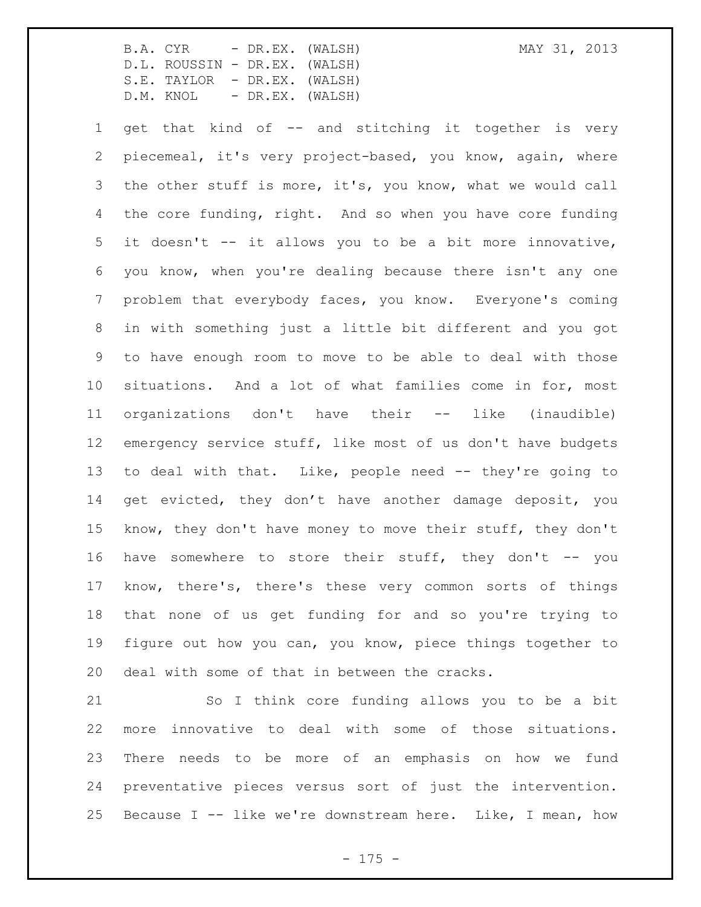get that kind of -- and stitching it together is very piecemeal, it's very project-based, you know, again, where the other stuff is more, it's, you know, what we would call the core funding, right. And so when you have core funding it doesn't -- it allows you to be a bit more innovative, you know, when you're dealing because there isn't any one problem that everybody faces, you know. Everyone's coming in with something just a little bit different and you got to have enough room to move to be able to deal with those situations. And a lot of what families come in for, most organizations don't have their -- like (inaudible) emergency service stuff, like most of us don't have budgets to deal with that. Like, people need -- they're going to get evicted, they don't have another damage deposit, you know, they don't have money to move their stuff, they don't 16 have somewhere to store their stuff, they don't -- you know, there's, there's these very common sorts of things that none of us get funding for and so you're trying to figure out how you can, you know, piece things together to deal with some of that in between the cracks.

 So I think core funding allows you to be a bit more innovative to deal with some of those situations. There needs to be more of an emphasis on how we fund preventative pieces versus sort of just the intervention. Because I -- like we're downstream here. Like, I mean, how

 $- 175 -$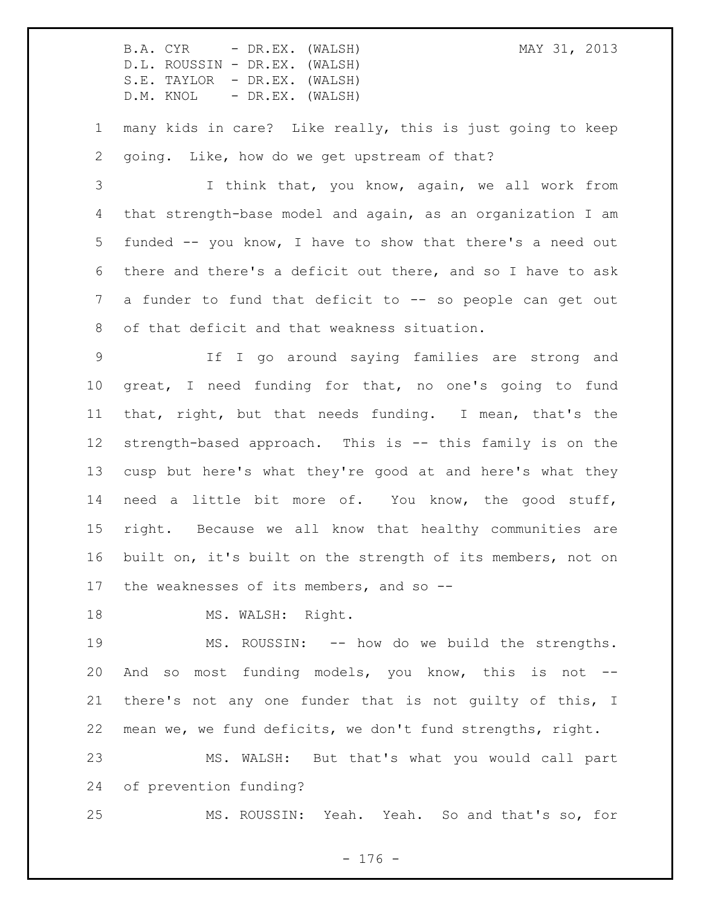many kids in care? Like really, this is just going to keep going. Like, how do we get upstream of that?

 I think that, you know, again, we all work from that strength-base model and again, as an organization I am funded -- you know, I have to show that there's a need out there and there's a deficit out there, and so I have to ask a funder to fund that deficit to -- so people can get out of that deficit and that weakness situation.

 If I go around saying families are strong and great, I need funding for that, no one's going to fund that, right, but that needs funding. I mean, that's the strength-based approach. This is -- this family is on the cusp but here's what they're good at and here's what they need a little bit more of. You know, the good stuff, right. Because we all know that healthy communities are built on, it's built on the strength of its members, not on 17 the weaknesses of its members, and so --

18 MS. WALSH: Right.

 MS. ROUSSIN: -- how do we build the strengths. And so most funding models, you know, this is not -- there's not any one funder that is not guilty of this, I mean we, we fund deficits, we don't fund strengths, right. MS. WALSH: But that's what you would call part

of prevention funding?

MS. ROUSSIN: Yeah. Yeah. So and that's so, for

- 176 -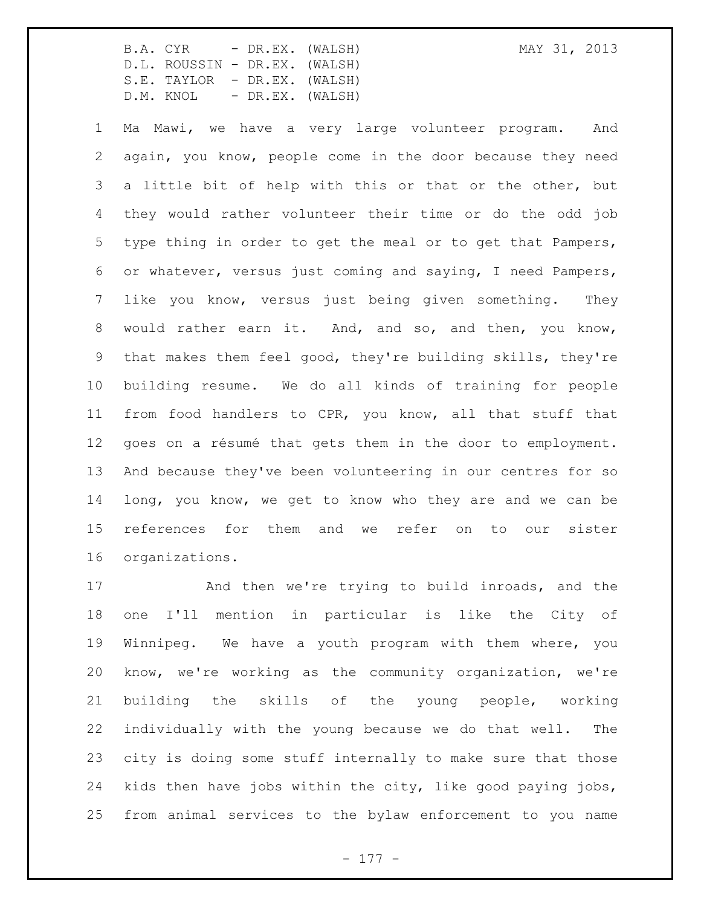Ma Mawi, we have a very large volunteer program. And again, you know, people come in the door because they need a little bit of help with this or that or the other, but they would rather volunteer their time or do the odd job type thing in order to get the meal or to get that Pampers, or whatever, versus just coming and saying, I need Pampers, like you know, versus just being given something. They would rather earn it. And, and so, and then, you know, that makes them feel good, they're building skills, they're building resume. We do all kinds of training for people from food handlers to CPR, you know, all that stuff that goes on a résumé that gets them in the door to employment. And because they've been volunteering in our centres for so long, you know, we get to know who they are and we can be references for them and we refer on to our sister organizations.

 And then we're trying to build inroads, and the one I'll mention in particular is like the City of Winnipeg. We have a youth program with them where, you know, we're working as the community organization, we're building the skills of the young people, working individually with the young because we do that well. The city is doing some stuff internally to make sure that those kids then have jobs within the city, like good paying jobs, from animal services to the bylaw enforcement to you name

- 177 -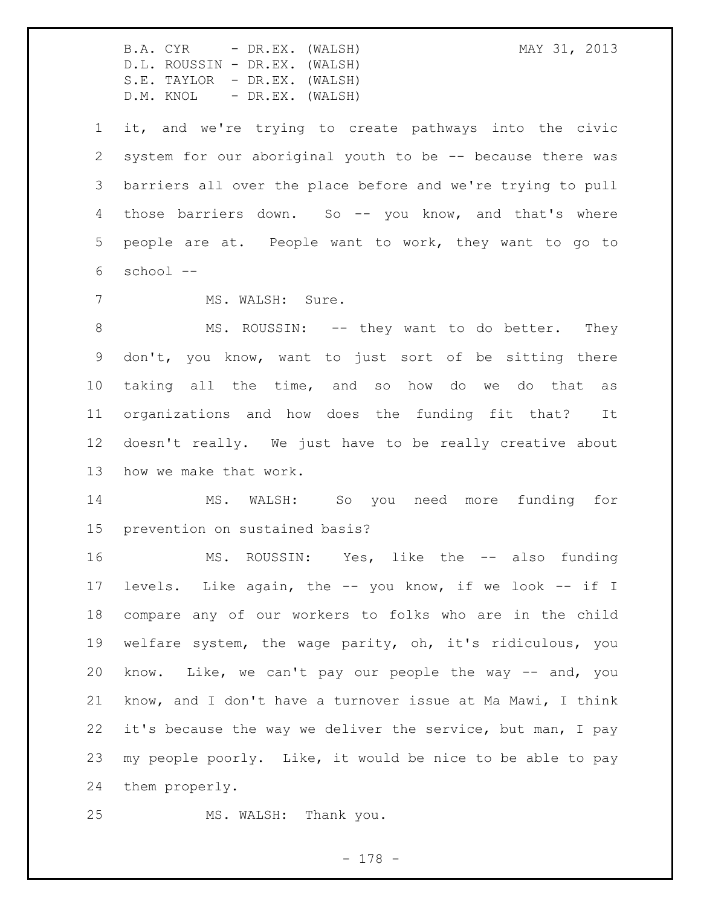B.A. CYR - DR.EX. (WALSH) MAY 31, 2013 D.L. ROUSSIN - DR.EX. (WALSH) S.E. TAYLOR - DR.EX. (WALSH) D.M. KNOL - DR.EX. (WALSH) it, and we're trying to create pathways into the civic system for our aboriginal youth to be -- because there was barriers all over the place before and we're trying to pull those barriers down. So -- you know, and that's where people are at. People want to work, they want to go to school -- 7 MS. WALSH: Sure. 8 MS. ROUSSIN: -- they want to do better. They don't, you know, want to just sort of be sitting there taking all the time, and so how do we do that as organizations and how does the funding fit that? It doesn't really. We just have to be really creative about how we make that work. MS. WALSH: So you need more funding for prevention on sustained basis? MS. ROUSSIN: Yes, like the -- also funding levels. Like again, the -- you know, if we look -- if I compare any of our workers to folks who are in the child welfare system, the wage parity, oh, it's ridiculous, you know. Like, we can't pay our people the way -- and, you know, and I don't have a turnover issue at Ma Mawi, I think it's because the way we deliver the service, but man, I pay my people poorly. Like, it would be nice to be able to pay them properly. MS. WALSH: Thank you.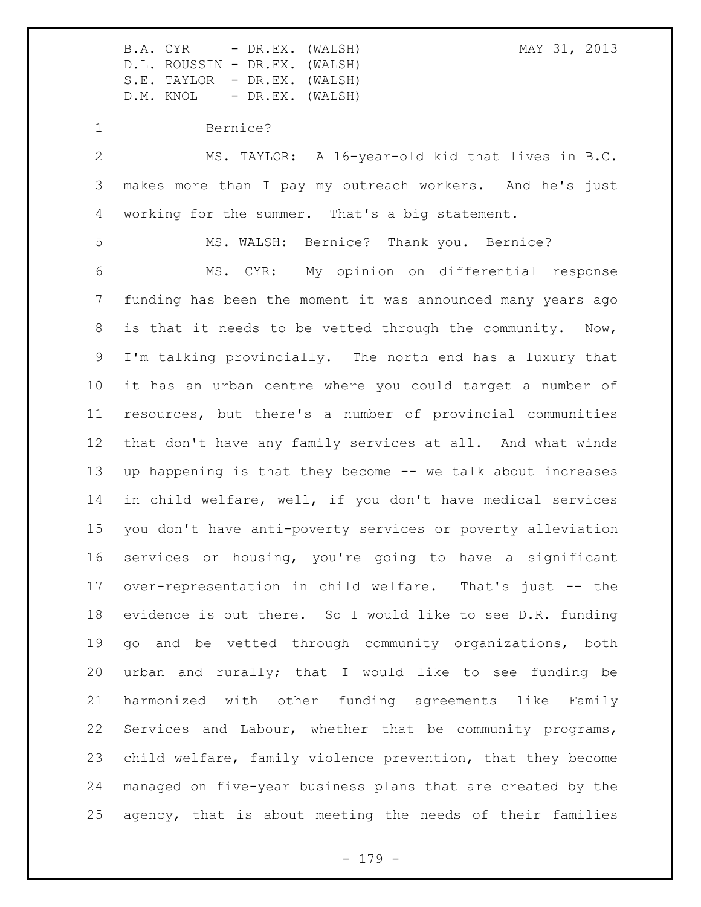B.A. CYR - DR.EX. (WALSH) MAY 31, 2013

D.L. ROUSSIN - DR.EX. (WALSH) S.E. TAYLOR - DR.EX. (WALSH) D.M. KNOL - DR.EX. (WALSH) Bernice? MS. TAYLOR: A 16-year-old kid that lives in B.C. makes more than I pay my outreach workers. And he's just working for the summer. That's a big statement. MS. WALSH: Bernice? Thank you. Bernice? MS. CYR: My opinion on differential response funding has been the moment it was announced many years ago is that it needs to be vetted through the community. Now, I'm talking provincially. The north end has a luxury that it has an urban centre where you could target a number of resources, but there's a number of provincial communities that don't have any family services at all. And what winds up happening is that they become -- we talk about increases in child welfare, well, if you don't have medical services you don't have anti-poverty services or poverty alleviation services or housing, you're going to have a significant over-representation in child welfare. That's just -- the evidence is out there. So I would like to see D.R. funding go and be vetted through community organizations, both urban and rurally; that I would like to see funding be harmonized with other funding agreements like Family Services and Labour, whether that be community programs, child welfare, family violence prevention, that they become managed on five-year business plans that are created by the agency, that is about meeting the needs of their families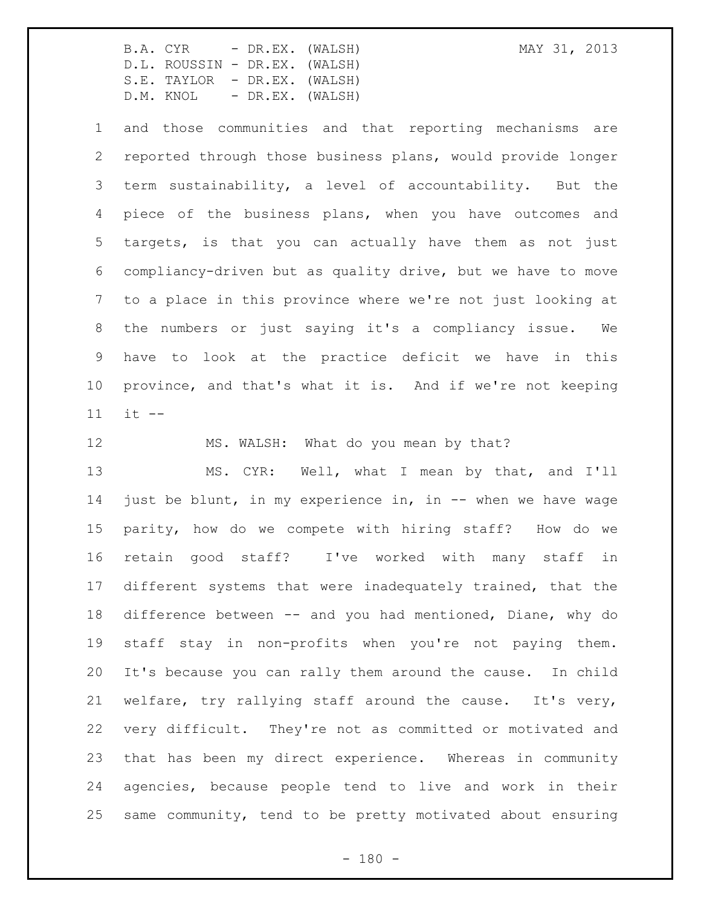and those communities and that reporting mechanisms are reported through those business plans, would provide longer term sustainability, a level of accountability. But the piece of the business plans, when you have outcomes and targets, is that you can actually have them as not just compliancy-driven but as quality drive, but we have to move to a place in this province where we're not just looking at the numbers or just saying it's a compliancy issue. We have to look at the practice deficit we have in this province, and that's what it is. And if we're not keeping it --

12 MS. WALSH: What do you mean by that?

 MS. CYR: Well, what I mean by that, and I'll just be blunt, in my experience in, in -- when we have wage parity, how do we compete with hiring staff? How do we retain good staff? I've worked with many staff in different systems that were inadequately trained, that the difference between -- and you had mentioned, Diane, why do staff stay in non-profits when you're not paying them. It's because you can rally them around the cause. In child welfare, try rallying staff around the cause. It's very, very difficult. They're not as committed or motivated and that has been my direct experience. Whereas in community agencies, because people tend to live and work in their same community, tend to be pretty motivated about ensuring

 $- 180 -$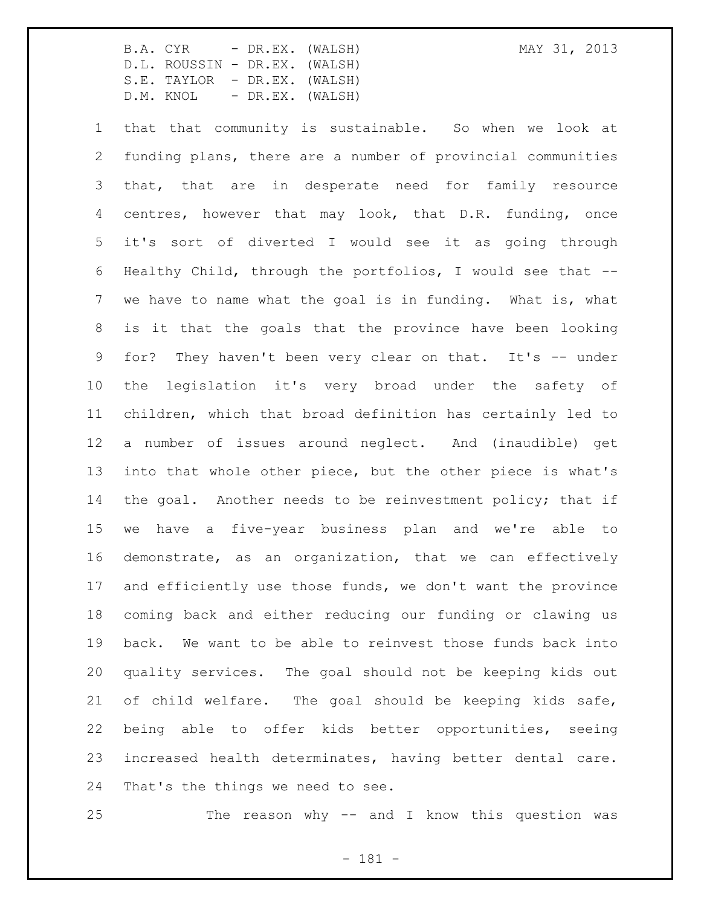that that community is sustainable. So when we look at funding plans, there are a number of provincial communities that, that are in desperate need for family resource centres, however that may look, that D.R. funding, once it's sort of diverted I would see it as going through Healthy Child, through the portfolios, I would see that -- we have to name what the goal is in funding. What is, what is it that the goals that the province have been looking for? They haven't been very clear on that. It's -- under the legislation it's very broad under the safety of children, which that broad definition has certainly led to a number of issues around neglect. And (inaudible) get into that whole other piece, but the other piece is what's 14 the goal. Another needs to be reinvestment policy; that if we have a five-year business plan and we're able to demonstrate, as an organization, that we can effectively and efficiently use those funds, we don't want the province coming back and either reducing our funding or clawing us back. We want to be able to reinvest those funds back into quality services. The goal should not be keeping kids out of child welfare. The goal should be keeping kids safe, being able to offer kids better opportunities, seeing increased health determinates, having better dental care. That's the things we need to see.

The reason why -- and I know this question was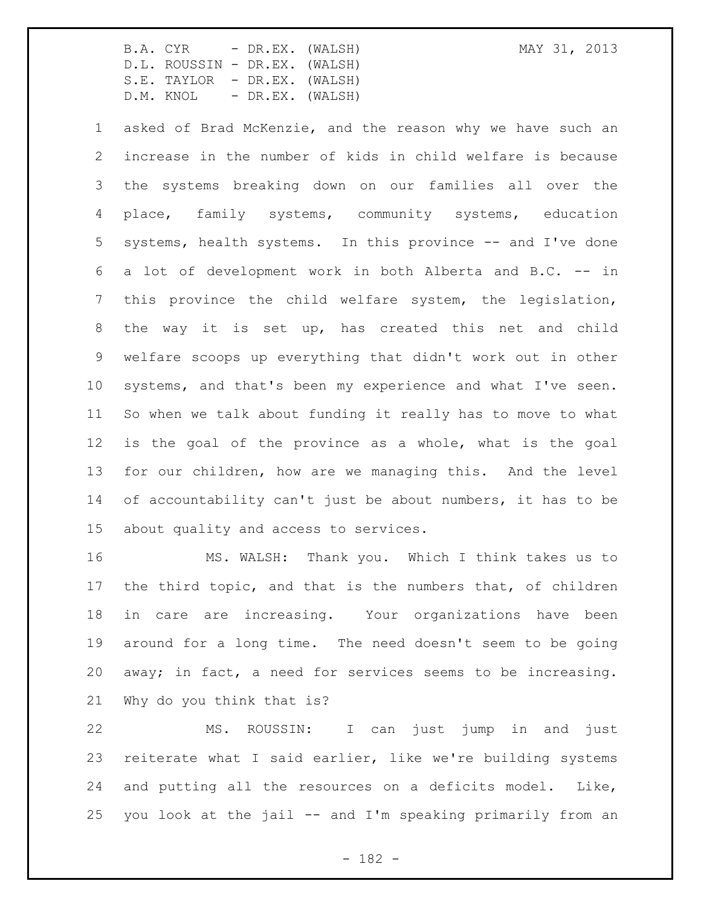about quality and access to services.

 asked of Brad McKenzie, and the reason why we have such an increase in the number of kids in child welfare is because the systems breaking down on our families all over the place, family systems, community systems, education systems, health systems. In this province -- and I've done a lot of development work in both Alberta and B.C. -- in this province the child welfare system, the legislation, the way it is set up, has created this net and child welfare scoops up everything that didn't work out in other systems, and that's been my experience and what I've seen. So when we talk about funding it really has to move to what is the goal of the province as a whole, what is the goal for our children, how are we managing this. And the level of accountability can't just be about numbers, it has to be

 MS. WALSH: Thank you. Which I think takes us to the third topic, and that is the numbers that, of children in care are increasing. Your organizations have been around for a long time. The need doesn't seem to be going away; in fact, a need for services seems to be increasing. Why do you think that is?

 MS. ROUSSIN: I can just jump in and just reiterate what I said earlier, like we're building systems and putting all the resources on a deficits model. Like, you look at the jail -- and I'm speaking primarily from an

- 182 -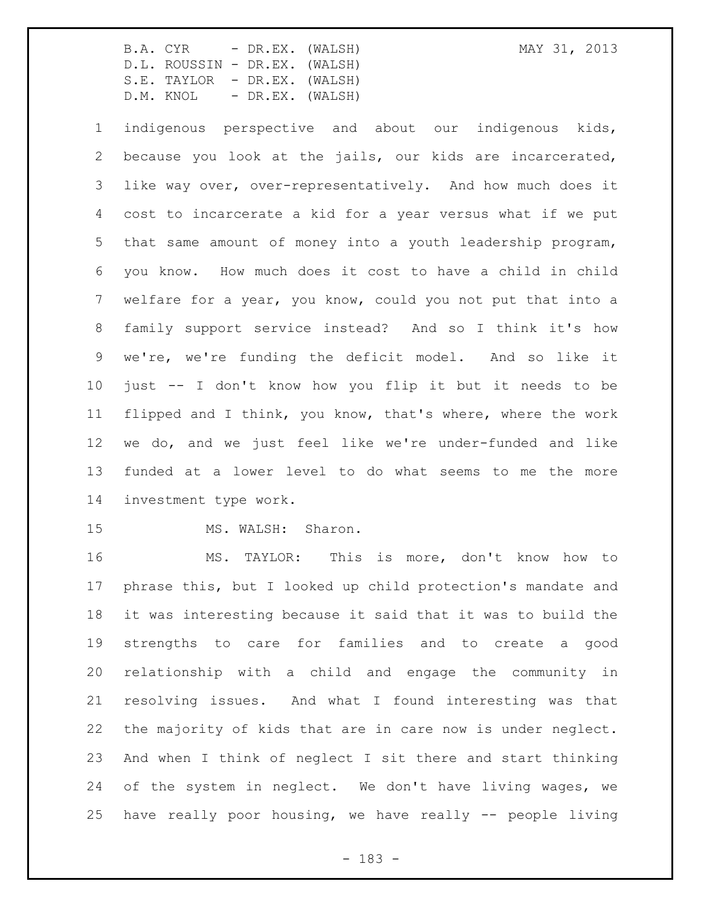indigenous perspective and about our indigenous kids, because you look at the jails, our kids are incarcerated, like way over, over-representatively. And how much does it cost to incarcerate a kid for a year versus what if we put that same amount of money into a youth leadership program, you know. How much does it cost to have a child in child welfare for a year, you know, could you not put that into a family support service instead? And so I think it's how we're, we're funding the deficit model. And so like it just -- I don't know how you flip it but it needs to be flipped and I think, you know, that's where, where the work we do, and we just feel like we're under-funded and like funded at a lower level to do what seems to me the more investment type work.

15 MS. WALSH: Sharon.

 MS. TAYLOR: This is more, don't know how to phrase this, but I looked up child protection's mandate and it was interesting because it said that it was to build the strengths to care for families and to create a good relationship with a child and engage the community in resolving issues. And what I found interesting was that the majority of kids that are in care now is under neglect. And when I think of neglect I sit there and start thinking of the system in neglect. We don't have living wages, we have really poor housing, we have really -- people living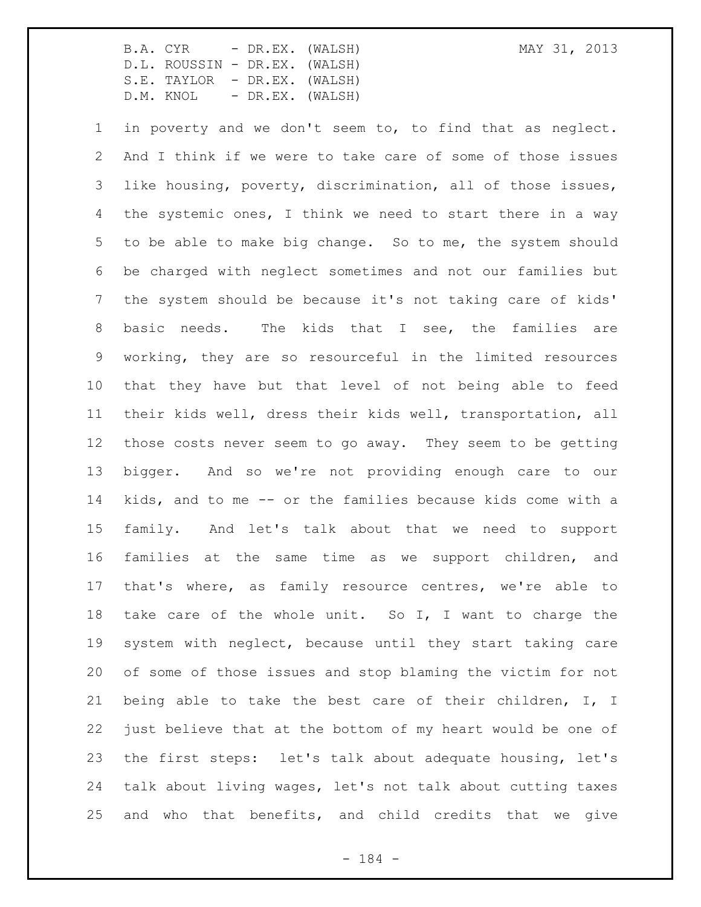in poverty and we don't seem to, to find that as neglect. And I think if we were to take care of some of those issues like housing, poverty, discrimination, all of those issues, the systemic ones, I think we need to start there in a way to be able to make big change. So to me, the system should be charged with neglect sometimes and not our families but the system should be because it's not taking care of kids' basic needs. The kids that I see, the families are working, they are so resourceful in the limited resources that they have but that level of not being able to feed their kids well, dress their kids well, transportation, all those costs never seem to go away. They seem to be getting bigger. And so we're not providing enough care to our kids, and to me -- or the families because kids come with a family. And let's talk about that we need to support families at the same time as we support children, and that's where, as family resource centres, we're able to take care of the whole unit. So I, I want to charge the system with neglect, because until they start taking care of some of those issues and stop blaming the victim for not being able to take the best care of their children, I, I just believe that at the bottom of my heart would be one of the first steps: let's talk about adequate housing, let's talk about living wages, let's not talk about cutting taxes and who that benefits, and child credits that we give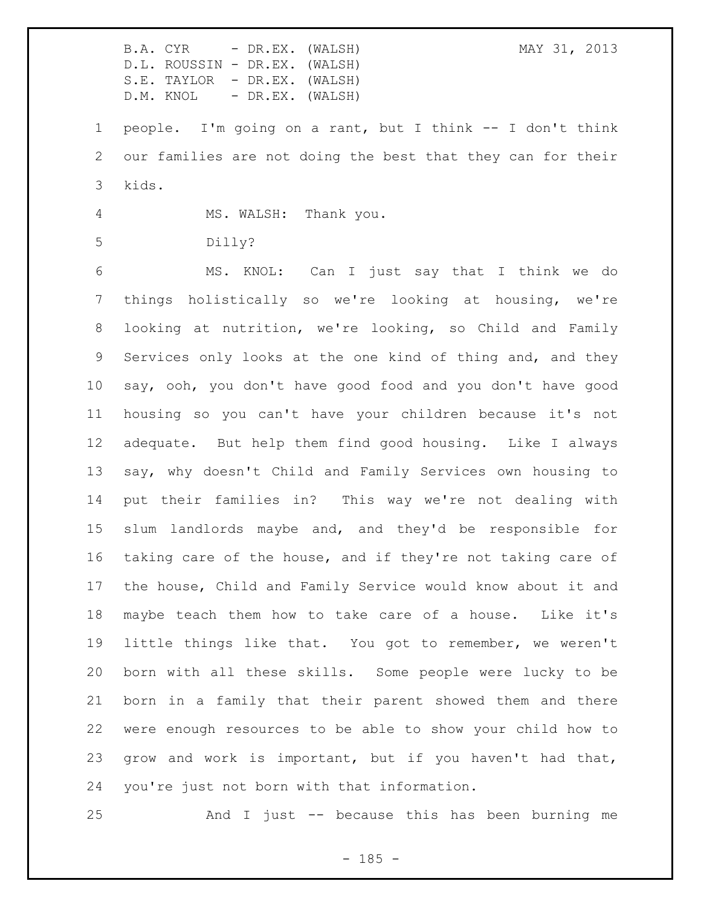B.A. CYR - DR.EX. (WALSH) MAY 31, 2013 D.L. ROUSSIN - DR.EX. (WALSH) S.E. TAYLOR - DR.EX. (WALSH) D.M. KNOL - DR.EX. (WALSH) people. I'm going on a rant, but I think -- I don't think our families are not doing the best that they can for their kids. MS. WALSH: Thank you. Dilly? MS. KNOL: Can I just say that I think we do things holistically so we're looking at housing, we're looking at nutrition, we're looking, so Child and Family Services only looks at the one kind of thing and, and they say, ooh, you don't have good food and you don't have good housing so you can't have your children because it's not adequate. But help them find good housing. Like I always say, why doesn't Child and Family Services own housing to put their families in? This way we're not dealing with slum landlords maybe and, and they'd be responsible for taking care of the house, and if they're not taking care of the house, Child and Family Service would know about it and maybe teach them how to take care of a house. Like it's little things like that. You got to remember, we weren't born with all these skills. Some people were lucky to be born in a family that their parent showed them and there were enough resources to be able to show your child how to grow and work is important, but if you haven't had that, you're just not born with that information.

And I just -- because this has been burning me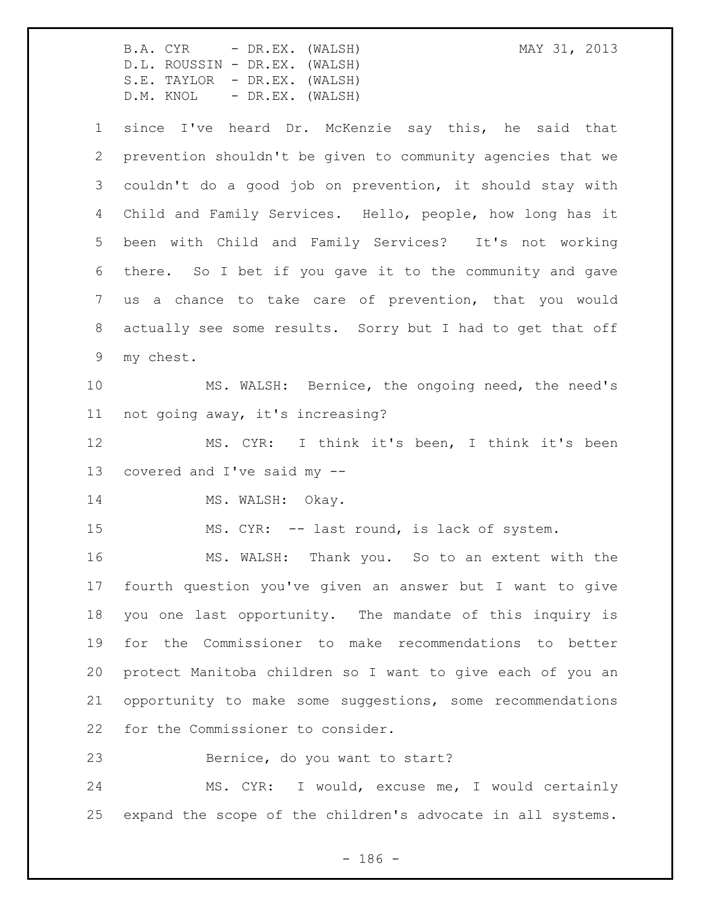B.A. CYR - DR.EX. (WALSH) MAY 31, 2013 D.L. ROUSSIN - DR.EX. (WALSH) S.E. TAYLOR - DR.EX. (WALSH) D.M. KNOL - DR.EX. (WALSH) since I've heard Dr. McKenzie say this, he said that prevention shouldn't be given to community agencies that we couldn't do a good job on prevention, it should stay with Child and Family Services. Hello, people, how long has it been with Child and Family Services? It's not working there. So I bet if you gave it to the community and gave us a chance to take care of prevention, that you would actually see some results. Sorry but I had to get that off my chest. MS. WALSH: Bernice, the ongoing need, the need's not going away, it's increasing? MS. CYR: I think it's been, I think it's been covered and I've said my -- 14 MS. WALSH: Okay. 15 MS. CYR: -- last round, is lack of system. MS. WALSH: Thank you. So to an extent with the fourth question you've given an answer but I want to give you one last opportunity. The mandate of this inquiry is for the Commissioner to make recommendations to better protect Manitoba children so I want to give each of you an opportunity to make some suggestions, some recommendations for the Commissioner to consider. Bernice, do you want to start? MS. CYR: I would, excuse me, I would certainly expand the scope of the children's advocate in all systems.

- 186 -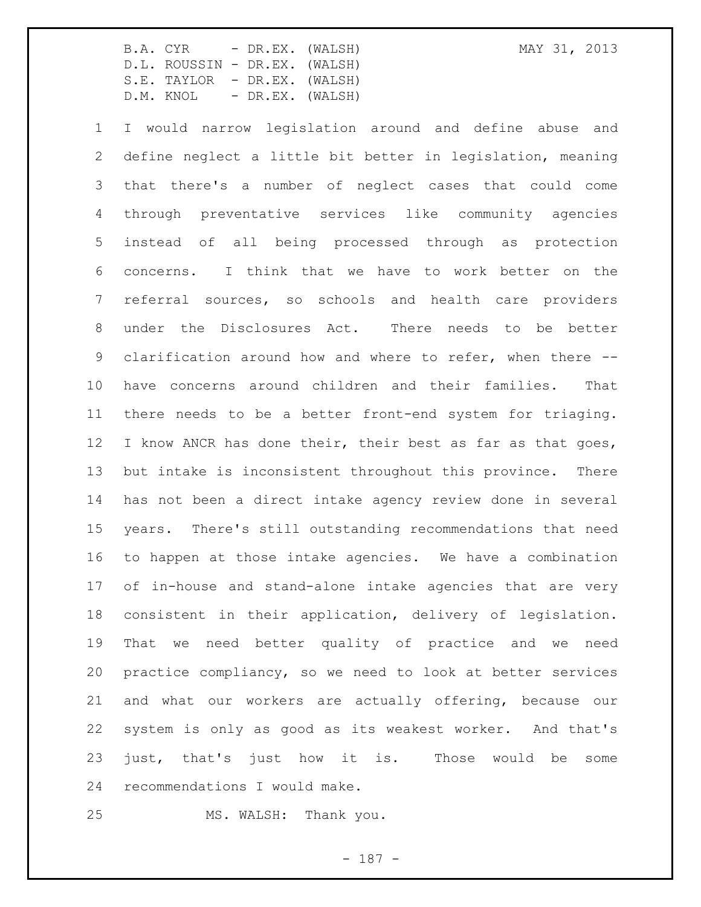I would narrow legislation around and define abuse and define neglect a little bit better in legislation, meaning that there's a number of neglect cases that could come through preventative services like community agencies instead of all being processed through as protection concerns. I think that we have to work better on the referral sources, so schools and health care providers under the Disclosures Act. There needs to be better clarification around how and where to refer, when there -- have concerns around children and their families. That there needs to be a better front-end system for triaging. 12 I know ANCR has done their, their best as far as that goes, but intake is inconsistent throughout this province. There has not been a direct intake agency review done in several years. There's still outstanding recommendations that need to happen at those intake agencies. We have a combination of in-house and stand-alone intake agencies that are very consistent in their application, delivery of legislation. That we need better quality of practice and we need practice compliancy, so we need to look at better services and what our workers are actually offering, because our system is only as good as its weakest worker. And that's just, that's just how it is. Those would be some recommendations I would make.

MS. WALSH: Thank you.

- 187 -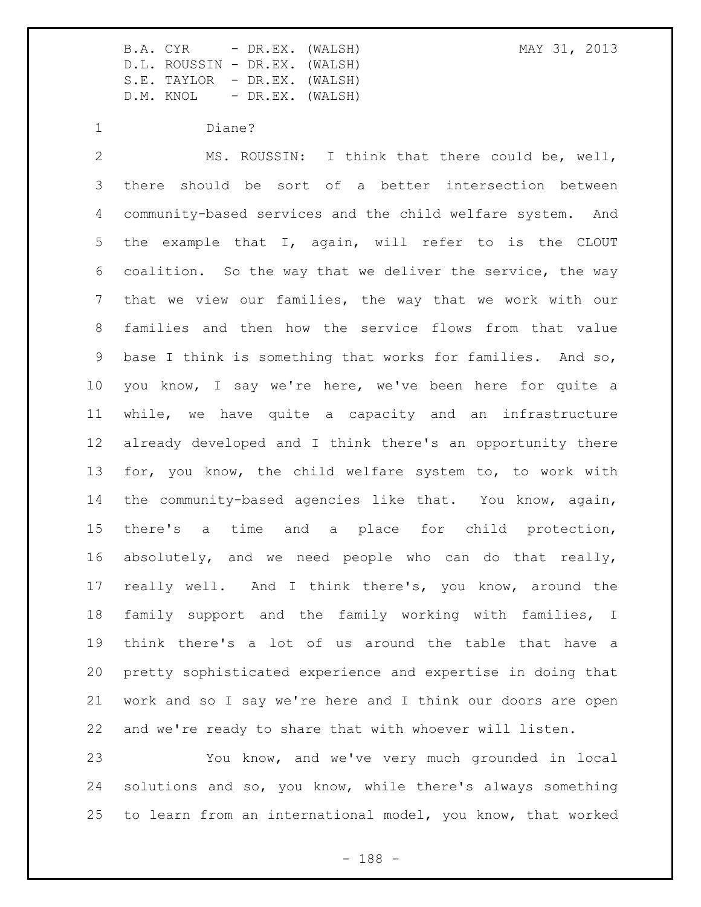Diane?

 MS. ROUSSIN: I think that there could be, well, there should be sort of a better intersection between community-based services and the child welfare system. And the example that I, again, will refer to is the CLOUT coalition. So the way that we deliver the service, the way that we view our families, the way that we work with our families and then how the service flows from that value base I think is something that works for families. And so, you know, I say we're here, we've been here for quite a while, we have quite a capacity and an infrastructure already developed and I think there's an opportunity there for, you know, the child welfare system to, to work with the community-based agencies like that. You know, again, there's a time and a place for child protection, absolutely, and we need people who can do that really, really well. And I think there's, you know, around the family support and the family working with families, I think there's a lot of us around the table that have a pretty sophisticated experience and expertise in doing that work and so I say we're here and I think our doors are open and we're ready to share that with whoever will listen.

 You know, and we've very much grounded in local solutions and so, you know, while there's always something to learn from an international model, you know, that worked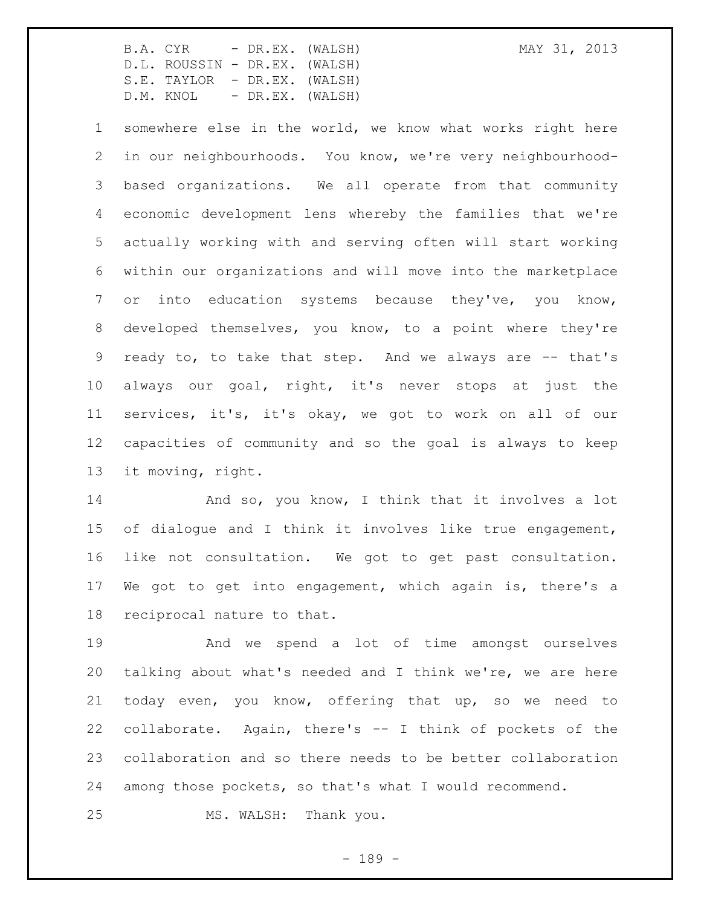somewhere else in the world, we know what works right here in our neighbourhoods. You know, we're very neighbourhood- based organizations. We all operate from that community economic development lens whereby the families that we're actually working with and serving often will start working within our organizations and will move into the marketplace or into education systems because they've, you know, developed themselves, you know, to a point where they're 9 ready to, to take that step. And we always are -- that's always our goal, right, it's never stops at just the services, it's, it's okay, we got to work on all of our capacities of community and so the goal is always to keep it moving, right.

14 And so, you know, I think that it involves a lot of dialogue and I think it involves like true engagement, like not consultation. We got to get past consultation. We got to get into engagement, which again is, there's a reciprocal nature to that.

 And we spend a lot of time amongst ourselves talking about what's needed and I think we're, we are here today even, you know, offering that up, so we need to collaborate. Again, there's -- I think of pockets of the collaboration and so there needs to be better collaboration among those pockets, so that's what I would recommend.

MS. WALSH: Thank you.

- 189 -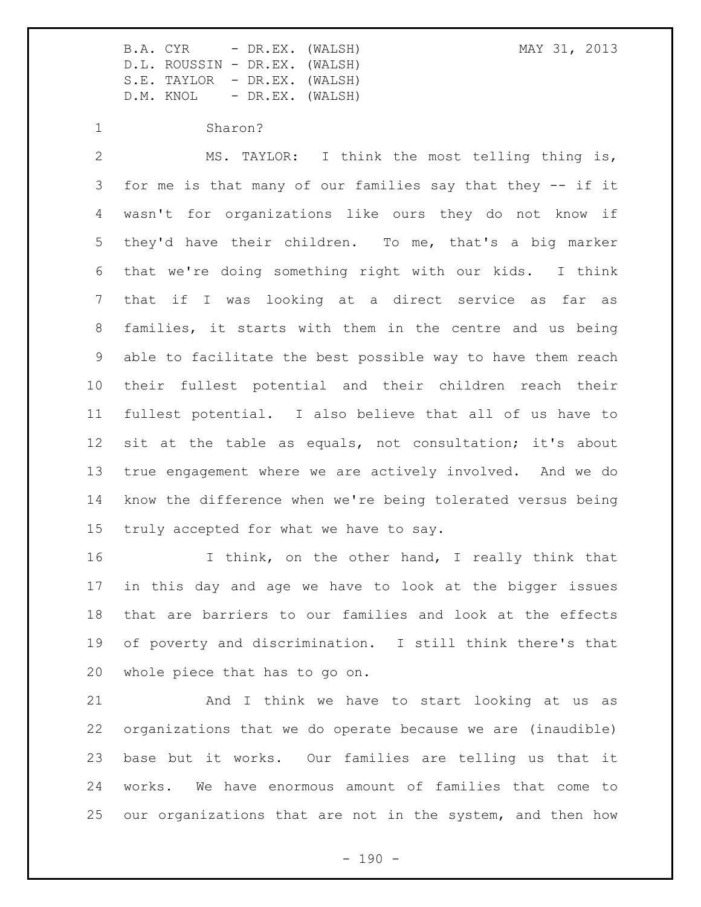Sharon?

 MS. TAYLOR: I think the most telling thing is, for me is that many of our families say that they -- if it wasn't for organizations like ours they do not know if they'd have their children. To me, that's a big marker that we're doing something right with our kids. I think that if I was looking at a direct service as far as families, it starts with them in the centre and us being able to facilitate the best possible way to have them reach their fullest potential and their children reach their fullest potential. I also believe that all of us have to sit at the table as equals, not consultation; it's about true engagement where we are actively involved. And we do know the difference when we're being tolerated versus being truly accepted for what we have to say.

16 I think, on the other hand, I really think that in this day and age we have to look at the bigger issues that are barriers to our families and look at the effects of poverty and discrimination. I still think there's that whole piece that has to go on.

 And I think we have to start looking at us as organizations that we do operate because we are (inaudible) base but it works. Our families are telling us that it works. We have enormous amount of families that come to our organizations that are not in the system, and then how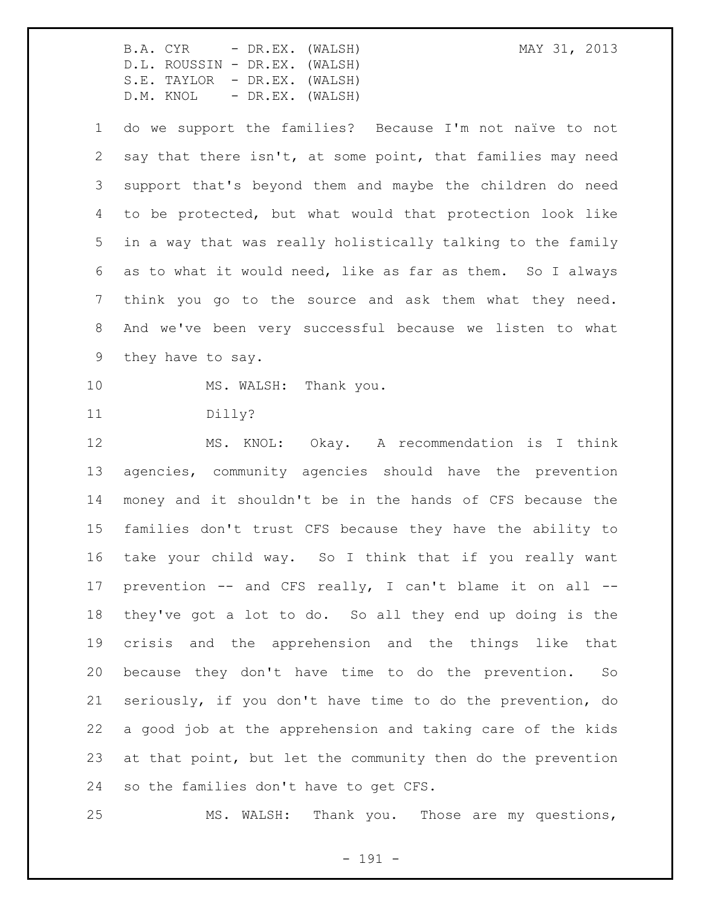do we support the families? Because I'm not naïve to not say that there isn't, at some point, that families may need support that's beyond them and maybe the children do need to be protected, but what would that protection look like in a way that was really holistically talking to the family as to what it would need, like as far as them. So I always think you go to the source and ask them what they need. And we've been very successful because we listen to what they have to say.

10 MS. WALSH: Thank you.

Dilly?

 MS. KNOL: Okay. A recommendation is I think agencies, community agencies should have the prevention money and it shouldn't be in the hands of CFS because the families don't trust CFS because they have the ability to take your child way. So I think that if you really want prevention -- and CFS really, I can't blame it on all -- they've got a lot to do. So all they end up doing is the crisis and the apprehension and the things like that because they don't have time to do the prevention. So seriously, if you don't have time to do the prevention, do a good job at the apprehension and taking care of the kids at that point, but let the community then do the prevention so the families don't have to get CFS.

MS. WALSH: Thank you. Those are my questions,

- 191 -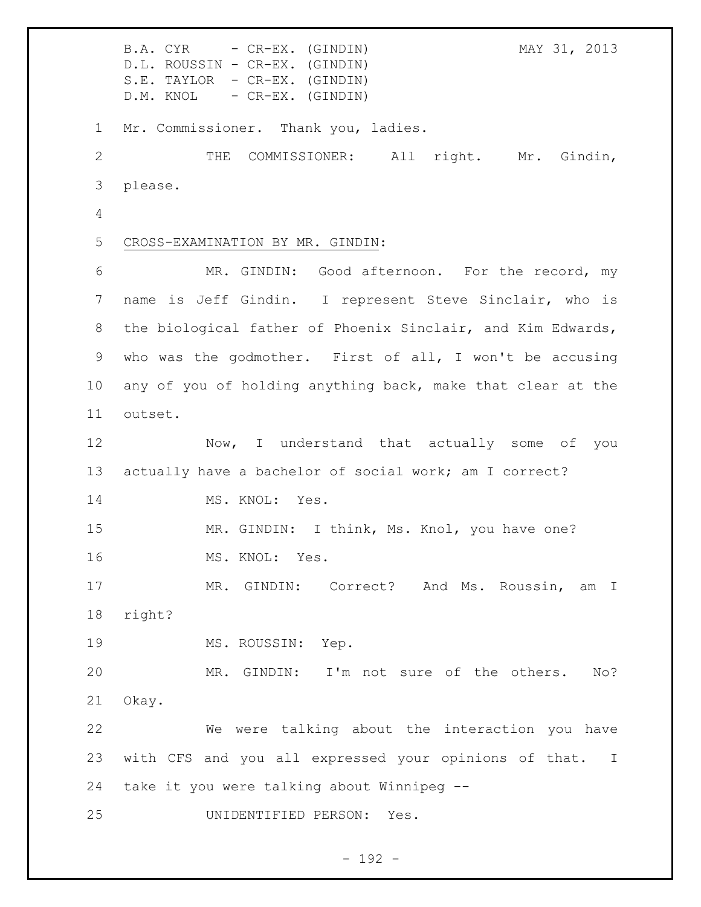B.A. CYR - CR-EX. (GINDIN) MAY 31, 2013 D.L. ROUSSIN - CR-EX. (GINDIN) S.E. TAYLOR - CR-EX. (GINDIN) D.M. KNOL - CR-EX. (GINDIN) Mr. Commissioner. Thank you, ladies. THE COMMISSIONER: All right. Mr. Gindin, please. CROSS-EXAMINATION BY MR. GINDIN: MR. GINDIN: Good afternoon. For the record, my name is Jeff Gindin. I represent Steve Sinclair, who is the biological father of Phoenix Sinclair, and Kim Edwards, who was the godmother. First of all, I won't be accusing any of you of holding anything back, make that clear at the outset. Now, I understand that actually some of you actually have a bachelor of social work; am I correct? 14 MS. KNOL: Yes. 15 MR. GINDIN: I think, Ms. Knol, you have one? 16 MS. KNOL: Yes. 17 MR. GINDIN: Correct? And Ms. Roussin, am I right? 19 MS. ROUSSIN: Yep. MR. GINDIN: I'm not sure of the others. No? Okay. We were talking about the interaction you have with CFS and you all expressed your opinions of that. I take it you were talking about Winnipeg -- UNIDENTIFIED PERSON: Yes.

- 192 -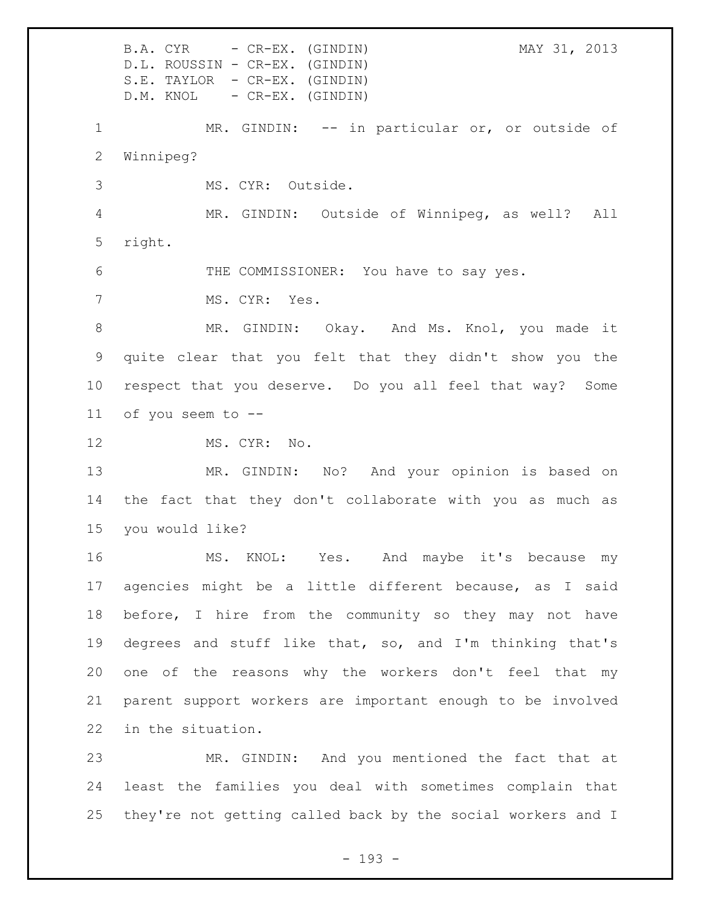B.A. CYR - CR-EX. (GINDIN) MAY 31, 2013 D.L. ROUSSIN - CR-EX. (GINDIN) S.E. TAYLOR - CR-EX. (GINDIN) D.M. KNOL - CR-EX. (GINDIN) 1 MR. GINDIN: -- in particular or, or outside of Winnipeg? MS. CYR: Outside. MR. GINDIN: Outside of Winnipeg, as well? All right. THE COMMISSIONER: You have to say yes. MS. CYR: Yes. MR. GINDIN: Okay. And Ms. Knol, you made it quite clear that you felt that they didn't show you the respect that you deserve. Do you all feel that way? Some of you seem to -- 12 MS. CYR: No. MR. GINDIN: No? And your opinion is based on the fact that they don't collaborate with you as much as you would like? MS. KNOL: Yes. And maybe it's because my agencies might be a little different because, as I said before, I hire from the community so they may not have degrees and stuff like that, so, and I'm thinking that's one of the reasons why the workers don't feel that my parent support workers are important enough to be involved in the situation. MR. GINDIN: And you mentioned the fact that at least the families you deal with sometimes complain that

they're not getting called back by the social workers and I

- 193 -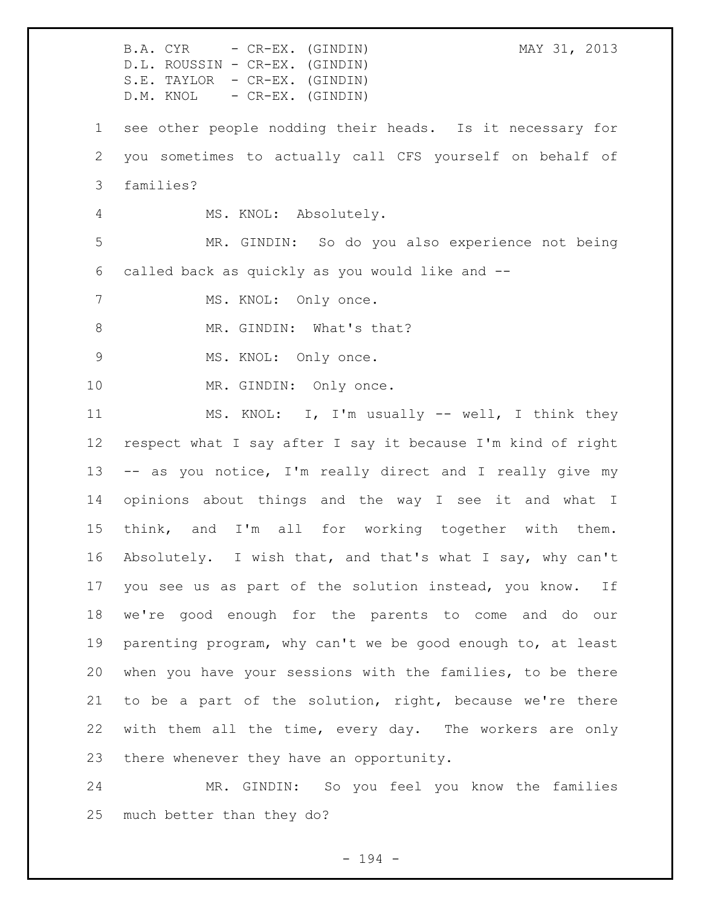B.A. CYR - CR-EX. (GINDIN) MAY 31, 2013 D.L. ROUSSIN - CR-EX. (GINDIN) S.E. TAYLOR - CR-EX. (GINDIN) D.M. KNOL - CR-EX. (GINDIN) see other people nodding their heads. Is it necessary for you sometimes to actually call CFS yourself on behalf of families? MS. KNOL: Absolutely. MR. GINDIN: So do you also experience not being called back as quickly as you would like and -- 7 MS. KNOL: Only once. 8 MR. GINDIN: What's that? 9 MS. KNOL: Only once. 10 MR. GINDIN: Only once. MS. KNOL: I, I'm usually -- well, I think they respect what I say after I say it because I'm kind of right -- as you notice, I'm really direct and I really give my opinions about things and the way I see it and what I think, and I'm all for working together with them. Absolutely. I wish that, and that's what I say, why can't you see us as part of the solution instead, you know. If we're good enough for the parents to come and do our parenting program, why can't we be good enough to, at least when you have your sessions with the families, to be there to be a part of the solution, right, because we're there with them all the time, every day. The workers are only there whenever they have an opportunity. MR. GINDIN: So you feel you know the families

much better than they do?

- 194 -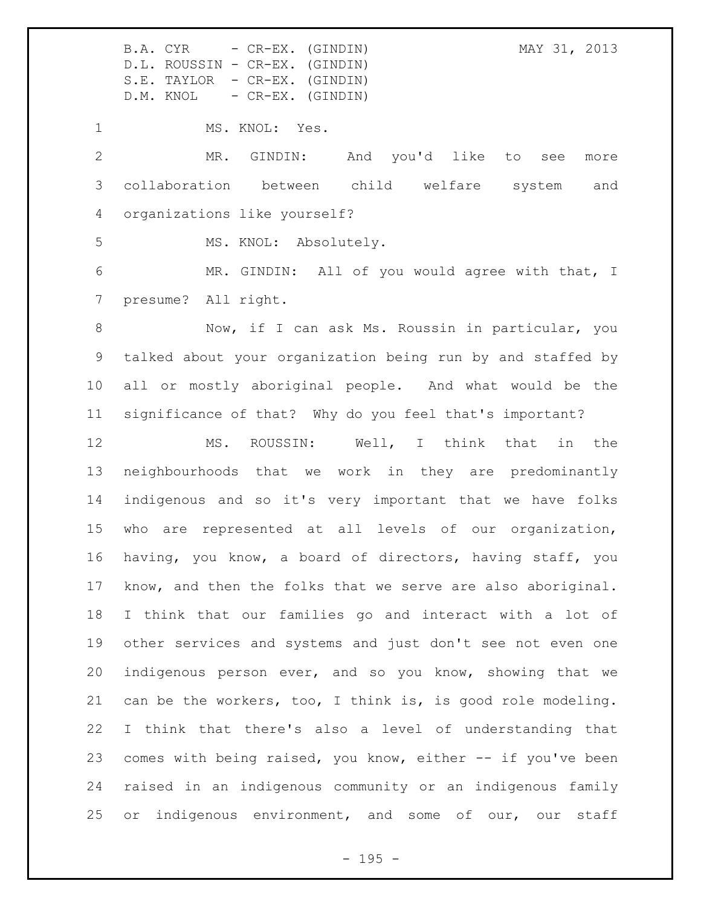MS. KNOL: Yes. MR. GINDIN: And you'd like to see more collaboration between child welfare system and organizations like yourself? 5 MS. KNOL: Absolutely.

 MR. GINDIN: All of you would agree with that, I presume? All right.

8 Now, if I can ask Ms. Roussin in particular, you talked about your organization being run by and staffed by all or mostly aboriginal people. And what would be the significance of that? Why do you feel that's important?

 MS. ROUSSIN: Well, I think that in the neighbourhoods that we work in they are predominantly indigenous and so it's very important that we have folks who are represented at all levels of our organization, having, you know, a board of directors, having staff, you know, and then the folks that we serve are also aboriginal. I think that our families go and interact with a lot of other services and systems and just don't see not even one indigenous person ever, and so you know, showing that we can be the workers, too, I think is, is good role modeling. I think that there's also a level of understanding that comes with being raised, you know, either -- if you've been raised in an indigenous community or an indigenous family 25 or indigenous environment, and some of our, our staff

 $- 195 -$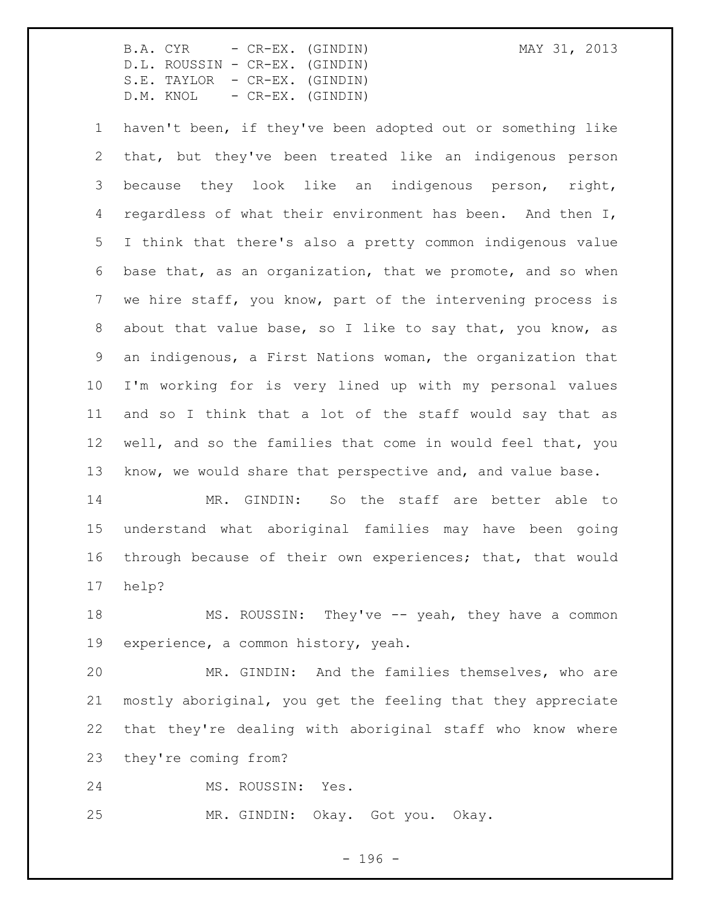haven't been, if they've been adopted out or something like that, but they've been treated like an indigenous person because they look like an indigenous person, right, 4 regardless of what their environment has been. And then I, I think that there's also a pretty common indigenous value base that, as an organization, that we promote, and so when we hire staff, you know, part of the intervening process is about that value base, so I like to say that, you know, as an indigenous, a First Nations woman, the organization that I'm working for is very lined up with my personal values and so I think that a lot of the staff would say that as well, and so the families that come in would feel that, you know, we would share that perspective and, and value base.

 MR. GINDIN: So the staff are better able to understand what aboriginal families may have been going through because of their own experiences; that, that would help?

18 MS. ROUSSIN: They've -- yeah, they have a common experience, a common history, yeah.

 MR. GINDIN: And the families themselves, who are mostly aboriginal, you get the feeling that they appreciate that they're dealing with aboriginal staff who know where they're coming from?

MS. ROUSSIN: Yes.

MR. GINDIN: Okay. Got you. Okay.

- 196 -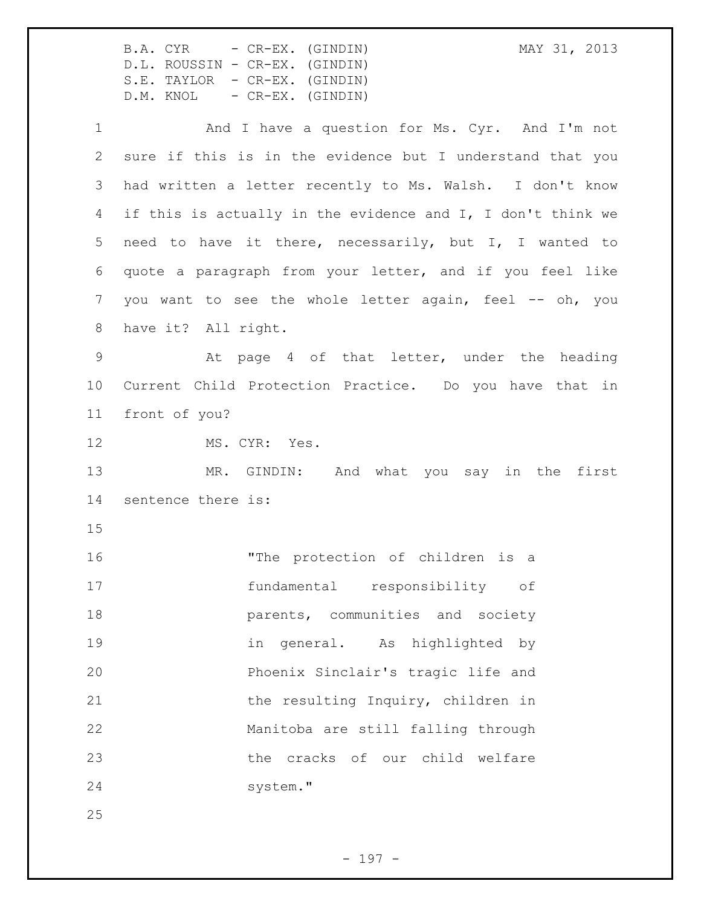|               | MAY 31, 2013<br>B.A. CYR - CR-EX. (GINDIN)<br>D.L. ROUSSIN - CR-EX. (GINDIN)<br>S.E. TAYLOR - CR-EX. (GINDIN)<br>D.M. KNOL - CR-EX. (GINDIN) |
|---------------|----------------------------------------------------------------------------------------------------------------------------------------------|
| $\mathbf 1$   | And I have a question for Ms. Cyr. And I'm not                                                                                               |
| $\mathbf{2}$  | sure if this is in the evidence but I understand that you                                                                                    |
| 3             | had written a letter recently to Ms. Walsh. I don't know                                                                                     |
| 4             | if this is actually in the evidence and I, I don't think we                                                                                  |
| 5             | need to have it there, necessarily, but I, I wanted to                                                                                       |
| 6             | quote a paragraph from your letter, and if you feel like                                                                                     |
| 7             | you want to see the whole letter again, feel -- oh, you                                                                                      |
| 8             | have it? All right.                                                                                                                          |
| $\mathcal{G}$ | At page 4 of that letter, under the heading                                                                                                  |
| 10            | Current Child Protection Practice. Do you have that in                                                                                       |
| 11            | front of you?                                                                                                                                |
| 12            | MS. CYR: Yes.                                                                                                                                |
| 13            | MR. GINDIN: And what you say in the first                                                                                                    |
| 14            | sentence there is:                                                                                                                           |
| 15            |                                                                                                                                              |
| 16            | "The protection of children is a                                                                                                             |
| 17            | fundamental responsibility of                                                                                                                |
| 18            | parents, communities and society                                                                                                             |
| 19            | in general. As highlighted by                                                                                                                |
| 20            | Phoenix Sinclair's tragic life and                                                                                                           |
| 21            | the resulting Inquiry, children in                                                                                                           |
| 22            | Manitoba are still falling through                                                                                                           |
| 23            | the cracks of our child welfare                                                                                                              |
| 24            | system."                                                                                                                                     |
| 25            |                                                                                                                                              |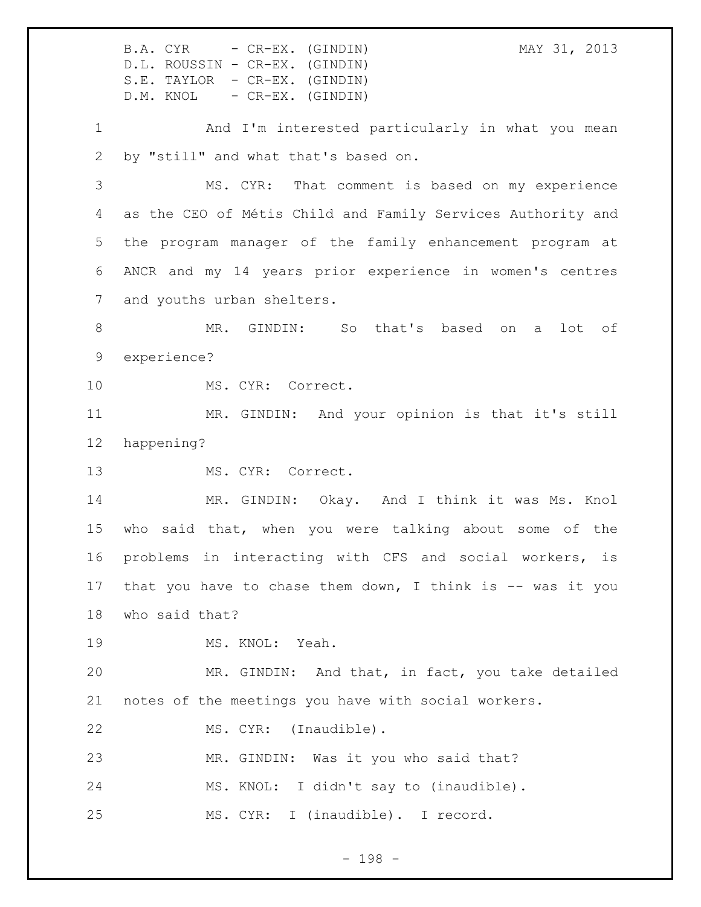B.A. CYR - CR-EX. (GINDIN) MAY 31, 2013 D.L. ROUSSIN - CR-EX. (GINDIN) S.E. TAYLOR - CR-EX. (GINDIN) D.M. KNOL - CR-EX. (GINDIN) And I'm interested particularly in what you mean by "still" and what that's based on. MS. CYR: That comment is based on my experience as the CEO of Métis Child and Family Services Authority and the program manager of the family enhancement program at ANCR and my 14 years prior experience in women's centres and youths urban shelters. MR. GINDIN: So that's based on a lot of experience? MS. CYR: Correct. MR. GINDIN: And your opinion is that it's still happening? 13 MS. CYR: Correct. MR. GINDIN: Okay. And I think it was Ms. Knol who said that, when you were talking about some of the problems in interacting with CFS and social workers, is 17 that you have to chase them down, I think is -- was it you who said that? 19 MS. KNOL: Yeah. MR. GINDIN: And that, in fact, you take detailed notes of the meetings you have with social workers. 22 MS. CYR: (Inaudible). MR. GINDIN: Was it you who said that? MS. KNOL: I didn't say to (inaudible). MS. CYR: I (inaudible). I record.

- 198 -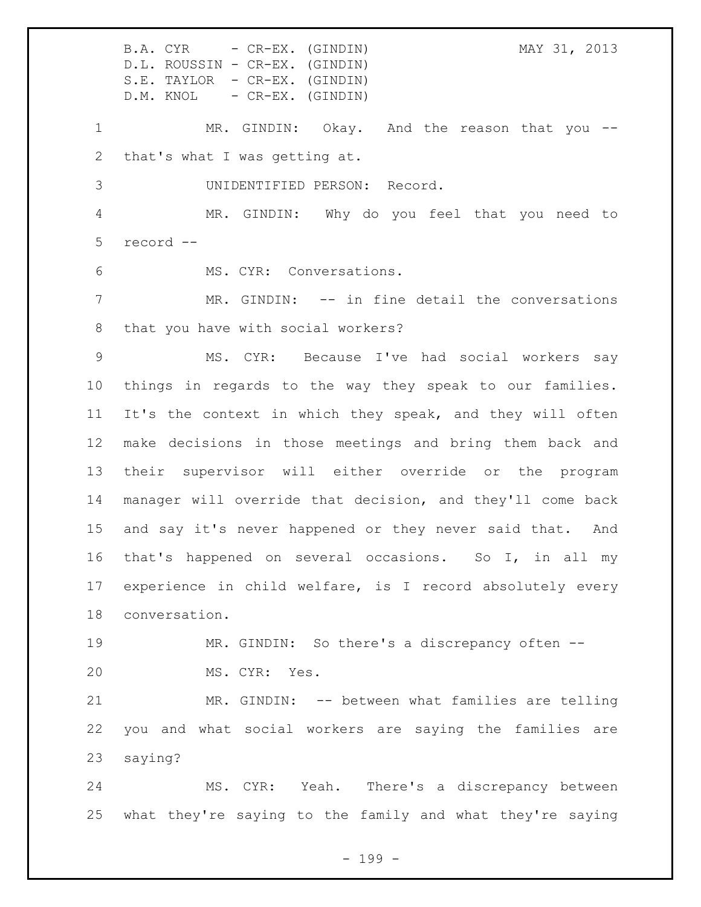B.A. CYR - CR-EX. (GINDIN) MAY 31, 2013 D.L. ROUSSIN - CR-EX. (GINDIN) S.E. TAYLOR - CR-EX. (GINDIN) D.M. KNOL - CR-EX. (GINDIN) MR. GINDIN: Okay. And the reason that you -- that's what I was getting at. UNIDENTIFIED PERSON: Record. MR. GINDIN: Why do you feel that you need to record -- MS. CYR: Conversations. MR. GINDIN: -- in fine detail the conversations that you have with social workers? MS. CYR: Because I've had social workers say things in regards to the way they speak to our families. It's the context in which they speak, and they will often make decisions in those meetings and bring them back and their supervisor will either override or the program manager will override that decision, and they'll come back and say it's never happened or they never said that. And that's happened on several occasions. So I, in all my experience in child welfare, is I record absolutely every conversation. MR. GINDIN: So there's a discrepancy often -- MS. CYR: Yes. MR. GINDIN: -- between what families are telling you and what social workers are saying the families are saying? MS. CYR: Yeah. There's a discrepancy between what they're saying to the family and what they're saying

- 199 -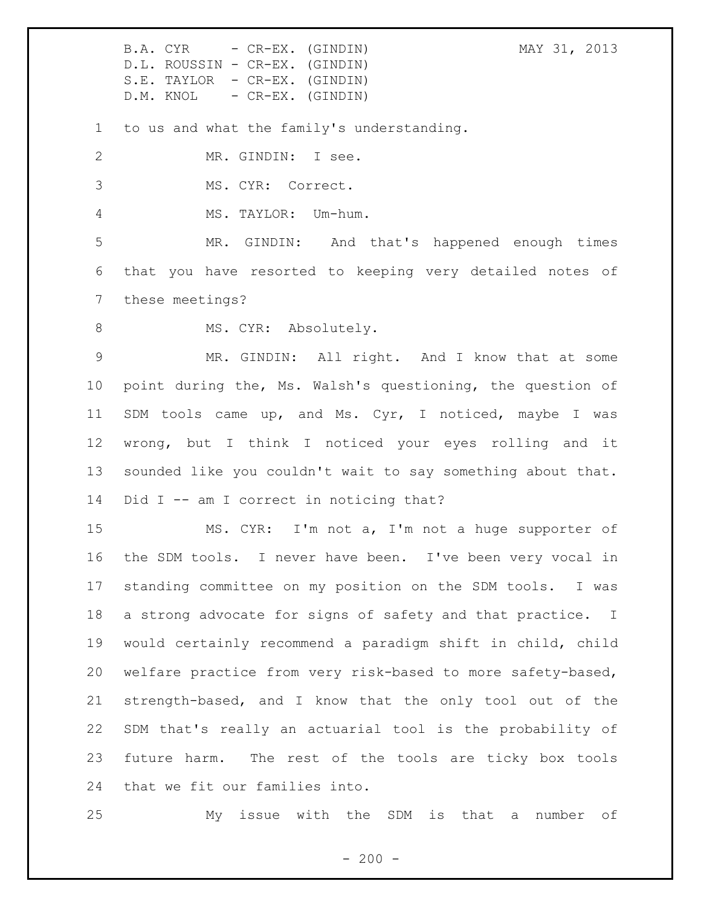to us and what the family's understanding.

MR. GINDIN: I see.

MS. CYR: Correct.

MS. TAYLOR: Um-hum.

 MR. GINDIN: And that's happened enough times that you have resorted to keeping very detailed notes of these meetings?

8 MS. CYR: Absolutely.

 MR. GINDIN: All right. And I know that at some point during the, Ms. Walsh's questioning, the question of SDM tools came up, and Ms. Cyr, I noticed, maybe I was wrong, but I think I noticed your eyes rolling and it sounded like you couldn't wait to say something about that. 14 Did I -- am I correct in noticing that?

 MS. CYR: I'm not a, I'm not a huge supporter of the SDM tools. I never have been. I've been very vocal in standing committee on my position on the SDM tools. I was a strong advocate for signs of safety and that practice. I would certainly recommend a paradigm shift in child, child welfare practice from very risk-based to more safety-based, strength-based, and I know that the only tool out of the SDM that's really an actuarial tool is the probability of future harm. The rest of the tools are ticky box tools that we fit our families into.

My issue with the SDM is that a number of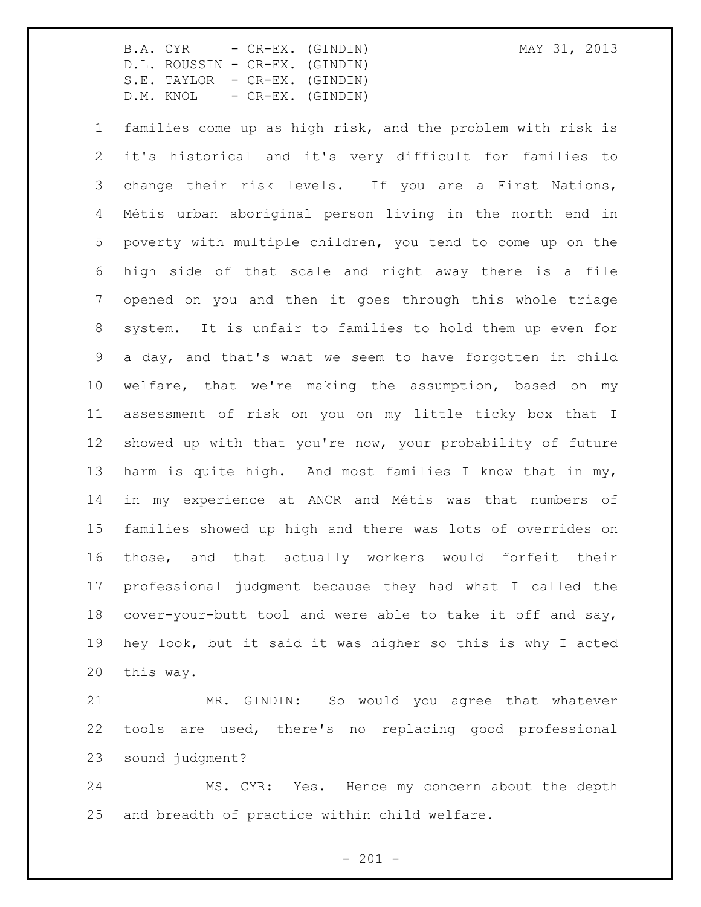families come up as high risk, and the problem with risk is it's historical and it's very difficult for families to change their risk levels. If you are a First Nations, Métis urban aboriginal person living in the north end in poverty with multiple children, you tend to come up on the high side of that scale and right away there is a file opened on you and then it goes through this whole triage system. It is unfair to families to hold them up even for a day, and that's what we seem to have forgotten in child welfare, that we're making the assumption, based on my assessment of risk on you on my little ticky box that I showed up with that you're now, your probability of future harm is quite high. And most families I know that in my, in my experience at ANCR and Métis was that numbers of families showed up high and there was lots of overrides on those, and that actually workers would forfeit their professional judgment because they had what I called the cover-your-butt tool and were able to take it off and say, hey look, but it said it was higher so this is why I acted this way.

 MR. GINDIN: So would you agree that whatever tools are used, there's no replacing good professional sound judgment?

 MS. CYR: Yes. Hence my concern about the depth and breadth of practice within child welfare.

 $- 201 -$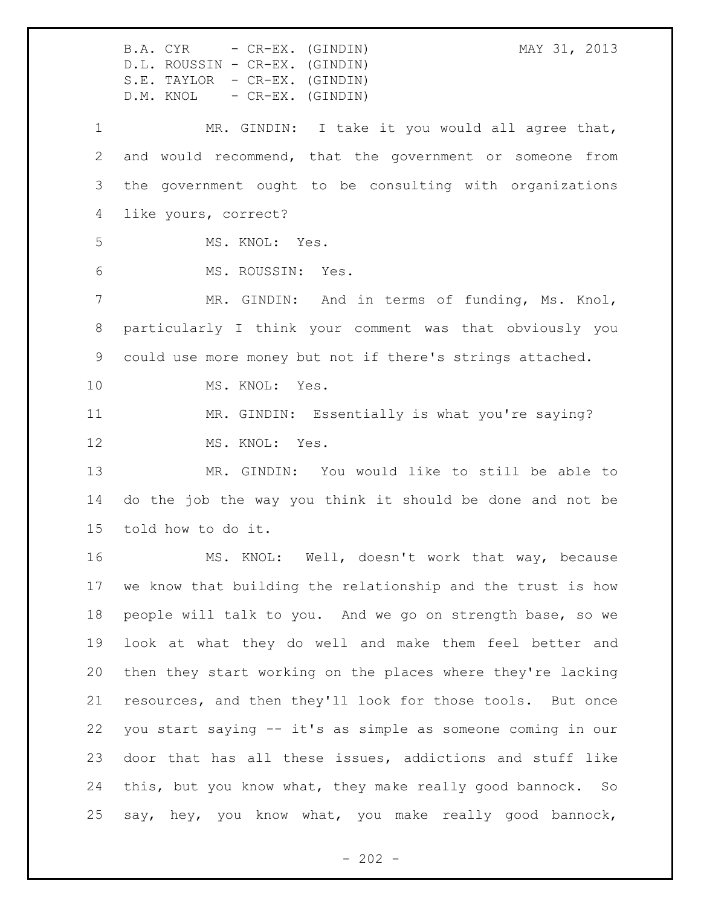B.A. CYR - CR-EX. (GINDIN) MAY 31, 2013 D.L. ROUSSIN - CR-EX. (GINDIN) S.E. TAYLOR - CR-EX. (GINDIN) D.M. KNOL - CR-EX. (GINDIN) MR. GINDIN: I take it you would all agree that, and would recommend, that the government or someone from the government ought to be consulting with organizations like yours, correct? MS. KNOL: Yes. MS. ROUSSIN: Yes. MR. GINDIN: And in terms of funding, Ms. Knol, particularly I think your comment was that obviously you could use more money but not if there's strings attached. MS. KNOL: Yes. MR. GINDIN: Essentially is what you're saying? 12 MS. KNOL: Yes. MR. GINDIN: You would like to still be able to do the job the way you think it should be done and not be told how to do it. MS. KNOL: Well, doesn't work that way, because we know that building the relationship and the trust is how people will talk to you. And we go on strength base, so we look at what they do well and make them feel better and then they start working on the places where they're lacking resources, and then they'll look for those tools. But once you start saying -- it's as simple as someone coming in our door that has all these issues, addictions and stuff like this, but you know what, they make really good bannock. So say, hey, you know what, you make really good bannock,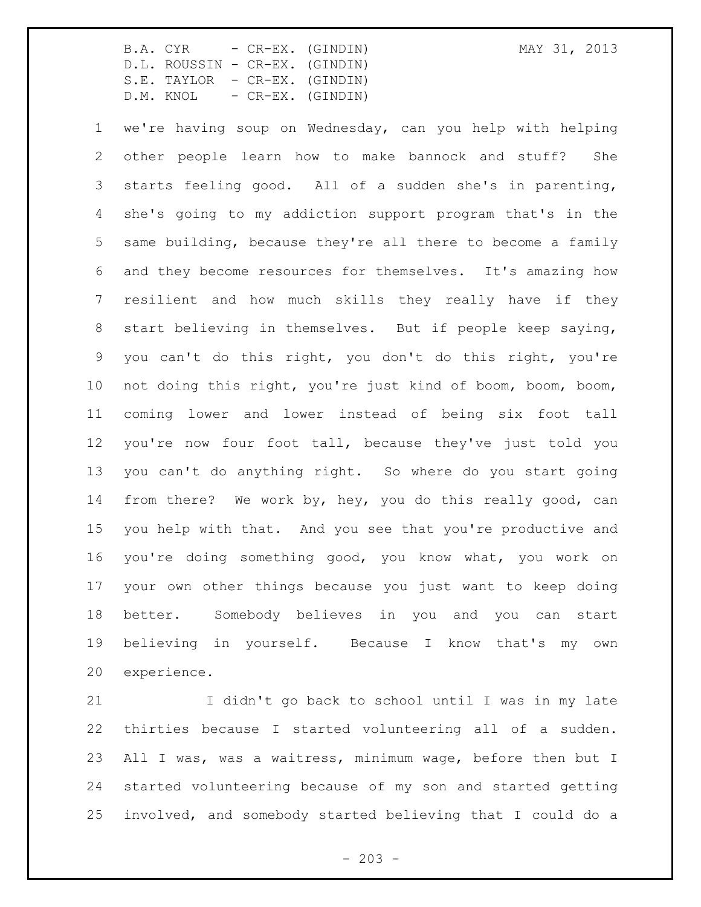we're having soup on Wednesday, can you help with helping other people learn how to make bannock and stuff? She starts feeling good. All of a sudden she's in parenting, she's going to my addiction support program that's in the same building, because they're all there to become a family and they become resources for themselves. It's amazing how resilient and how much skills they really have if they start believing in themselves. But if people keep saying, you can't do this right, you don't do this right, you're not doing this right, you're just kind of boom, boom, boom, coming lower and lower instead of being six foot tall you're now four foot tall, because they've just told you you can't do anything right. So where do you start going from there? We work by, hey, you do this really good, can you help with that. And you see that you're productive and you're doing something good, you know what, you work on your own other things because you just want to keep doing better. Somebody believes in you and you can start believing in yourself. Because I know that's my own experience.

 I didn't go back to school until I was in my late thirties because I started volunteering all of a sudden. All I was, was a waitress, minimum wage, before then but I started volunteering because of my son and started getting involved, and somebody started believing that I could do a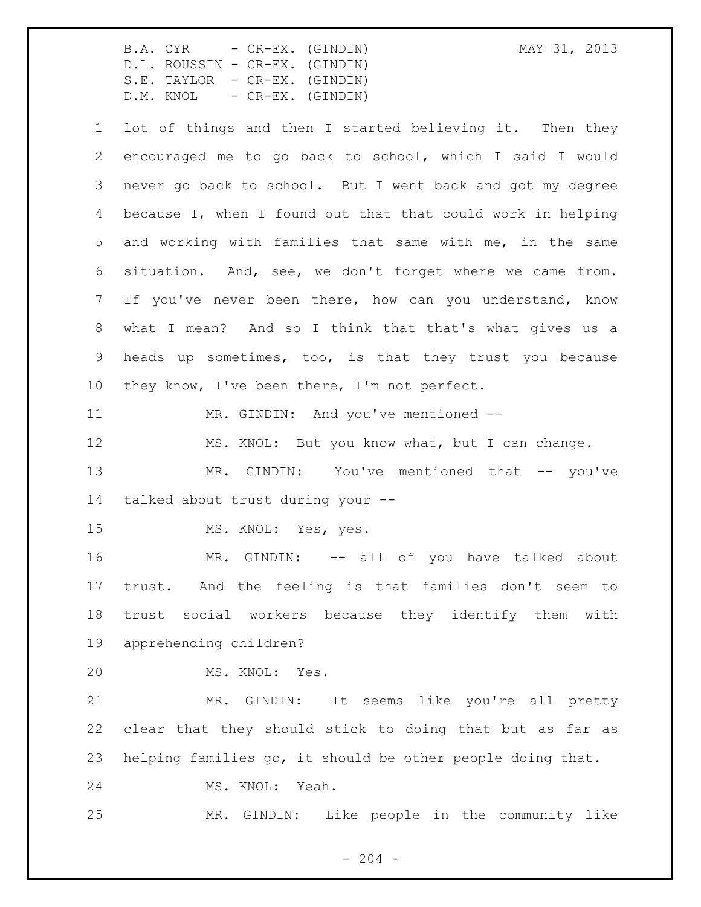B.A. CYR - CR-EX. (GINDIN) MAY 31, 2013 D.L. ROUSSIN - CR-EX. (GINDIN) S.E. TAYLOR - CR-EX. (GINDIN) D.M. KNOL - CR-EX. (GINDIN) lot of things and then I started believing it. Then they encouraged me to go back to school, which I said I would never go back to school. But I went back and got my degree because I, when I found out that that could work in helping and working with families that same with me, in the same situation. And, see, we don't forget where we came from. If you've never been there, how can you understand, know what I mean? And so I think that that's what gives us a heads up sometimes, too, is that they trust you because they know, I've been there, I'm not perfect. 11 MR. GINDIN: And you've mentioned --12 MS. KNOL: But you know what, but I can change. 13 MR. GINDIN: You've mentioned that -- you've talked about trust during your -- MS. KNOL: Yes, yes. 16 MR. GINDIN: -- all of you have talked about

 trust. And the feeling is that families don't seem to trust social workers because they identify them with apprehending children?

MS. KNOL: Yes.

 MR. GINDIN: It seems like you're all pretty clear that they should stick to doing that but as far as helping families go, it should be other people doing that.

MS. KNOL: Yeah.

MR. GINDIN: Like people in the community like

 $-204 -$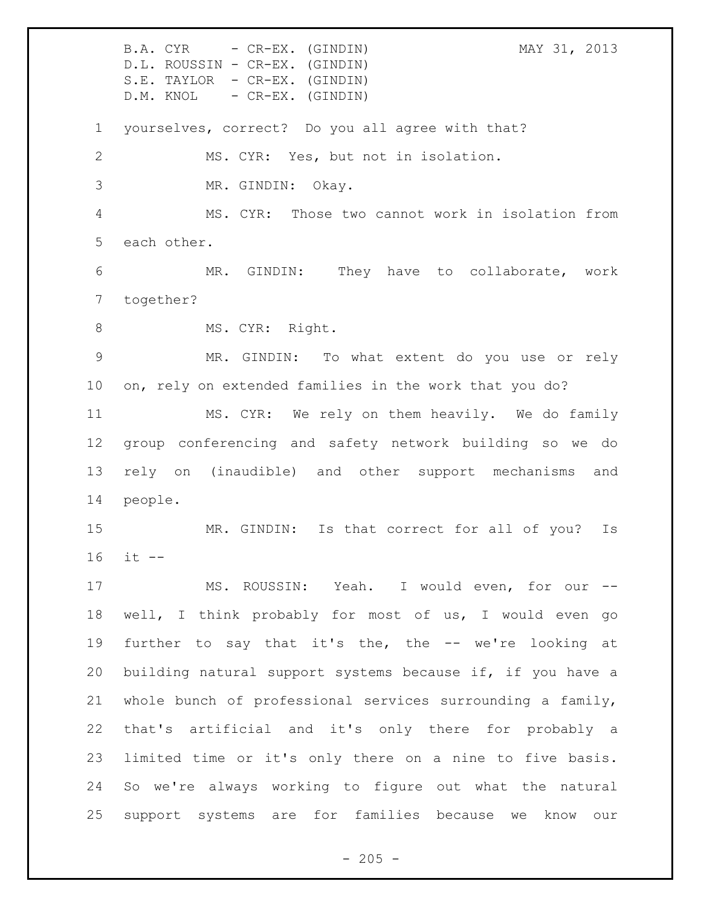B.A. CYR - CR-EX. (GINDIN) MAY 31, 2013 D.L. ROUSSIN - CR-EX. (GINDIN) S.E. TAYLOR - CR-EX. (GINDIN) D.M. KNOL - CR-EX. (GINDIN) yourselves, correct? Do you all agree with that? MS. CYR: Yes, but not in isolation. MR. GINDIN: Okay. MS. CYR: Those two cannot work in isolation from each other. MR. GINDIN: They have to collaborate, work together? 8 MS. CYR: Right. MR. GINDIN: To what extent do you use or rely on, rely on extended families in the work that you do? MS. CYR: We rely on them heavily. We do family group conferencing and safety network building so we do rely on (inaudible) and other support mechanisms and people. MR. GINDIN: Is that correct for all of you? Is it -- MS. ROUSSIN: Yeah. I would even, for our -- well, I think probably for most of us, I would even go further to say that it's the, the -- we're looking at building natural support systems because if, if you have a whole bunch of professional services surrounding a family, that's artificial and it's only there for probably a limited time or it's only there on a nine to five basis. So we're always working to figure out what the natural support systems are for families because we know our

 $-205 -$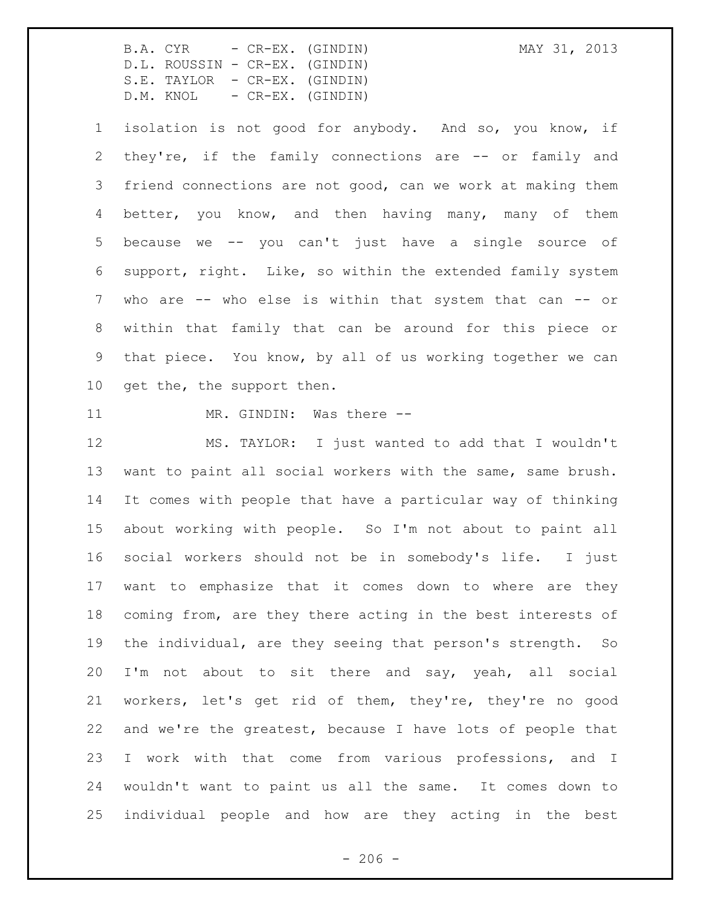isolation is not good for anybody. And so, you know, if 2 they're, if the family connections are -- or family and friend connections are not good, can we work at making them better, you know, and then having many, many of them because we -- you can't just have a single source of support, right. Like, so within the extended family system who are -- who else is within that system that can -- or within that family that can be around for this piece or that piece. You know, by all of us working together we can 10 get the, the support then.

11 MR. GINDIN: Was there --

 MS. TAYLOR: I just wanted to add that I wouldn't want to paint all social workers with the same, same brush. It comes with people that have a particular way of thinking about working with people. So I'm not about to paint all social workers should not be in somebody's life. I just want to emphasize that it comes down to where are they coming from, are they there acting in the best interests of the individual, are they seeing that person's strength. So I'm not about to sit there and say, yeah, all social workers, let's get rid of them, they're, they're no good and we're the greatest, because I have lots of people that I work with that come from various professions, and I wouldn't want to paint us all the same. It comes down to individual people and how are they acting in the best

 $-206 -$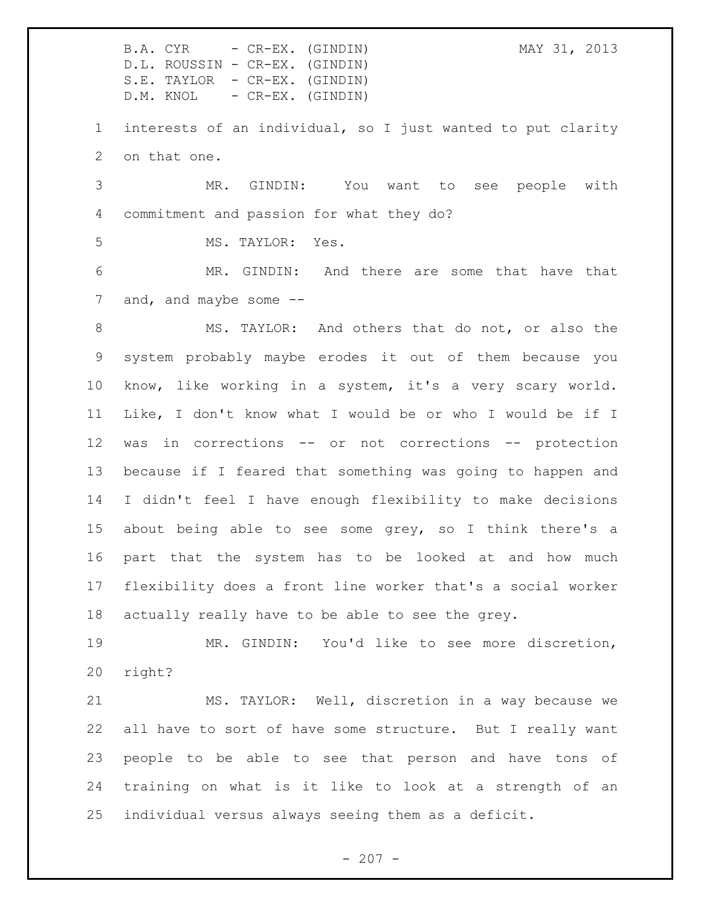interests of an individual, so I just wanted to put clarity on that one.

 MR. GINDIN: You want to see people with commitment and passion for what they do?

MS. TAYLOR: Yes.

 MR. GINDIN: And there are some that have that 7 and, and maybe some --

 MS. TAYLOR: And others that do not, or also the system probably maybe erodes it out of them because you know, like working in a system, it's a very scary world. Like, I don't know what I would be or who I would be if I was in corrections -- or not corrections -- protection because if I feared that something was going to happen and I didn't feel I have enough flexibility to make decisions about being able to see some grey, so I think there's a part that the system has to be looked at and how much flexibility does a front line worker that's a social worker actually really have to be able to see the grey.

 MR. GINDIN: You'd like to see more discretion, right?

 MS. TAYLOR: Well, discretion in a way because we all have to sort of have some structure. But I really want people to be able to see that person and have tons of training on what is it like to look at a strength of an individual versus always seeing them as a deficit.

 $- 207 -$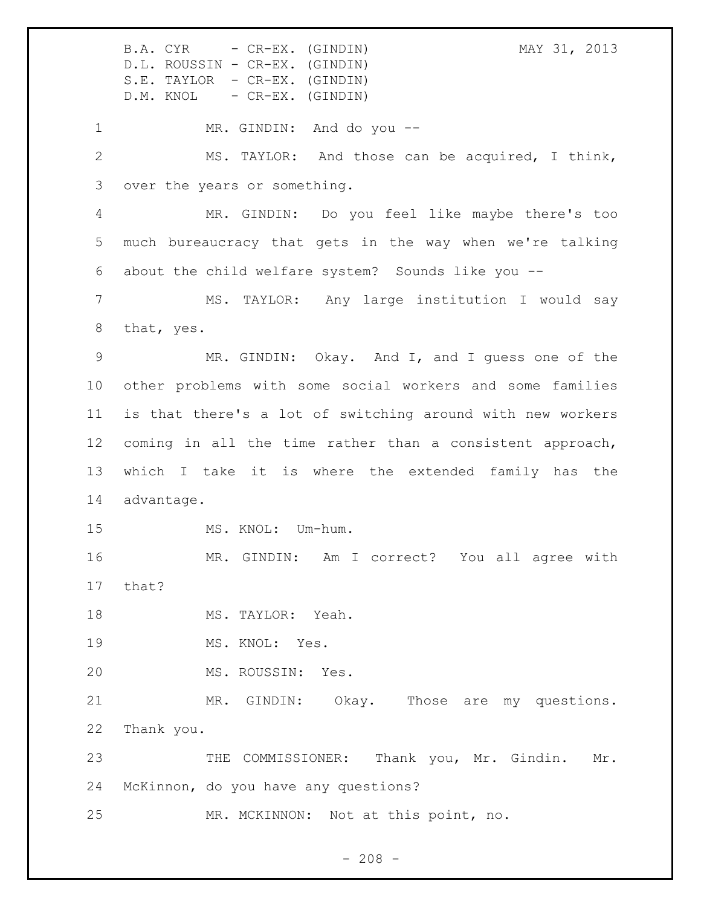B.A. CYR - CR-EX. (GINDIN) MAY 31, 2013 D.L. ROUSSIN - CR-EX. (GINDIN) S.E. TAYLOR - CR-EX. (GINDIN) D.M. KNOL - CR-EX. (GINDIN) 1 MR. GINDIN: And do you -- MS. TAYLOR: And those can be acquired, I think, over the years or something. MR. GINDIN: Do you feel like maybe there's too much bureaucracy that gets in the way when we're talking about the child welfare system? Sounds like you -- MS. TAYLOR: Any large institution I would say that, yes. MR. GINDIN: Okay. And I, and I guess one of the other problems with some social workers and some families is that there's a lot of switching around with new workers coming in all the time rather than a consistent approach, which I take it is where the extended family has the advantage. 15 MS. KNOL: Um-hum. MR. GINDIN: Am I correct? You all agree with that? 18 MS. TAYLOR: Yeah. 19 MS. KNOL: Yes. MS. ROUSSIN: Yes. MR. GINDIN: Okay. Those are my questions. Thank you. 23 THE COMMISSIONER: Thank you, Mr. Gindin. Mr. McKinnon, do you have any questions? MR. MCKINNON: Not at this point, no.

 $- 208 -$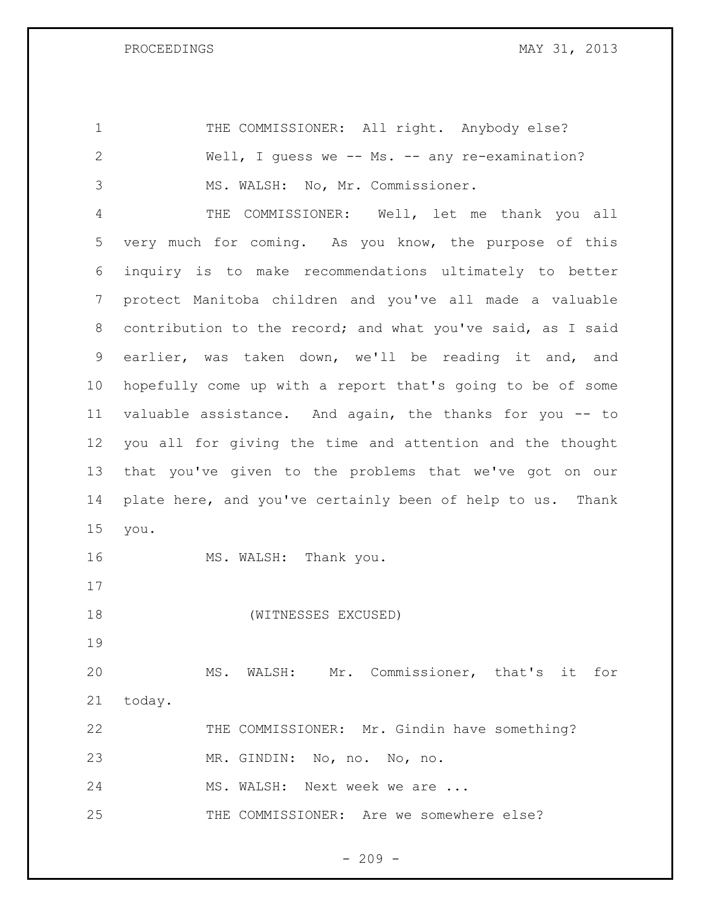| $\mathbf 1$    | THE COMMISSIONER: All right. Anybody else?                  |
|----------------|-------------------------------------------------------------|
| $\overline{2}$ | Well, I quess we -- Ms. -- any re-examination?              |
| 3              | MS. WALSH: No, Mr. Commissioner.                            |
| 4              | THE COMMISSIONER: Well, let me thank you all                |
| 5              | very much for coming. As you know, the purpose of this      |
| 6              | inquiry is to make recommendations ultimately to better     |
| 7              | protect Manitoba children and you've all made a valuable    |
| 8              | contribution to the record; and what you've said, as I said |
| 9              | earlier, was taken down, we'll be reading it and, and       |
| 10             | hopefully come up with a report that's going to be of some  |
| 11             | valuable assistance. And again, the thanks for you -- to    |
| 12             | you all for giving the time and attention and the thought   |
| 13             | that you've given to the problems that we've got on our     |
| 14             | plate here, and you've certainly been of help to us. Thank  |
| 15             | you.                                                        |
| 16             | MS. WALSH: Thank you.                                       |
| 17             |                                                             |
| 18             | (WITNESSES EXCUSED)                                         |
| 19             |                                                             |
| 20             | MS. WALSH: Mr. Commissioner, that's it for                  |
| 21             | today.                                                      |
| 22             | THE COMMISSIONER: Mr. Gindin have something?                |
| 23             | MR. GINDIN: No, no. No, no.                                 |
| 24             | MS. WALSH: Next week we are                                 |
| 25             | THE COMMISSIONER: Are we somewhere else?                    |
|                |                                                             |

- 209 -